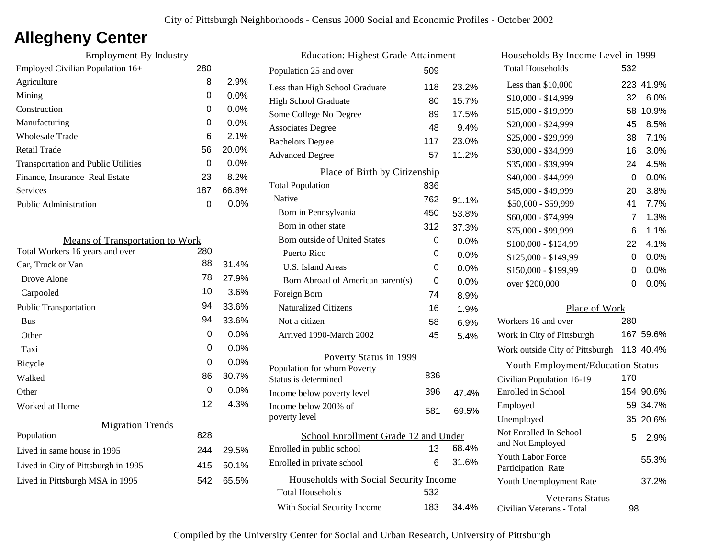# **Allegheny Center**

| <b>Employment By Industry</b>              |     |         |
|--------------------------------------------|-----|---------|
| Employed Civilian Population 16+           | 280 |         |
| Agriculture                                | 8   | 2.9%    |
| Mining                                     | 0   | $0.0\%$ |
| Construction                               | 0   | $0.0\%$ |
| Manufacturing                              | 0   | $0.0\%$ |
| Wholesale Trade                            | 6   | 2.1%    |
| Retail Trade                               | 56  | 20.0%   |
| <b>Transportation and Public Utilities</b> | 0   | $0.0\%$ |
| Finance, Insurance Real Estate             | 23  | 8.2%    |
| Services                                   | 187 | 66.8%   |
| Public Administration                      | O   | $0.0\%$ |
|                                            |     |         |

| <b>Means of Transportation to Work</b> |     |         |
|----------------------------------------|-----|---------|
| Total Workers 16 years and over        | 280 |         |
| Car, Truck or Van                      | 88  | 31.4%   |
| Drove Alone                            | 78  | 27.9%   |
| Carpooled                              | 10  | 3.6%    |
| <b>Public Transportation</b>           | 94  | 33.6%   |
| <b>Bus</b>                             | 94  | 33.6%   |
| Other                                  | 0   | 0.0%    |
| Taxi                                   | 0   | 0.0%    |
| Bicycle                                | 0   | $0.0\%$ |
| Walked                                 | 86  | 30.7%   |
| Other                                  | 0   | 0.0%    |
| Worked at Home                         | 12  | 4.3%    |
| <b>Migration Trends</b>                |     |         |
| Population                             | 828 |         |
| Lived in same house in 1995            | 244 | 29.5%   |
| Lived in City of Pittsburgh in 1995    | 415 | 50.1%   |
| Lived in Pittsburgh MSA in 1995        | 542 | 65.5%   |
|                                        |     |         |

| <b>Education: Highest Grade Attainment</b>          |     |       |
|-----------------------------------------------------|-----|-------|
| Population 25 and over                              | 509 |       |
| Less than High School Graduate                      | 118 | 23.2% |
| <b>High School Graduate</b>                         | 80  | 15.7% |
| Some College No Degree                              | 89  | 17.5% |
| <b>Associates Degree</b>                            | 48  | 9.4%  |
| <b>Bachelors Degree</b>                             | 117 | 23.0% |
| <b>Advanced Degree</b>                              | 57  | 11.2% |
| Place of Birth by Citizenship                       |     |       |
| <b>Total Population</b>                             | 836 |       |
| Native                                              | 762 | 91.1% |
| Born in Pennsylvania                                | 450 | 53.8% |
| Born in other state                                 | 312 | 37.3% |
| <b>Born outside of United States</b>                | 0   | 0.0%  |
| Puerto Rico                                         | 0   | 0.0%  |
| U.S. Island Areas                                   | 0   | 0.0%  |
| Born Abroad of American parent(s)                   | 0   | 0.0%  |
| Foreign Born                                        | 74  | 8.9%  |
| <b>Naturalized Citizens</b>                         | 16  | 1.9%  |
| Not a citizen                                       | 58  | 6.9%  |
| Arrived 1990-March 2002                             | 45  | 5.4%  |
| Poverty Status in 1999                              |     |       |
| Population for whom Poverty<br>Status is determined | 836 |       |
| Income below poverty level                          | 396 | 47.4% |
| Income below 200% of<br>poverty level               | 581 | 69.5% |
| School Enrollment Grade 12 and Under                |     |       |
| Enrolled in public school                           | 13  | 68.4% |
| Enrolled in private school                          | 6   | 31.6% |
| Households with Social Security Income              |     |       |
| <b>Total Households</b>                             | 532 |       |
| With Social Security Income                         | 183 | 34.4% |

| Households By Income Level in 1999                  |     |           |
|-----------------------------------------------------|-----|-----------|
| <b>Total Households</b>                             | 532 |           |
| Less than \$10,000                                  |     | 223 41.9% |
| \$10,000 - \$14,999                                 | 32  | 6.0%      |
| \$15,000 - \$19,999                                 | 58  | 10.9%     |
| \$20,000 - \$24,999                                 | 45  | 8.5%      |
| \$25,000 - \$29,999                                 | 38  | 7.1%      |
| \$30,000 - \$34,999                                 | 16  | 3.0%      |
| \$35,000 - \$39,999                                 | 24  | 4.5%      |
| \$40,000 - \$44,999                                 | 0   | 0.0%      |
| \$45,000 - \$49,999                                 | 20  | 3.8%      |
| \$50,000 - \$59,999                                 | 41  | 7.7%      |
| \$60,000 - \$74,999                                 | 7   | 1.3%      |
| \$75,000 - \$99,999                                 | 6   | 1.1%      |
| \$100,000 - \$124,99                                | 22  | 4.1%      |
| \$125,000 - \$149,99                                | 0   | 0.0%      |
| \$150,000 - \$199,99                                | 0   | 0.0%      |
| over \$200,000                                      | 0   | $0.0\%$   |
| Place of Work                                       |     |           |
| Workers 16 and over                                 | 280 |           |
| Work in City of Pittsburgh                          |     | 167 59.6% |
| Work outside City of Pittsburgh                     |     | 113 40.4% |
| <b>Youth Employment/Education Status</b>            |     |           |
| Civilian Population 16-19                           | 170 |           |
| Enrolled in School                                  |     | 154 90.6% |
| Employed                                            |     | 59 34.7%  |
| Unemployed                                          |     | 35 20.6%  |
| Not Enrolled In School<br>and Not Employed          | 5   | 2.9%      |
| <b>Youth Labor Force</b><br>Participation Rate      |     | 55.3%     |
| Youth Unemployment Rate                             |     | 37.2%     |
| <b>Veterans Status</b><br>Civilian Veterans - Total | 98  |           |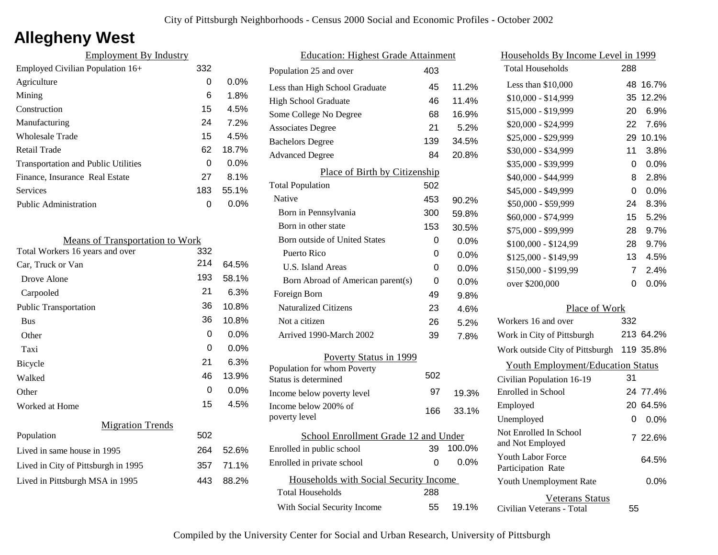## **Allegheny West**

| 332 |         |
|-----|---------|
| 0   | $0.0\%$ |
| 6   | 1.8%    |
| 15  | 4.5%    |
| 24  | 7.2%    |
| 15  | 4.5%    |
| 62  | 18.7%   |
| 0   | $0.0\%$ |
| 27  | 8.1%    |
| 183 | 55.1%   |
| O   | $0.0\%$ |
|     |         |

| <b>Means of Transportation to Work</b> |     |         |
|----------------------------------------|-----|---------|
| Total Workers 16 years and over        | 332 |         |
| Car, Truck or Van                      | 214 | 64.5%   |
| Drove Alone                            | 193 | 58.1%   |
| Carpooled                              | 21  | 6.3%    |
| <b>Public Transportation</b>           | 36  | 10.8%   |
| <b>Bus</b>                             | 36  | 10.8%   |
| Other                                  | 0   | $0.0\%$ |
| Taxi                                   | 0   | 0.0%    |
| Bicycle                                | 21  | 6.3%    |
| Walked                                 | 46  | 13.9%   |
| Other                                  | 0   | $0.0\%$ |
| Worked at Home                         | 15  | 4.5%    |
| <b>Migration Trends</b>                |     |         |
| Population                             | 502 |         |
| Lived in same house in 1995            | 264 | 52.6%   |
| Lived in City of Pittsburgh in 1995    | 357 | 71.1%   |
| Lived in Pittsburgh MSA in 1995        | 443 | 88.2%   |
|                                        |     |         |

| <b>Education: Highest Grade Attainment</b> |     |         |
|--------------------------------------------|-----|---------|
| Population 25 and over                     | 403 |         |
| Less than High School Graduate             | 45  | 11.2%   |
| High School Graduate                       | 46  | 11.4%   |
| Some College No Degree                     | 68  | 16.9%   |
| <b>Associates Degree</b>                   | 21  | 5.2%    |
| <b>Bachelors Degree</b>                    | 139 | 34.5%   |
| <b>Advanced Degree</b>                     | 84  | 20.8%   |
| Place of Birth by Citizenship              |     |         |
| <b>Total Population</b>                    | 502 |         |
| Native                                     | 453 | 90.2%   |
| Born in Pennsylvania                       | 300 | 59.8%   |
| Born in other state                        | 153 | 30.5%   |
| Born outside of United States              | 0   | 0.0%    |
| Puerto Rico                                | 0   | 0.0%    |
| U.S. Island Areas                          | 0   | 0.0%    |
| Born Abroad of American parent(s)          | 0   | 0.0%    |
| Foreign Born                               | 49  | 9.8%    |
| <b>Naturalized Citizens</b>                | 23  | 4.6%    |
| Not a citizen                              | 26  | 5.2%    |
| Arrived 1990-March 2002                    | 39  | 7.8%    |
| Poverty Status in 1999                     |     |         |
| Population for whom Poverty                | 502 |         |
| Status is determined                       |     |         |
| Income below poverty level                 | 97  | 19.3%   |
| Income below 200% of<br>poverty level      | 166 | 33.1%   |
| School Enrollment Grade 12 and Under       |     |         |
| Enrolled in public school                  | 39  | 100.0%  |
| Enrolled in private school                 | 0   | $0.0\%$ |
| Households with Social Security Income     |     |         |
| <b>Total Households</b>                    | 288 |         |
| With Social Security Income                | 55  | 19.1%   |

| Households By Income Level in 1999                  |     |           |
|-----------------------------------------------------|-----|-----------|
| <b>Total Households</b>                             | 288 |           |
| Less than \$10,000                                  | 48  | 16.7%     |
| \$10,000 - \$14,999                                 | 35  | 12.2%     |
| \$15,000 - \$19,999                                 | 20  | 6.9%      |
| \$20,000 - \$24,999                                 | 22  | 7.6%      |
| \$25,000 - \$29,999                                 | 29  | 10.1%     |
| \$30,000 - \$34,999                                 | 11  | 3.8%      |
| \$35,000 - \$39,999                                 | 0   | 0.0%      |
| \$40,000 - \$44,999                                 | 8   | 2.8%      |
| \$45,000 - \$49,999                                 | 0   | 0.0%      |
| \$50,000 - \$59,999                                 | 24  | 8.3%      |
| \$60,000 - \$74,999                                 | 15  | 5.2%      |
| \$75,000 - \$99,999                                 | 28  | 9.7%      |
| \$100,000 - \$124,99                                | 28  | 9.7%      |
| \$125,000 - \$149,99                                | 13  | 4.5%      |
| \$150,000 - \$199,99                                | 7   | 2.4%      |
| over \$200,000                                      | 0   | 0.0%      |
| Place of Work                                       |     |           |
| Workers 16 and over                                 | 332 |           |
| Work in City of Pittsburgh                          |     | 213 64.2% |
| Work outside City of Pittsburgh                     |     | 119 35.8% |
| <b>Youth Employment/Education Status</b>            |     |           |
| Civilian Population 16-19                           | 31  |           |
| Enrolled in School                                  |     | 24 77.4%  |
| Employed                                            |     | 20 64.5%  |
| Unemployed                                          | 0   | $0.0\%$   |
| Not Enrolled In School<br>and Not Employed          |     | 7 22.6%   |
| <b>Youth Labor Force</b><br>Participation Rate      |     | 64.5%     |
| Youth Unemployment Rate                             |     | 0.0%      |
| <b>Veterans Status</b><br>Civilian Veterans - Total | 55  |           |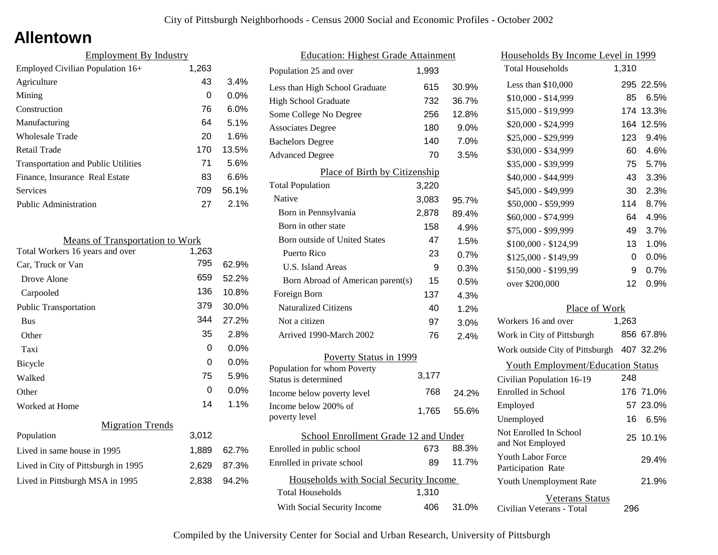### **Allentown**

| <b>Employment By Industry</b>              |       |         |
|--------------------------------------------|-------|---------|
| Employed Civilian Population 16+           | 1,263 |         |
| Agriculture                                | 43    | 3.4%    |
| Mining                                     | 0     | $0.0\%$ |
| Construction                               | 76    | $6.0\%$ |
| Manufacturing                              | 64    | 5.1%    |
| Wholesale Trade                            | 20    | 1.6%    |
| Retail Trade                               | 170   | 13.5%   |
| <b>Transportation and Public Utilities</b> | 71    | 5.6%    |
| Finance, Insurance Real Estate             | 83    | 6.6%    |
| Services                                   | 709   | 56.1%   |
| <b>Public Administration</b>               | 27    | 2.1%    |

| <b>Means of Transportation to Work</b> |       |       |
|----------------------------------------|-------|-------|
| Total Workers 16 years and over        | 1,263 |       |
| Car, Truck or Van                      | 795   | 62.9% |
| Drove Alone                            | 659   | 52.2% |
| Carpooled                              | 136   | 10.8% |
| <b>Public Transportation</b>           | 379   | 30.0% |
| <b>Bus</b>                             | 344   | 27.2% |
| Other                                  | 35    | 2.8%  |
| Taxi                                   | 0     | 0.0%  |
| Bicycle                                | 0     | 0.0%  |
| Walked                                 | 75    | 5.9%  |
| Other                                  | 0     | 0.0%  |
| Worked at Home                         | 14    | 1.1%  |
| <b>Migration Trends</b>                |       |       |
| Population                             | 3,012 |       |
| Lived in same house in 1995            | 1,889 | 62.7% |
| Lived in City of Pittsburgh in 1995    | 2,629 | 87.3% |
| Lived in Pittsburgh MSA in 1995        | 2,838 | 94.2% |
|                                        |       |       |

| <b>Education: Highest Grade Attainment</b>          |       |       |
|-----------------------------------------------------|-------|-------|
| Population 25 and over                              | 1.993 |       |
| Less than High School Graduate                      | 615   | 30.9% |
| <b>High School Graduate</b>                         | 732   | 36.7% |
| Some College No Degree                              | 256   | 12.8% |
| <b>Associates Degree</b>                            | 180   | 9.0%  |
| <b>Bachelors Degree</b>                             | 140   | 7.0%  |
| <b>Advanced Degree</b>                              | 70    | 3.5%  |
| Place of Birth by Citizenship                       |       |       |
| <b>Total Population</b>                             | 3,220 |       |
| Native                                              | 3,083 | 95.7% |
| Born in Pennsylvania                                | 2,878 | 89.4% |
| Born in other state                                 | 158   | 4.9%  |
| Born outside of United States                       | 47    | 1.5%  |
| Puerto Rico                                         | 23    | 0.7%  |
| U.S. Island Areas                                   | 9     | 0.3%  |
| Born Abroad of American parent(s)                   | 15    | 0.5%  |
| Foreign Born                                        | 137   | 4.3%  |
| <b>Naturalized Citizens</b>                         | 40    | 1.2%  |
| Not a citizen                                       | 97    | 3.0%  |
| Arrived 1990-March 2002                             | 76    | 2.4%  |
| Poverty Status in 1999                              |       |       |
| Population for whom Poverty<br>Status is determined | 3,177 |       |
| Income below poverty level                          | 768   | 24.2% |
| Income below 200% of<br>poverty level               | 1,765 | 55.6% |
| School Enrollment Grade 12 and Under                |       |       |
| Enrolled in public school                           | 673   | 88.3% |
| Enrolled in private school                          | 89    | 11.7% |
| Households with Social Security Income              |       |       |
| <b>Total Households</b>                             | 1,310 |       |
| With Social Security Income                         | 406   | 31.0% |

| Households By Income Level in 1999                  |       |           |
|-----------------------------------------------------|-------|-----------|
| <b>Total Households</b>                             | 1,310 |           |
| Less than \$10,000                                  |       | 295 22.5% |
| \$10,000 - \$14,999                                 | 85    | 6.5%      |
| \$15,000 - \$19,999                                 | 174   | 13.3%     |
| \$20,000 - \$24,999                                 | 164   | 12.5%     |
| \$25,000 - \$29,999                                 | 123   | 9.4%      |
| \$30,000 - \$34,999                                 | 60    | 4.6%      |
| \$35,000 - \$39,999                                 | 75    | 5.7%      |
| \$40,000 - \$44,999                                 | 43    | 3.3%      |
| \$45,000 - \$49,999                                 | 30    | 2.3%      |
| \$50,000 - \$59,999                                 | 114   | 8.7%      |
| \$60,000 - \$74,999                                 | 64    | 4.9%      |
| \$75,000 - \$99,999                                 | 49    | 3.7%      |
| \$100,000 - \$124,99                                | 13    | 1.0%      |
| \$125,000 - \$149,99                                | 0     | 0.0%      |
| \$150,000 - \$199,99                                | 9     | 0.7%      |
| over \$200,000                                      | 12    | 0.9%      |
| Place of Work                                       |       |           |
| Workers 16 and over                                 | 1,263 |           |
| Work in City of Pittsburgh                          |       | 856 67.8% |
| Work outside City of Pittsburgh                     |       | 407 32.2% |
| <b>Youth Employment/Education Status</b>            |       |           |
| Civilian Population 16-19                           | 248   |           |
| <b>Enrolled</b> in School                           |       | 176 71.0% |
| Employed                                            |       | 57 23.0%  |
| Unemployed                                          | 16    | 6.5%      |
| Not Enrolled In School<br>and Not Employed          |       | 25 10.1%  |
| <b>Youth Labor Force</b><br>Participation Rate      |       | 29.4%     |
| Youth Unemployment Rate                             |       | 21.9%     |
| <b>Veterans Status</b><br>Civilian Veterans - Total | 296   |           |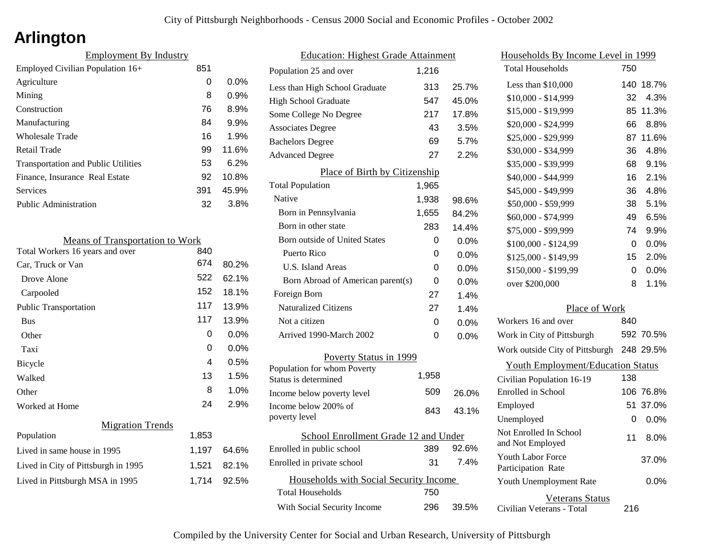## **Arlington**

| <b>Employment By Industry</b>              |     |         |
|--------------------------------------------|-----|---------|
| Employed Civilian Population 16+           | 851 |         |
| Agriculture                                | 0   | $0.0\%$ |
| Mining                                     | 8   | 0.9%    |
| Construction                               | 76  | 8.9%    |
| Manufacturing                              | 84  | 9.9%    |
| <b>Wholesale Trade</b>                     | 16  | 1.9%    |
| Retail Trade                               | 99  | 11.6%   |
| <b>Transportation and Public Utilities</b> | 53  | 6.2%    |
| Finance, Insurance Real Estate             | 92  | 10.8%   |
| Services                                   | 391 | 45.9%   |
| Public Administration                      | 32  | 3.8%    |

| <b>Means of Transportation to Work</b> |       |         |
|----------------------------------------|-------|---------|
| Total Workers 16 years and over        | 840   |         |
| Car, Truck or Van                      | 674   | 80.2%   |
| Drove Alone                            | 522   | 62.1%   |
| Carpooled                              | 152   | 18.1%   |
| <b>Public Transportation</b>           | 117   | 13.9%   |
| <b>Bus</b>                             | 117   | 13.9%   |
| Other                                  | 0     | $0.0\%$ |
| Taxi                                   | 0     | $0.0\%$ |
| <b>Bicycle</b>                         | 4     | 0.5%    |
| Walked                                 | 13    | 1.5%    |
| Other                                  | 8     | 1.0%    |
| Worked at Home                         | 24    | 2.9%    |
| <b>Migration Trends</b>                |       |         |
| Population                             | 1,853 |         |
| Lived in same house in 1995            | 1,197 | 64.6%   |
| Lived in City of Pittsburgh in 1995    | 1,521 | 82.1%   |
| Lived in Pittsburgh MSA in 1995        | 1,714 | 92.5%   |
|                                        |       |         |

| <b>Education: Highest Grade Attainment</b> |       |         |
|--------------------------------------------|-------|---------|
| Population 25 and over                     | 1,216 |         |
| Less than High School Graduate             | 313   | 25.7%   |
| <b>High School Graduate</b>                | 547   | 45.0%   |
| Some College No Degree                     | 217   | 17.8%   |
| <b>Associates Degree</b>                   | 43    | 3.5%    |
| <b>Bachelors Degree</b>                    | 69    | 5.7%    |
| <b>Advanced Degree</b>                     | 27    | 2.2%    |
| Place of Birth by Citizenship              |       |         |
| <b>Total Population</b>                    | 1,965 |         |
| Native                                     | 1,938 | 98.6%   |
| Born in Pennsylvania                       | 1,655 | 84.2%   |
| Born in other state                        | 283   | 14.4%   |
| <b>Born outside of United States</b>       | 0     | 0.0%    |
| Puerto Rico                                | 0     | $0.0\%$ |
| U.S. Island Areas                          | 0     | $0.0\%$ |
| Born Abroad of American parent(s)          | 0     | $0.0\%$ |
| Foreign Born                               | 27    | 1.4%    |
| <b>Naturalized Citizens</b>                | 27    | 1.4%    |
| Not a citizen                              | 0     | 0.0%    |
| Arrived 1990-March 2002                    | 0     | $0.0\%$ |
| <b>Poverty Status in 1999</b>              |       |         |
| Population for whom Poverty                | 1,958 |         |
| Status is determined                       |       |         |
| Income below poverty level                 | 509   | 26.0%   |
| Income below 200% of<br>poverty level      | 843   | 43.1%   |
|                                            |       |         |
| School Enrollment Grade 12 and Under       | 389   | 92.6%   |
| Enrolled in public school                  | 31    | 7.4%    |
| Enrolled in private school                 |       |         |
| Households with Social Security Income     |       |         |
| Total Households                           | 750   |         |
| With Social Security Income                | 296   | 39.5%   |

| <u>Households By Income Level in 1999</u>           |     |           |
|-----------------------------------------------------|-----|-----------|
| <b>Total Households</b>                             | 750 |           |
| Less than $$10,000$                                 | 140 | 18.7%     |
| $$10,000 - $14,999$                                 | 32  | 4.3%      |
| \$15,000 - \$19,999                                 | 85  | 11.3%     |
| \$20,000 - \$24,999                                 | 66  | 8.8%      |
| \$25,000 - \$29,999                                 | 87  | 11.6%     |
| \$30,000 - \$34,999                                 | 36  | 4.8%      |
| \$35,000 - \$39,999                                 | 68  | 9.1%      |
| \$40,000 - \$44,999                                 | 16  | 2.1%      |
| \$45,000 - \$49,999                                 | 36  | 4.8%      |
| \$50,000 - \$59,999                                 | 38  | 5.1%      |
| \$60,000 - \$74,999                                 | 49  | 6.5%      |
| \$75,000 - \$99,999                                 | 74  | 9.9%      |
| \$100,000 - \$124,99                                | 0   | 0.0%      |
| \$125,000 - \$149,99                                | 15  | 2.0%      |
| \$150,000 - \$199,99                                | 0   | $0.0\%$   |
| over \$200,000                                      | 8   | 1.1%      |
| Place of Work                                       |     |           |
| Workers 16 and over                                 | 840 |           |
| Work in City of Pittsburgh                          |     | 592 70.5% |
| Work outside City of Pittsburgh                     |     | 248 29.5% |
| <b>Youth Employment/Education Status</b>            |     |           |
| Civilian Population 16-19                           | 138 |           |
| Enrolled in School                                  | 106 | 76.8%     |
| Employed                                            | 51  | 37.0%     |
| Unemployed                                          | 0   | 0.0%      |
| Not Enrolled In School<br>and Not Employed          | 11  | 8.0%      |
| <b>Youth Labor Force</b><br>Participation Rate      |     | 37.0%     |
| Youth Unemployment Rate                             |     | 0.0%      |
| <b>Veterans Status</b><br>Civilian Veterans - Total | 216 |           |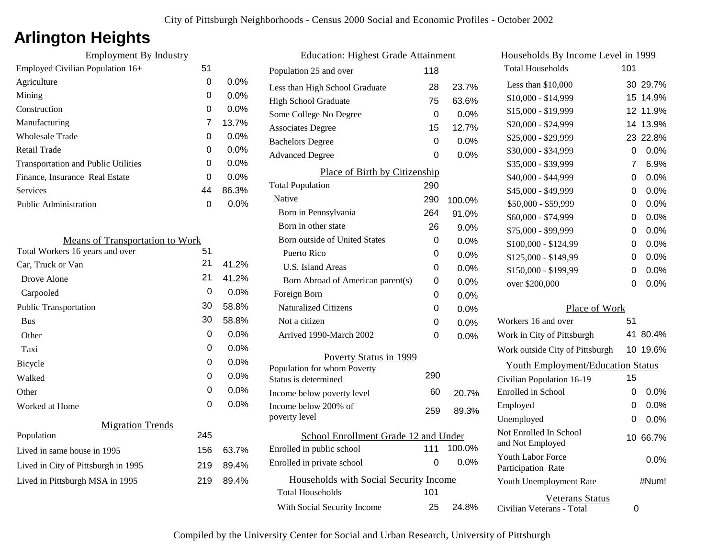# **Arlington Heights**

| <b>Employment By Industry</b>              |    |         |
|--------------------------------------------|----|---------|
| Employed Civilian Population 16+           | 51 |         |
| Agriculture                                | 0  | 0.0%    |
| Mining                                     | 0  | $0.0\%$ |
| Construction                               | 0  | $0.0\%$ |
| Manufacturing                              | 7  | 13.7%   |
| Wholesale Trade                            | 0  | $0.0\%$ |
| Retail Trade                               | 0  | $0.0\%$ |
| <b>Transportation and Public Utilities</b> | 0  | $0.0\%$ |
| Finance, Insurance Real Estate             | 0  | 0.0%    |
| <b>Services</b>                            | 44 | 86.3%   |
| Public Administration                      | ი  | $0.0\%$ |
|                                            |    |         |

| <b>Means of Transportation to Work</b> |     |         |
|----------------------------------------|-----|---------|
| Total Workers 16 years and over        | 51  |         |
| Car, Truck or Van                      | 21  | 41.2%   |
| Drove Alone                            | 21  | 41.2%   |
| Carpooled                              | 0   | 0.0%    |
| <b>Public Transportation</b>           | 30  | 58.8%   |
| <b>Bus</b>                             | 30  | 58.8%   |
| Other                                  | 0   | 0.0%    |
| Taxi                                   | 0   | 0.0%    |
| Bicycle                                | 0   | 0.0%    |
| Walked                                 | 0   | $0.0\%$ |
| Other                                  | 0   | $0.0\%$ |
| Worked at Home                         | 0   | $0.0\%$ |
| <b>Migration Trends</b>                |     |         |
| Population                             | 245 |         |
| Lived in same house in 1995            | 156 | 63.7%   |
| Lived in City of Pittsburgh in 1995    | 219 | 89.4%   |
| Lived in Pittsburgh MSA in 1995        | 219 | 89.4%   |
|                                        |     |         |

| <b>Education: Highest Grade Attainment</b>          |     |         |
|-----------------------------------------------------|-----|---------|
| Population 25 and over                              | 118 |         |
| Less than High School Graduate                      | 28  | 23.7%   |
| <b>High School Graduate</b>                         | 75  | 63.6%   |
| Some College No Degree                              | 0   | 0.0%    |
| <b>Associates Degree</b>                            | 15  | 12.7%   |
| <b>Bachelors Degree</b>                             | 0   | 0.0%    |
| <b>Advanced Degree</b>                              | 0   | 0.0%    |
| Place of Birth by Citizenship                       |     |         |
| <b>Total Population</b>                             | 290 |         |
| Native                                              | 290 | 100.0%  |
| Born in Pennsylvania                                | 264 | 91.0%   |
| Born in other state                                 | 26  | 9.0%    |
| <b>Born outside of United States</b>                | 0   | 0.0%    |
| <b>Puerto Rico</b>                                  | 0   | 0.0%    |
| <b>U.S. Island Areas</b>                            | 0   | 0.0%    |
| Born Abroad of American parent(s)                   | 0   | 0.0%    |
| Foreign Born                                        | 0   | 0.0%    |
| <b>Naturalized Citizens</b>                         | 0   | 0.0%    |
| Not a citizen                                       | 0   | $0.0\%$ |
| Arrived 1990-March 2002                             | 0   | 0.0%    |
| Poverty Status in 1999                              |     |         |
| Population for whom Poverty<br>Status is determined | 290 |         |
| Income below poverty level                          | 60  | 20.7%   |
| Income below 200% of<br>poverty level               | 259 | 89.3%   |
| School Enrollment Grade 12 and Under                |     |         |
| Enrolled in public school                           | 111 | 100.0%  |
| Enrolled in private school                          | 0   | $0.0\%$ |
| Households with Social Security Income              |     |         |
| <b>Total Households</b>                             | 101 |         |
| With Social Security Income                         | 25  | 24.8%   |

| Households By Income Level in 1999                  |     |          |
|-----------------------------------------------------|-----|----------|
| <b>Total Households</b>                             | 101 |          |
| Less than \$10,000                                  |     | 30 29.7% |
| \$10,000 - \$14,999                                 | 15  | 14.9%    |
| \$15,000 - \$19,999                                 | 12  | 11.9%    |
| \$20,000 - \$24,999                                 | 14  | 13.9%    |
| \$25,000 - \$29,999                                 | 23  | 22.8%    |
| \$30,000 - \$34,999                                 | 0   | 0.0%     |
| \$35,000 - \$39,999                                 | 7   | 6.9%     |
| \$40,000 - \$44,999                                 | 0   | 0.0%     |
| \$45,000 - \$49,999                                 | 0   | $0.0\%$  |
| \$50,000 - \$59,999                                 | 0   | 0.0%     |
| \$60,000 - \$74,999                                 | 0   | 0.0%     |
| \$75,000 - \$99,999                                 | 0   | 0.0%     |
| \$100,000 - \$124,99                                | 0   | 0.0%     |
| \$125,000 - \$149,99                                | 0   | $0.0\%$  |
| \$150,000 - \$199,99                                | 0   | 0.0%     |
| over \$200,000                                      | 0   | $0.0\%$  |
| Place of Work                                       |     |          |
| Workers 16 and over                                 | 51  |          |
| Work in City of Pittsburgh                          | 41  | 80.4%    |
| Work outside City of Pittsburgh                     | 10  | 19.6%    |
| <b>Youth Employment/Education Status</b>            |     |          |
| Civilian Population 16-19                           | 15  |          |
| <b>Enrolled</b> in School                           | 0   | $0.0\%$  |
| Employed                                            | 0   | 0.0%     |
| Unemployed                                          | 0   | $0.0\%$  |
| Not Enrolled In School<br>and Not Employed          |     | 10 66.7% |
| Youth Labor Force<br>Participation Rate             |     | 0.0%     |
| Youth Unemployment Rate                             |     | #Num!    |
| <b>Veterans Status</b><br>Civilian Veterans - Total | 0   |          |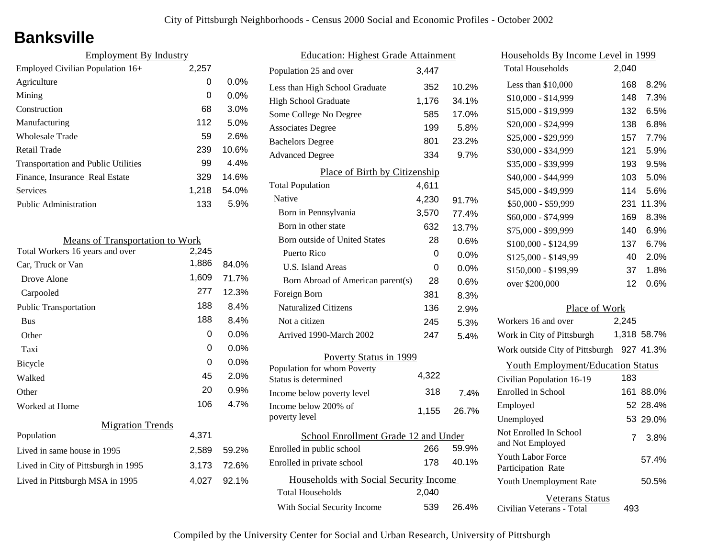## **Banksville**

| <b>Employment By Industry</b>              |       |         |
|--------------------------------------------|-------|---------|
| Employed Civilian Population 16+           | 2,257 |         |
| Agriculture                                | 0     | $0.0\%$ |
| Mining                                     | 0     | $0.0\%$ |
| Construction                               | 68    | $3.0\%$ |
| Manufacturing                              | 112   | 5.0%    |
| Wholesale Trade                            | 59    | 2.6%    |
| Retail Trade                               | 239   | 10.6%   |
| <b>Transportation and Public Utilities</b> | 99    | 4.4%    |
| Finance, Insurance Real Estate             | 329   | 14.6%   |
| Services                                   | 1,218 | 54.0%   |
| <b>Public Administration</b>               | 133   | 5.9%    |

| <b>Means of Transportation to Work</b> |       |       |
|----------------------------------------|-------|-------|
| Total Workers 16 years and over        | 2,245 |       |
| Car, Truck or Van                      | 1,886 | 84.0% |
| Drove Alone                            | 1,609 | 71.7% |
| Carpooled                              | 277   | 12.3% |
| <b>Public Transportation</b>           | 188   | 8.4%  |
| <b>Bus</b>                             | 188   | 8.4%  |
| Other                                  | 0     | 0.0%  |
| Taxi                                   | 0     | 0.0%  |
| Bicycle                                | 0     | 0.0%  |
| Walked                                 | 45    | 2.0%  |
| Other                                  | 20    | 0.9%  |
| Worked at Home                         | 106   | 4.7%  |
| <b>Migration Trends</b>                |       |       |
| Population                             | 4,371 |       |
| Lived in same house in 1995            | 2,589 | 59.2% |
| Lived in City of Pittsburgh in 1995    | 3,173 | 72.6% |
| Lived in Pittsburgh MSA in 1995        | 4,027 | 92.1% |
|                                        |       |       |

| <b>Education: Highest Grade Attainment</b>          |       |       |
|-----------------------------------------------------|-------|-------|
| Population 25 and over                              | 3.447 |       |
| Less than High School Graduate                      | 352   | 10.2% |
| <b>High School Graduate</b>                         | 1,176 | 34.1% |
| Some College No Degree                              | 585   | 17.0% |
| <b>Associates Degree</b>                            | 199   | 5.8%  |
| <b>Bachelors Degree</b>                             | 801   | 23.2% |
| <b>Advanced Degree</b>                              | 334   | 9.7%  |
| Place of Birth by Citizenship                       |       |       |
| <b>Total Population</b>                             | 4,611 |       |
| Native                                              | 4,230 | 91.7% |
| Born in Pennsylvania                                | 3,570 | 77.4% |
| Born in other state                                 | 632   | 13.7% |
| <b>Born outside of United States</b>                | 28    | 0.6%  |
| Puerto Rico                                         | 0     | 0.0%  |
| U.S. Island Areas                                   | 0     | 0.0%  |
| Born Abroad of American parent(s)                   | 28    | 0.6%  |
| Foreign Born                                        | 381   | 8.3%  |
| <b>Naturalized Citizens</b>                         | 136   | 2.9%  |
| Not a citizen                                       | 245   | 5.3%  |
| Arrived 1990-March 2002                             | 247   | 5.4%  |
| Poverty Status in 1999                              |       |       |
| Population for whom Poverty<br>Status is determined | 4,322 |       |
| Income below poverty level                          | 318   | 7.4%  |
| Income below 200% of<br>poverty level               | 1,155 | 26.7% |
| School Enrollment Grade 12 and Under                |       |       |
| Enrolled in public school                           | 266   | 59.9% |
| Enrolled in private school                          | 178   | 40.1% |
| Households with Social Security Income              |       |       |
| <b>Total Households</b>                             | 2,040 |       |
| With Social Security Income                         | 539   | 26.4% |

| Households By Income Level in 1999                  |                |             |
|-----------------------------------------------------|----------------|-------------|
| <b>Total Households</b>                             | 2,040          |             |
| Less than \$10,000                                  | 168            | 8.2%        |
| \$10,000 - \$14,999                                 | 148            | 7.3%        |
| \$15,000 - \$19,999                                 | 132            | 6.5%        |
| \$20,000 - \$24,999                                 | 138            | 6.8%        |
| \$25,000 - \$29,999                                 | 157            | 7.7%        |
| \$30,000 - \$34,999                                 | 121            | 5.9%        |
| \$35,000 - \$39,999                                 | 193            | 9.5%        |
| \$40,000 - \$44,999                                 | 103            | 5.0%        |
| \$45,000 - \$49,999                                 | 114            | 5.6%        |
| \$50,000 - \$59,999                                 | 231            | 11.3%       |
| \$60,000 - \$74,999                                 | 169            | 8.3%        |
| \$75,000 - \$99,999                                 | 140            | 6.9%        |
| \$100,000 - \$124,99                                | 137            | 6.7%        |
| \$125,000 - \$149,99                                | 40             | 2.0%        |
| \$150,000 - \$199,99                                | 37             | 1.8%        |
| over \$200,000                                      | 12             | 0.6%        |
| Place of Work                                       |                |             |
| Workers 16 and over                                 | 2,245          |             |
| Work in City of Pittsburgh                          |                | 1,318 58.7% |
| Work outside City of Pittsburgh                     |                | 927 41.3%   |
| <b>Youth Employment/Education Status</b>            |                |             |
| Civilian Population 16-19                           | 183            |             |
| Enrolled in School                                  | 161            | 88.0%       |
| Employed                                            |                | 52 28.4%    |
| Unemployed                                          |                | 53 29.0%    |
| Not Enrolled In School<br>and Not Employed          | $\overline{7}$ | 3.8%        |
| <b>Youth Labor Force</b><br>Participation Rate      |                | 57.4%       |
| Youth Unemployment Rate                             |                | 50.5%       |
| <b>Veterans Status</b><br>Civilian Veterans - Total | 493            |             |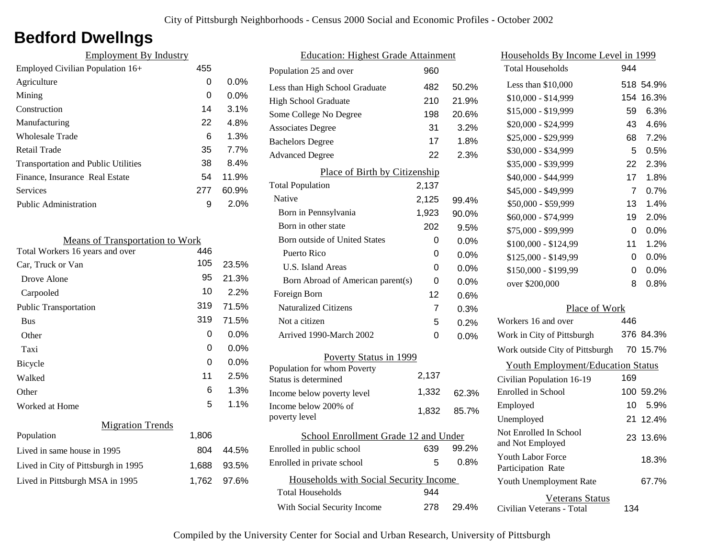## **Bedford Dwellngs**

| <b>Employment By Industry</b>              |     |         |
|--------------------------------------------|-----|---------|
| Employed Civilian Population 16+           | 455 |         |
| Agriculture                                | 0   | $0.0\%$ |
| Mining                                     | 0   | $0.0\%$ |
| Construction                               | 14  | 3.1%    |
| Manufacturing                              | 22  | 4.8%    |
| Wholesale Trade                            | 6   | 1.3%    |
| Retail Trade                               | 35  | 7.7%    |
| <b>Transportation and Public Utilities</b> | 38  | 8.4%    |
| Finance, Insurance Real Estate             | 54  | 11.9%   |
| Services                                   | 277 | 60.9%   |
| <b>Public Administration</b>               | 9   | 2.0%    |
|                                            |     |         |

| <b>Means of Transportation to Work</b> |       |         |
|----------------------------------------|-------|---------|
| Total Workers 16 years and over        | 446   |         |
| Car, Truck or Van                      | 105   | 23.5%   |
| Drove Alone                            | 95    | 21.3%   |
| Carpooled                              | 10    | 2.2%    |
| <b>Public Transportation</b>           | 319   | 71.5%   |
| <b>Bus</b>                             | 319   | 71.5%   |
| Other                                  | 0     | 0.0%    |
| Taxi                                   | 0     | $0.0\%$ |
| Bicycle                                | 0     | $0.0\%$ |
| Walked                                 | 11    | 2.5%    |
| Other                                  | 6     | 1.3%    |
| Worked at Home                         | 5     | 1.1%    |
| <b>Migration Trends</b>                |       |         |
| Population                             | 1,806 |         |
| Lived in same house in 1995            | 804   | 44.5%   |
| Lived in City of Pittsburgh in 1995    | 1,688 | 93.5%   |
| Lived in Pittsburgh MSA in 1995        | 1,762 | 97.6%   |
|                                        |       |         |

| <b>Education: Highest Grade Attainment</b> |       |         |
|--------------------------------------------|-------|---------|
| Population 25 and over                     | 960   |         |
| Less than High School Graduate             | 482   | 50.2%   |
| <b>High School Graduate</b>                | 210   | 21.9%   |
| Some College No Degree                     | 198   | 20.6%   |
| <b>Associates Degree</b>                   | 31    | 3.2%    |
| <b>Bachelors Degree</b>                    | 17    | 1.8%    |
| <b>Advanced Degree</b>                     | 22    | 2.3%    |
| Place of Birth by Citizenship              |       |         |
| <b>Total Population</b>                    | 2,137 |         |
| Native                                     | 2,125 | 99.4%   |
| Born in Pennsylvania                       | 1,923 | 90.0%   |
| Born in other state                        | 202   | 9.5%    |
| <b>Born outside of United States</b>       | 0     | $0.0\%$ |
| Puerto Rico                                | 0     | 0.0%    |
| U.S. Island Areas                          | 0     | 0.0%    |
| Born Abroad of American parent(s)          | 0     | 0.0%    |
| Foreign Born                               | 12    | 0.6%    |
| <b>Naturalized Citizens</b>                | 7     | 0.3%    |
| Not a citizen                              | 5     | 0.2%    |
| Arrived 1990-March 2002                    | 0     | 0.0%    |
| Poverty Status in 1999                     |       |         |
| Population for whom Poverty                |       |         |
| Status is determined                       | 2,137 |         |
| Income below poverty level                 | 1,332 | 62.3%   |
| Income below 200% of<br>poverty level      | 1,832 | 85.7%   |
| School Enrollment Grade 12 and Under       |       |         |
| Enrolled in public school                  | 639   | 99.2%   |
| Enrolled in private school                 | 5     | $0.8\%$ |
| Households with Social Security Income     |       |         |
| <b>Total Households</b>                    | 944   |         |
| With Social Security Income                | 278   | 29.4%   |

| Households By Income Level in 1999                  |     |           |
|-----------------------------------------------------|-----|-----------|
| <b>Total Households</b>                             | 944 |           |
| Less than $$10,000$                                 |     | 518 54.9% |
| \$10,000 - \$14,999                                 | 154 | 16.3%     |
| \$15,000 - \$19,999                                 | 59  | 6.3%      |
| \$20,000 - \$24,999                                 | 43  | 4.6%      |
| \$25,000 - \$29,999                                 | 68  | 7.2%      |
| \$30,000 - \$34,999                                 | 5   | 0.5%      |
| \$35,000 - \$39,999                                 | 22  | 2.3%      |
| \$40,000 - \$44,999                                 | 17  | 1.8%      |
| \$45,000 - \$49,999                                 | 7   | 0.7%      |
| \$50,000 - \$59,999                                 | 13  | 1.4%      |
| \$60,000 - \$74,999                                 | 19  | 2.0%      |
| \$75,000 - \$99,999                                 | 0   | $0.0\%$   |
| \$100,000 - \$124,99                                | 11  | 1.2%      |
| \$125,000 - \$149,99                                | 0   | 0.0%      |
| \$150,000 - \$199,99                                | 0   | $0.0\%$   |
| over \$200,000                                      | 8   | 0.8%      |
|                                                     |     |           |
| Place of Work                                       |     |           |
| Workers 16 and over                                 | 446 |           |
| Work in City of Pittsburgh                          |     | 376 84.3% |
| Work outside City of Pittsburgh                     |     | 70 15.7%  |
| <b>Youth Employment/Education Status</b>            |     |           |
| Civilian Population 16-19                           | 169 |           |
| Enrolled in School                                  |     | 100 59.2% |
| Employed                                            | 10  | 5.9%      |
| Unemployed                                          | 21  | 12.4%     |
| Not Enrolled In School<br>and Not Employed          | 23  | 13.6%     |
| <b>Youth Labor Force</b><br>Participation Rate      |     | 18.3%     |
| Youth Unemployment Rate                             |     | 67.7%     |
| <b>Veterans Status</b><br>Civilian Veterans - Total | 134 |           |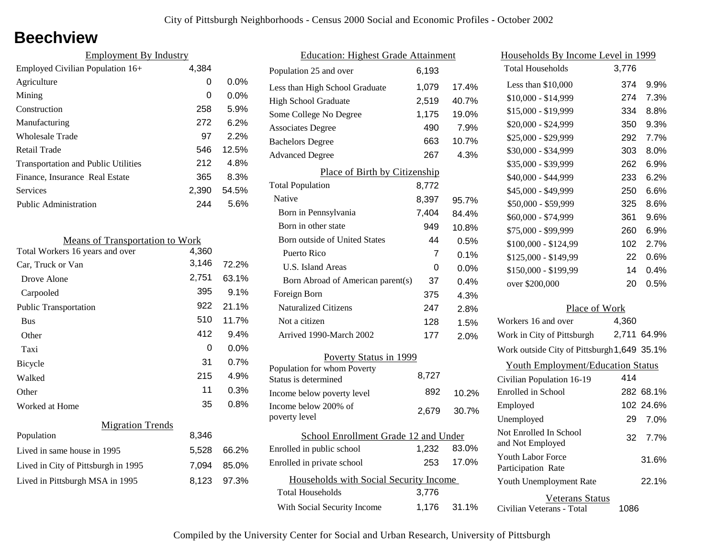### **Beechview**

| <b>Employment By Industry</b>              |       |         |
|--------------------------------------------|-------|---------|
| Employed Civilian Population 16+           | 4,384 |         |
| Agriculture                                | 0     | $0.0\%$ |
| Mining                                     | 0     | $0.0\%$ |
| Construction                               | 258   | 5.9%    |
| Manufacturing                              | 272   | 6.2%    |
| Wholesale Trade                            | 97    | 2.2%    |
| Retail Trade                               | 546   | 12.5%   |
| <b>Transportation and Public Utilities</b> | 212   | 4.8%    |
| Finance, Insurance Real Estate             | 365   | 8.3%    |
| Services                                   | 2,390 | 54.5%   |
| Public Administration                      | 244   | 5.6%    |

| <b>Means of Transportation to Work</b> |       |         |
|----------------------------------------|-------|---------|
| Total Workers 16 years and over        | 4,360 |         |
| Car, Truck or Van                      | 3,146 | 72.2%   |
| Drove Alone                            | 2,751 | 63.1%   |
| Carpooled                              | 395   | 9.1%    |
| <b>Public Transportation</b>           | 922   | 21.1%   |
| <b>Bus</b>                             | 510   | 11.7%   |
| Other                                  | 412   | 9.4%    |
| Taxi                                   | 0     | $0.0\%$ |
| Bicycle                                | 31    | 0.7%    |
| Walked                                 | 215   | 4.9%    |
| Other                                  | 11    | 0.3%    |
| Worked at Home                         | 35    | 0.8%    |
| <b>Migration Trends</b>                |       |         |
| Population                             | 8,346 |         |
| Lived in same house in 1995            | 5,528 | 66.2%   |
| Lived in City of Pittsburgh in 1995    | 7,094 | 85.0%   |
| Lived in Pittsburgh MSA in 1995        | 8,123 | 97.3%   |

| <b>Education: Highest Grade Attainment</b>         |       |         |
|----------------------------------------------------|-------|---------|
| Population 25 and over                             | 6,193 |         |
| Less than High School Graduate                     | 1,079 | 17.4%   |
| <b>High School Graduate</b>                        | 2,519 | 40.7%   |
| Some College No Degree                             | 1,175 | 19.0%   |
| <b>Associates Degree</b>                           | 490   | 7.9%    |
| <b>Bachelors Degree</b>                            | 663   | 10.7%   |
| <b>Advanced Degree</b>                             | 267   | 4.3%    |
| Place of Birth by Citizenship                      |       |         |
| <b>Total Population</b>                            | 8,772 |         |
| Native                                             | 8,397 | 95.7%   |
| Born in Pennsylvania                               | 7,404 | 84.4%   |
| Born in other state                                | 949   | 10.8%   |
| <b>Born outside of United States</b>               | 44    | 0.5%    |
| Puerto Rico                                        | 7     | 0.1%    |
| U.S. Island Areas                                  | 0     | $0.0\%$ |
| Born Abroad of American parent(s)                  | 37    | $0.4\%$ |
| Foreign Born                                       | 375   | 4.3%    |
| <b>Naturalized Citizens</b>                        | 247   | 2.8%    |
| Not a citizen                                      | 128   | 1.5%    |
| Arrived 1990-March 2002                            | 177   | 2.0%    |
| Poverty Status in 1999                             |       |         |
| Population for whom Poverty                        | 8,727 |         |
| Status is determined                               | 892   |         |
| Income below poverty level<br>Income below 200% of |       | 10.2%   |
| poverty level                                      | 2,679 | 30.7%   |
| School Enrollment Grade 12 and Under               |       |         |
| Enrolled in public school                          | 1,232 | 83.0%   |
| Enrolled in private school                         | 253   | 17.0%   |
| Households with Social Security Income             |       |         |
| <b>Total Households</b>                            | 3,776 |         |
| With Social Security Income                        | 1,176 | 31.1%   |

| Households By Income Level in 1999                  |       |             |
|-----------------------------------------------------|-------|-------------|
| <b>Total Households</b>                             | 3,776 |             |
| Less than $$10,000$                                 | 374   | 9.9%        |
| \$10,000 - \$14,999                                 | 274   | 7.3%        |
| \$15,000 - \$19,999                                 | 334   | 8.8%        |
| \$20,000 - \$24,999                                 | 350   | 9.3%        |
| \$25,000 - \$29,999                                 | 292   | 7.7%        |
| \$30,000 - \$34,999                                 | 303   | 8.0%        |
| \$35,000 - \$39,999                                 | 262   | 6.9%        |
| \$40,000 - \$44,999                                 | 233   | 6.2%        |
| \$45,000 - \$49,999                                 | 250   | 6.6%        |
| \$50,000 - \$59,999                                 | 325   | 8.6%        |
| \$60,000 - \$74,999                                 | 361   | 9.6%        |
| \$75,000 - \$99,999                                 | 260   | 6.9%        |
| \$100,000 - \$124,99                                | 102   | 2.7%        |
| \$125,000 - \$149,99                                | 22    | 0.6%        |
| \$150,000 - \$199,99                                | 14    | 0.4%        |
| over \$200,000                                      | 20    | 0.5%        |
| Place of Work                                       |       |             |
| Workers 16 and over                                 | 4,360 |             |
| Work in City of Pittsburgh                          |       | 2,711 64.9% |
| Work outside City of Pittsburgh 1,649 35.1%         |       |             |
| <b>Youth Employment/Education Status</b>            |       |             |
| Civilian Population 16-19                           | 414   |             |
| Enrolled in School                                  |       | 282 68.1%   |
| Employed                                            |       | 102 24.6%   |
| Unemployed                                          | 29    | 7.0%        |
| Not Enrolled In School<br>and Not Employed          | 32    | 7.7%        |
| <b>Youth Labor Force</b><br>Participation Rate      |       | 31.6%       |
| Youth Unemployment Rate                             |       | 22.1%       |
| <b>Veterans Status</b><br>Civilian Veterans - Total | 1086  |             |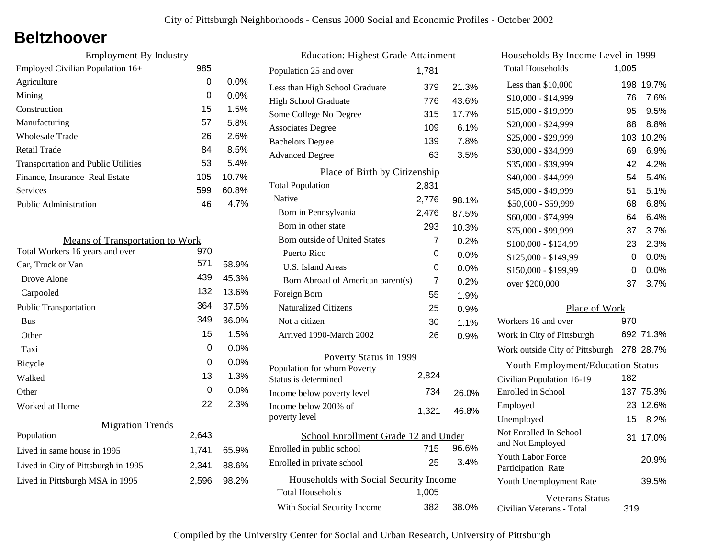### **Beltzhoover**

| <b>Employment By Industry</b>              |     |         |
|--------------------------------------------|-----|---------|
| Employed Civilian Population 16+           | 985 |         |
| Agriculture                                | 0   | $0.0\%$ |
| Mining                                     | 0   | $0.0\%$ |
| Construction                               | 15  | 1.5%    |
| Manufacturing                              | 57  | 5.8%    |
| <b>Wholesale Trade</b>                     | 26  | 2.6%    |
| Retail Trade                               | 84  | 8.5%    |
| <b>Transportation and Public Utilities</b> | 53  | 5.4%    |
| Finance, Insurance Real Estate             | 105 | 10.7%   |
| Services                                   | 599 | 60.8%   |
| Public Administration                      | 46  | 4.7%    |
|                                            |     |         |

| <b>Means of Transportation to Work</b> |       |       |
|----------------------------------------|-------|-------|
| Total Workers 16 years and over        | 970   |       |
| Car, Truck or Van                      | 571   | 58.9% |
| Drove Alone                            | 439   | 45.3% |
| Carpooled                              | 132   | 13.6% |
| <b>Public Transportation</b>           | 364   | 37.5% |
| <b>Bus</b>                             | 349   | 36.0% |
| Other                                  | 15    | 1.5%  |
| Taxi                                   | 0     | 0.0%  |
| Bicycle                                | 0     | 0.0%  |
| Walked                                 | 13    | 1.3%  |
| Other                                  | 0     | 0.0%  |
| Worked at Home                         | 22    | 2.3%  |
| <b>Migration Trends</b>                |       |       |
| Population                             | 2,643 |       |
| Lived in same house in 1995            | 1,741 | 65.9% |
| Lived in City of Pittsburgh in 1995    | 2,341 | 88.6% |
| Lived in Pittsburgh MSA in 1995        | 2,596 | 98.2% |

| <b>Education: Highest Grade Attainment</b> |       |       |
|--------------------------------------------|-------|-------|
| Population 25 and over                     | 1,781 |       |
| Less than High School Graduate             | 379   | 21.3% |
| <b>High School Graduate</b>                | 776   | 43.6% |
| Some College No Degree                     | 315   | 17.7% |
| <b>Associates Degree</b>                   | 109   | 6.1%  |
| <b>Bachelors Degree</b>                    | 139   | 7.8%  |
| <b>Advanced Degree</b>                     | 63    | 3.5%  |
| Place of Birth by Citizenship              |       |       |
| <b>Total Population</b>                    | 2,831 |       |
| Native                                     | 2,776 | 98.1% |
| Born in Pennsylvania                       | 2,476 | 87.5% |
| Born in other state                        | 293   | 10.3% |
| <b>Born outside of United States</b>       | 7     | 0.2%  |
| Puerto Rico                                | 0     | 0.0%  |
| U.S. Island Areas                          | 0     | 0.0%  |
| Born Abroad of American parent(s)          | 7     | 0.2%  |
| Foreign Born                               | 55    | 1.9%  |
| <b>Naturalized Citizens</b>                | 25    | 0.9%  |
| Not a citizen                              | 30    | 1.1%  |
| Arrived 1990-March 2002                    | 26    | 0.9%  |
| Poverty Status in 1999                     |       |       |
| Population for whom Poverty                | 2,824 |       |
| Status is determined                       | 734   |       |
| Income below poverty level                 |       | 26.0% |
| Income below 200% of<br>poverty level      | 1,321 | 46.8% |
|                                            |       |       |
| School Enrollment Grade 12 and Under       |       |       |
| Enrolled in public school                  | 715   | 96.6% |
| Enrolled in private school                 | 25    | 3.4%  |
| Households with Social Security Income     |       |       |
| <b>Total Households</b>                    | 1,005 |       |
| With Social Security Income                | 382   | 38.0% |

| Households By Income Level in 1999             |       |           |
|------------------------------------------------|-------|-----------|
| <b>Total Households</b>                        | 1,005 |           |
| Less than \$10,000                             | 198   | 19.7%     |
| $$10,000 - $14,999$                            | 76    | 7.6%      |
| \$15,000 - \$19,999                            | 95    | 9.5%      |
| \$20,000 - \$24,999                            | 88    | 8.8%      |
| \$25,000 - \$29,999                            | 103   | 10.2%     |
| \$30,000 - \$34,999                            | 69    | $6.9\%$   |
| \$35,000 - \$39,999                            | 42    | 4.2%      |
| \$40,000 - \$44,999                            | 54    | 5.4%      |
| \$45,000 - \$49,999                            | 51    | 5.1%      |
| \$50,000 - \$59,999                            | 68    | 6.8%      |
| \$60,000 - \$74,999                            | 64    | 6.4%      |
| \$75,000 - \$99,999                            | 37    | 3.7%      |
| \$100,000 - \$124,99                           | 23    | 2.3%      |
| \$125,000 - \$149,99                           | 0     | 0.0%      |
| \$150,000 - \$199,99                           | 0     | 0.0%      |
| over \$200,000                                 | 37    | 3.7%      |
| Place of Work                                  |       |           |
| Workers 16 and over                            | 970   |           |
| Work in City of Pittsburgh                     |       | 692 71.3% |
| Work outside City of Pittsburgh                |       | 278 28.7% |
| <b>Youth Employment/Education Status</b>       |       |           |
| Civilian Population 16-19                      | 182   |           |
| Enrolled in School                             |       | 137 75.3% |
| Employed                                       |       | 23 12.6%  |
| Unemployed                                     | 15    | 8.2%      |
| Not Enrolled In School<br>and Not Employed     | 31    | 17.0%     |
| <b>Youth Labor Force</b><br>Participation Rate |       | 20.9%     |
| Youth Unemployment Rate                        |       | 39.5%     |
| Veterans Status                                |       |           |

Civilian Veterans - Total

319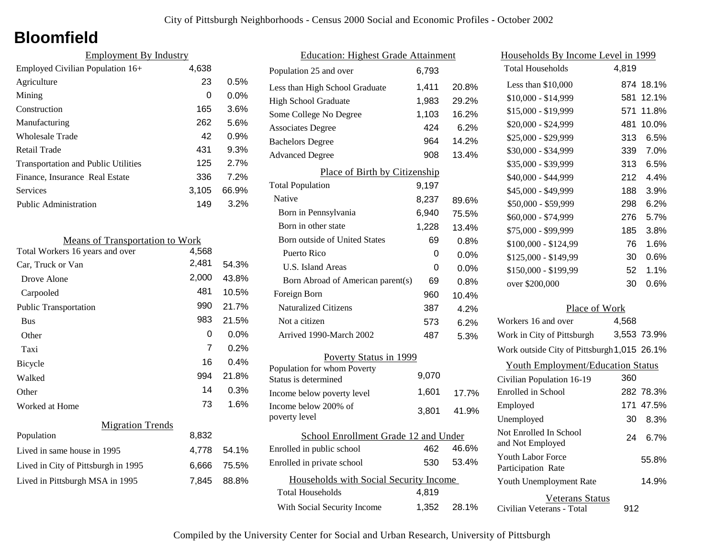## **Bloomfield**

| <b>Employment By Industry</b>              |       |         |
|--------------------------------------------|-------|---------|
| Employed Civilian Population 16+           | 4,638 |         |
| Agriculture                                | 23    | 0.5%    |
| Mining                                     | 0     | $0.0\%$ |
| Construction                               | 165   | 3.6%    |
| Manufacturing                              | 262   | 5.6%    |
| Wholesale Trade                            | 42    | 0.9%    |
| Retail Trade                               | 431   | 9.3%    |
| <b>Transportation and Public Utilities</b> | 125   | 2.7%    |
| Finance, Insurance Real Estate             | 336   | 7.2%    |
| Services                                   | 3,105 | 66.9%   |
| Public Administration                      | 149   | 3.2%    |

| <b>Means of Transportation to Work</b> |       |         |
|----------------------------------------|-------|---------|
| Total Workers 16 years and over        | 4,568 |         |
| Car, Truck or Van                      | 2,481 | 54.3%   |
| Drove Alone                            | 2,000 | 43.8%   |
| Carpooled                              | 481   | 10.5%   |
| <b>Public Transportation</b>           | 990   | 21.7%   |
| <b>Bus</b>                             | 983   | 21.5%   |
| Other                                  | 0     | $0.0\%$ |
| Taxi                                   | 7     | 0.2%    |
| Bicycle                                | 16    | 0.4%    |
| Walked                                 | 994   | 21.8%   |
| Other                                  | 14    | 0.3%    |
| Worked at Home                         | 73    | 1.6%    |
| <b>Migration Trends</b>                |       |         |
| Population                             | 8,832 |         |
| Lived in same house in 1995            | 4,778 | 54.1%   |
| Lived in City of Pittsburgh in 1995    | 6,666 | 75.5%   |
| Lived in Pittsburgh MSA in 1995        | 7,845 | 88.8%   |
|                                        |       |         |

| <b>Education: Highest Grade Attainment</b> |       |         |
|--------------------------------------------|-------|---------|
| Population 25 and over                     | 6,793 |         |
| Less than High School Graduate             | 1,411 | 20.8%   |
| <b>High School Graduate</b>                | 1,983 | 29.2%   |
| Some College No Degree                     | 1,103 | 16.2%   |
| <b>Associates Degree</b>                   | 424   | 6.2%    |
| <b>Bachelors Degree</b>                    | 964   | 14.2%   |
| <b>Advanced Degree</b>                     | 908   | 13.4%   |
| Place of Birth by Citizenship              |       |         |
| <b>Total Population</b>                    | 9,197 |         |
| Native                                     | 8,237 | 89.6%   |
| Born in Pennsylvania                       | 6,940 | 75.5%   |
| Born in other state                        | 1,228 | 13.4%   |
| <b>Born outside of United States</b>       | 69    | 0.8%    |
| Puerto Rico                                | 0     | 0.0%    |
| <b>U.S. Island Areas</b>                   | 0     | $0.0\%$ |
| Born Abroad of American parent(s)          | 69    | $0.8\%$ |
| Foreign Born                               | 960   | 10.4%   |
| <b>Naturalized Citizens</b>                | 387   | 4.2%    |
| Not a citizen                              | 573   | 6.2%    |
| Arrived 1990-March 2002                    | 487   | 5.3%    |
| Poverty Status in 1999                     |       |         |
| Population for whom Poverty                | 9,070 |         |
| Status is determined                       |       |         |
| Income below poverty level                 | 1,601 | 17.7%   |
| Income below 200% of<br>poverty level      | 3,801 | 41.9%   |
| School Enrollment Grade 12 and Under       |       |         |
| Enrolled in public school                  | 462   | 46.6%   |
| Enrolled in private school                 | 530   | 53.4%   |
| Households with Social Security Income     |       |         |
| <b>Total Households</b>                    | 4,819 |         |
| With Social Security Income                | 1,352 | 28.1%   |

| Households By Income Level in 1999             |       |             |
|------------------------------------------------|-------|-------------|
| <b>Total Households</b>                        | 4,819 |             |
| Less than \$10,000                             | 874   | 18.1%       |
| \$10,000 - \$14,999                            | 581   | 12.1%       |
| \$15,000 - \$19,999                            | 571   | 11.8%       |
| \$20,000 - \$24,999                            | 481   | 10.0%       |
| \$25,000 - \$29,999                            | 313   | 6.5%        |
| \$30,000 - \$34,999                            | 339   | 7.0%        |
| \$35,000 - \$39,999                            | 313   | 6.5%        |
| \$40,000 - \$44,999                            | 212   | 4.4%        |
| \$45,000 - \$49,999                            | 188   | 3.9%        |
| \$50,000 - \$59,999                            | 298   | 6.2%        |
| \$60,000 - \$74,999                            | 276   | 5.7%        |
| \$75,000 - \$99,999                            | 185   | 3.8%        |
| $$100,000 - $124,99$                           | 76    | 1.6%        |
| \$125,000 - \$149,99                           | 30    | 0.6%        |
| \$150,000 - \$199,99                           | 52    | 1.1%        |
| over \$200,000                                 | 30    | 0.6%        |
| Place of Work                                  |       |             |
| Workers 16 and over                            | 4,568 |             |
| Work in City of Pittsburgh                     |       | 3,553 73.9% |
| Work outside City of Pittsburgh 1,015 26.1%    |       |             |
| <b>Youth Employment/Education Status</b>       |       |             |
| Civilian Population 16-19                      | 360   |             |
| Enrolled in School                             |       | 282 78.3%   |
| Employed                                       |       | 171 47.5%   |
| Unemployed                                     | 30    | 8.3%        |
| Not Enrolled In School<br>and Not Employed     | 24    | 6.7%        |
| <b>Youth Labor Force</b><br>Participation Rate |       | 55.8%       |

Civilian Veterans - Total

Youth Unemployment Rate

Veterans Status

912

14.9%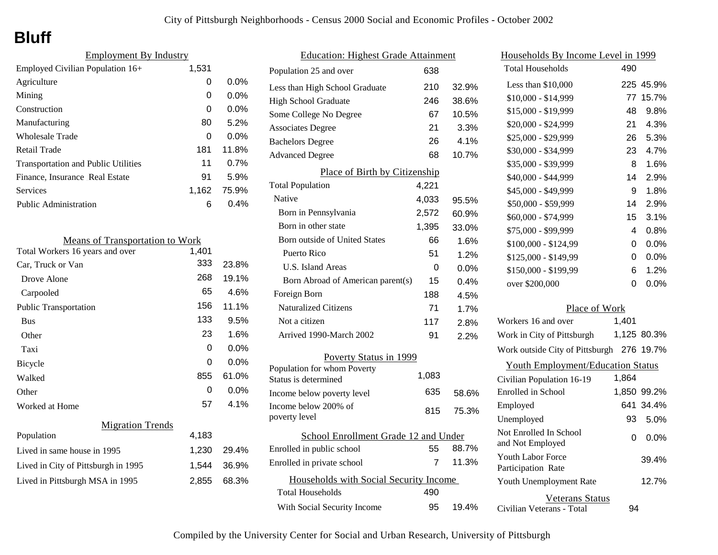# **Bluff**

| <b>Employment By Industry</b>              |       |         |
|--------------------------------------------|-------|---------|
| Employed Civilian Population 16+           | 1,531 |         |
| Agriculture                                | 0     | $0.0\%$ |
| Mining                                     | 0     | $0.0\%$ |
| Construction                               | 0     | 0.0%    |
| Manufacturing                              | 80    | 5.2%    |
| Wholesale Trade                            | 0     | $0.0\%$ |
| Retail Trade                               | 181   | 11.8%   |
| <b>Transportation and Public Utilities</b> | 11    | 0.7%    |
| Finance, Insurance Real Estate             | 91    | 5.9%    |
| Services                                   | 1,162 | 75.9%   |
| Public Administration                      | 6     | 0.4%    |

| <b>Means of Transportation to Work</b> |       |         |
|----------------------------------------|-------|---------|
| Total Workers 16 years and over        | 1,401 |         |
| Car, Truck or Van                      | 333   | 23.8%   |
| Drove Alone                            | 268   | 19.1%   |
| Carpooled                              | 65    | 4.6%    |
| <b>Public Transportation</b>           | 156   | 11.1%   |
| <b>Bus</b>                             | 133   | 9.5%    |
| Other                                  | 23    | 1.6%    |
| Taxi                                   | 0     | 0.0%    |
| <b>Bicycle</b>                         | 0     | $0.0\%$ |
| Walked                                 | 855   | 61.0%   |
| Other                                  | 0     | $0.0\%$ |
| Worked at Home                         | 57    | $4.1\%$ |
| <b>Migration Trends</b>                |       |         |
| Population                             | 4,183 |         |
| Lived in same house in 1995            | 1,230 | 29.4%   |
| Lived in City of Pittsburgh in 1995    | 1,544 | 36.9%   |
| Lived in Pittsburgh MSA in 1995        | 2,855 | 68.3%   |

| <b>Education: Highest Grade Attainment</b>          |       |         |
|-----------------------------------------------------|-------|---------|
| Population 25 and over                              | 638   |         |
| Less than High School Graduate                      | 210   | 32.9%   |
| <b>High School Graduate</b>                         | 246   | 38.6%   |
| Some College No Degree                              | 67    | 10.5%   |
| <b>Associates Degree</b>                            | 21    | 3.3%    |
| <b>Bachelors Degree</b>                             | 26    | 4.1%    |
| <b>Advanced Degree</b>                              | 68    | 10.7%   |
| Place of Birth by Citizenship                       |       |         |
| <b>Total Population</b>                             | 4,221 |         |
| Native                                              | 4,033 | 95.5%   |
| Born in Pennsylvania                                | 2,572 | 60.9%   |
| Born in other state                                 | 1,395 | 33.0%   |
| Born outside of United States                       | 66    | 1.6%    |
| Puerto Rico                                         | 51    | 1.2%    |
| <b>U.S. Island Areas</b>                            | 0     | $0.0\%$ |
| Born Abroad of American parent(s)                   | 15    | 0.4%    |
| Foreign Born                                        | 188   | 4.5%    |
| <b>Naturalized Citizens</b>                         | 71    | 1.7%    |
| Not a citizen                                       | 117   | 2.8%    |
| Arrived 1990-March 2002                             | 91    | 2.2%    |
| Poverty Status in 1999                              |       |         |
| Population for whom Poverty<br>Status is determined | 1,083 |         |
| Income below poverty level                          | 635   | 58.6%   |
| Income below 200% of<br>poverty level               | 815   | 75.3%   |
| School Enrollment Grade 12 and Under                |       |         |
| Enrolled in public school                           | 55    | 88.7%   |
| Enrolled in private school                          | 7     | 11.3%   |
| Households with Social Security Income              |       |         |
| <b>Total Households</b>                             | 490   |         |
| With Social Security Income                         | 95    | 19.4%   |

| <u>Households By Income Level in 1999</u>           |       |             |
|-----------------------------------------------------|-------|-------------|
| <b>Total Households</b>                             | 490   |             |
| Less than $$10,000$                                 |       | 225 45.9%   |
| $$10,000 - $14,999$                                 | 77    | 15.7%       |
| \$15,000 - \$19,999                                 | 48    | 9.8%        |
| \$20,000 - \$24,999                                 | 21    | 4.3%        |
| \$25,000 - \$29,999                                 | 26    | 5.3%        |
| \$30,000 - \$34,999                                 | 23    | 4.7%        |
| \$35,000 - \$39,999                                 | 8     | 1.6%        |
| \$40,000 - \$44,999                                 | 14    | 2.9%        |
| \$45,000 - \$49,999                                 | 9     | 1.8%        |
| \$50,000 - \$59,999                                 | 14    | 2.9%        |
| \$60,000 - \$74,999                                 | 15    | 3.1%        |
| \$75,000 - \$99,999                                 | 4     | 0.8%        |
| \$100,000 - \$124,99                                | 0     | 0.0%        |
| \$125,000 - \$149,99                                | 0     | $0.0\%$     |
| \$150,000 - \$199,99                                | 6     | 1.2%        |
| over \$200,000                                      | 0     | 0.0%        |
| Place of Work                                       |       |             |
| Workers 16 and over                                 | 1,401 |             |
| Work in City of Pittsburgh                          |       | 1,125 80.3% |
| Work outside City of Pittsburgh 276                 |       | 19.7%       |
| <b>Youth Employment/Education Status</b>            |       |             |
| Civilian Population 16-19                           | 1,864 |             |
| <b>Enrolled</b> in School                           |       | 1,850 99.2% |
| Employed                                            | 641   | 34.4%       |
| Unemployed                                          | 93    | 5.0%        |
| Not Enrolled In School<br>and Not Employed          | 0     | 0.0%        |
| <b>Youth Labor Force</b><br>Participation Rate      |       | 39.4%       |
| Youth Unemployment Rate                             |       | 12.7%       |
| <b>Veterans Status</b><br>Civilian Veterans - Total | 94    |             |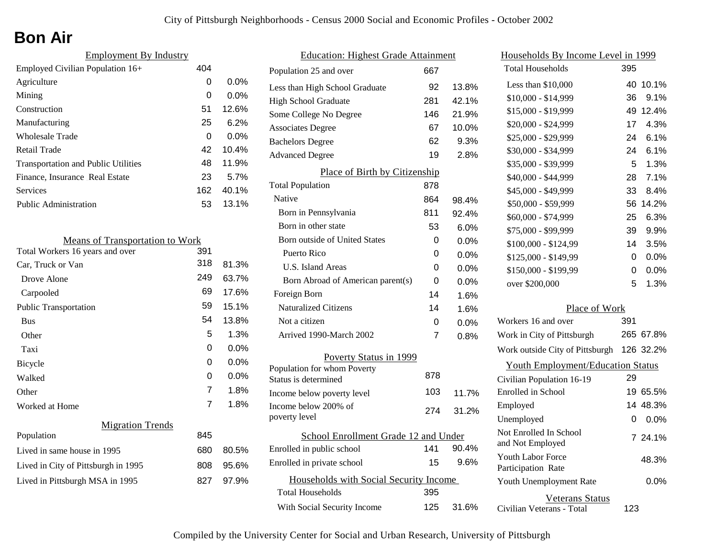# **Bon Air**

| <b>Employment By Industry</b>              |     |         |
|--------------------------------------------|-----|---------|
| Employed Civilian Population 16+           | 404 |         |
| Agriculture                                | 0   | $0.0\%$ |
| Mining                                     | 0   | $0.0\%$ |
| Construction                               | 51  | 12.6%   |
| Manufacturing                              | 25  | 6.2%    |
| Wholesale Trade                            | 0   | $0.0\%$ |
| Retail Trade                               | 42  | 10.4%   |
| <b>Transportation and Public Utilities</b> | 48  | 11.9%   |
| Finance, Insurance Real Estate             | 23  | 5.7%    |
| Services                                   | 162 | 40.1%   |
| Public Administration                      | 53  | 13.1%   |

| <b>Means of Transportation to Work</b> |                |         |
|----------------------------------------|----------------|---------|
| Total Workers 16 years and over        | 391            |         |
| Car, Truck or Van                      | 318            | 81.3%   |
| Drove Alone                            | 249            | 63.7%   |
| Carpooled                              | 69             | 17.6%   |
| <b>Public Transportation</b>           | 59             | 15.1%   |
| <b>Bus</b>                             | 54             | 13.8%   |
| Other                                  | 5              | 1.3%    |
| Taxi                                   | 0              | $0.0\%$ |
| <b>Bicycle</b>                         | 0              | $0.0\%$ |
| Walked                                 | 0              | $0.0\%$ |
| Other                                  | $\overline{7}$ | 1.8%    |
| Worked at Home                         | 7              | 1.8%    |
| <b>Migration Trends</b>                |                |         |
| Population                             | 845            |         |
| Lived in same house in 1995            | 680            | 80.5%   |
| Lived in City of Pittsburgh in 1995    | 808            | 95.6%   |
| Lived in Pittsburgh MSA in 1995        | 827            | 97.9%   |
|                                        |                |         |

| <b>Education: Highest Grade Attainment</b>          |     |         |
|-----------------------------------------------------|-----|---------|
| Population 25 and over                              | 667 |         |
| Less than High School Graduate                      | 92  | 13.8%   |
| <b>High School Graduate</b>                         | 281 | 42.1%   |
| Some College No Degree                              | 146 | 21.9%   |
| <b>Associates Degree</b>                            | 67  | 10.0%   |
| <b>Bachelors Degree</b>                             | 62  | 9.3%    |
| <b>Advanced Degree</b>                              | 19  | 2.8%    |
| Place of Birth by Citizenship                       |     |         |
| <b>Total Population</b>                             | 878 |         |
| Native                                              | 864 | 98.4%   |
| Born in Pennsylvania                                | 811 | 92.4%   |
| Born in other state                                 | 53  | 6.0%    |
| Born outside of United States                       | 0   | 0.0%    |
| Puerto Rico                                         | 0   | 0.0%    |
| U.S. Island Areas                                   | 0   | 0.0%    |
| Born Abroad of American parent(s)                   | 0   | 0.0%    |
| Foreign Born                                        | 14  | 1.6%    |
| <b>Naturalized Citizens</b>                         | 14  | 1.6%    |
| Not a citizen                                       | 0   | $0.0\%$ |
| Arrived 1990-March 2002                             | 7   | 0.8%    |
| Poverty Status in 1999                              |     |         |
| Population for whom Poverty<br>Status is determined | 878 |         |
| Income below poverty level                          | 103 | 11.7%   |
| Income below 200% of<br>poverty level               | 274 | 31.2%   |
| School Enrollment Grade 12 and Under                |     |         |
| Enrolled in public school                           | 141 | 90.4%   |
| Enrolled in private school                          | 15  | 9.6%    |
| Households with Social Security Income              |     |         |
| Total Households                                    | 395 |         |
| With Social Security Income                         | 125 | 31.6%   |

| Households By Income Level in 1999                  |     |           |
|-----------------------------------------------------|-----|-----------|
| <b>Total Households</b>                             | 395 |           |
| Less than \$10,000                                  | 40  | 10.1%     |
| \$10,000 - \$14,999                                 | 36  | 9.1%      |
| \$15,000 - \$19,999                                 | 49  | 12.4%     |
| \$20,000 - \$24,999                                 | 17  | 4.3%      |
| \$25,000 - \$29,999                                 | 24  | 6.1%      |
| \$30,000 - \$34,999                                 | 24  | 6.1%      |
| \$35,000 - \$39,999                                 | 5   | 1.3%      |
| \$40,000 - \$44,999                                 | 28  | 7.1%      |
| \$45,000 - \$49,999                                 | 33  | 8.4%      |
| \$50,000 - \$59,999                                 | 56  | 14.2%     |
| \$60,000 - \$74,999                                 | 25  | 6.3%      |
| \$75,000 - \$99,999                                 | 39  | 9.9%      |
| \$100,000 - \$124,99                                | 14  | 3.5%      |
| \$125,000 - \$149,99                                | 0   | 0.0%      |
| \$150,000 - \$199,99                                | 0   | 0.0%      |
| over \$200,000                                      | 5   | 1.3%      |
| Place of Work                                       |     |           |
| Workers 16 and over                                 | 391 |           |
| Work in City of Pittsburgh                          |     | 265 67.8% |
| Work outside City of Pittsburgh                     |     | 126 32.2% |
| <b>Youth Employment/Education Status</b>            |     |           |
| Civilian Population 16-19                           | 29  |           |
| Enrolled in School                                  | 19  | 65.5%     |
| Employed                                            |     | 14 48.3%  |
| Unemployed                                          | 0   | 0.0%      |
| Not Enrolled In School<br>and Not Employed          |     | 7 24.1%   |
| <b>Youth Labor Force</b><br>Participation Rate      |     | 48.3%     |
| Youth Unemployment Rate                             |     | $0.0\%$   |
| <b>Veterans Status</b><br>Civilian Veterans - Total | 123 |           |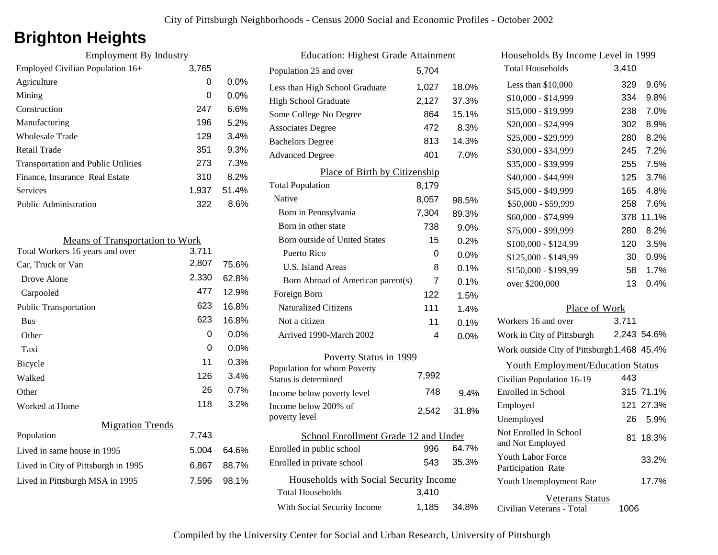## **Brighton Heights**

| <b>Employment By Industry</b> |         |  |
|-------------------------------|---------|--|
| 3,765                         |         |  |
| 0                             | $0.0\%$ |  |
| 0                             | $0.0\%$ |  |
| 247                           | 6.6%    |  |
| 196                           | 5.2%    |  |
| 129                           | 3.4%    |  |
| 351                           | 9.3%    |  |
| 273                           | 7.3%    |  |
| 310                           | 8.2%    |  |
| 1.937                         | 51.4%   |  |
| 322                           | 8.6%    |  |
|                               |         |  |

| <b>Means of Transportation to Work</b> |       |       |
|----------------------------------------|-------|-------|
| Total Workers 16 years and over        | 3,711 |       |
| Car, Truck or Van                      | 2,807 | 75.6% |
| Drove Alone                            | 2,330 | 62.8% |
| Carpooled                              | 477   | 12.9% |
| <b>Public Transportation</b>           | 623   | 16.8% |
| <b>Bus</b>                             | 623   | 16.8% |
| Other                                  | 0     | 0.0%  |
| Taxi                                   | 0     | 0.0%  |
| Bicycle                                | 11    | 0.3%  |
| Walked                                 | 126   | 3.4%  |
| Other                                  | 26    | 0.7%  |
| Worked at Home                         | 118   | 3.2%  |
| <b>Migration Trends</b>                |       |       |
| Population                             | 7,743 |       |
| Lived in same house in 1995            | 5,004 | 64.6% |
| Lived in City of Pittsburgh in 1995    | 6,867 | 88.7% |
| Lived in Pittsburgh MSA in 1995        | 7,596 | 98.1% |
|                                        |       |       |

| <b>Education: Highest Grade Attainment</b> |       |         |
|--------------------------------------------|-------|---------|
| Population 25 and over                     | 5,704 |         |
| Less than High School Graduate             | 1,027 | 18.0%   |
| <b>High School Graduate</b>                | 2,127 | 37.3%   |
| Some College No Degree                     | 864   | 15.1%   |
| <b>Associates Degree</b>                   | 472   | 8.3%    |
| <b>Bachelors Degree</b>                    | 813   | 14.3%   |
| <b>Advanced Degree</b>                     | 401   | 7.0%    |
| Place of Birth by Citizenship              |       |         |
| <b>Total Population</b>                    | 8,179 |         |
| Native                                     | 8,057 | 98.5%   |
| Born in Pennsylvania                       | 7,304 | 89.3%   |
| Born in other state                        | 738   | 9.0%    |
| Born outside of United States              | 15    | 0.2%    |
| Puerto Rico                                | 0     | 0.0%    |
| U.S. Island Areas                          | 8     | 0.1%    |
| Born Abroad of American parent(s)          | 7     | 0.1%    |
| Foreign Born                               | 122   | 1.5%    |
| <b>Naturalized Citizens</b>                | 111   | 1.4%    |
| Not a citizen                              | 11    | 0.1%    |
| Arrived 1990-March 2002                    | 4     | 0.0%    |
| Poverty Status in 1999                     |       |         |
| Population for whom Poverty                | 7,992 |         |
| Status is determined                       |       |         |
| Income below poverty level                 | 748   | $9.4\%$ |
| Income below 200% of<br>poverty level      | 2,542 | 31.8%   |
|                                            |       |         |
| School Enrollment Grade 12 and Under       |       |         |
| Enrolled in public school                  | 996   | 64.7%   |
| Enrolled in private school                 | 543   | 35.3%   |
| Households with Social Security Income     |       |         |
| <b>Total Households</b>                    | 3,410 |         |
| With Social Security Income                | 1,185 | 34.8%   |

| Households By Income Level in 1999                  |       |             |
|-----------------------------------------------------|-------|-------------|
| <b>Total Households</b>                             | 3,410 |             |
| Less than $$10,000$                                 | 329   | 9.6%        |
| \$10,000 - \$14,999                                 | 334   | 9.8%        |
| \$15,000 - \$19,999                                 | 238   | 7.0%        |
| \$20,000 - \$24,999                                 | 302   | 8.9%        |
| \$25,000 - \$29,999                                 | 280   | 8.2%        |
| \$30,000 - \$34,999                                 | 245   | 7.2%        |
| \$35,000 - \$39,999                                 | 255   | 7.5%        |
| \$40,000 - \$44,999                                 | 125   | 3.7%        |
| \$45,000 - \$49,999                                 | 165   | 4.8%        |
| \$50,000 - \$59,999                                 | 258   | 7.6%        |
| \$60,000 - \$74,999                                 | 378   | 11.1%       |
| \$75,000 - \$99,999                                 | 280   | 8.2%        |
| \$100,000 - \$124,99                                | 120   | 3.5%        |
| \$125,000 - \$149,99                                | 30    | $0.9\%$     |
| \$150,000 - \$199,99                                | 58    | 1.7%        |
| over \$200,000                                      | 13    | 0.4%        |
| Place of Work                                       |       |             |
| Workers 16 and over                                 | 3,711 |             |
| Work in City of Pittsburgh                          |       | 2,243 54.6% |
| Work outside City of Pittsburgh 1,468 45.4%         |       |             |
| <b>Youth Employment/Education Status</b>            |       |             |
| Civilian Population 16-19                           | 443   |             |
| Enrolled in School                                  |       | 315 71.1%   |
| Employed                                            |       | 121 27.3%   |
| Unemployed                                          | 26    | 5.9%        |
| Not Enrolled In School<br>and Not Employed          | 81    | 18.3%       |
| <b>Youth Labor Force</b><br>Participation Rate      |       | 33.2%       |
| Youth Unemployment Rate                             |       | 17.7%       |
| <b>Veterans Status</b><br>Civilian Veterans - Total | 1006  |             |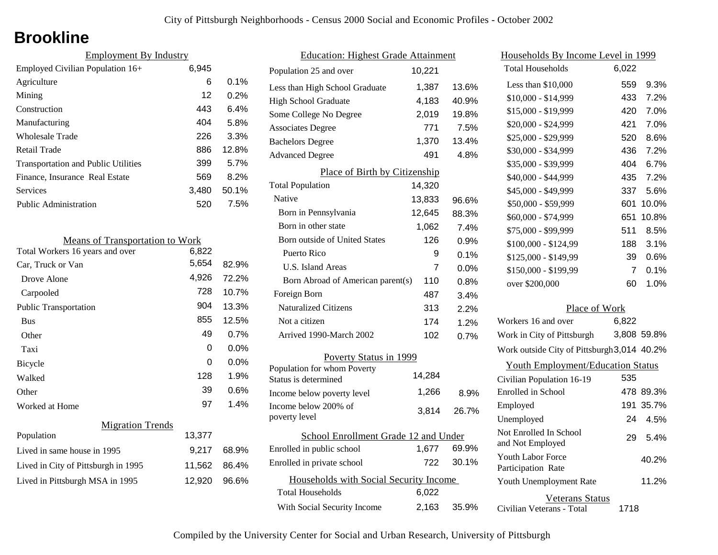## **Brookline**

| <b>Employment By Industry</b>              |       |         |
|--------------------------------------------|-------|---------|
| Employed Civilian Population 16+           | 6,945 |         |
| Agriculture                                | 6     | $0.1\%$ |
| Mining                                     | 12    | 0.2%    |
| Construction                               | 443   | 6.4%    |
| Manufacturing                              | 404   | 5.8%    |
| <b>Wholesale Trade</b>                     | 226   | 3.3%    |
| Retail Trade                               | 886   | 12.8%   |
| <b>Transportation and Public Utilities</b> | 399   | 5.7%    |
| Finance, Insurance Real Estate             | 569   | 8.2%    |
| Services                                   | 3,480 | 50.1%   |
| Public Administration                      | 520   | 7.5%    |

| <b>Means of Transportation to Work</b> |        |         |
|----------------------------------------|--------|---------|
| Total Workers 16 years and over        | 6,822  |         |
| Car, Truck or Van                      | 5,654  | 82.9%   |
| Drove Alone                            | 4,926  | 72.2%   |
| Carpooled                              | 728    | 10.7%   |
| <b>Public Transportation</b>           | 904    | 13.3%   |
| <b>Bus</b>                             | 855    | 12.5%   |
| Other                                  | 49     | 0.7%    |
| Taxi                                   | 0      | $0.0\%$ |
| Bicycle                                | 0      | $0.0\%$ |
| Walked                                 | 128    | 1.9%    |
| Other                                  | 39     | 0.6%    |
| Worked at Home                         | 97     | 1.4%    |
| <b>Migration Trends</b>                |        |         |
| Population                             | 13,377 |         |
| Lived in same house in 1995            | 9,217  | 68.9%   |
| Lived in City of Pittsburgh in 1995    | 11,562 | 86.4%   |

Lived in Pittsburgh MSA in 1995 12,920 96.6%

| <b>Education: Highest Grade Attainment</b>          |        |         |
|-----------------------------------------------------|--------|---------|
| Population 25 and over                              | 10,221 |         |
| Less than High School Graduate                      | 1,387  | 13.6%   |
| <b>High School Graduate</b>                         | 4,183  | 40.9%   |
| Some College No Degree                              | 2,019  | 19.8%   |
| <b>Associates Degree</b>                            | 771    | 7.5%    |
| <b>Bachelors Degree</b>                             | 1,370  | 13.4%   |
| <b>Advanced Degree</b>                              | 491    | 4.8%    |
| Place of Birth by Citizenship                       |        |         |
| <b>Total Population</b>                             | 14,320 |         |
| Native                                              | 13,833 | 96.6%   |
| Born in Pennsylvania                                | 12,645 | 88.3%   |
| Born in other state                                 | 1,062  | 7.4%    |
| Born outside of United States                       | 126    | 0.9%    |
| Puerto Rico                                         | 9      | 0.1%    |
| <b>U.S. Island Areas</b>                            | 7      | $0.0\%$ |
| Born Abroad of American parent(s)                   | 110    | 0.8%    |
| Foreign Born                                        | 487    | 3.4%    |
| <b>Naturalized Citizens</b>                         | 313    | 2.2%    |
| Not a citizen                                       | 174    | 1.2%    |
| Arrived 1990-March 2002                             | 102    | 0.7%    |
| Poverty Status in 1999                              |        |         |
| Population for whom Poverty<br>Status is determined | 14,284 |         |
| Income below poverty level                          | 1,266  | 8.9%    |
| Income below 200% of<br>poverty level               | 3,814  | 26.7%   |
| School Enrollment Grade 12 and Under                |        |         |
| Enrolled in public school                           | 1,677  | 69.9%   |
| Enrolled in private school                          | 722    | 30.1%   |
| Households with Social Security Income              |        |         |
| Total Households                                    | 6,022  |         |
| With Social Security Income                         | 2,163  | 35.9%   |

| Households By Income Level in 1999             |                |             |
|------------------------------------------------|----------------|-------------|
| <b>Total Households</b>                        | 6,022          |             |
| Less than \$10,000                             | 559            | 9.3%        |
| \$10,000 - \$14,999                            | 433            | 7.2%        |
| \$15,000 - \$19,999                            | 420            | 7.0%        |
| \$20,000 - \$24,999                            | 421            | 7.0%        |
| \$25,000 - \$29,999                            | 520            | 8.6%        |
| \$30,000 - \$34,999                            | 436            | 7.2%        |
| \$35,000 - \$39,999                            | 404            | 6.7%        |
| \$40,000 - \$44,999                            | 435            | 7.2%        |
| \$45,000 - \$49,999                            | 337            | 5.6%        |
| \$50,000 - \$59,999                            | 601            | 10.0%       |
| \$60,000 - \$74,999                            | 651            | 10.8%       |
| \$75,000 - \$99,999                            | 511            | 8.5%        |
| \$100,000 - \$124,99                           | 188            | 3.1%        |
| \$125,000 - \$149,99                           | 39             | 0.6%        |
| \$150,000 - \$199,99                           | $\overline{7}$ | 0.1%        |
| over \$200,000                                 | 60             | 1.0%        |
|                                                |                |             |
| Place of Work<br>Workers 16 and over           | 6,822          |             |
| Work in City of Pittsburgh                     |                | 3,808 59.8% |
|                                                |                |             |
| Work outside City of Pittsburgh 3,014 40.2%    |                |             |
| <b>Youth Employment/Education Status</b>       |                |             |
| Civilian Population 16-19                      | 535            |             |
| Enrolled in School                             |                | 478 89.3%   |
| Employed                                       |                | 191 35.7%   |
| Unemployed                                     | 24             | 4.5%        |
| Not Enrolled In School<br>and Not Employed     | 29             | 5.4%        |
| <b>Youth Labor Force</b><br>Participation Rate |                | 40.2%       |

Civilian Veterans - Total

Youth Unemployment Rate

Veterans Status

1718

11.2%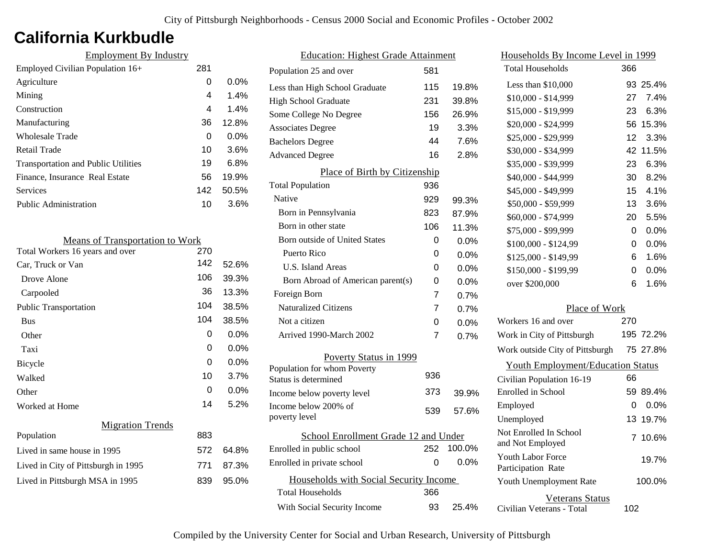## **California Kurkbudle**

| <b>Employment By Industry</b>              |     |         |
|--------------------------------------------|-----|---------|
| Employed Civilian Population 16+           | 281 |         |
| Agriculture                                | 0   | $0.0\%$ |
| Mining                                     | 4   | 1.4%    |
| Construction                               | 4   | 1.4%    |
| Manufacturing                              | 36  | 12.8%   |
| Wholesale Trade                            | 0   | $0.0\%$ |
| Retail Trade                               | 10  | 3.6%    |
| <b>Transportation and Public Utilities</b> | 19  | 6.8%    |
| Finance, Insurance Real Estate             | 56  | 19.9%   |
| Services                                   | 142 | 50.5%   |
| <b>Public Administration</b>               | 10  | 3.6%    |

| <b>Means of Transportation to Work</b> |     |         |
|----------------------------------------|-----|---------|
| Total Workers 16 years and over        | 270 |         |
| Car, Truck or Van                      | 142 | 52.6%   |
| Drove Alone                            | 106 | 39.3%   |
| Carpooled                              | 36  | 13.3%   |
| <b>Public Transportation</b>           | 104 | 38.5%   |
| <b>Bus</b>                             | 104 | 38.5%   |
| Other                                  | 0   | $0.0\%$ |
| Taxi                                   | 0   | $0.0\%$ |
| Bicycle                                | 0   | 0.0%    |
| Walked                                 | 10  | 3.7%    |
| Other                                  | 0   | $0.0\%$ |
| Worked at Home                         | 14  | 5.2%    |
| <b>Migration Trends</b>                |     |         |
| Population                             | 883 |         |
| Lived in same house in 1995            | 572 | 64.8%   |
| Lived in City of Pittsburgh in 1995    | 771 | 87.3%   |
| Lived in Pittsburgh MSA in 1995        | 839 | 95.0%   |
|                                        |     |         |

| <b>Education: Highest Grade Attainment</b>          |     |         |
|-----------------------------------------------------|-----|---------|
| Population 25 and over                              | 581 |         |
| Less than High School Graduate                      | 115 | 19.8%   |
| <b>High School Graduate</b>                         | 231 | 39.8%   |
| Some College No Degree                              | 156 | 26.9%   |
| <b>Associates Degree</b>                            | 19  | 3.3%    |
| <b>Bachelors Degree</b>                             | 44  | 7.6%    |
| <b>Advanced Degree</b>                              | 16  | 2.8%    |
| Place of Birth by Citizenship                       |     |         |
| <b>Total Population</b>                             | 936 |         |
| Native                                              | 929 | 99.3%   |
| Born in Pennsylvania                                | 823 | 87.9%   |
| Born in other state                                 | 106 | 11.3%   |
| <b>Born outside of United States</b>                | 0   | 0.0%    |
| <b>Puerto Rico</b>                                  | 0   | 0.0%    |
| U.S. Island Areas                                   | 0   | 0.0%    |
| Born Abroad of American parent(s)                   | 0   | 0.0%    |
| Foreign Born                                        | 7   | 0.7%    |
| <b>Naturalized Citizens</b>                         | 7   | 0.7%    |
| Not a citizen                                       | 0   | 0.0%    |
| Arrived 1990-March 2002                             | 7   | 0.7%    |
| Poverty Status in 1999                              |     |         |
| Population for whom Poverty<br>Status is determined | 936 |         |
| Income below poverty level                          | 373 | 39.9%   |
| Income below 200% of<br>poverty level               | 539 | 57.6%   |
| School Enrollment Grade 12 and Under                |     |         |
| Enrolled in public school                           | 252 | 100.0%  |
| Enrolled in private school                          | 0   | $0.0\%$ |
| Households with Social Security Income              |     |         |
| <b>Total Households</b>                             | 366 |         |
| With Social Security Income                         | 93  | 25.4%   |

| Households By Income Level in 1999                  |     |           |
|-----------------------------------------------------|-----|-----------|
| <b>Total Households</b>                             | 366 |           |
| Less than \$10,000                                  |     | 93 25.4%  |
| \$10,000 - \$14,999                                 | 27  | 7.4%      |
| \$15,000 - \$19,999                                 | 23  | 6.3%      |
| \$20,000 - \$24,999                                 | 56  | 15.3%     |
| \$25,000 - \$29,999                                 | 12  | 3.3%      |
| \$30,000 - \$34,999                                 | 42  | 11.5%     |
| \$35,000 - \$39,999                                 | 23  | 6.3%      |
| \$40,000 - \$44,999                                 | 30  | 8.2%      |
| \$45,000 - \$49,999                                 | 15  | 4.1%      |
| \$50,000 - \$59,999                                 | 13  | 3.6%      |
| \$60,000 - \$74,999                                 | 20  | 5.5%      |
| \$75,000 - \$99,999                                 | 0   | 0.0%      |
| \$100,000 - \$124,99                                | 0   | 0.0%      |
| \$125,000 - \$149,99                                | 6   | 1.6%      |
| \$150,000 - \$199,99                                | 0   | 0.0%      |
| over \$200,000                                      | 6   | 1.6%      |
| Place of Work                                       |     |           |
| Workers 16 and over                                 | 270 |           |
| Work in City of Pittsburgh                          |     | 195 72.2% |
| Work outside City of Pittsburgh                     |     | 75 27.8%  |
| <b>Youth Employment/Education Status</b>            |     |           |
| Civilian Population 16-19                           | 66  |           |
| <b>Enrolled</b> in School                           | 59  | 89.4%     |
| Employed                                            | 0   | $0.0\%$   |
| Unemployed                                          | 13  | 19.7%     |
| Not Enrolled In School<br>and Not Employed          | 7   | 10.6%     |
| <b>Youth Labor Force</b><br>Participation Rate      |     | 19.7%     |
| Youth Unemployment Rate                             |     | 100.0%    |
| <b>Veterans Status</b><br>Civilian Veterans - Total | 102 |           |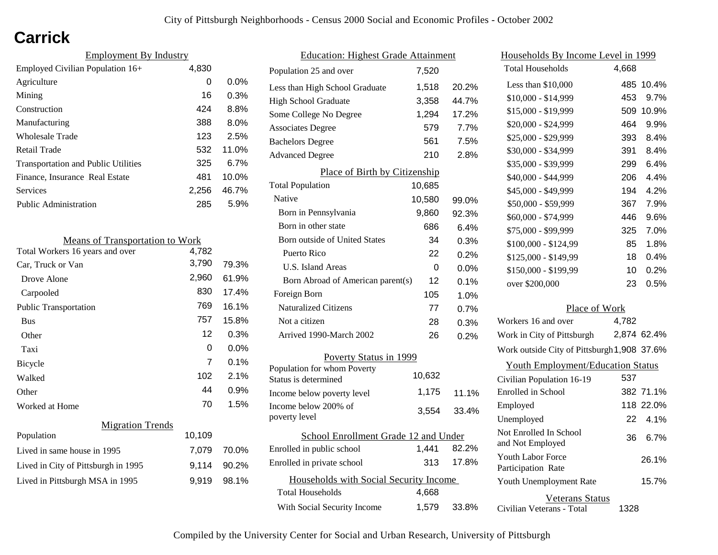# **Carrick**

| <b>Employment By Industry</b>              |       |          |
|--------------------------------------------|-------|----------|
| Employed Civilian Population 16+           | 4,830 |          |
| Agriculture                                | 0     | $0.0\%$  |
| Mining                                     | 16    | 0.3%     |
| Construction                               | 424   | 8.8%     |
| Manufacturing                              | 388   | 8.0%     |
| Wholesale Trade                            | 123   | 2.5%     |
| Retail Trade                               | 532   | 11.0%    |
| <b>Transportation and Public Utilities</b> | 325   | 6.7%     |
| Finance, Insurance Real Estate             | 481   | $10.0\%$ |
| Services                                   | 2.256 | 46.7%    |
| Public Administration                      | 285   | 5.9%     |

| <b>Means of Transportation to Work</b> |        |       |
|----------------------------------------|--------|-------|
| Total Workers 16 years and over        | 4,782  |       |
| Car, Truck or Van                      | 3,790  | 79.3% |
| Drove Alone                            | 2,960  | 61.9% |
| Carpooled                              | 830    | 17.4% |
| <b>Public Transportation</b>           | 769    | 16.1% |
| <b>Bus</b>                             | 757    | 15.8% |
| Other                                  | 12     | 0.3%  |
| Taxi                                   | 0      | 0.0%  |
| <b>Bicycle</b>                         | 7      | 0.1%  |
| Walked                                 | 102    | 2.1%  |
| Other                                  | 44     | 0.9%  |
| Worked at Home                         | 70     | 1.5%  |
| <b>Migration Trends</b>                |        |       |
| Population                             | 10,109 |       |
| Lived in same house in 1995            | 7,079  | 70.0% |
| Lived in City of Pittsburgh in 1995    | 9,114  | 90.2% |
| Lived in Pittsburgh MSA in 1995        | 9,919  | 98.1% |

| <b>Education: Highest Grade Attainment</b>          |        |         |
|-----------------------------------------------------|--------|---------|
| Population 25 and over                              | 7,520  |         |
| Less than High School Graduate                      | 1,518  | 20.2%   |
| <b>High School Graduate</b>                         | 3,358  | 44.7%   |
| Some College No Degree                              | 1,294  | 17.2%   |
| <b>Associates Degree</b>                            | 579    | 7.7%    |
| <b>Bachelors Degree</b>                             | 561    | 7.5%    |
| <b>Advanced Degree</b>                              | 210    | 2.8%    |
| Place of Birth by Citizenship                       |        |         |
| <b>Total Population</b>                             | 10,685 |         |
| Native                                              | 10,580 | 99.0%   |
| Born in Pennsylvania                                | 9,860  | 92.3%   |
| Born in other state                                 | 686    | 6.4%    |
| Born outside of United States                       | 34     | 0.3%    |
| Puerto Rico                                         | 22     | 0.2%    |
| <b>U.S. Island Areas</b>                            | 0      | $0.0\%$ |
| Born Abroad of American parent(s)                   | 12     | 0.1%    |
| Foreign Born                                        | 105    | 1.0%    |
| <b>Naturalized Citizens</b>                         | 77     | 0.7%    |
| Not a citizen                                       | 28     | 0.3%    |
| Arrived 1990-March 2002                             | 26     | 0.2%    |
| Poverty Status in 1999                              |        |         |
| Population for whom Poverty<br>Status is determined | 10,632 |         |
| Income below poverty level                          | 1,175  | 11.1%   |
| Income below 200% of<br>poverty level               | 3,554  | 33.4%   |
| School Enrollment Grade 12 and Under                |        |         |
| Enrolled in public school                           | 1,441  | 82.2%   |
| Enrolled in private school                          | 313    | 17.8%   |
| Households with Social Security Income              |        |         |
| <b>Total Households</b>                             | 4,668  |         |
| With Social Security Income                         | 1,579  | 33.8%   |

| Households By Income Level in 1999                  |       |             |
|-----------------------------------------------------|-------|-------------|
| <b>Total Households</b>                             | 4,668 |             |
| Less than \$10,000                                  | 485   | 10.4%       |
| \$10,000 - \$14,999                                 | 453   | 9.7%        |
| \$15,000 - \$19,999                                 | 509   | 10.9%       |
| \$20,000 - \$24,999                                 | 464   | 9.9%        |
| \$25,000 - \$29,999                                 | 393   | 8.4%        |
| \$30,000 - \$34,999                                 | 391   | 8.4%        |
| \$35,000 - \$39,999                                 | 299   | 6.4%        |
| \$40,000 - \$44,999                                 | 206   | 4.4%        |
| \$45,000 - \$49,999                                 | 194   | 4.2%        |
| \$50,000 - \$59,999                                 | 367   | 7.9%        |
| \$60,000 - \$74,999                                 | 446   | 9.6%        |
| \$75,000 - \$99,999                                 | 325   | 7.0%        |
| \$100,000 - \$124,99                                | 85    | 1.8%        |
| $$125,000 - $149,99$                                | 18    | 0.4%        |
| \$150,000 - \$199,99                                | 10    | 0.2%        |
| over \$200,000                                      | 23    | 0.5%        |
| Place of Work                                       |       |             |
| Workers 16 and over                                 | 4,782 |             |
| Work in City of Pittsburgh                          |       | 2,874 62.4% |
| Work outside City of Pittsburgh 1,908 37.6%         |       |             |
| <b>Youth Employment/Education Status</b>            |       |             |
| Civilian Population 16-19                           | 537   |             |
| Enrolled in School                                  |       | 382 71.1%   |
| Employed                                            |       | 118 22.0%   |
| Unemployed                                          | 22    | 4.1%        |
| Not Enrolled In School<br>and Not Employed          | 36    | 6.7%        |
| <b>Youth Labor Force</b><br>Participation Rate      |       | 26.1%       |
| Youth Unemployment Rate                             |       | 15.7%       |
| <b>Veterans Status</b><br>Civilian Veterans - Total | 1328  |             |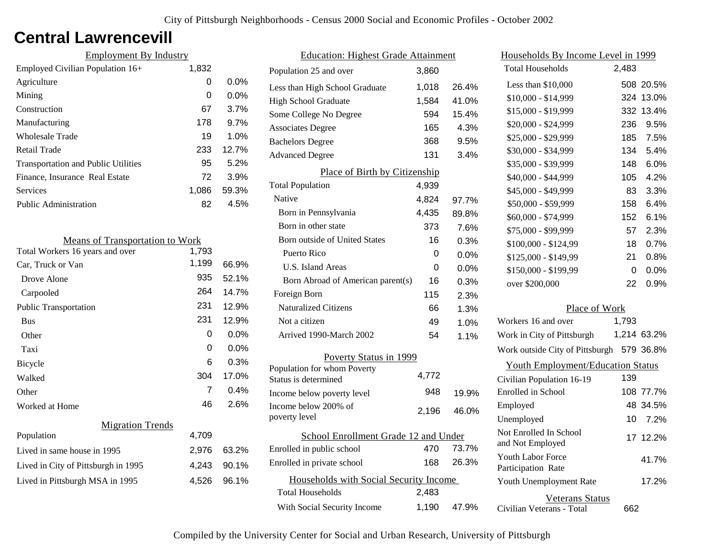### **Central Lawrencevill**

| <b>Employment By Industry</b>              |       |         |
|--------------------------------------------|-------|---------|
| Employed Civilian Population 16+           | 1,832 |         |
| Agriculture                                | 0     | $0.0\%$ |
| Mining                                     | 0     | 0.0%    |
| Construction                               | 67    | 3.7%    |
| Manufacturing                              | 178   | 9.7%    |
| Wholesale Trade                            | 19    | 1.0%    |
| Retail Trade                               | 233   | 12.7%   |
| <b>Transportation and Public Utilities</b> | 95    | 5.2%    |
| Finance, Insurance Real Estate             | 72    | 3.9%    |
| Services                                   | 1.086 | 59.3%   |
| Public Administration                      | 82    | 4.5%    |
|                                            |       |         |

| <b>Means of Transportation to Work</b> |       |         |
|----------------------------------------|-------|---------|
| Total Workers 16 years and over        | 1,793 |         |
| Car, Truck or Van                      | 1,199 | 66.9%   |
| Drove Alone                            | 935   | 52.1%   |
| Carpooled                              | 264   | 14.7%   |
| <b>Public Transportation</b>           | 231   | 12.9%   |
| <b>Bus</b>                             | 231   | 12.9%   |
| Other                                  | 0     | $0.0\%$ |
| Taxi                                   | 0     | $0.0\%$ |
| Bicycle                                | 6     | 0.3%    |
| Walked                                 | 304   | 17.0%   |
| Other                                  | 7     | 0.4%    |
| Worked at Home                         | 46    | 2.6%    |
| <b>Migration Trends</b>                |       |         |
| Population                             | 4,709 |         |
| Lived in same house in 1995            | 2,976 | 63.2%   |
| Lived in City of Pittsburgh in 1995    | 4,243 | 90.1%   |
| Lived in Pittsburgh MSA in 1995        | 4,526 | 96.1%   |
|                                        |       |         |

| <b>Education: Highest Grade Attainment</b>          |       |       |
|-----------------------------------------------------|-------|-------|
| Population 25 and over                              | 3,860 |       |
| Less than High School Graduate                      | 1,018 | 26.4% |
| <b>High School Graduate</b>                         | 1,584 | 41.0% |
| Some College No Degree                              | 594   | 15.4% |
| <b>Associates Degree</b>                            | 165   | 4.3%  |
| <b>Bachelors Degree</b>                             | 368   | 9.5%  |
| <b>Advanced Degree</b>                              | 131   | 3.4%  |
| Place of Birth by Citizenship                       |       |       |
| <b>Total Population</b>                             | 4,939 |       |
| Native                                              | 4,824 | 97.7% |
| Born in Pennsylvania                                | 4,435 | 89.8% |
| Born in other state                                 | 373   | 7.6%  |
| Born outside of United States                       | 16    | 0.3%  |
| Puerto Rico                                         | 0     | 0.0%  |
| U.S. Island Areas                                   | 0     | 0.0%  |
| Born Abroad of American parent(s)                   | 16    | 0.3%  |
| Foreign Born                                        | 115   | 2.3%  |
| <b>Naturalized Citizens</b>                         | 66    | 1.3%  |
| Not a citizen                                       | 49    | 1.0%  |
| Arrived 1990-March 2002                             | 54    | 1.1%  |
| Poverty Status in 1999                              |       |       |
| Population for whom Poverty<br>Status is determined | 4,772 |       |
| Income below poverty level                          | 948   | 19.9% |
| Income below 200% of<br>poverty level               | 2,196 | 46.0% |
| School Enrollment Grade 12 and Under                |       |       |
| Enrolled in public school                           | 470   | 73.7% |
| Enrolled in private school                          | 168   | 26.3% |
| Households with Social Security Income              |       |       |
| <b>Total Households</b>                             | 2,483 |       |
| With Social Security Income                         | 1,190 | 47.9% |

| Households By Income Level in 1999                  |       |             |
|-----------------------------------------------------|-------|-------------|
| <b>Total Households</b>                             | 2,483 |             |
| Less than \$10,000                                  |       | 508 20.5%   |
| \$10,000 - \$14,999                                 |       | 324 13.0%   |
| \$15,000 - \$19,999                                 | 332   | 13.4%       |
| \$20,000 - \$24,999                                 | 236   | 9.5%        |
| \$25,000 - \$29,999                                 | 185   | 7.5%        |
| \$30,000 - \$34,999                                 | 134   | 5.4%        |
| \$35,000 - \$39,999                                 | 148   | 6.0%        |
| \$40,000 - \$44,999                                 | 105   | 4.2%        |
| \$45,000 - \$49,999                                 | 83    | 3.3%        |
| \$50,000 - \$59,999                                 | 158   | 6.4%        |
| \$60,000 - \$74,999                                 | 152   | 6.1%        |
| \$75,000 - \$99,999                                 | 57    | 2.3%        |
| \$100,000 - \$124,99                                | 18    | 0.7%        |
| \$125,000 - \$149,99                                | 21    | $0.8\%$     |
| \$150,000 - \$199,99                                | 0     | $0.0\%$     |
| over \$200,000                                      | 22    | 0.9%        |
| Place of Work                                       |       |             |
| Workers 16 and over                                 | 1,793 |             |
| Work in City of Pittsburgh                          |       | 1,214 63.2% |
| Work outside City of Pittsburgh                     |       | 579 36.8%   |
| <b>Youth Employment/Education Status</b>            |       |             |
| Civilian Population 16-19                           | 139   |             |
| Enrolled in School                                  |       | 108 77.7%   |
| Employed                                            |       | 48 34.5%    |
| Unemployed                                          | 10 -  | 7.2%        |
| Not Enrolled In School<br>and Not Employed          |       | 17 12.2%    |
| <b>Youth Labor Force</b><br>Participation Rate      |       | 41.7%       |
| Youth Unemployment Rate                             |       | 17.2%       |
| <b>Veterans Status</b><br>Civilian Veterans - Total | 662   |             |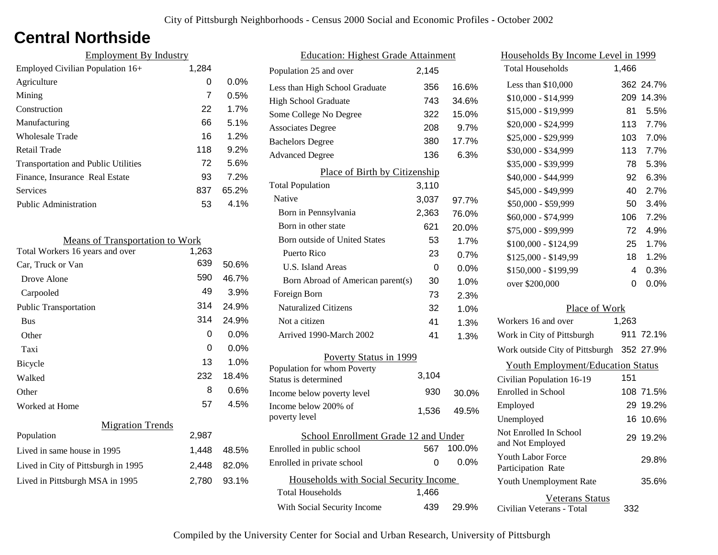### **Central Northside**

| <b>Employment By Industry</b>              |       |         |
|--------------------------------------------|-------|---------|
| Employed Civilian Population 16+           | 1,284 |         |
| Agriculture                                | 0     | $0.0\%$ |
| Mining                                     | 7     | 0.5%    |
| Construction                               | 22    | 1.7%    |
| Manufacturing                              | 66    | 5.1%    |
| <b>Wholesale Trade</b>                     | 16    | 1.2%    |
| Retail Trade                               | 118   | 9.2%    |
| <b>Transportation and Public Utilities</b> | 72    | 5.6%    |
| Finance, Insurance Real Estate             | 93    | 7.2%    |
| Services                                   | 837   | 65.2%   |
| <b>Public Administration</b>               | 53    | $4.1\%$ |

| <b>Means of Transportation to Work</b> |       |       |
|----------------------------------------|-------|-------|
| Total Workers 16 years and over        | 1,263 |       |
| Car, Truck or Van                      | 639   | 50.6% |
| Drove Alone                            | 590   | 46.7% |
| Carpooled                              | 49    | 3.9%  |
| <b>Public Transportation</b>           | 314   | 24.9% |
| <b>Bus</b>                             | 314   | 24.9% |
| Other                                  | 0     | 0.0%  |
| Taxi                                   | 0     | 0.0%  |
| Bicycle                                | 13    | 1.0%  |
| Walked                                 | 232   | 18.4% |
| Other                                  | 8     | 0.6%  |
| Worked at Home                         | 57    | 4.5%  |
| <b>Migration Trends</b>                |       |       |
| Population                             | 2,987 |       |
| Lived in same house in 1995            | 1,448 | 48.5% |
| Lived in City of Pittsburgh in 1995    | 2,448 | 82.0% |
| Lived in Pittsburgh MSA in 1995        | 2,780 | 93.1% |
|                                        |       |       |

| <b>Education: Highest Grade Attainment</b> |       |         |
|--------------------------------------------|-------|---------|
| Population 25 and over                     | 2,145 |         |
| Less than High School Graduate             | 356   | 16.6%   |
| <b>High School Graduate</b>                | 743   | 34.6%   |
| Some College No Degree                     | 322   | 15.0%   |
| <b>Associates Degree</b>                   | 208   | 9.7%    |
| <b>Bachelors Degree</b>                    | 380   | 17.7%   |
| <b>Advanced Degree</b>                     | 136   | 6.3%    |
| Place of Birth by Citizenship              |       |         |
| <b>Total Population</b>                    | 3,110 |         |
| Native                                     | 3,037 | 97.7%   |
| Born in Pennsylvania                       | 2,363 | 76.0%   |
| Born in other state                        | 621   | 20.0%   |
| <b>Born outside of United States</b>       | 53    | 1.7%    |
| Puerto Rico                                | 23    | 0.7%    |
| U.S. Island Areas                          | 0     | 0.0%    |
| Born Abroad of American parent(s)          | 30    | 1.0%    |
| Foreign Born                               | 73    | 2.3%    |
| <b>Naturalized Citizens</b>                | 32    | 1.0%    |
| Not a citizen                              | 41    | 1.3%    |
| Arrived 1990-March 2002                    | 41    | 1.3%    |
| Poverty Status in 1999                     |       |         |
| Population for whom Poverty                |       |         |
| Status is determined                       | 3,104 |         |
| Income below poverty level                 | 930   | 30.0%   |
| Income below 200% of                       | 1,536 | 49.5%   |
| poverty level                              |       |         |
| School Enrollment Grade 12 and Under       |       |         |
| Enrolled in public school                  | 567   | 100.0%  |
| Enrolled in private school                 | 0     | $0.0\%$ |
| Households with Social Security Income     |       |         |
| Total Households                           | 1,466 |         |
| With Social Security Income                | 439   | 29.9%   |

| Households By Income Level in 1999             |       |           |
|------------------------------------------------|-------|-----------|
| <b>Total Households</b>                        | 1,466 |           |
| Less than \$10,000                             |       | 362 24.7% |
| \$10,000 - \$14,999                            | 209   | 14.3%     |
| \$15,000 - \$19,999                            | 81    | 5.5%      |
| \$20,000 - \$24,999                            | 113   | 7.7%      |
| \$25,000 - \$29,999                            | 103   | 7.0%      |
| \$30,000 - \$34,999                            | 113   | 7.7%      |
| \$35,000 - \$39,999                            | 78    | 5.3%      |
| \$40,000 - \$44,999                            | 92    | 6.3%      |
| \$45,000 - \$49,999                            | 40    | 2.7%      |
| \$50,000 - \$59,999                            | 50    | 3.4%      |
| \$60,000 - \$74,999                            | 106   | 7.2%      |
| \$75,000 - \$99,999                            | 72    | 4.9%      |
| \$100,000 - \$124,99                           | 25    | 1.7%      |
| \$125,000 - \$149,99                           | 18    | 1.2%      |
| \$150,000 - \$199,99                           | 4     | 0.3%      |
| over \$200,000                                 | 0     | 0.0%      |
| Place of Work                                  |       |           |
| Workers 16 and over                            | 1,263 |           |
| Work in City of Pittsburgh                     |       | 911 72.1% |
| Work outside City of Pittsburgh 352 27.9%      |       |           |
| <b>Youth Employment/Education Status</b>       |       |           |
| Civilian Population 16-19                      | 151   |           |
| Enrolled in School                             |       | 108 71.5% |
| Employed                                       |       | 29 19.2%  |
| Unemployed                                     | 16    | 10.6%     |
| Not Enrolled In School<br>and Not Employed     | 29    | 19.2%     |
| <b>Youth Labor Force</b><br>Participation Rate |       | 29.8%     |
| Youth Unemployment Rate                        |       | 35.6%     |

Civilian Veterans - Total

Veterans Status

332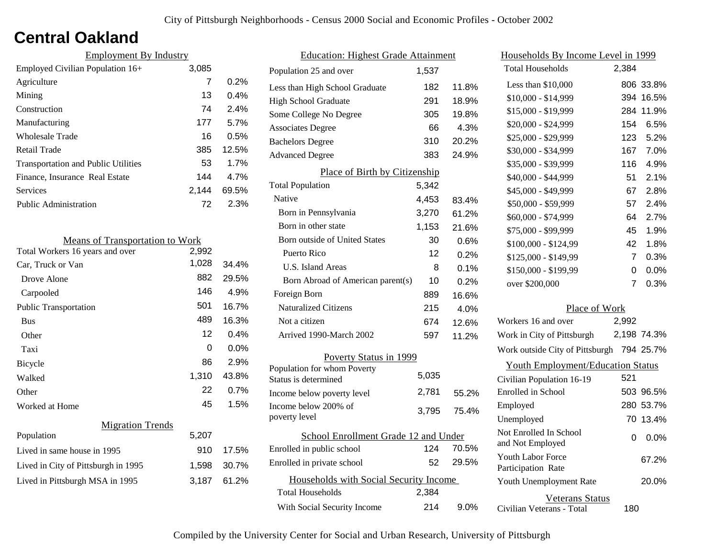## **Central Oakland**

| <b>Employment By Industry</b>              |       |         |
|--------------------------------------------|-------|---------|
| Employed Civilian Population 16+           | 3,085 |         |
| Agriculture                                | 7     | 0.2%    |
| Mining                                     | 13    | $0.4\%$ |
| Construction                               | 74    | 2.4%    |
| Manufacturing                              | 177   | 5.7%    |
| Wholesale Trade                            | 16    | 0.5%    |
| Retail Trade                               | 385   | 12.5%   |
| <b>Transportation and Public Utilities</b> | 53    | 1.7%    |
| Finance, Insurance Real Estate             | 144   | 4.7%    |
| Services                                   | 2,144 | 69.5%   |
| Public Administration                      | 72    | 2.3%    |

| <b>Means of Transportation to Work</b> |       |         |
|----------------------------------------|-------|---------|
| Total Workers 16 years and over        | 2,992 |         |
| Car, Truck or Van                      | 1,028 | 34.4%   |
| Drove Alone                            | 882   | 29.5%   |
| Carpooled                              | 146   | 4.9%    |
| <b>Public Transportation</b>           | 501   | 16.7%   |
| <b>Bus</b>                             | 489   | 16.3%   |
| Other                                  | 12    | $0.4\%$ |
| Taxi                                   | 0     | 0.0%    |
| Bicycle                                | 86    | 2.9%    |
| Walked                                 | 1,310 | 43.8%   |
| Other                                  | 22    | 0.7%    |
| Worked at Home                         | 45    | 1.5%    |
| <b>Migration Trends</b>                |       |         |
| Population                             | 5,207 |         |
| Lived in same house in 1995            | 910   | 17.5%   |
| Lived in City of Pittsburgh in 1995    | 1,598 | 30.7%   |
| Lived in Pittsburgh MSA in 1995        | 3,187 | 61.2%   |
|                                        |       |         |

| <b>Education: Highest Grade Attainment</b>          |       |       |
|-----------------------------------------------------|-------|-------|
| Population 25 and over                              | 1,537 |       |
| Less than High School Graduate                      | 182   | 11.8% |
| <b>High School Graduate</b>                         | 291   | 18.9% |
| Some College No Degree                              | 305   | 19.8% |
| <b>Associates Degree</b>                            | 66    | 4.3%  |
| <b>Bachelors Degree</b>                             | 310   | 20.2% |
| <b>Advanced Degree</b>                              | 383   | 24.9% |
| Place of Birth by Citizenship                       |       |       |
| <b>Total Population</b>                             | 5,342 |       |
| Native                                              | 4,453 | 83.4% |
| Born in Pennsylvania                                | 3,270 | 61.2% |
| Born in other state                                 | 1,153 | 21.6% |
| <b>Born outside of United States</b>                | 30    | 0.6%  |
| Puerto Rico                                         | 12    | 0.2%  |
| U.S. Island Areas                                   | 8     | 0.1%  |
| Born Abroad of American parent(s)                   | 10    | 0.2%  |
| Foreign Born                                        | 889   | 16.6% |
| <b>Naturalized Citizens</b>                         | 215   | 4.0%  |
| Not a citizen                                       | 674   | 12.6% |
| Arrived 1990-March 2002                             | 597   | 11.2% |
| Poverty Status in 1999                              |       |       |
| Population for whom Poverty<br>Status is determined | 5,035 |       |
| Income below poverty level                          | 2,781 | 55.2% |
| Income below 200% of<br>poverty level               | 3,795 | 75.4% |
| School Enrollment Grade 12 and Under                |       |       |
| Enrolled in public school                           | 124   | 70.5% |
| Enrolled in private school                          | 52    | 29.5% |
| Households with Social Security Income              |       |       |
| <b>Total Households</b>                             | 2,384 |       |
| With Social Security Income                         | 214   | 9.0%  |
|                                                     |       |       |

| <u>Households By Income Level in 1999</u>      |       |             |
|------------------------------------------------|-------|-------------|
| <b>Total Households</b>                        | 2,384 |             |
| Less than \$10,000                             | 806   | 33.8%       |
| $$10,000 - $14,999$                            | 394   | 16.5%       |
| \$15,000 - \$19,999                            |       | 284 11.9%   |
| \$20,000 - \$24,999                            | 154   | 6.5%        |
| \$25,000 - \$29,999                            | 123   | 5.2%        |
| \$30,000 - \$34,999                            | 167   | 7.0%        |
| \$35,000 - \$39,999                            | 116   | 4.9%        |
| \$40,000 - \$44,999                            | 51    | 2.1%        |
| \$45,000 - \$49,999                            | 67    | 2.8%        |
| \$50,000 - \$59,999                            | 57    | $2.4\%$     |
| \$60,000 - \$74,999                            | 64    | 2.7%        |
| \$75,000 - \$99,999                            | 45    | 1.9%        |
| \$100,000 - \$124,99                           | 42    | 1.8%        |
| \$125,000 - \$149,99                           | 7     | 0.3%        |
| \$150,000 - \$199,99                           | 0     | 0.0%        |
| over \$200,000                                 | 7     | 0.3%        |
| Place of Work                                  |       |             |
| Workers 16 and over                            | 2,992 |             |
| Work in City of Pittsburgh                     |       | 2,198 74.3% |
| Work outside City of Pittsburgh                |       | 794 25.7%   |
| <b>Youth Employment/Education Status</b>       |       |             |
| Civilian Population 16-19                      | 521   |             |
| Enrolled in School                             |       | 503 96.5%   |
| Employed                                       |       | 280 53.7%   |
| Unemployed                                     | 70.   | 13.4%       |
| Not Enrolled In School<br>and Not Employed     | 0     | 0.0%        |
| <b>Youth Labor Force</b><br>Participation Rate |       | 67.2%       |
| Youth Unemployment Rate                        |       | 20.0%       |
| Veterans Status                                |       |             |

Civilian Veterans - Total

180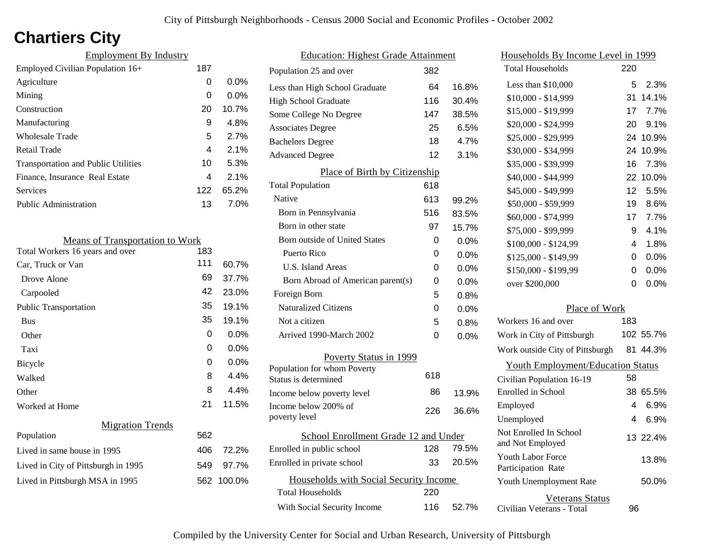# **Chartiers City**

| <b>Employment By Industry</b>              |     |         |
|--------------------------------------------|-----|---------|
| Employed Civilian Population 16+           | 187 |         |
| Agriculture                                | 0   | 0.0%    |
| Mining                                     | 0   | $0.0\%$ |
| Construction                               | 20  | 10.7%   |
| Manufacturing                              | 9   | 4.8%    |
| Wholesale Trade                            | 5   | 2.7%    |
| Retail Trade                               | 4   | 2.1%    |
| <b>Transportation and Public Utilities</b> | 10  | 5.3%    |
| Finance, Insurance Real Estate             | 4   | 2.1%    |
| <b>Services</b>                            | 122 | 65.2%   |
| <b>Public Administration</b>               | 13  | 7.0%    |
|                                            |     |         |

| <b>Means of Transportation to Work</b> |     |            |
|----------------------------------------|-----|------------|
| Total Workers 16 years and over        | 183 |            |
| Car, Truck or Van                      | 111 | 60.7%      |
| Drove Alone                            | 69  | 37.7%      |
| Carpooled                              | 42  | 23.0%      |
| <b>Public Transportation</b>           | 35  | 19.1%      |
| <b>Bus</b>                             | 35  | 19.1%      |
| Other                                  | 0   | $0.0\%$    |
| Taxi                                   | 0   | 0.0%       |
| Bicycle                                | 0   | 0.0%       |
| Walked                                 | 8   | 4.4%       |
| Other                                  | 8   | 4.4%       |
| Worked at Home                         | 21  | 11.5%      |
| <b>Migration Trends</b>                |     |            |
| Population                             | 562 |            |
| Lived in same house in 1995            | 406 | 72.2%      |
| Lived in City of Pittsburgh in 1995    | 549 | 97.7%      |
| Lived in Pittsburgh MSA in 1995        |     | 562 100.0% |
|                                        |     |            |

| <b>Education: Highest Grade Attainment</b> |     |         |
|--------------------------------------------|-----|---------|
| Population 25 and over                     | 382 |         |
| Less than High School Graduate             | 64  | 16.8%   |
| <b>High School Graduate</b>                | 116 | 30.4%   |
| Some College No Degree                     | 147 | 38.5%   |
| <b>Associates Degree</b>                   | 25  | 6.5%    |
| <b>Bachelors Degree</b>                    | 18  | 4.7%    |
| <b>Advanced Degree</b>                     | 12  | 3.1%    |
| Place of Birth by Citizenship              |     |         |
| <b>Total Population</b>                    | 618 |         |
| Native                                     | 613 | 99.2%   |
| Born in Pennsylvania                       | 516 | 83.5%   |
| Born in other state                        | 97  | 15.7%   |
| Born outside of United States              | 0   | $0.0\%$ |
| Puerto Rico                                | U   | 0.0%    |
| U.S. Island Areas                          | 0   | 0.0%    |
| Born Abroad of American parent(s)          | 0   | 0.0%    |
| Foreign Born                               | 5   | 0.8%    |
| <b>Naturalized Citizens</b>                | 0   | 0.0%    |
| Not a citizen                              | 5   | 0.8%    |
| Arrived 1990-March 2002                    | 0   | $0.0\%$ |
| Poverty Status in 1999                     |     |         |
| Population for whom Poverty                | 618 |         |
| Status is determined                       |     |         |
| Income below poverty level                 | 86  | 13.9%   |
| Income below 200% of<br>poverty level      | 226 | 36.6%   |
| School Enrollment Grade 12 and Under       |     |         |
| Enrolled in public school                  | 128 | 79.5%   |
| Enrolled in private school                 | 33  | 20.5%   |
| Households with Social Security Income     |     |         |
| <b>Total Households</b>                    | 220 |         |
| With Social Security Income                | 116 | 52.7%   |

| Households By Income Level in 1999                  |     |           |
|-----------------------------------------------------|-----|-----------|
| <b>Total Households</b>                             | 220 |           |
| Less than \$10,000                                  | 5   | 2.3%      |
| \$10,000 - \$14,999                                 | 31  | 14.1%     |
| \$15,000 - \$19,999                                 | 17  | 7.7%      |
| \$20,000 - \$24,999                                 | 20  | 9.1%      |
| \$25,000 - \$29,999                                 | 24  | 10.9%     |
| \$30,000 - \$34,999                                 | 24  | 10.9%     |
| \$35,000 - \$39,999                                 | 16  | 7.3%      |
| \$40,000 - \$44,999                                 | 22  | 10.0%     |
| \$45,000 - \$49,999                                 | 12  | 5.5%      |
| \$50,000 - \$59,999                                 | 19  | 8.6%      |
| \$60,000 - \$74,999                                 | 17  | 7.7%      |
| \$75,000 - \$99,999                                 | 9   | 4.1%      |
| \$100,000 - \$124,99                                | 4   | 1.8%      |
| \$125,000 - \$149,99                                | 0   | 0.0%      |
| \$150,000 - \$199,99                                | 0   | 0.0%      |
| over \$200,000                                      | 0   | 0.0%      |
| Place of Work                                       |     |           |
| Workers 16 and over                                 | 183 |           |
| Work in City of Pittsburgh                          |     | 102 55.7% |
| Work outside City of Pittsburgh                     |     | 81 44.3%  |
| <b>Youth Employment/Education Status</b>            |     |           |
| Civilian Population 16-19                           | 58  |           |
| Enrolled in School                                  | 38  | 65.5%     |
| Employed                                            | 4   | 6.9%      |
| Unemployed                                          | 4   | 6.9%      |
| Not Enrolled In School<br>and Not Employed          |     | 13 22.4%  |
| <b>Youth Labor Force</b><br>Participation Rate      |     | 13.8%     |
| Youth Unemployment Rate                             |     | 50.0%     |
| <b>Veterans Status</b><br>Civilian Veterans - Total | 96  |           |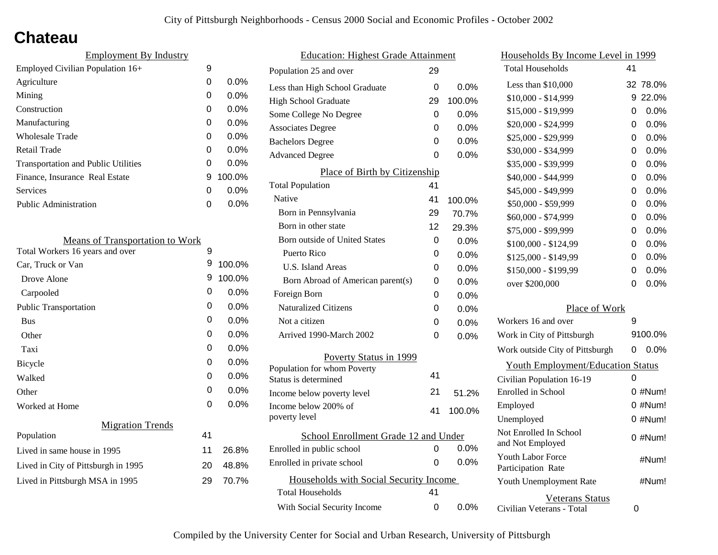## **Chateau**

| 9 |         |
|---|---------|
| 0 | $0.0\%$ |
| 0 | $0.0\%$ |
| 0 | $0.0\%$ |
| 0 | $0.0\%$ |
| 0 | $0.0\%$ |
| 0 | 0.0%    |
| 0 | $0.0\%$ |
| 9 | 100.0%  |
| 0 | $0.0\%$ |
| ი | $0.0\%$ |
|   |         |

| <b>Means of Transportation to Work</b> |    |         |
|----------------------------------------|----|---------|
| Total Workers 16 years and over        | 9  |         |
| Car, Truck or Van                      | 9  | 100.0%  |
| Drove Alone                            | 9  | 100.0%  |
| Carpooled                              | 0  | $0.0\%$ |
| <b>Public Transportation</b>           | 0  | $0.0\%$ |
| <b>Bus</b>                             | 0  | $0.0\%$ |
| Other                                  | 0  | $0.0\%$ |
| Taxi                                   | 0  | $0.0\%$ |
| Bicycle                                | 0  | 0.0%    |
| Walked                                 | 0  | 0.0%    |
| Other                                  | 0  | $0.0\%$ |
| Worked at Home                         | 0  | $0.0\%$ |
| <b>Migration Trends</b>                |    |         |
| Population                             | 41 |         |
| Lived in same house in 1995            | 11 | 26.8%   |
| Lived in City of Pittsburgh in 1995    | 20 | 48.8%   |
| Lived in Pittsburgh MSA in 1995        | 29 | 70.7%   |
|                                        |    |         |

| <b>Education: Highest Grade Attainment</b>          |          |         |
|-----------------------------------------------------|----------|---------|
| Population 25 and over                              | 29       |         |
| Less than High School Graduate                      | 0        | $0.0\%$ |
| <b>High School Graduate</b>                         | 29       | 100.0%  |
| Some College No Degree                              | 0        | 0.0%    |
| <b>Associates Degree</b>                            | 0        | 0.0%    |
| <b>Bachelors Degree</b>                             | $\Omega$ | 0.0%    |
| <b>Advanced Degree</b>                              | 0        | $0.0\%$ |
| Place of Birth by Citizenship                       |          |         |
| <b>Total Population</b>                             | 41       |         |
| Native                                              | 41       | 100.0%  |
| Born in Pennsylvania                                | 29       | 70.7%   |
| Born in other state                                 | 12       | 29.3%   |
| <b>Born outside of United States</b>                | 0        | 0.0%    |
| Puerto Rico                                         | 0        | 0.0%    |
| U.S. Island Areas                                   | 0        | $0.0\%$ |
| Born Abroad of American parent(s)                   | 0        | 0.0%    |
| Foreign Born                                        | 0        | 0.0%    |
| <b>Naturalized Citizens</b>                         | 0        | 0.0%    |
| Not a citizen                                       | 0        | 0.0%    |
| Arrived 1990-March 2002                             | 0        | $0.0\%$ |
| Poverty Status in 1999                              |          |         |
| Population for whom Poverty<br>Status is determined | 41       |         |
| Income below poverty level                          | 21       | 51.2%   |
| Income below 200% of<br>poverty level               | 41       | 100.0%  |
| School Enrollment Grade 12 and Under                |          |         |
| Enrolled in public school                           | 0        | 0.0%    |
| Enrolled in private school                          | 0        | $0.0\%$ |
| Households with Social Security Income              |          |         |
| <b>Total Households</b>                             | 41       |         |
| With Social Security Income                         | 0        | 0.0%    |

| Households By Income Level in 1999                  |    |           |
|-----------------------------------------------------|----|-----------|
| <b>Total Households</b>                             | 41 |           |
| Less than $$10,000$                                 | 32 | 78.0%     |
| $$10,000 - $14,999$                                 | 9  | 22.0%     |
| \$15,000 - \$19,999                                 | 0  | 0.0%      |
| \$20,000 - \$24,999                                 | 0  | 0.0%      |
| \$25,000 - \$29,999                                 | 0  | 0.0%      |
| \$30,000 - \$34,999                                 | 0  | 0.0%      |
| \$35,000 - \$39,999                                 | 0  | 0.0%      |
| \$40,000 - \$44,999                                 | 0  | 0.0%      |
| \$45,000 - \$49,999                                 | 0  | 0.0%      |
| \$50,000 - \$59,999                                 | 0  | 0.0%      |
| \$60,000 - \$74,999                                 | 0  | 0.0%      |
| \$75,000 - \$99,999                                 | 0  | 0.0%      |
| $$100,000 - $124,99$                                | 0  | 0.0%      |
| \$125,000 - \$149,99                                | 0  | 0.0%      |
| \$150,000 - \$199,99                                | 0  | 0.0%      |
| over \$200,000                                      | 0  | 0.0%      |
| Place of Work                                       |    |           |
| Workers 16 and over                                 | 9  |           |
| Work in City of Pittsburgh                          |    | 9100.0%   |
| Work outside City of Pittsburgh                     | 0  | $0.0\%$   |
| <b>Youth Employment/Education Status</b>            |    |           |
| Civilian Population 16-19                           | 0  |           |
| Enrolled in School                                  |    | $0$ #Num! |
| Employed                                            |    | 0 #Num!   |
| Unemployed                                          |    | 0 #Num!   |
| Not Enrolled In School<br>and Not Employed          |    | 0 #Num!   |
| Youth Labor Force<br>Participation Rate             |    | #Num!     |
| Youth Unemployment Rate                             |    | #Num!     |
| <b>Veterans Status</b><br>Civilian Veterans - Total | 0  |           |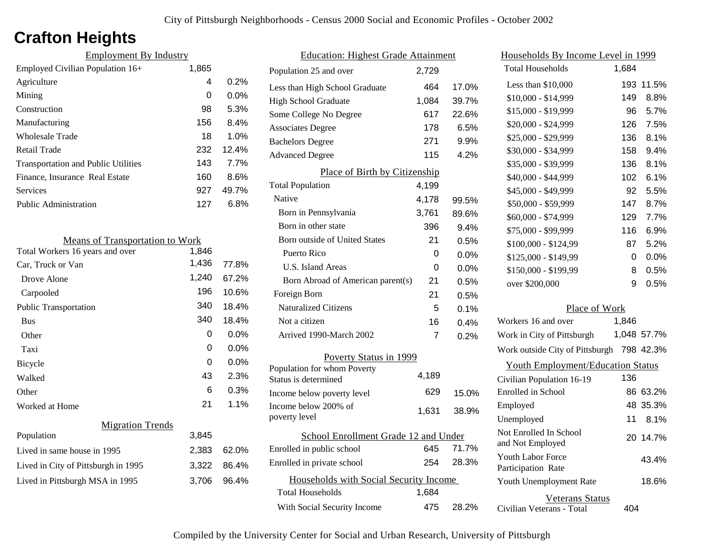## **Crafton Heights**

| <b>Employment By Industry</b>              |       |         |
|--------------------------------------------|-------|---------|
| Employed Civilian Population 16+           | 1,865 |         |
| Agriculture                                | 4     | 0.2%    |
| Mining                                     | 0     | $0.0\%$ |
| Construction                               | 98    | 5.3%    |
| Manufacturing                              | 156   | 8.4%    |
| Wholesale Trade                            | 18    | 1.0%    |
| Retail Trade                               | 232   | 12.4%   |
| <b>Transportation and Public Utilities</b> | 143   | 7.7%    |
| Finance, Insurance Real Estate             | 160   | 8.6%    |
| Services                                   | 927   | 49.7%   |
| Public Administration                      | 127   | 6.8%    |
|                                            |       |         |

| <b>Means of Transportation to Work</b> |       |         |
|----------------------------------------|-------|---------|
| Total Workers 16 years and over        | 1,846 |         |
| Car, Truck or Van                      | 1,436 | 77.8%   |
| Drove Alone                            | 1,240 | 67.2%   |
| Carpooled                              | 196   | 10.6%   |
| <b>Public Transportation</b>           | 340   | 18.4%   |
| <b>Bus</b>                             | 340   | 18.4%   |
| Other                                  | 0     | 0.0%    |
| Taxi                                   | 0     | 0.0%    |
| <b>Bicycle</b>                         | 0     | $0.0\%$ |
| Walked                                 | 43    | 2.3%    |
| Other                                  | 6     | 0.3%    |
| Worked at Home                         | 21    | 1.1%    |
| <b>Migration Trends</b>                |       |         |
| Population                             | 3,845 |         |
| Lived in same house in 1995            | 2,383 | 62.0%   |
| Lived in City of Pittsburgh in 1995    | 3,322 | 86.4%   |
| Lived in Pittsburgh MSA in 1995        | 3,706 | 96.4%   |
|                                        |       |         |

| <b>Education: Highest Grade Attainment</b> |       |         |
|--------------------------------------------|-------|---------|
| Population 25 and over                     | 2,729 |         |
| Less than High School Graduate             | 464   | 17.0%   |
| <b>High School Graduate</b>                | 1,084 | 39.7%   |
| Some College No Degree                     | 617   | 22.6%   |
| <b>Associates Degree</b>                   | 178   | 6.5%    |
| <b>Bachelors Degree</b>                    | 271   | 9.9%    |
| <b>Advanced Degree</b>                     | 115   | 4.2%    |
| Place of Birth by Citizenship              |       |         |
| <b>Total Population</b>                    | 4,199 |         |
| Native                                     | 4,178 | 99.5%   |
| Born in Pennsylvania                       | 3,761 | 89.6%   |
| Born in other state                        | 396   | $9.4\%$ |
| Born outside of United States              | 21    | 0.5%    |
| Puerto Rico                                | 0     | 0.0%    |
| U.S. Island Areas                          | 0     | 0.0%    |
| Born Abroad of American parent(s)          | 21    | 0.5%    |
| Foreign Born                               | 21    | 0.5%    |
| <b>Naturalized Citizens</b>                | 5     | 0.1%    |
| Not a citizen                              | 16    | 0.4%    |
| Arrived 1990-March 2002                    | 7     | 0.2%    |
| Poverty Status in 1999                     |       |         |
| Population for whom Poverty                | 4,189 |         |
| Status is determined                       |       |         |
| Income below poverty level                 | 629   | 15.0%   |
| Income below 200% of<br>poverty level      | 1,631 | 38.9%   |
|                                            |       |         |
| School Enrollment Grade 12 and Under       |       |         |
| Enrolled in public school                  | 645   | 71.7%   |
| Enrolled in private school                 | 254   | 28.3%   |
| Households with Social Security Income     |       |         |
| <b>Total Households</b>                    | 1,684 |         |
| With Social Security Income                | 475   | 28.2%   |

| <u>Households By Income Level in 1999</u>  |       |             |
|--------------------------------------------|-------|-------------|
| <b>Total Households</b>                    | 1,684 |             |
| Less than \$10,000                         | 193   | 11.5%       |
| \$10,000 - \$14,999                        | 149   | 8.8%        |
| \$15,000 - \$19,999                        | 96    | 5.7%        |
| \$20,000 - \$24,999                        | 126   | 7.5%        |
| \$25,000 - \$29,999                        | 136   | 8.1%        |
| \$30,000 - \$34,999                        | 158   | 9.4%        |
| \$35,000 - \$39,999                        | 136   | 8.1%        |
| \$40,000 - \$44,999                        | 102   | 6.1%        |
| \$45,000 - \$49,999                        | 92    | 5.5%        |
| \$50,000 - \$59,999                        | 147   | 8.7%        |
| \$60,000 - \$74,999                        | 129   | 7.7%        |
| \$75,000 - \$99,999                        | 116   | 6.9%        |
| \$100,000 - \$124,99                       | 87    | 5.2%        |
| \$125,000 - \$149,99                       | 0     | 0.0%        |
| \$150,000 - \$199,99                       | 8     | 0.5%        |
| over \$200,000                             | 9     | 0.5%        |
| Place of Work                              |       |             |
| Workers 16 and over                        | 1,846 |             |
| Work in City of Pittsburgh                 |       | 1,048 57.7% |
| Work outside City of Pittsburgh 798 42.3%  |       |             |
| <b>Youth Employment/Education Status</b>   |       |             |
| Civilian Population 16-19                  | 136   |             |
| Enrolled in School                         |       | 86 63.2%    |
| Employed                                   | 48    | 35.3%       |
| Unemployed                                 | 11    | 8.1%        |
| Not Enrolled In School<br>and Not Employed | 20    | 14.7%       |
| Youth Labor Force<br>Participation Rate    |       | 43.4%       |
| Youth Unemployment Rate                    |       | 18.6%       |

Civilian Veterans - Total

Veterans Status

404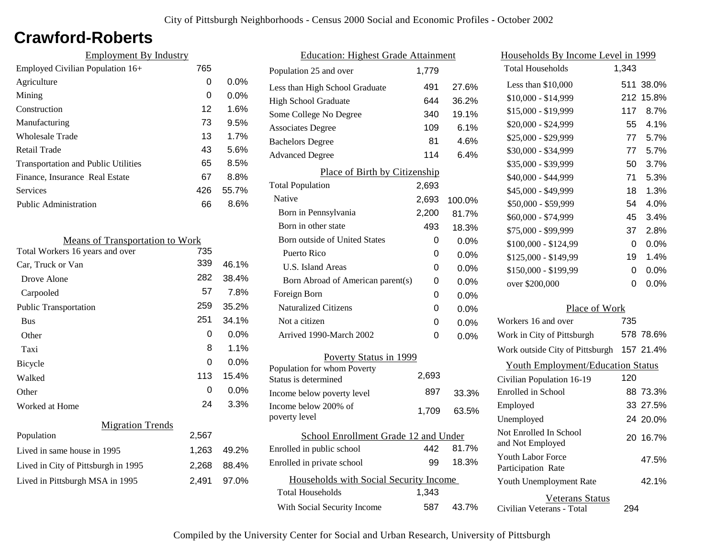### **Crawford-Roberts**

| <b>Employment By Industry</b>              |     |         |
|--------------------------------------------|-----|---------|
| Employed Civilian Population 16+           | 765 |         |
| Agriculture                                | 0   | $0.0\%$ |
| Mining                                     | 0   | $0.0\%$ |
| Construction                               | 12  | 1.6%    |
| Manufacturing                              | 73  | 9.5%    |
| Wholesale Trade                            | 13  | 1.7%    |
| Retail Trade                               | 43  | 5.6%    |
| <b>Transportation and Public Utilities</b> | 65  | 8.5%    |
| Finance, Insurance Real Estate             | 67  | 8.8%    |
| <b>Services</b>                            | 426 | 55.7%   |
| <b>Public Administration</b>               | 66  | 8.6%    |

| <b>Means of Transportation to Work</b> |       |         |
|----------------------------------------|-------|---------|
| Total Workers 16 years and over        | 735   |         |
| Car, Truck or Van                      | 339   | 46.1%   |
| Drove Alone                            | 282   | 38.4%   |
| Carpooled                              | 57    | 7.8%    |
| <b>Public Transportation</b>           | 259   | 35.2%   |
| <b>Bus</b>                             | 251   | 34.1%   |
| Other                                  | 0     | 0.0%    |
| Taxi                                   | 8     | 1.1%    |
| Bicycle                                | 0     | $0.0\%$ |
| Walked                                 | 113   | 15.4%   |
| Other                                  | 0     | $0.0\%$ |
| Worked at Home                         | 24    | 3.3%    |
| <b>Migration Trends</b>                |       |         |
| Population                             | 2,567 |         |
| Lived in same house in 1995            | 1,263 | 49.2%   |
| Lived in City of Pittsburgh in 1995    | 2,268 | 88.4%   |
| Lived in Pittsburgh MSA in 1995        | 2,491 | 97.0%   |

| <b>Education: Highest Grade Attainment</b> |       |         |
|--------------------------------------------|-------|---------|
| Population 25 and over                     | 1,779 |         |
| Less than High School Graduate             | 491   | 27.6%   |
| <b>High School Graduate</b>                | 644   | 36.2%   |
| Some College No Degree                     | 340   | 19.1%   |
| <b>Associates Degree</b>                   | 109   | 6.1%    |
| <b>Bachelors Degree</b>                    | 81    | 4.6%    |
| <b>Advanced Degree</b>                     | 114   | 6.4%    |
| Place of Birth by Citizenship              |       |         |
| <b>Total Population</b>                    | 2,693 |         |
| Native                                     | 2,693 | 100.0%  |
| Born in Pennsylvania                       | 2,200 | 81.7%   |
| Born in other state                        | 493   | 18.3%   |
| <b>Born outside of United States</b>       | 0     | $0.0\%$ |
| Puerto Rico                                | 0     | 0.0%    |
| U.S. Island Areas                          | 0     | 0.0%    |
| Born Abroad of American parent(s)          | 0     | 0.0%    |
| Foreign Born                               | 0     | $0.0\%$ |
| <b>Naturalized Citizens</b>                | 0     | $0.0\%$ |
| Not a citizen                              | 0     | $0.0\%$ |
| Arrived 1990-March 2002                    | 0     | 0.0%    |
| Poverty Status in 1999                     |       |         |
| Population for whom Poverty                | 2,693 |         |
| Status is determined                       |       |         |
| Income below poverty level                 | 897   | 33.3%   |
| Income below 200% of<br>poverty level      | 1,709 | 63.5%   |
| School Enrollment Grade 12 and Under       |       |         |
| Enrolled in public school                  | 442   | 81.7%   |
| Enrolled in private school                 | 99    | 18.3%   |
| Households with Social Security Income     |       |         |
| <b>Total Households</b>                    | 1,343 |         |
| With Social Security Income                | 587   | 43.7%   |

| Households By Income Level in 1999         |       |           |
|--------------------------------------------|-------|-----------|
| <b>Total Households</b>                    | 1,343 |           |
| Less than \$10,000                         | 511   | 38.0%     |
| \$10,000 - \$14,999                        | 212   | 15.8%     |
| \$15,000 - \$19,999                        | 117   | 8.7%      |
| \$20,000 - \$24,999                        | 55    | 4.1%      |
| \$25,000 - \$29,999                        | 77    | 5.7%      |
| \$30,000 - \$34,999                        | 77    | 5.7%      |
| \$35,000 - \$39,999                        | 50    | 3.7%      |
| \$40,000 - \$44,999                        | 71    | 5.3%      |
| \$45,000 - \$49,999                        | 18    | 1.3%      |
| \$50,000 - \$59,999                        | 54    | 4.0%      |
| \$60,000 - \$74,999                        | 45    | 3.4%      |
| \$75,000 - \$99,999                        | 37    | 2.8%      |
| $$100,000 - $124,99$                       | 0     | 0.0%      |
| \$125,000 - \$149,99                       | 19    | 1.4%      |
| \$150,000 - \$199,99                       | 0     | $0.0\%$   |
| over \$200,000                             | 0     | 0.0%      |
| Place of Work                              |       |           |
| Workers 16 and over                        | 735   |           |
| Work in City of Pittsburgh                 |       | 578 78.6% |
| Work outside City of Pittsburgh            |       | 157 21.4% |
| <b>Youth Employment/Education Status</b>   |       |           |
| Civilian Population 16-19                  | 120   |           |
| <b>Enrolled</b> in School                  |       | 88 73.3%  |
| Employed                                   |       | 33 27.5%  |
| Unemployed                                 |       | 24 20.0%  |
| Not Enrolled In School<br>and Not Employed | 20    | 16.7%     |
| Youth Labor Force<br>Participation Rate    |       | 47.5%     |
| Youth Unemployment Rate                    |       | 42.1%     |

Civilian Veterans - Total

Veterans Status

294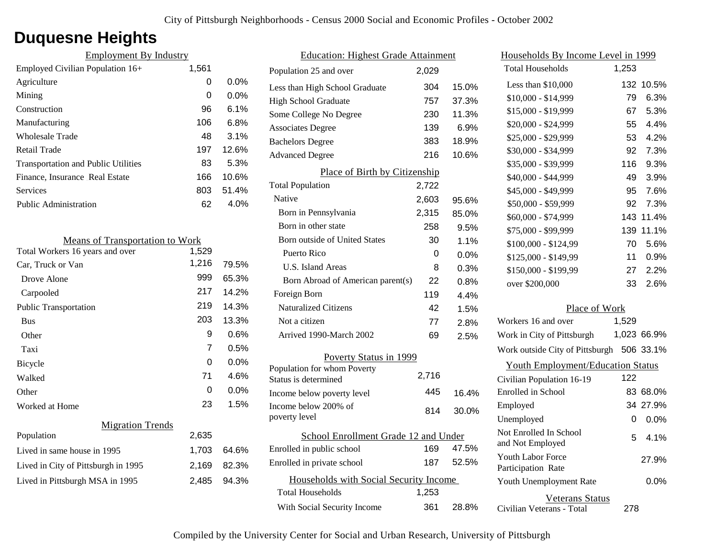## **Duquesne Heights**

| <b>Employment By Industry</b>              |       |         |
|--------------------------------------------|-------|---------|
| Employed Civilian Population 16+           | 1,561 |         |
| Agriculture                                | 0     | $0.0\%$ |
| Mining                                     | 0     | $0.0\%$ |
| Construction                               | 96    | $6.1\%$ |
| Manufacturing                              | 106   | 6.8%    |
| Wholesale Trade                            | 48    | 3.1%    |
| Retail Trade                               | 197   | 12.6%   |
| <b>Transportation and Public Utilities</b> | 83    | 5.3%    |
| Finance, Insurance Real Estate             | 166   | 10.6%   |
| Services                                   | 803   | 51.4%   |
| <b>Public Administration</b>               | 62    | 4.0%    |

| <b>Means of Transportation to Work</b> |       |       |
|----------------------------------------|-------|-------|
| Total Workers 16 years and over        | 1,529 |       |
| Car, Truck or Van                      | 1,216 | 79.5% |
| Drove Alone                            | 999   | 65.3% |
| Carpooled                              | 217   | 14.2% |
| <b>Public Transportation</b>           | 219   | 14.3% |
| <b>Bus</b>                             | 203   | 13.3% |
| Other                                  | 9     | 0.6%  |
| Taxi                                   | 7     | 0.5%  |
| Bicycle                                | 0     | 0.0%  |
| Walked                                 | 71    | 4.6%  |
| Other                                  | 0     | 0.0%  |
| Worked at Home                         | 23    | 1.5%  |
| <b>Migration Trends</b>                |       |       |
| Population                             | 2,635 |       |
| Lived in same house in 1995            | 1,703 | 64.6% |
| Lived in City of Pittsburgh in 1995    | 2,169 | 82.3% |
| Lived in Pittsburgh MSA in 1995        | 2,485 | 94.3% |
|                                        |       |       |

| <b>Education: Highest Grade Attainment</b>         |       |       |
|----------------------------------------------------|-------|-------|
| Population 25 and over                             | 2,029 |       |
| Less than High School Graduate                     | 304   | 15.0% |
| <b>High School Graduate</b>                        | 757   | 37.3% |
| Some College No Degree                             | 230   | 11.3% |
| <b>Associates Degree</b>                           | 139   | 6.9%  |
| <b>Bachelors Degree</b>                            | 383   | 18.9% |
| <b>Advanced Degree</b>                             | 216   | 10.6% |
| Place of Birth by Citizenship                      |       |       |
| <b>Total Population</b>                            | 2,722 |       |
| Native                                             | 2,603 | 95.6% |
| Born in Pennsylvania                               | 2,315 | 85.0% |
| Born in other state                                | 258   | 9.5%  |
| <b>Born outside of United States</b>               | 30    | 1.1%  |
| Puerto Rico                                        | 0     | 0.0%  |
| U.S. Island Areas                                  | 8     | 0.3%  |
| Born Abroad of American parent(s)                  | 22    | 0.8%  |
| Foreign Born                                       | 119   | 4.4%  |
| <b>Naturalized Citizens</b>                        | 42    | 1.5%  |
| Not a citizen                                      | 77    | 2.8%  |
| Arrived 1990-March 2002                            | 69    | 2.5%  |
| Poverty Status in 1999                             |       |       |
| Population for whom Poverty                        | 2,716 |       |
| Status is determined                               | 445   |       |
| Income below poverty level<br>Income below 200% of |       | 16.4% |
| poverty level                                      | 814   | 30.0% |
| School Enrollment Grade 12 and Under               |       |       |
| Enrolled in public school                          | 169   | 47.5% |
| Enrolled in private school                         | 187   | 52.5% |
|                                                    |       |       |
| Households with Social Security Income             |       |       |
| <b>Total Households</b>                            | 1,253 |       |
| With Social Security Income                        | 361   | 28.8% |

| <u>Households By Income Level in 1999</u>  |       |             |
|--------------------------------------------|-------|-------------|
| <b>Total Households</b>                    | 1,253 |             |
| Less than $$10,000$                        | 132   | 10.5%       |
| \$10,000 - \$14,999                        | 79    | 6.3%        |
| \$15,000 - \$19,999                        | 67    | 5.3%        |
| \$20,000 - \$24,999                        | 55    | 4.4%        |
| \$25,000 - \$29,999                        | 53    | 4.2%        |
| \$30,000 - \$34,999                        | 92    | 7.3%        |
| \$35,000 - \$39,999                        | 116   | 9.3%        |
| \$40,000 - \$44,999                        | 49    | 3.9%        |
| \$45,000 - \$49,999                        | 95    | 7.6%        |
| \$50,000 - \$59,999                        | 92    | 7.3%        |
| \$60,000 - \$74,999                        | 143   | 11.4%       |
| \$75,000 - \$99,999                        | 139   | 11.1%       |
| \$100,000 - \$124,99                       | 70    | 5.6%        |
| \$125,000 - \$149,99                       | 11    | 0.9%        |
| \$150,000 - \$199,99                       | 27    | 2.2%        |
| over \$200,000                             | 33    | 2.6%        |
| Place of Work                              |       |             |
| Workers 16 and over                        | 1,529 |             |
| Work in City of Pittsburgh                 |       | 1,023 66.9% |
| Work outside City of Pittsburgh 506 33.1%  |       |             |
| <b>Youth Employment/Education Status</b>   |       |             |
| Civilian Population 16-19                  | 122   |             |
| <b>Enrolled</b> in School                  |       | 83 68.0%    |
| Employed                                   |       | 34 27.9%    |
| Unemployed                                 | 0     | $0.0\%$     |
| Not Enrolled In School<br>and Not Employed | 5     | 4.1%        |
| Youth Labor Force<br>Participation Rate    |       | 27.9%       |
| Youth Unemployment Rate                    |       | 0.0%        |
| <b>Veterans Status</b>                     |       |             |

Civilian Veterans - Total

278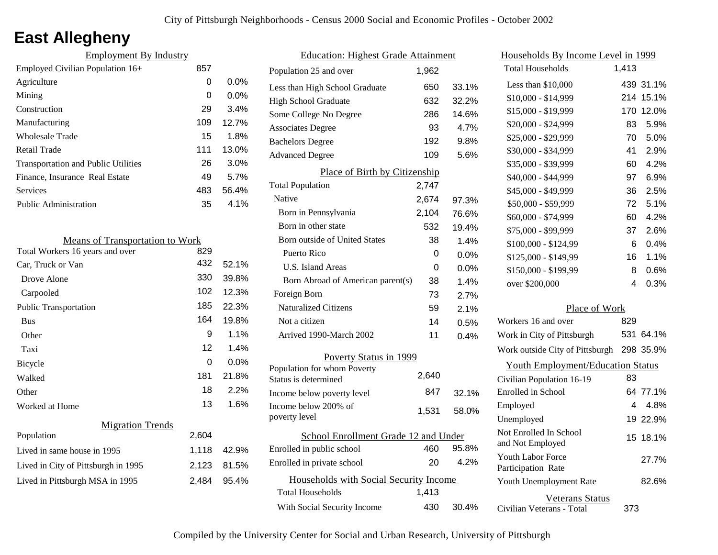# **East Allegheny**

| <b>Employment By Industry</b>              |     |         |
|--------------------------------------------|-----|---------|
| Employed Civilian Population 16+           | 857 |         |
| Agriculture                                | 0   | $0.0\%$ |
| Mining                                     | 0   | $0.0\%$ |
| Construction                               | 29  | 3.4%    |
| Manufacturing                              | 109 | 12.7%   |
| <b>Wholesale Trade</b>                     | 15  | 1.8%    |
| Retail Trade                               | 111 | 13.0%   |
| <b>Transportation and Public Utilities</b> | 26  | 3.0%    |
| Finance, Insurance Real Estate             | 49  | 5.7%    |
| Services                                   | 483 | 56.4%   |
| Public Administration                      | 35  | 4.1%    |
|                                            |     |         |

| <b>Means of Transportation to Work</b> |       |       |
|----------------------------------------|-------|-------|
| Total Workers 16 years and over        | 829   |       |
| Car, Truck or Van                      | 432   | 52.1% |
| Drove Alone                            | 330   | 39.8% |
| Carpooled                              | 102   | 12.3% |
| <b>Public Transportation</b>           | 185   | 22.3% |
| <b>Bus</b>                             | 164   | 19.8% |
| Other                                  | 9     | 1.1%  |
| Taxi                                   | 12    | 1.4%  |
| Bicycle                                | 0     | 0.0%  |
| Walked                                 | 181   | 21.8% |
| Other                                  | 18    | 2.2%  |
| Worked at Home                         | 13    | 1.6%  |
| <b>Migration Trends</b>                |       |       |
| Population                             | 2,604 |       |
| Lived in same house in 1995            | 1,118 | 42.9% |
| Lived in City of Pittsburgh in 1995    | 2,123 | 81.5% |
| Lived in Pittsburgh MSA in 1995        | 2,484 | 95.4% |
|                                        |       |       |

| <b>Education: Highest Grade Attainment</b> |       |         |
|--------------------------------------------|-------|---------|
| Population 25 and over                     | 1,962 |         |
| Less than High School Graduate             | 650   | 33.1%   |
| <b>High School Graduate</b>                | 632   | 32.2%   |
| Some College No Degree                     | 286   | 14.6%   |
| <b>Associates Degree</b>                   | 93    | 4.7%    |
| <b>Bachelors Degree</b>                    | 192   | 9.8%    |
| <b>Advanced Degree</b>                     | 109   | 5.6%    |
| Place of Birth by Citizenship              |       |         |
| <b>Total Population</b>                    | 2,747 |         |
| Native                                     | 2,674 | 97.3%   |
| Born in Pennsylvania                       | 2,104 | 76.6%   |
| Born in other state                        | 532   | 19.4%   |
| <b>Born outside of United States</b>       | 38    | 1.4%    |
| Puerto Rico                                | 0     | $0.0\%$ |
| U.S. Island Areas                          | 0     | 0.0%    |
| Born Abroad of American parent(s)          | 38    | 1.4%    |
| Foreign Born                               | 73    | 2.7%    |
| <b>Naturalized Citizens</b>                | 59    | 2.1%    |
| Not a citizen                              | 14    | 0.5%    |
| Arrived 1990-March 2002                    | 11    | 0.4%    |
| Poverty Status in 1999                     |       |         |
| Population for whom Poverty                | 2,640 |         |
| Status is determined                       |       |         |
| Income below poverty level                 | 847   | 32.1%   |
| Income below 200% of<br>poverty level      | 1,531 | 58.0%   |
| School Enrollment Grade 12 and Under       |       |         |
| Enrolled in public school                  | 460   | 95.8%   |
| Enrolled in private school                 | 20    | 4.2%    |
| Households with Social Security Income     |       |         |
| <b>Total Households</b>                    | 1,413 |         |
| With Social Security Income                | 430   | 30.4%   |

| <u>Households By Income Level in 1999</u>  |       |           |
|--------------------------------------------|-------|-----------|
| <b>Total Households</b>                    | 1,413 |           |
| Less than \$10,000                         |       | 439 31.1% |
| \$10,000 - \$14,999                        | 214   | 15.1%     |
| \$15,000 - \$19,999                        | 170   | 12.0%     |
| \$20,000 - \$24,999                        | 83    | 5.9%      |
| \$25,000 - \$29,999                        | 70    | 5.0%      |
| \$30,000 - \$34,999                        | 41    | 2.9%      |
| \$35,000 - \$39,999                        | 60    | 4.2%      |
| \$40,000 - \$44,999                        | 97    | 6.9%      |
| \$45,000 - \$49,999                        | 36    | 2.5%      |
| \$50,000 - \$59,999                        | 72    | 5.1%      |
| \$60,000 - \$74,999                        | 60    | 4.2%      |
| \$75,000 - \$99,999                        | 37    | 2.6%      |
| \$100,000 - \$124,99                       | 6     | 0.4%      |
| \$125,000 - \$149,99                       | 16    | 1.1%      |
| \$150,000 - \$199,99                       | 8     | 0.6%      |
| over \$200,000                             | 4     | 0.3%      |
| Place of Work                              |       |           |
| Workers 16 and over                        | 829   |           |
| Work in City of Pittsburgh                 |       | 531 64.1% |
| Work outside City of Pittsburgh 298 35.9%  |       |           |
| <b>Youth Employment/Education Status</b>   |       |           |
| Civilian Population 16-19                  | 83    |           |
| Enrolled in School                         |       | 64 77.1%  |
| Employed                                   | 4     | 4.8%      |
| Unemployed                                 |       | 19 22.9%  |
| Not Enrolled In School<br>and Not Employed | 15    | 18.1%     |
| Youth Labor Force<br>Participation Rate    |       | 27.7%     |
| Youth Unemployment Rate                    |       | 82.6%     |
| Veterans Status                            |       |           |

Civilian Veterans - Total

373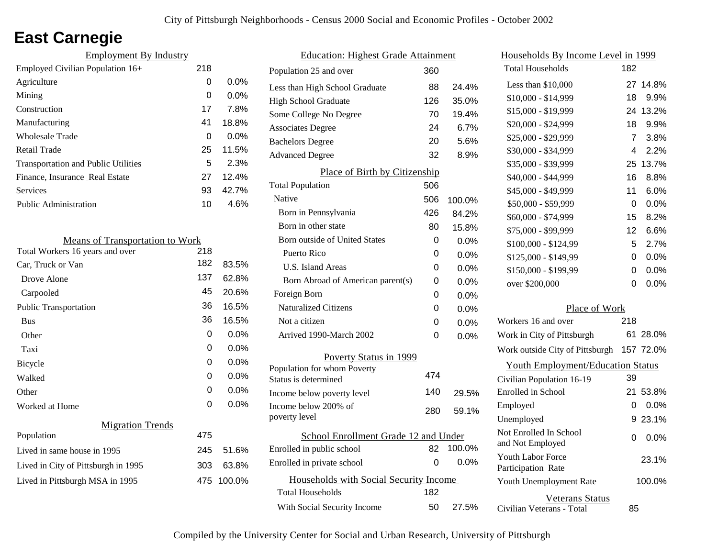# **East Carnegie**

| <b>Employment By Industry</b>              |     |         |
|--------------------------------------------|-----|---------|
| Employed Civilian Population 16+           | 218 |         |
| Agriculture                                | 0   | $0.0\%$ |
| Mining                                     | 0   | $0.0\%$ |
| Construction                               | 17  | 7.8%    |
| Manufacturing                              | 41  | 18.8%   |
| Wholesale Trade                            | 0   | $0.0\%$ |
| Retail Trade                               | 25  | 11.5%   |
| <b>Transportation and Public Utilities</b> | 5   | 2.3%    |
| Finance, Insurance Real Estate             | 27  | 12.4%   |
| Services                                   | 93  | 42.7%   |
| Public Administration                      | 10  | 4.6%    |

| <b>Means of Transportation to Work</b> |     |         |
|----------------------------------------|-----|---------|
| Total Workers 16 years and over        | 218 |         |
| Car, Truck or Van                      | 182 | 83.5%   |
| Drove Alone                            | 137 | 62.8%   |
| Carpooled                              | 45  | 20.6%   |
| <b>Public Transportation</b>           | 36  | 16.5%   |
| <b>Bus</b>                             | 36  | 16.5%   |
| Other                                  | 0   | $0.0\%$ |
| Taxi                                   | 0   | 0.0%    |
| Bicycle                                | 0   | 0.0%    |
| Walked                                 | 0   | $0.0\%$ |
| Other                                  | 0   | $0.0\%$ |
| Worked at Home                         | 0   | 0.0%    |
| <b>Migration Trends</b>                |     |         |
| Population                             | 475 |         |
| Lived in same house in 1995            | 245 | 51.6%   |
| Lived in City of Pittsburgh in 1995    | 303 | 63.8%   |
| Lived in Pittsburgh MSA in 1995        | 475 | 100.0%  |
|                                        |     |         |

| <b>Education: Highest Grade Attainment</b>          |     |         |  |
|-----------------------------------------------------|-----|---------|--|
| Population 25 and over                              | 360 |         |  |
| Less than High School Graduate                      | 88  | 24.4%   |  |
| High School Graduate                                | 126 | 35.0%   |  |
| Some College No Degree                              | 70  | 19.4%   |  |
| <b>Associates Degree</b>                            | 24  | 6.7%    |  |
| <b>Bachelors Degree</b>                             | 20  | 5.6%    |  |
| <b>Advanced Degree</b>                              | 32  | 8.9%    |  |
| Place of Birth by Citizenship                       |     |         |  |
| <b>Total Population</b>                             | 506 |         |  |
| Native                                              | 506 | 100.0%  |  |
| Born in Pennsylvania                                | 426 | 84.2%   |  |
| Born in other state                                 | 80  | 15.8%   |  |
| Born outside of United States                       | 0   | 0.0%    |  |
| Puerto Rico                                         | 0   | 0.0%    |  |
| U.S. Island Areas                                   | 0   | 0.0%    |  |
| Born Abroad of American parent(s)                   | 0   | 0.0%    |  |
| Foreign Born                                        | U   | $0.0\%$ |  |
| <b>Naturalized Citizens</b>                         | 0   | 0.0%    |  |
| Not a citizen                                       | 0   | 0.0%    |  |
| Arrived 1990-March 2002                             | 0   | $0.0\%$ |  |
| Poverty Status in 1999                              |     |         |  |
| Population for whom Poverty<br>Status is determined | 474 |         |  |
| Income below poverty level                          | 140 | 29.5%   |  |
| Income below 200% of<br>poverty level               | 280 | 59.1%   |  |
| School Enrollment Grade 12 and Under                |     |         |  |
| Enrolled in public school                           | 82  | 100.0%  |  |
| Enrolled in private school                          | 0   | $0.0\%$ |  |
|                                                     |     |         |  |
| Households with Social Security Income              |     |         |  |
| <b>Total Households</b>                             | 182 |         |  |
| With Social Security Income                         | 50  | 27.5%   |  |

| Households By Income Level in 1999             |                |           |
|------------------------------------------------|----------------|-----------|
| <b>Total Households</b>                        | 182            |           |
| Less than \$10,000                             |                | 27 14.8%  |
| \$10,000 - \$14,999                            | 18             | 9.9%      |
| \$15,000 - \$19,999                            | 24             | 13.2%     |
| \$20,000 - \$24,999                            | 18             | 9.9%      |
| \$25,000 - \$29,999                            | $\overline{7}$ | 3.8%      |
| \$30,000 - \$34,999                            | 4              | 2.2%      |
| \$35,000 - \$39,999                            | 25             | 13.7%     |
| \$40,000 - \$44,999                            | 16             | 8.8%      |
| \$45,000 - \$49,999                            | 11             | 6.0%      |
| \$50,000 - \$59,999                            | 0              | 0.0%      |
| \$60,000 - \$74,999                            | 15             | 8.2%      |
| \$75,000 - \$99,999                            | 12             | 6.6%      |
| \$100,000 - \$124,99                           | 5              | 2.7%      |
| \$125,000 - \$149,99                           | 0              | $0.0\%$   |
| \$150,000 - \$199,99                           | 0              | 0.0%      |
| over \$200,000                                 | 0              | 0.0%      |
| Place of Work                                  |                |           |
| Workers 16 and over                            | 218            |           |
| Work in City of Pittsburgh                     | 61             | 28.0%     |
| Work outside City of Pittsburgh                |                | 157 72.0% |
| <b>Youth Employment/Education Status</b>       |                |           |
| Civilian Population 16-19                      | 39             |           |
| Enrolled in School                             | 21             | 53.8%     |
| Employed                                       | 0              | 0.0%      |
| Unemployed                                     | 9              | 23.1%     |
| Not Enrolled In School<br>and Not Employed     | 0              | $0.0\%$   |
| <b>Youth Labor Force</b><br>Participation Rate |                | 23.1%     |
| Youth Unemployment Rate                        |                | 100.0%    |
| <b>Veterans Status</b>                         |                |           |

Civilian Veterans - Total

85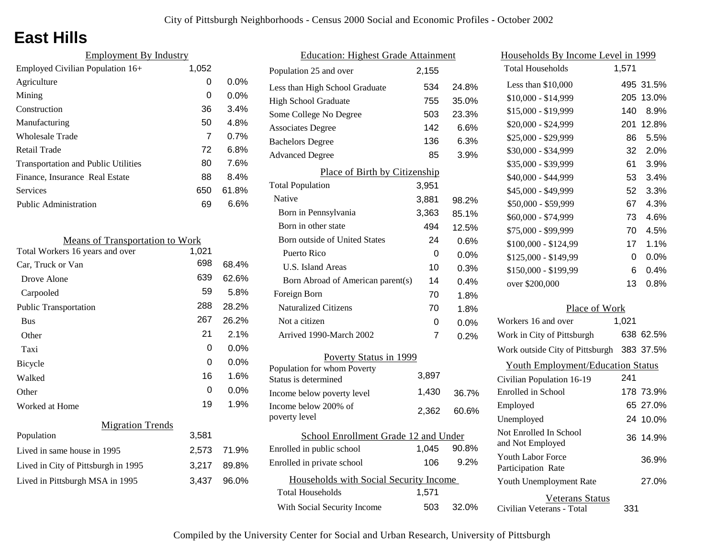## **East Hills**

| <b>Employment By Industry</b>              |       |         |
|--------------------------------------------|-------|---------|
| Employed Civilian Population 16+           | 1,052 |         |
| Agriculture                                | 0     | $0.0\%$ |
| Mining                                     | 0     | $0.0\%$ |
| Construction                               | 36    | 3.4%    |
| Manufacturing                              | 50    | 4.8%    |
| Wholesale Trade                            | 7     | 0.7%    |
| Retail Trade                               | 72    | 6.8%    |
| <b>Transportation and Public Utilities</b> | 80    | 7.6%    |
| Finance, Insurance Real Estate             | 88    | 8.4%    |
| Services                                   | 650   | 61.8%   |
| Public Administration                      | 69    | 6.6%    |

| <b>Means of Transportation to Work</b> |       |         |
|----------------------------------------|-------|---------|
| Total Workers 16 years and over        | 1,021 |         |
| Car, Truck or Van                      | 698   | 68.4%   |
| Drove Alone                            | 639   | 62.6%   |
| Carpooled                              | 59    | 5.8%    |
| <b>Public Transportation</b>           | 288   | 28.2%   |
| <b>Bus</b>                             | 267   | 26.2%   |
| Other                                  | 21    | 2.1%    |
| Taxi                                   | 0     | $0.0\%$ |
| <b>Bicycle</b>                         | 0     | 0.0%    |
| Walked                                 | 16    | 1.6%    |
| Other                                  | 0     | 0.0%    |
| Worked at Home                         | 19    | 1.9%    |
| <b>Migration Trends</b>                |       |         |
| Population                             | 3,581 |         |
| Lived in same house in 1995            | 2,573 | 71.9%   |
| Lived in City of Pittsburgh in 1995    | 3,217 | 89.8%   |
| Lived in Pittsburgh MSA in 1995        | 3,437 | 96.0%   |
|                                        |       |         |

| <b>Education: Highest Grade Attainment</b>          |       |         |
|-----------------------------------------------------|-------|---------|
| Population 25 and over                              | 2,155 |         |
| Less than High School Graduate                      | 534   | 24.8%   |
| <b>High School Graduate</b>                         | 755   | 35.0%   |
| Some College No Degree                              | 503   | 23.3%   |
| <b>Associates Degree</b>                            | 142   | 6.6%    |
| <b>Bachelors Degree</b>                             | 136   | 6.3%    |
| <b>Advanced Degree</b>                              | 85    | 3.9%    |
| Place of Birth by Citizenship                       |       |         |
| <b>Total Population</b>                             | 3,951 |         |
| Native                                              | 3,881 | 98.2%   |
| Born in Pennsylvania                                | 3,363 | 85.1%   |
| Born in other state                                 | 494   | 12.5%   |
| <b>Born outside of United States</b>                | 24    | 0.6%    |
| Puerto Rico                                         | 0     | 0.0%    |
| <b>U.S. Island Areas</b>                            | 10    | 0.3%    |
| Born Abroad of American parent(s)                   | 14    | 0.4%    |
| Foreign Born                                        | 70    | 1.8%    |
| <b>Naturalized Citizens</b>                         | 70    | 1.8%    |
| Not a citizen                                       | 0     | $0.0\%$ |
| Arrived 1990-March 2002                             | 7     | 0.2%    |
| Poverty Status in 1999                              |       |         |
| Population for whom Poverty<br>Status is determined | 3,897 |         |
| Income below poverty level                          | 1,430 | 36.7%   |
| Income below 200% of<br>poverty level               | 2,362 | 60.6%   |
| School Enrollment Grade 12 and Under                |       |         |
| Enrolled in public school                           | 1,045 | 90.8%   |
| Enrolled in private school                          | 106   | 9.2%    |
| Households with Social Security Income              |       |         |
| <b>Total Households</b>                             | 1,571 |         |
| With Social Security Income                         | 503   | 32.0%   |

| Households By Income Level in 1999                  |       |           |
|-----------------------------------------------------|-------|-----------|
| <b>Total Households</b>                             | 1,571 |           |
| Less than \$10,000                                  | 495   | 31.5%     |
| \$10,000 - \$14,999                                 | 205   | 13.0%     |
| \$15,000 - \$19,999                                 | 140   | 8.9%      |
| \$20,000 - \$24,999                                 | 201   | 12.8%     |
| \$25,000 - \$29,999                                 | 86    | 5.5%      |
| \$30,000 - \$34,999                                 | 32    | 2.0%      |
| \$35,000 - \$39,999                                 | 61    | 3.9%      |
| \$40,000 - \$44,999                                 | 53    | 3.4%      |
| \$45,000 - \$49,999                                 | 52    | 3.3%      |
| \$50,000 - \$59,999                                 | 67    | 4.3%      |
| \$60,000 - \$74,999                                 | 73    | 4.6%      |
| \$75,000 - \$99,999                                 | 70    | 4.5%      |
| \$100,000 - \$124,99                                | 17    | 1.1%      |
| \$125,000 - \$149,99                                | 0     | 0.0%      |
| \$150,000 - \$199,99                                | 6     | 0.4%      |
| over \$200,000                                      | 13    | 0.8%      |
| Place of Work                                       |       |           |
| Workers 16 and over                                 | 1,021 |           |
| Work in City of Pittsburgh                          |       | 638 62.5% |
| Work outside City of Pittsburgh                     |       | 383 37.5% |
| <b>Youth Employment/Education Status</b>            |       |           |
| Civilian Population 16-19                           | 241   |           |
| Enrolled in School                                  |       | 178 73.9% |
| Employed                                            |       | 65 27.0%  |
| Unemployed                                          |       | 24 10.0%  |
| Not Enrolled In School<br>and Not Employed          | 36    | 14.9%     |
| <b>Youth Labor Force</b><br>Participation Rate      |       | 36.9%     |
| Youth Unemployment Rate                             |       | 27.0%     |
| <b>Veterans Status</b><br>Civilian Veterans - Total | 331   |           |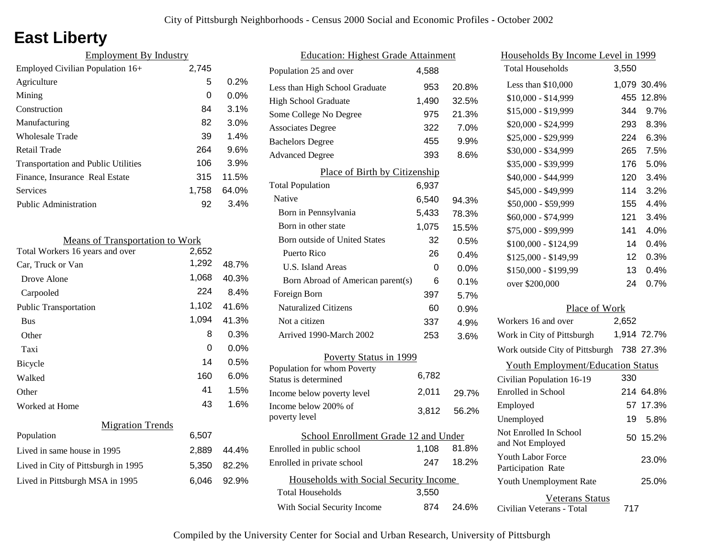## **East Liberty**

| <b>Employment By Industry</b>              |       |         |
|--------------------------------------------|-------|---------|
| Employed Civilian Population 16+           | 2,745 |         |
| Agriculture                                | 5     | 0.2%    |
| Mining                                     | 0     | $0.0\%$ |
| Construction                               | 84    | 3.1%    |
| Manufacturing                              | 82    | 3.0%    |
| Wholesale Trade                            | 39    | 1.4%    |
| Retail Trade                               | 264   | 9.6%    |
| <b>Transportation and Public Utilities</b> | 106   | 3.9%    |
| Finance, Insurance Real Estate             | 315   | 11.5%   |
| Services                                   | 1.758 | 64.0%   |
| <b>Public Administration</b>               | 92    | 3.4%    |

| <b>Means of Transportation to Work</b> |       |         |
|----------------------------------------|-------|---------|
| Total Workers 16 years and over        | 2,652 |         |
| Car, Truck or Van                      | 1,292 | 48.7%   |
| Drove Alone                            | 1,068 | 40.3%   |
| Carpooled                              | 224   | 8.4%    |
| <b>Public Transportation</b>           | 1,102 | 41.6%   |
| <b>Bus</b>                             | 1,094 | 41.3%   |
| Other                                  | 8     | 0.3%    |
| Taxi                                   | 0     | $0.0\%$ |
| Bicycle                                | 14    | 0.5%    |
| Walked                                 | 160   | 6.0%    |
| Other                                  | 41    | 1.5%    |
| Worked at Home                         | 43    | 1.6%    |
| <b>Migration Trends</b>                |       |         |
| Population                             | 6,507 |         |
| Lived in same house in 1995            | 2,889 | 44.4%   |
| Lived in City of Pittsburgh in 1995    | 5,350 | 82.2%   |
| Lived in Pittsburgh MSA in 1995        | 6,046 | 92.9%   |
|                                        |       |         |

| <b>Education: Highest Grade Attainment</b>          |       |         |
|-----------------------------------------------------|-------|---------|
| Population 25 and over                              | 4,588 |         |
| Less than High School Graduate                      | 953   | 20.8%   |
| <b>High School Graduate</b>                         | 1,490 | 32.5%   |
| Some College No Degree                              | 975   | 21.3%   |
| <b>Associates Degree</b>                            | 322   | 7.0%    |
| <b>Bachelors Degree</b>                             | 455   | 9.9%    |
| <b>Advanced Degree</b>                              | 393   | 8.6%    |
| Place of Birth by Citizenship                       |       |         |
| <b>Total Population</b>                             | 6,937 |         |
| Native                                              | 6,540 | 94.3%   |
| Born in Pennsylvania                                | 5,433 | 78.3%   |
| Born in other state                                 | 1,075 | 15.5%   |
| Born outside of United States                       | 32    | 0.5%    |
| Puerto Rico                                         | 26    | 0.4%    |
| U.S. Island Areas                                   | 0     | $0.0\%$ |
| Born Abroad of American parent(s)                   | 6     | 0.1%    |
| Foreign Born                                        | 397   | 5.7%    |
| <b>Naturalized Citizens</b>                         | 60    | $0.9\%$ |
| Not a citizen                                       | 337   | 4.9%    |
| Arrived 1990-March 2002                             | 253   | 3.6%    |
| Poverty Status in 1999                              |       |         |
| Population for whom Poverty<br>Status is determined | 6,782 |         |
| Income below poverty level                          | 2,011 | 29.7%   |
| Income below 200% of<br>poverty level               | 3,812 | 56.2%   |
|                                                     |       |         |
| School Enrollment Grade 12 and Under                |       |         |
| Enrolled in public school                           | 1,108 | 81.8%   |
| Enrolled in private school                          | 247   | 18.2%   |
| Households with Social Security Income              |       |         |
| <b>Total Households</b>                             | 3,550 |         |
| With Social Security Income                         | 874   | 24.6%   |

| Households By Income Level in 1999        |                  |             |
|-------------------------------------------|------------------|-------------|
| <b>Total Households</b>                   | 3,550            |             |
| Less than \$10,000                        |                  | 1,079 30.4% |
| $$10,000 - $14,999$                       |                  | 455 12.8%   |
| \$15,000 - \$19,999                       | 344              | 9.7%        |
| \$20,000 - \$24,999                       | 293              | 8.3%        |
| \$25,000 - \$29,999                       | 224              | 6.3%        |
| \$30,000 - \$34,999                       | 265              | 7.5%        |
| \$35,000 - \$39,999                       | 176              | 5.0%        |
| \$40,000 - \$44,999                       | 120              | 3.4%        |
| \$45,000 - \$49,999                       | 114              | 3.2%        |
| \$50,000 - \$59,999                       | 155              | 4.4%        |
| \$60,000 - \$74,999                       | 121              | 3.4%        |
| \$75,000 - \$99,999                       | 141              | 4.0%        |
| \$100,000 - \$124,99                      | 14               | 0.4%        |
| \$125,000 - \$149,99                      | 12 <sup>12</sup> | 0.3%        |
| \$150,000 - \$199,99                      | 13 <sup>13</sup> | 0.4%        |
| over \$200,000                            | 24               | 0.7%        |
| Place of Work                             |                  |             |
| Workers 16 and over                       | 2,652            |             |
| Work in City of Pittsburgh                |                  | 1,914 72.7% |
| Work outside City of Pittsburgh 738 27.3% |                  |             |
| <b>Youth Employment/Education Status</b>  |                  |             |
| Civilian Population 16-19                 | 330              |             |
| Enrolled in School                        |                  | 214 64.8%   |
| Employed                                  |                  | 57 17.3%    |

| Youth Unemployment Rate   |     |
|---------------------------|-----|
| Veterans Status           |     |
| Civilian Veterans - Total | 717 |

Not Embreu in School<br>and Not Employed 50 15.2%

19 5.8%

25.0%

23.0%

Unemployed

Youth Labor Force Participation Rate

Not Enrolled In School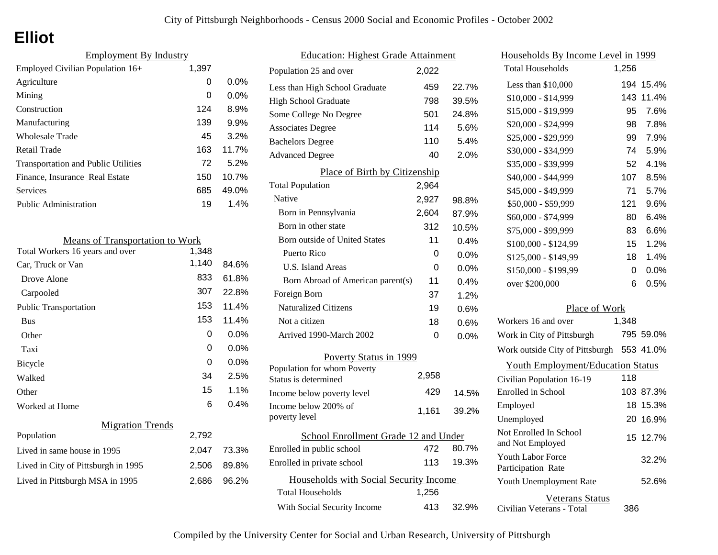# **Elliot**

| <b>Employment By Industry</b>              |       |         |
|--------------------------------------------|-------|---------|
| Employed Civilian Population 16+           | 1,397 |         |
| Agriculture                                | 0     | $0.0\%$ |
| Mining                                     | 0     | $0.0\%$ |
| Construction                               | 124   | 8.9%    |
| Manufacturing                              | 139   | 9.9%    |
| Wholesale Trade                            | 45    | 3.2%    |
| Retail Trade                               | 163   | 11.7%   |
| <b>Transportation and Public Utilities</b> | 72    | 5.2%    |
| Finance, Insurance Real Estate             | 150   | 10.7%   |
| Services                                   | 685   | 49.0%   |
| Public Administration                      | 19    | 1.4%    |

| <b>Means of Transportation to Work</b> |       |         |
|----------------------------------------|-------|---------|
| Total Workers 16 years and over        | 1,348 |         |
| Car, Truck or Van                      | 1,140 | 84.6%   |
| Drove Alone                            | 833   | 61.8%   |
| Carpooled                              | 307   | 22.8%   |
| <b>Public Transportation</b>           | 153   | 11.4%   |
| <b>Bus</b>                             | 153   | 11.4%   |
| Other                                  | 0     | 0.0%    |
| Taxi                                   | 0     | $0.0\%$ |
| Bicycle                                | 0     | 0.0%    |
| Walked                                 | 34    | 2.5%    |
| Other                                  | 15    | 1.1%    |
| Worked at Home                         | 6     | 0.4%    |
| <b>Migration Trends</b>                |       |         |
| Population                             | 2,792 |         |
| Lived in same house in 1995            | 2,047 | 73.3%   |
| Lived in City of Pittsburgh in 1995    | 2.506 | 89.8%   |
| Lived in Pittsburgh MSA in 1995        | 2,686 | 96.2%   |

| <b>Education: Highest Grade Attainment</b>          |       |         |
|-----------------------------------------------------|-------|---------|
| Population 25 and over                              | 2,022 |         |
| Less than High School Graduate                      | 459   | 22.7%   |
| <b>High School Graduate</b>                         | 798   | 39.5%   |
| Some College No Degree                              | 501   | 24.8%   |
| <b>Associates Degree</b>                            | 114   | 5.6%    |
| <b>Bachelors Degree</b>                             | 110   | 5.4%    |
| <b>Advanced Degree</b>                              | 40    | 2.0%    |
| Place of Birth by Citizenship                       |       |         |
| <b>Total Population</b>                             | 2,964 |         |
| Native                                              | 2,927 | 98.8%   |
| Born in Pennsylvania                                | 2,604 | 87.9%   |
| Born in other state                                 | 312   | 10.5%   |
| <b>Born outside of United States</b>                | 11    | 0.4%    |
| Puerto Rico                                         | 0     | $0.0\%$ |
| U.S. Island Areas                                   | 0     | $0.0\%$ |
| Born Abroad of American parent(s)                   | 11    | $0.4\%$ |
| Foreign Born                                        | 37    | 1.2%    |
| <b>Naturalized Citizens</b>                         | 19    | 0.6%    |
| Not a citizen                                       | 18    | 0.6%    |
| Arrived 1990-March 2002                             | 0     | $0.0\%$ |
| Poverty Status in 1999                              |       |         |
| Population for whom Poverty<br>Status is determined | 2,958 |         |
| Income below poverty level                          | 429   | 14.5%   |
| Income below 200% of                                |       |         |
| poverty level                                       | 1,161 | 39.2%   |
| School Enrollment Grade 12 and Under                |       |         |
| Enrolled in public school                           | 472   | 80.7%   |
| Enrolled in private school                          | 113   | 19.3%   |
| Households with Social Security Income              |       |         |
| <b>Total Households</b>                             | 1,256 |         |
| With Social Security Income                         | 413   | 32.9%   |

| <u>Households By Income Level in 1999</u>      |       |           |
|------------------------------------------------|-------|-----------|
| <b>Total Households</b>                        | 1,256 |           |
| Less than \$10,000                             | 194   | 15.4%     |
| $$10,000 - $14,999$                            | 143   | 11.4%     |
| \$15,000 - \$19,999                            | 95    | 7.6%      |
| \$20,000 - \$24,999                            | 98    | 7.8%      |
| \$25,000 - \$29,999                            | 99    | 7.9%      |
| \$30,000 - \$34,999                            | 74    | 5.9%      |
| \$35,000 - \$39,999                            | 52    | 4.1%      |
| \$40,000 - \$44,999                            | 107   | 8.5%      |
| \$45,000 - \$49,999                            | 71    | 5.7%      |
| \$50,000 - \$59,999                            | 121   | 9.6%      |
| \$60,000 - \$74,999                            | 80    | 6.4%      |
| \$75,000 - \$99,999                            | 83    | 6.6%      |
| \$100,000 - \$124,99                           | 15    | 1.2%      |
| \$125,000 - \$149,99                           | 18    | 1.4%      |
| \$150,000 - \$199,99                           | 0     | 0.0%      |
| over \$200,000                                 | 6     | 0.5%      |
| Place of Work                                  |       |           |
| Workers 16 and over                            | 1,348 |           |
| Work in City of Pittsburgh                     |       | 795 59.0% |
| Work outside City of Pittsburgh                |       | 553 41.0% |
| <b>Youth Employment/Education Status</b>       |       |           |
| Civilian Population 16-19                      | 118   |           |
| Enrolled in School                             |       | 103 87.3% |
| Employed                                       |       | 18 15.3%  |
| Unemployed                                     | 20    | 16.9%     |
| Not Enrolled In School<br>and Not Employed     |       | 15 12.7%  |
| <b>Youth Labor Force</b><br>Participation Rate |       | 32.2%     |
| Youth Unemployment Rate                        |       | 52.6%     |
| Veterans Status                                |       |           |

Civilian Veterans - Total

386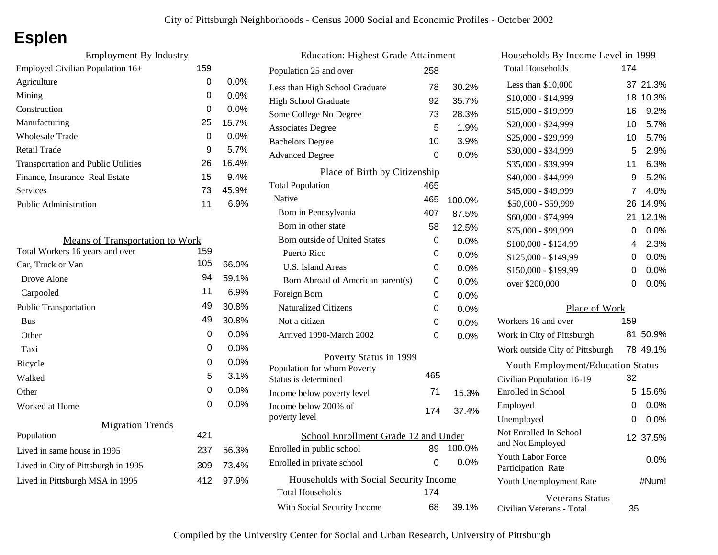# **Esplen**

| 159 |         |
|-----|---------|
| 0   | $0.0\%$ |
| 0   | $0.0\%$ |
| 0   | 0.0%    |
| 25  | 15.7%   |
| 0   | $0.0\%$ |
| 9   | 5.7%    |
| 26  | 16.4%   |
| 15  | 9.4%    |
| 73  | 45.9%   |
| 11  | 6.9%    |
|     |         |

| <b>Means of Transportation to Work</b> |     |         |
|----------------------------------------|-----|---------|
| Total Workers 16 years and over        | 159 |         |
| Car, Truck or Van                      | 105 | 66.0%   |
| Drove Alone                            | 94  | 59.1%   |
| Carpooled                              | 11  | $6.9\%$ |
| Public Transportation                  | 49  | 30.8%   |
| <b>Bus</b>                             | 49  | 30.8%   |
| Other                                  | 0   | $0.0\%$ |
| Taxi                                   | 0   | $0.0\%$ |
| Bicycle                                | 0   | $0.0\%$ |
| Walked                                 | 5   | 3.1%    |
| Other                                  | 0   | $0.0\%$ |
| Worked at Home                         | 0   | 0.0%    |
| <b>Migration Trends</b>                |     |         |
| Population                             | 421 |         |
| Lived in same house in 1995            | 237 | 56.3%   |
| Lived in City of Pittsburgh in 1995    | 309 | 73.4%   |
| Lived in Pittsburgh MSA in 1995        | 412 | 97.9%   |
|                                        |     |         |

| <b>Education: Highest Grade Attainment</b> |     |        |
|--------------------------------------------|-----|--------|
| Population 25 and over                     | 258 |        |
| Less than High School Graduate             | 78  | 30.2%  |
| <b>High School Graduate</b>                | 92  | 35.7%  |
| Some College No Degree                     | 73  | 28.3%  |
| <b>Associates Degree</b>                   | 5   | 1.9%   |
| <b>Bachelors Degree</b>                    | 10  | 3.9%   |
| <b>Advanced Degree</b>                     | 0   | 0.0%   |
| Place of Birth by Citizenship              |     |        |
| <b>Total Population</b>                    | 465 |        |
| Native                                     | 465 | 100.0% |
| Born in Pennsylvania                       | 407 | 87.5%  |
| Born in other state                        | 58  | 12.5%  |
| <b>Born outside of United States</b>       | 0   | 0.0%   |
| Puerto Rico                                | 0   | 0.0%   |
| U.S. Island Areas                          | 0   | 0.0%   |
| Born Abroad of American parent(s)          | 0   | 0.0%   |
| Foreign Born                               | 0   | 0.0%   |
| <b>Naturalized Citizens</b>                | 0   | 0.0%   |
| Not a citizen                              | 0   | 0.0%   |
| Arrived 1990-March 2002                    | 0   | 0.0%   |
| Poverty Status in 1999                     |     |        |
| Population for whom Poverty                | 465 |        |
| Status is determined                       |     |        |
| Income below poverty level                 | 71  | 15.3%  |
| Income below 200% of<br>poverty level      | 174 | 37.4%  |
| School Enrollment Grade 12 and Under       |     |        |
| Enrolled in public school                  | 89  | 100.0% |
| Enrolled in private school                 | 0   | 0.0%   |
| Households with Social Security Income     |     |        |
| <b>Total Households</b>                    | 174 |        |
| With Social Security Income                | 68  | 39.1%  |

| Households By Income Level in 1999                  |     |          |
|-----------------------------------------------------|-----|----------|
| <b>Total Households</b>                             | 174 |          |
| Less than \$10,000                                  | 37  | 21.3%    |
| $$10,000 - $14,999$                                 | 18  | 10.3%    |
| \$15,000 - \$19,999                                 | 16  | 9.2%     |
| \$20,000 - \$24,999                                 | 10  | 5.7%     |
| \$25,000 - \$29,999                                 | 10  | 5.7%     |
| \$30,000 - \$34,999                                 | 5   | 2.9%     |
| \$35,000 - \$39,999                                 | 11  | 6.3%     |
| \$40,000 - \$44,999                                 | 9   | 5.2%     |
| \$45,000 - \$49,999                                 | 7   | 4.0%     |
| \$50,000 - \$59,999                                 | 26  | 14.9%    |
| \$60,000 - \$74,999                                 | 21  | 12.1%    |
| \$75,000 - \$99,999                                 | 0   | 0.0%     |
| \$100,000 - \$124,99                                | 4   | 2.3%     |
| \$125,000 - \$149,99                                | 0   | 0.0%     |
| \$150,000 - \$199,99                                | 0   | 0.0%     |
| over \$200,000                                      | 0   | 0.0%     |
| Place of Work                                       |     |          |
| Workers 16 and over                                 | 159 |          |
| Work in City of Pittsburgh                          | 81. | 50.9%    |
| Work outside City of Pittsburgh                     |     | 78 49.1% |
| <b>Youth Employment/Education Status</b>            |     |          |
| Civilian Population 16-19                           | 32  |          |
| Enrolled in School                                  | 5   | 15.6%    |
| Employed                                            | 0   | 0.0%     |
| Unemployed                                          | 0   | 0.0%     |
| Not Enrolled In School<br>and Not Employed          |     | 12 37.5% |
| Youth Labor Force<br>Participation Rate             |     | 0.0%     |
| Youth Unemployment Rate                             |     | #Num!    |
| <b>Veterans Status</b><br>Civilian Veterans - Total | 35  |          |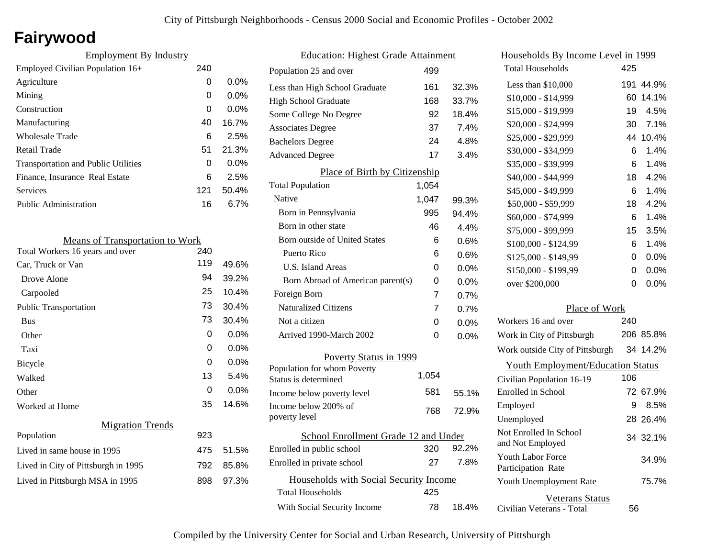# **Fairywood**

| <b>Employment By Industry</b>              |     |         |
|--------------------------------------------|-----|---------|
| Employed Civilian Population 16+           | 240 |         |
| Agriculture                                | 0   | $0.0\%$ |
| Mining                                     | 0   | $0.0\%$ |
| Construction                               | 0   | $0.0\%$ |
| Manufacturing                              | 40  | 16.7%   |
| Wholesale Trade                            | 6   | 2.5%    |
| Retail Trade                               | 51  | 21.3%   |
| <b>Transportation and Public Utilities</b> | 0   | $0.0\%$ |
| Finance, Insurance Real Estate             | 6   | 2.5%    |
| Services                                   | 121 | 50.4%   |
| Public Administration                      | 16  | $6.7\%$ |

| <b>Means of Transportation to Work</b> |     |         |
|----------------------------------------|-----|---------|
| Total Workers 16 years and over        | 240 |         |
| Car, Truck or Van                      | 119 | 49.6%   |
| Drove Alone                            | 94  | 39.2%   |
| Carpooled                              | 25  | 10.4%   |
| Public Transportation                  | 73  | 30.4%   |
| <b>Bus</b>                             | 73  | 30.4%   |
| Other                                  | 0   | $0.0\%$ |
| Taxi                                   | 0   | 0.0%    |
| Bicycle                                | 0   | 0.0%    |
| Walked                                 | 13  | 5.4%    |
| Other                                  | 0   | 0.0%    |
| Worked at Home                         | 35  | 14.6%   |
| <b>Migration Trends</b>                |     |         |
| Population                             | 923 |         |
| Lived in same house in 1995            | 475 | 51.5%   |
| Lived in City of Pittsburgh in 1995    | 792 | 85.8%   |
| Lived in Pittsburgh MSA in 1995        | 898 | 97.3%   |
|                                        |     |         |

| <b>Education: Highest Grade Attainment</b> |       |         |
|--------------------------------------------|-------|---------|
| Population 25 and over                     | 499   |         |
| Less than High School Graduate             | 161   | 32.3%   |
| High School Graduate                       | 168   | 33.7%   |
| Some College No Degree                     | 92    | 18.4%   |
| <b>Associates Degree</b>                   | 37    | 7.4%    |
| <b>Bachelors Degree</b>                    | 24    | 4.8%    |
| <b>Advanced Degree</b>                     | 17    | 3.4%    |
| Place of Birth by Citizenship              |       |         |
| <b>Total Population</b>                    | 1,054 |         |
| Native                                     | 1,047 | 99.3%   |
| Born in Pennsylvania                       | 995   | 94.4%   |
| Born in other state                        | 46    | 4.4%    |
| <b>Born outside of United States</b>       | 6     | 0.6%    |
| Puerto Rico                                | 6     | 0.6%    |
| U.S. Island Areas                          | 0     | 0.0%    |
| Born Abroad of American parent(s)          | 0     | 0.0%    |
| Foreign Born                               | 7     | 0.7%    |
| <b>Naturalized Citizens</b>                | 7     | 0.7%    |
| Not a citizen                              | 0     | 0.0%    |
| Arrived 1990-March 2002                    | 0     | $0.0\%$ |
| Poverty Status in 1999                     |       |         |
| Population for whom Poverty                | 1,054 |         |
| Status is determined                       |       |         |
| Income below poverty level                 | 581   | 55.1%   |
| Income below 200% of<br>poverty level      | 768   | 72.9%   |
| School Enrollment Grade 12 and Under       |       |         |
| Enrolled in public school                  | 320   | 92.2%   |
| Enrolled in private school                 | 27    | 7.8%    |
| Households with Social Security Income     |       |         |
| <b>Total Households</b>                    | 425   |         |
| With Social Security Income                | 78    | 18.4%   |

| <u>Households By Income Level in 1999</u>           |     |           |
|-----------------------------------------------------|-----|-----------|
| <b>Total Households</b>                             | 425 |           |
| Less than $$10,000$                                 | 191 | 44.9%     |
| $$10,000 - $14,999$                                 | 60  | 14.1%     |
| \$15,000 - \$19,999                                 | 19  | 4.5%      |
| \$20,000 - \$24,999                                 | 30  | 7.1%      |
| \$25,000 - \$29,999                                 | 44  | 10.4%     |
| \$30,000 - \$34,999                                 | 6   | 1.4%      |
| \$35,000 - \$39,999                                 | 6   | 1.4%      |
| \$40,000 - \$44,999                                 | 18  | 4.2%      |
| \$45,000 - \$49,999                                 | 6   | 1.4%      |
| \$50,000 - \$59,999                                 | 18  | 4.2%      |
| \$60,000 - \$74,999                                 | 6   | 1.4%      |
| \$75,000 - \$99,999                                 | 15  | 3.5%      |
| \$100,000 - \$124,99                                | 6   | 1.4%      |
| \$125,000 - \$149,99                                | 0   | 0.0%      |
| \$150,000 - \$199,99                                | 0   | 0.0%      |
| over \$200,000                                      | 0   | 0.0%      |
| Place of Work                                       |     |           |
| Workers 16 and over                                 | 240 |           |
| Work in City of Pittsburgh                          |     | 206 85.8% |
| Work outside City of Pittsburgh                     |     | 34 14.2%  |
| <b>Youth Employment/Education Status</b>            |     |           |
| Civilian Population 16-19                           | 106 |           |
| Enrolled in School                                  | 72  | 67.9%     |
| Employed                                            | 9   | 8.5%      |
| Unemployed                                          |     | 28 26.4%  |
| Not Enrolled In School<br>and Not Employed          |     | 34 32.1%  |
| <b>Youth Labor Force</b><br>Participation Rate      |     | 34.9%     |
| Youth Unemployment Rate                             |     | 75.7%     |
| <b>Veterans Status</b><br>Civilian Veterans - Total | 56  |           |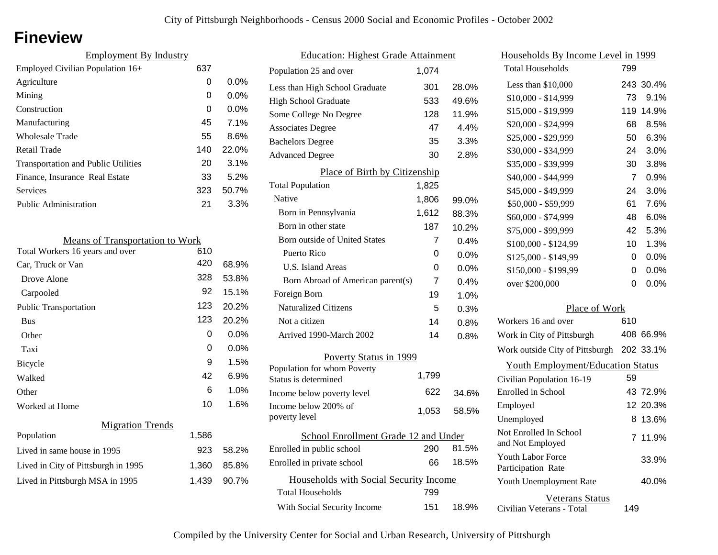### **Fineview**

| <b>Employment By Industry</b>              |     |         |
|--------------------------------------------|-----|---------|
| Employed Civilian Population 16+           | 637 |         |
| Agriculture                                | 0   | $0.0\%$ |
| Mining                                     | 0   | $0.0\%$ |
| Construction                               | 0   | $0.0\%$ |
| Manufacturing                              | 45  | 7.1%    |
| Wholesale Trade                            | 55  | 8.6%    |
| Retail Trade                               | 140 | 22.0%   |
| <b>Transportation and Public Utilities</b> | 20  | 3.1%    |
| Finance, Insurance Real Estate             | 33  | 5.2%    |
| Services                                   | 323 | 50.7%   |
| <b>Public Administration</b>               | 21  | 3.3%    |
|                                            |     |         |

| <b>Means of Transportation to Work</b> |       |         |
|----------------------------------------|-------|---------|
| Total Workers 16 years and over        | 610   |         |
| Car, Truck or Van                      | 420   | 68.9%   |
| Drove Alone                            | 328   | 53.8%   |
| Carpooled                              | 92    | 15.1%   |
| <b>Public Transportation</b>           | 123   | 20.2%   |
| <b>Bus</b>                             | 123   | 20.2%   |
| Other                                  | 0     | $0.0\%$ |
| Taxi                                   | 0     | $0.0\%$ |
| Bicycle                                | 9     | 1.5%    |
| Walked                                 | 42    | 6.9%    |
| Other                                  | 6     | 1.0%    |
| Worked at Home                         | 10    | 1.6%    |
| <b>Migration Trends</b>                |       |         |
| Population                             | 1,586 |         |
| Lived in same house in 1995            | 923   | 58.2%   |
| Lived in City of Pittsburgh in 1995    | 1,360 | 85.8%   |
| Lived in Pittsburgh MSA in 1995        | 1,439 | 90.7%   |

| <b>Education: Highest Grade Attainment</b> |                |       |
|--------------------------------------------|----------------|-------|
| Population 25 and over                     | 1,074          |       |
| Less than High School Graduate             | 301            | 28.0% |
| <b>High School Graduate</b>                | 533            | 49.6% |
| Some College No Degree                     | 128            | 11.9% |
| <b>Associates Degree</b>                   | 47             | 4.4%  |
| <b>Bachelors Degree</b>                    | 35             | 3.3%  |
| <b>Advanced Degree</b>                     | 30             | 2.8%  |
| Place of Birth by Citizenship              |                |       |
| <b>Total Population</b>                    | 1,825          |       |
| Native                                     | 1,806          | 99.0% |
| Born in Pennsylvania                       | 1,612          | 88.3% |
| Born in other state                        | 187            | 10.2% |
| <b>Born outside of United States</b>       | 7              | 0.4%  |
| Puerto Rico                                | 0              | 0.0%  |
| U.S. Island Areas                          | 0              | 0.0%  |
| Born Abroad of American parent(s)          | $\overline{7}$ | 0.4%  |
| Foreign Born                               | 19             | 1.0%  |
| <b>Naturalized Citizens</b>                | 5              | 0.3%  |
| Not a citizen                              | 14             | 0.8%  |
| Arrived 1990-March 2002                    | 14             | 0.8%  |
| Poverty Status in 1999                     |                |       |
| Population for whom Poverty                | 1,799          |       |
| Status is determined                       |                |       |
| Income below poverty level                 | 622            | 34.6% |
| Income below 200% of<br>poverty level      | 1,053          | 58.5% |
| School Enrollment Grade 12 and Under       |                |       |
| Enrolled in public school                  | 290            | 81.5% |
| Enrolled in private school                 | 66             | 18.5% |
| Households with Social Security Income     |                |       |
| <b>Total Households</b>                    | 799            |       |
| With Social Security Income                | 151            | 18.9% |

| <u>Households By Income Level in 1999</u>           |     |           |
|-----------------------------------------------------|-----|-----------|
| <b>Total Households</b>                             | 799 |           |
| Less than $$10,000$                                 |     | 243 30.4% |
| $$10,000 - $14,999$                                 | 73  | 9.1%      |
| \$15,000 - \$19,999                                 | 119 | 14.9%     |
| \$20,000 - \$24,999                                 | 68  | 8.5%      |
| \$25,000 - \$29,999                                 | 50  | 6.3%      |
| \$30,000 - \$34,999                                 | 24  | 3.0%      |
| \$35,000 - \$39,999                                 | 30  | 3.8%      |
| \$40,000 - \$44,999                                 | 7   | 0.9%      |
| \$45,000 - \$49,999                                 | 24  | 3.0%      |
| \$50,000 - \$59,999                                 | 61  | 7.6%      |
| \$60,000 - \$74,999                                 | 48  | 6.0%      |
| \$75,000 - \$99,999                                 | 42  | 5.3%      |
| \$100,000 - \$124,99                                | 10  | 1.3%      |
| \$125,000 - \$149,99                                | 0   | $0.0\%$   |
| \$150,000 - \$199,99                                | 0   | 0.0%      |
| over \$200,000                                      | 0   | 0.0%      |
| Place of Work                                       |     |           |
| Workers 16 and over                                 | 610 |           |
| Work in City of Pittsburgh                          |     | 408 66.9% |
| Work outside City of Pittsburgh                     |     | 202 33.1% |
| <b>Youth Employment/Education Status</b>            |     |           |
| Civilian Population 16-19                           | 59  |           |
| Enrolled in School                                  |     | 43 72.9%  |
| Employed                                            |     | 12 20.3%  |
| Unemployed                                          | 8   | 13.6%     |
| Not Enrolled In School<br>and Not Employed          | 7   | 11.9%     |
| <b>Youth Labor Force</b><br>Participation Rate      |     | 33.9%     |
| Youth Unemployment Rate                             |     | 40.0%     |
| <b>Veterans Status</b><br>Civilian Veterans - Total | 149 |           |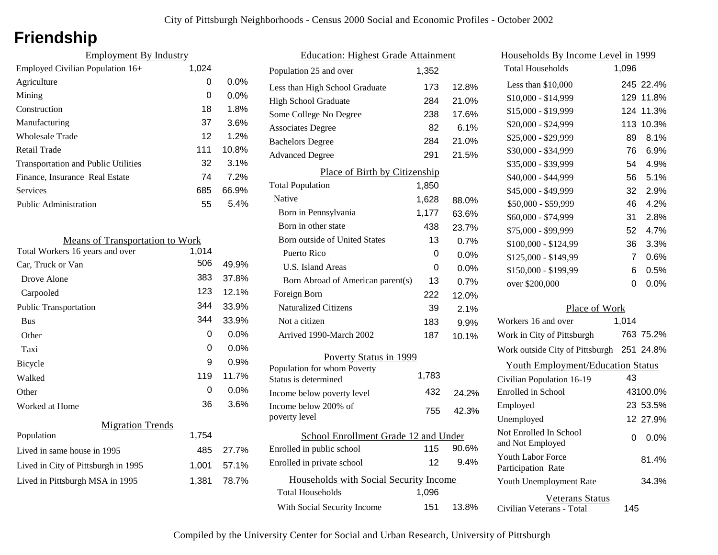## **Friendship**

| <b>Employment By Industry</b>              |       |         |
|--------------------------------------------|-------|---------|
| Employed Civilian Population 16+           | 1,024 |         |
| Agriculture                                | 0     | $0.0\%$ |
| Mining                                     | 0     | $0.0\%$ |
| Construction                               | 18    | 1.8%    |
| Manufacturing                              | 37    | 3.6%    |
| Wholesale Trade                            | 12    | 1.2%    |
| Retail Trade                               | 111   | 10.8%   |
| <b>Transportation and Public Utilities</b> | 32    | 3.1%    |
| Finance, Insurance Real Estate             | 74    | 7.2%    |
| Services                                   | 685   | 66.9%   |
| Public Administration                      | 55    | 5.4%    |

| <b>Means of Transportation to Work</b> |       |         |
|----------------------------------------|-------|---------|
| Total Workers 16 years and over        | 1,014 |         |
| Car, Truck or Van                      | 506   | 49.9%   |
| Drove Alone                            | 383   | 37.8%   |
| Carpooled                              | 123   | 12.1%   |
| <b>Public Transportation</b>           | 344   | 33.9%   |
| <b>Bus</b>                             | 344   | 33.9%   |
| Other                                  | 0     | $0.0\%$ |
| Taxi                                   | 0     | 0.0%    |
| Bicycle                                | 9     | 0.9%    |
| Walked                                 | 119   | 11.7%   |
| Other                                  | 0     | 0.0%    |
| Worked at Home                         | 36    | 3.6%    |
| <b>Migration Trends</b>                |       |         |
| Population                             | 1,754 |         |
| Lived in same house in 1995            | 485   | 27.7%   |
| Lived in City of Pittsburgh in 1995    | 1,001 | 57.1%   |
| Lived in Pittsburgh MSA in 1995        | 1,381 | 78.7%   |
|                                        |       |         |

| <b>Education: Highest Grade Attainment</b>          |       |       |
|-----------------------------------------------------|-------|-------|
| Population 25 and over                              | 1,352 |       |
| Less than High School Graduate                      | 173   | 12.8% |
| <b>High School Graduate</b>                         | 284   | 21.0% |
| Some College No Degree                              | 238   | 17.6% |
| <b>Associates Degree</b>                            | 82    | 6.1%  |
| <b>Bachelors Degree</b>                             | 284   | 21.0% |
| <b>Advanced Degree</b>                              | 291   | 21.5% |
| Place of Birth by Citizenship                       |       |       |
| <b>Total Population</b>                             | 1,850 |       |
| Native                                              | 1,628 | 88.0% |
| Born in Pennsylvania                                | 1,177 | 63.6% |
| Born in other state                                 | 438   | 23.7% |
| Born outside of United States                       | 13    | 0.7%  |
| Puerto Rico                                         | 0     | 0.0%  |
| <b>U.S. Island Areas</b>                            | U     | 0.0%  |
| Born Abroad of American parent(s)                   | 13    | 0.7%  |
| Foreign Born                                        | 222   | 12.0% |
| <b>Naturalized Citizens</b>                         | 39    | 2.1%  |
| Not a citizen                                       | 183   | 9.9%  |
| Arrived 1990-March 2002                             | 187   | 10.1% |
| Poverty Status in 1999                              |       |       |
| Population for whom Poverty<br>Status is determined | 1,783 |       |
| Income below poverty level                          | 432   | 24.2% |
| Income below 200% of<br>poverty level               | 755   | 42.3% |
|                                                     |       |       |
| School Enrollment Grade 12 and Under                |       | 90.6% |
| Enrolled in public school                           | 115   |       |
| Enrolled in private school                          | 12    | 9.4%  |
| Households with Social Security Income              |       |       |
| <b>Total Households</b>                             | 1,096 |       |
| With Social Security Income                         | 151   | 13.8% |

| <u>Households By Income Level in 1999</u>  |               |           |
|--------------------------------------------|---------------|-----------|
| <b>Total Households</b>                    | 1,096         |           |
| Less than $$10,000$                        |               | 245 22.4% |
| \$10,000 - \$14,999                        |               | 129 11.8% |
| \$15,000 - \$19,999                        | 124           | 11.3%     |
| \$20,000 - \$24,999                        | 113           | 10.3%     |
| \$25,000 - \$29,999                        | 89            | 8.1%      |
| \$30,000 - \$34,999                        | 76            | 6.9%      |
| \$35,000 - \$39,999                        | 54            | 4.9%      |
| \$40,000 - \$44,999                        | 56 -          | 5.1%      |
| \$45,000 - \$49,999                        | 32            | 2.9%      |
| \$50,000 - \$59,999                        | 46            | 4.2%      |
| \$60,000 - \$74,999                        | 31            | 2.8%      |
| \$75,000 - \$99,999                        | 52            | 4.7%      |
| \$100,000 - \$124,99                       | 36            | 3.3%      |
| \$125,000 - \$149,99                       | 7             | 0.6%      |
| \$150,000 - \$199,99                       | 6             | 0.5%      |
| over \$200,000                             | 0             | 0.0%      |
|                                            | Place of Work |           |
| Workers 16 and over                        | 1,014         |           |
| Work in City of Pittsburgh                 |               | 763 75.2% |
| Work outside City of Pittsburgh 251 24.8%  |               |           |
| <b>Youth Employment/Education Status</b>   |               |           |
| Civilian Population 16-19                  | 43            |           |
| Enrolled in School                         |               | 43100.0%  |
| Employed                                   |               | 23 53.5%  |
| Unemployed                                 |               | 12 27.9%  |
| Not Enrolled In School<br>and Not Employed | 0             | 0.0%      |
| Youth Labor Force<br>Participation Rate    |               | 81.4%     |
| Youth Unemployment Rate                    |               | 34.3%     |

Civilian Veterans - Total

Veterans Status

145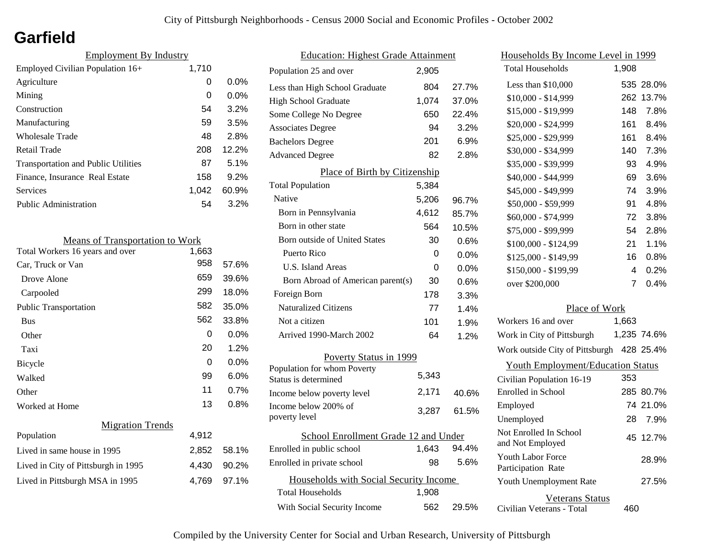## **Garfield**

| <b>Employment By Industry</b>              |       |         |
|--------------------------------------------|-------|---------|
| Employed Civilian Population 16+           | 1,710 |         |
| Agriculture                                | 0     | $0.0\%$ |
| Mining                                     | 0     | $0.0\%$ |
| Construction                               | 54    | 3.2%    |
| Manufacturing                              | 59    | 3.5%    |
| Wholesale Trade                            | 48    | 2.8%    |
| Retail Trade                               | 208   | 12.2%   |
| <b>Transportation and Public Utilities</b> | 87    | 5.1%    |
| Finance, Insurance Real Estate             | 158   | 9.2%    |
| Services                                   | 1.042 | 60.9%   |
| <b>Public Administration</b>               | 54    | 3.2%    |

| <b>Means of Transportation to Work</b> |       |         |
|----------------------------------------|-------|---------|
| Total Workers 16 years and over        | 1,663 |         |
| Car, Truck or Van                      | 958   | 57.6%   |
| Drove Alone                            | 659   | 39.6%   |
| Carpooled                              | 299   | 18.0%   |
| <b>Public Transportation</b>           | 582   | 35.0%   |
| <b>Bus</b>                             | 562   | 33.8%   |
| Other                                  | 0     | 0.0%    |
| Taxi                                   | 20    | 1.2%    |
| Bicycle                                | 0     | $0.0\%$ |
| Walked                                 | 99    | 6.0%    |
| Other                                  | 11    | 0.7%    |
| Worked at Home                         | 13    | $0.8\%$ |
| <b>Migration Trends</b>                |       |         |
| Population                             | 4,912 |         |
| Lived in same house in 1995            | 2,852 | 58.1%   |
| Lived in City of Pittsburgh in 1995    | 4,430 | 90.2%   |
| Lived in Pittsburgh MSA in 1995        | 4,769 | 97.1%   |
|                                        |       |         |

| <b>Education: Highest Grade Attainment</b>          |       |         |
|-----------------------------------------------------|-------|---------|
| Population 25 and over                              | 2,905 |         |
| Less than High School Graduate                      | 804   | 27.7%   |
| <b>High School Graduate</b>                         | 1,074 | 37.0%   |
| Some College No Degree                              | 650   | 22.4%   |
| <b>Associates Degree</b>                            | 94    | 3.2%    |
| <b>Bachelors Degree</b>                             | 201   | 6.9%    |
| <b>Advanced Degree</b>                              | 82    | 2.8%    |
| Place of Birth by Citizenship                       |       |         |
| <b>Total Population</b>                             | 5,384 |         |
| Native                                              | 5,206 | 96.7%   |
| Born in Pennsylvania                                | 4,612 | 85.7%   |
| Born in other state                                 | 564   | 10.5%   |
| Born outside of United States                       | 30    | 0.6%    |
| Puerto Rico                                         | 0     | 0.0%    |
| <b>U.S. Island Areas</b>                            | 0     | $0.0\%$ |
| Born Abroad of American parent(s)                   | 30    | 0.6%    |
| Foreign Born                                        | 178   | 3.3%    |
| <b>Naturalized Citizens</b>                         | 77    | 1.4%    |
| Not a citizen                                       | 101   | 1.9%    |
| Arrived 1990-March 2002                             | 64    | 1.2%    |
| Poverty Status in 1999                              |       |         |
| Population for whom Poverty<br>Status is determined | 5,343 |         |
| Income below poverty level                          | 2,171 | 40.6%   |
| Income below 200% of<br>poverty level               | 3,287 | 61.5%   |
| School Enrollment Grade 12 and Under                |       |         |
| Enrolled in public school                           | 1,643 | 94.4%   |
| Enrolled in private school                          | 98    | 5.6%    |
| Households with Social Security Income              |       |         |
| <b>Total Households</b>                             | 1,908 |         |
| With Social Security Income                         | 562   | 29.5%   |

| Households By Income Level in 1999             |                |             |
|------------------------------------------------|----------------|-------------|
| <b>Total Households</b>                        | 1,908          |             |
| Less than \$10,000                             |                | 535 28.0%   |
| \$10,000 - \$14,999                            | 262            | 13.7%       |
| \$15,000 - \$19,999                            | 148            | 7.8%        |
| \$20,000 - \$24,999                            | 161            | 8.4%        |
| \$25,000 - \$29,999                            | 161            | 8.4%        |
| \$30,000 - \$34,999                            | 140            | 7.3%        |
| \$35,000 - \$39,999                            | 93             | 4.9%        |
| \$40,000 - \$44,999                            | 69             | 3.6%        |
| \$45,000 - \$49,999                            | 74             | 3.9%        |
| \$50,000 - \$59,999                            | 91             | 4.8%        |
| \$60,000 - \$74,999                            | 72             | 3.8%        |
| \$75,000 - \$99,999                            | 54             | 2.8%        |
| \$100,000 - \$124,99                           | 21             | 1.1%        |
| \$125,000 - \$149,99                           | 16             | 0.8%        |
| \$150,000 - \$199,99                           | 4              | 0.2%        |
| over \$200,000                                 | $\overline{7}$ | 0.4%        |
| Place of Work                                  |                |             |
| Workers 16 and over                            | 1,663          |             |
| Work in City of Pittsburgh                     |                | 1,235 74.6% |
| Work outside City of Pittsburgh 428 25.4%      |                |             |
| <b>Youth Employment/Education Status</b>       |                |             |
| Civilian Population 16-19                      | 353            |             |
| Enrolled in School                             |                | 285 80.7%   |
| Employed                                       |                | 74 21.0%    |
| Unemployed                                     | 28             | 7.9%        |
| Not Enrolled In School<br>and Not Employed     |                | 45 12.7%    |
| <b>Youth Labor Force</b><br>Participation Rate |                | 28.9%       |
| Youth Unemployment Rate                        |                | 27.5%       |
| <b>Veterans Status</b>                         |                |             |

Civilian Veterans - Total

460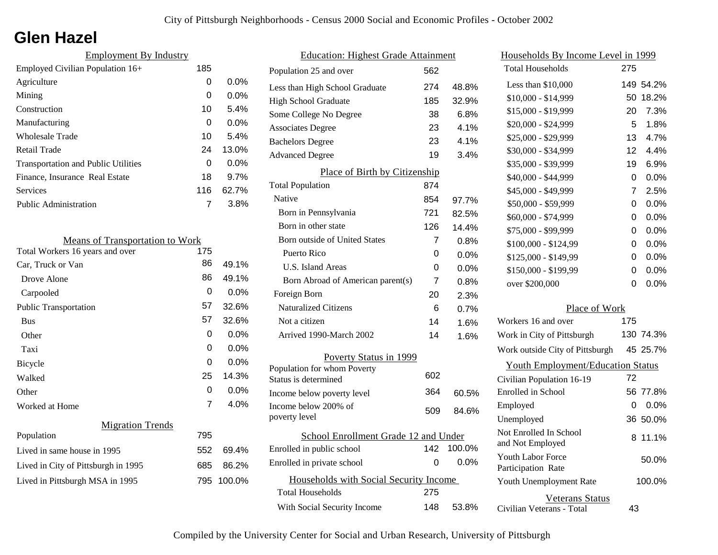## **Glen Hazel**

| <b>Employment By Industry</b>              |     |         |
|--------------------------------------------|-----|---------|
| Employed Civilian Population 16+           | 185 |         |
| Agriculture                                | 0   | $0.0\%$ |
| Mining                                     | 0   | $0.0\%$ |
| Construction                               | 10  | 5.4%    |
| Manufacturing                              | 0   | $0.0\%$ |
| <b>Wholesale Trade</b>                     | 10  | 5.4%    |
| Retail Trade                               | 24  | 13.0%   |
| <b>Transportation and Public Utilities</b> | 0   | $0.0\%$ |
| Finance, Insurance Real Estate             | 18  | 9.7%    |
| Services                                   | 116 | 62.7%   |
| Public Administration                      |     | 3.8%    |
|                                            |     |         |

| <b>Means of Transportation to Work</b> |     |         |
|----------------------------------------|-----|---------|
| Total Workers 16 years and over        | 175 |         |
| Car, Truck or Van                      | 86  | 49.1%   |
| Drove Alone                            | 86  | 49.1%   |
| Carpooled                              | 0   | $0.0\%$ |
| <b>Public Transportation</b>           | 57  | 32.6%   |
| <b>Bus</b>                             | 57  | 32.6%   |
| Other                                  | 0   | $0.0\%$ |
| Taxi                                   | 0   | $0.0\%$ |
| Bicycle                                | 0   | 0.0%    |
| Walked                                 | 25  | 14.3%   |
| Other                                  | 0   | $0.0\%$ |
| Worked at Home                         | 7   | 4.0%    |
| <b>Migration Trends</b>                |     |         |
| Population                             | 795 |         |
| Lived in same house in 1995            | 552 | 69.4%   |
| Lived in City of Pittsburgh in 1995    | 685 | 86.2%   |
| Lived in Pittsburgh MSA in 1995        | 795 | 100.0%  |
|                                        |     |         |

| <b>Education: Highest Grade Attainment</b>          |     |         |
|-----------------------------------------------------|-----|---------|
| Population 25 and over                              | 562 |         |
| Less than High School Graduate                      | 274 | 48.8%   |
| <b>High School Graduate</b>                         | 185 | 32.9%   |
| Some College No Degree                              | 38  | 6.8%    |
| <b>Associates Degree</b>                            | 23  | 4.1%    |
| <b>Bachelors Degree</b>                             | 23  | 4.1%    |
| <b>Advanced Degree</b>                              | 19  | 3.4%    |
| Place of Birth by Citizenship                       |     |         |
| <b>Total Population</b>                             | 874 |         |
| Native                                              | 854 | 97.7%   |
| Born in Pennsylvania                                | 721 | 82.5%   |
| Born in other state                                 | 126 | 14.4%   |
| <b>Born outside of United States</b>                | 7   | 0.8%    |
| Puerto Rico                                         | 0   | 0.0%    |
| U.S. Island Areas                                   | 0   | 0.0%    |
| Born Abroad of American parent(s)                   | 7   | 0.8%    |
| Foreign Born                                        | 20  | 2.3%    |
| <b>Naturalized Citizens</b>                         | 6   | 0.7%    |
| Not a citizen                                       | 14  | 1.6%    |
| Arrived 1990-March 2002                             | 14  | 1.6%    |
| Poverty Status in 1999                              |     |         |
| Population for whom Poverty<br>Status is determined | 602 |         |
| Income below poverty level                          | 364 | 60.5%   |
| Income below 200% of<br>poverty level               | 509 | 84.6%   |
|                                                     |     |         |
| School Enrollment Grade 12 and Under                |     |         |
| Enrolled in public school                           | 142 | 100.0%  |
| Enrolled in private school                          | 0   | $0.0\%$ |
| Households with Social Security Income              |     |         |
| <b>Total Households</b>                             | 275 |         |
| With Social Security Income                         | 148 | 53.8%   |

| Households By Income Level in 1999                  |     |           |
|-----------------------------------------------------|-----|-----------|
| <b>Total Households</b>                             | 275 |           |
| Less than \$10,000                                  |     | 149 54.2% |
| $$10,000 - $14,999$                                 | 50  | 18.2%     |
| \$15,000 - \$19,999                                 | 20  | 7.3%      |
| \$20,000 - \$24,999                                 | 5   | 1.8%      |
| \$25,000 - \$29,999                                 | 13  | 4.7%      |
| \$30,000 - \$34,999                                 | 12  | 4.4%      |
| \$35,000 - \$39,999                                 | 19  | 6.9%      |
| \$40,000 - \$44,999                                 | 0   | $0.0\%$   |
| \$45,000 - \$49,999                                 | 7   | 2.5%      |
| \$50,000 - \$59,999                                 | 0   | 0.0%      |
| \$60,000 - \$74,999                                 | 0   | 0.0%      |
| \$75,000 - \$99,999                                 | 0   | $0.0\%$   |
| \$100,000 - \$124,99                                | 0   | 0.0%      |
| \$125,000 - \$149,99                                | 0   | $0.0\%$   |
| \$150,000 - \$199,99                                | 0   | 0.0%      |
| over \$200,000                                      | 0   | 0.0%      |
| Place of Work                                       |     |           |
| Workers 16 and over                                 | 175 |           |
| Work in City of Pittsburgh                          |     | 130 74.3% |
| Work outside City of Pittsburgh                     |     | 45 25.7%  |
| <b>Youth Employment/Education Status</b>            |     |           |
| Civilian Population 16-19                           | 72  |           |
| Enrolled in School                                  | 56. | 77.8%     |
| Employed                                            | 0   | $0.0\%$   |
| Unemployed                                          | 36  | 50.0%     |
| Not Enrolled In School<br>and Not Employed          | 8   | 11.1%     |
| <b>Youth Labor Force</b><br>Participation Rate      |     | 50.0%     |
| Youth Unemployment Rate                             |     | 100.0%    |
| <b>Veterans Status</b><br>Civilian Veterans - Total | 43  |           |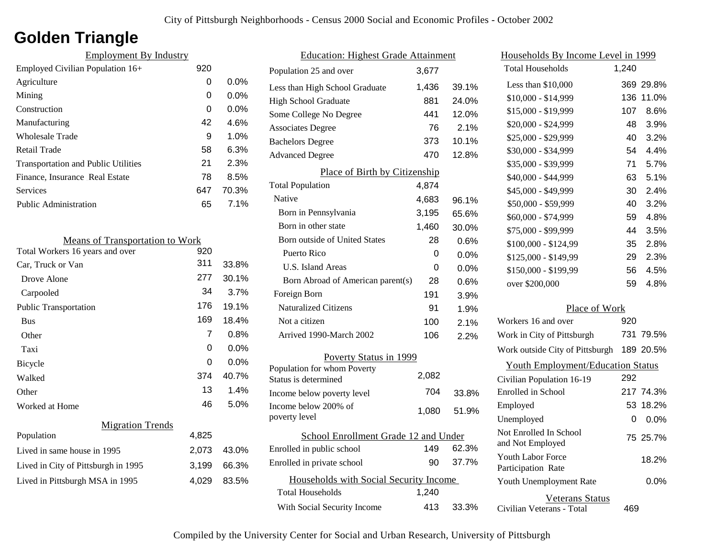## **Golden Triangle**

| <b>Employment By Industry</b>              |     |         |
|--------------------------------------------|-----|---------|
| Employed Civilian Population 16+           | 920 |         |
| Agriculture                                | 0   | $0.0\%$ |
| Mining                                     | 0   | $0.0\%$ |
| Construction                               | 0   | $0.0\%$ |
| Manufacturing                              | 42  | 4.6%    |
| Wholesale Trade                            | 9   | 1.0%    |
| Retail Trade                               | 58  | 6.3%    |
| <b>Transportation and Public Utilities</b> | 21  | 2.3%    |
| Finance, Insurance Real Estate             | 78  | 8.5%    |
| Services                                   | 647 | 70.3%   |
| Public Administration                      | 65  | 7.1%    |
|                                            |     |         |

| <b>Means of Transportation to Work</b> |       |         |
|----------------------------------------|-------|---------|
| Total Workers 16 years and over        | 920   |         |
| Car, Truck or Van                      | 311   | 33.8%   |
| Drove Alone                            | 277   | 30.1%   |
| Carpooled                              | 34    | 3.7%    |
| <b>Public Transportation</b>           | 176   | 19.1%   |
| <b>Bus</b>                             | 169   | 18.4%   |
| Other                                  | 7     | 0.8%    |
| Taxi                                   | 0     | 0.0%    |
| Bicycle                                | 0     | $0.0\%$ |
| Walked                                 | 374   | 40.7%   |
| Other                                  | 13    | 1.4%    |
| Worked at Home                         | 46    | 5.0%    |
| <b>Migration Trends</b>                |       |         |
| Population                             | 4,825 |         |
| Lived in same house in 1995            | 2,073 | 43.0%   |
| Lived in City of Pittsburgh in 1995    | 3,199 | 66.3%   |
| Lived in Pittsburgh MSA in 1995        | 4,029 | 83.5%   |
|                                        |       |         |

| <b>Education: Highest Grade Attainment</b>          |       |         |
|-----------------------------------------------------|-------|---------|
| Population 25 and over                              | 3,677 |         |
| Less than High School Graduate                      | 1,436 | 39.1%   |
| High School Graduate                                | 881   | 24.0%   |
| Some College No Degree                              | 441   | 12.0%   |
| <b>Associates Degree</b>                            | 76    | 2.1%    |
| <b>Bachelors Degree</b>                             | 373   | 10.1%   |
| <b>Advanced Degree</b>                              | 470   | 12.8%   |
| Place of Birth by Citizenship                       |       |         |
| <b>Total Population</b>                             | 4,874 |         |
| Native                                              | 4,683 | 96.1%   |
| Born in Pennsylvania                                | 3,195 | 65.6%   |
| Born in other state                                 | 1,460 | 30.0%   |
| <b>Born outside of United States</b>                | 28    | 0.6%    |
| Puerto Rico                                         | 0     | $0.0\%$ |
| U.S. Island Areas                                   | 0     | 0.0%    |
| Born Abroad of American parent(s)                   | 28    | 0.6%    |
| Foreign Born                                        | 191   | 3.9%    |
| <b>Naturalized Citizens</b>                         | 91    | 1.9%    |
| Not a citizen                                       | 100   | 2.1%    |
| Arrived 1990-March 2002                             | 106   | 2.2%    |
| Poverty Status in 1999                              |       |         |
| Population for whom Poverty<br>Status is determined | 2,082 |         |
| Income below poverty level                          | 704   | 33.8%   |
| Income below 200% of<br>poverty level               | 1,080 | 51.9%   |
| School Enrollment Grade 12 and Under                |       |         |
| Enrolled in public school                           | 149   | 62.3%   |
| Enrolled in private school                          | 90    | 37.7%   |
| Households with Social Security Income              |       |         |
| <b>Total Households</b>                             | 1,240 |         |
| With Social Security Income                         | 413   | 33.3%   |

| Households By Income Level in 1999                  |       |           |
|-----------------------------------------------------|-------|-----------|
| <b>Total Households</b>                             | 1,240 |           |
| Less than $$10,000$                                 |       | 369 29.8% |
| $$10,000 - $14,999$                                 | 136   | 11.0%     |
| \$15,000 - \$19,999                                 | 107   | 8.6%      |
| \$20,000 - \$24,999                                 | 48    | 3.9%      |
| \$25,000 - \$29,999                                 | 40    | 3.2%      |
| \$30,000 - \$34,999                                 | 54    | 4.4%      |
| \$35,000 - \$39,999                                 | 71    | 5.7%      |
| \$40,000 - \$44,999                                 | 63    | 5.1%      |
| \$45,000 - \$49,999                                 | 30    | 2.4%      |
| \$50,000 - \$59,999                                 | 40    | 3.2%      |
| \$60,000 - \$74,999                                 | 59    | 4.8%      |
| \$75,000 - \$99,999                                 | 44    | 3.5%      |
| \$100,000 - \$124,99                                | 35    | 2.8%      |
| \$125,000 - \$149,99                                | 29    | 2.3%      |
| \$150,000 - \$199,99                                | 56    | 4.5%      |
| over \$200,000                                      | 59    | 4.8%      |
| Place of Work                                       |       |           |
| Workers 16 and over                                 | 920   |           |
| Work in City of Pittsburgh                          |       | 731 79.5% |
| Work outside City of Pittsburgh                     |       | 189 20.5% |
| <b>Youth Employment/Education Status</b>            |       |           |
| Civilian Population 16-19                           | 292   |           |
| Enrolled in School                                  |       | 217 74.3% |
| Employed                                            | 53    | 18.2%     |
| Unemployed                                          | 0     | 0.0%      |
| Not Enrolled In School<br>and Not Employed          |       | 75 25.7%  |
| <b>Youth Labor Force</b><br>Participation Rate      |       | 18.2%     |
| Youth Unemployment Rate                             |       | 0.0%      |
| <b>Veterans Status</b><br>Civilian Veterans - Total | 469   |           |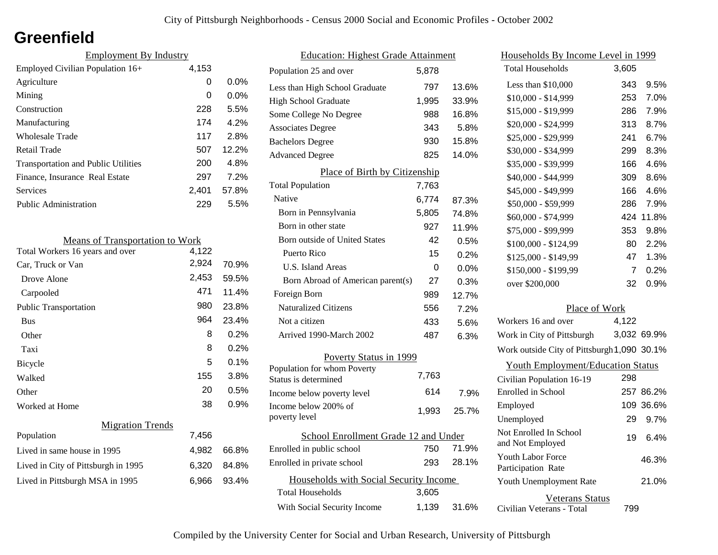## **Greenfield**

| <b>Employment By Industry</b>              |       |          |
|--------------------------------------------|-------|----------|
| Employed Civilian Population 16+           | 4,153 |          |
| Agriculture                                | 0     | $0.0\%$  |
| Mining                                     | 0     | $0.0\%$  |
| Construction                               | 228   | 5.5%     |
| Manufacturing                              | 174   | 4.2%     |
| Wholesale Trade                            | 117   | 2.8%     |
| Retail Trade                               | 507   | $12.2\%$ |
| <b>Transportation and Public Utilities</b> | 200   | 4.8%     |
| Finance, Insurance Real Estate             | 297   | 7.2%     |
| Services                                   | 2,401 | 57.8%    |
| <b>Public Administration</b>               | 229   | 5.5%     |

| <b>Means of Transportation to Work</b> |       |         |
|----------------------------------------|-------|---------|
| Total Workers 16 years and over        | 4,122 |         |
| Car, Truck or Van                      | 2,924 | 70.9%   |
| Drove Alone                            | 2,453 | 59.5%   |
| Carpooled                              | 471   | 11.4%   |
| <b>Public Transportation</b>           | 980   | 23.8%   |
| <b>Bus</b>                             | 964   | 23.4%   |
| Other                                  | 8     | 0.2%    |
| Taxi                                   | 8     | 0.2%    |
| Bicycle                                | 5     | 0.1%    |
| Walked                                 | 155   | 3.8%    |
| Other                                  | 20    | 0.5%    |
| Worked at Home                         | 38    | $0.9\%$ |
| <b>Migration Trends</b>                |       |         |
| Population                             | 7,456 |         |
| Lived in same house in 1995            | 4,982 | 66.8%   |
| Lived in City of Pittsburgh in 1995    | 6,320 | 84.8%   |
| Lived in Pittsburgh MSA in 1995        | 6,966 | 93.4%   |

| <b>Education: Highest Grade Attainment</b>          |       |       |  |
|-----------------------------------------------------|-------|-------|--|
| Population 25 and over                              | 5,878 |       |  |
| Less than High School Graduate                      | 797   | 13.6% |  |
| <b>High School Graduate</b>                         | 1,995 | 33.9% |  |
| Some College No Degree                              | 988   | 16.8% |  |
| <b>Associates Degree</b>                            | 343   | 5.8%  |  |
| <b>Bachelors Degree</b>                             | 930   | 15.8% |  |
| <b>Advanced Degree</b>                              | 825   | 14.0% |  |
| Place of Birth by Citizenship                       |       |       |  |
| <b>Total Population</b>                             | 7,763 |       |  |
| Native                                              | 6,774 | 87.3% |  |
| Born in Pennsylvania                                | 5,805 | 74.8% |  |
| Born in other state                                 | 927   | 11.9% |  |
| <b>Born outside of United States</b>                | 42    | 0.5%  |  |
| Puerto Rico                                         | 15    | 0.2%  |  |
| U.S. Island Areas                                   | 0     | 0.0%  |  |
| Born Abroad of American parent(s)                   | 27    | 0.3%  |  |
| Foreign Born                                        | 989   | 12.7% |  |
| <b>Naturalized Citizens</b>                         | 556   | 7.2%  |  |
| Not a citizen                                       | 433   | 5.6%  |  |
| Arrived 1990-March 2002                             | 487   | 6.3%  |  |
| Poverty Status in 1999                              |       |       |  |
| Population for whom Poverty<br>Status is determined | 7,763 |       |  |
| Income below poverty level                          | 614   | 7.9%  |  |
| Income below 200% of<br>poverty level               | 1,993 | 25.7% |  |
| School Enrollment Grade 12 and Under                |       |       |  |
| Enrolled in public school                           | 750   | 71.9% |  |
| Enrolled in private school                          | 293   | 28.1% |  |
| Households with Social Security Income              |       |       |  |
| Total Households                                    | 3,605 |       |  |
| With Social Security Income                         | 1,139 | 31.6% |  |

| <u>Households By Income Level in 1999</u>      |       |             |
|------------------------------------------------|-------|-------------|
| <b>Total Households</b>                        | 3,605 |             |
| Less than \$10,000                             | 343   | 9.5%        |
| \$10,000 - \$14,999                            | 253   | 7.0%        |
| \$15,000 - \$19,999                            | 286   | 7.9%        |
| \$20,000 - \$24,999                            | 313   | 8.7%        |
| \$25,000 - \$29,999                            | 241   | 6.7%        |
| \$30,000 - \$34,999                            | 299   | 8.3%        |
| \$35,000 - \$39,999                            | 166   | 4.6%        |
| \$40,000 - \$44,999                            | 309   | 8.6%        |
| \$45,000 - \$49,999                            | 166   | 4.6%        |
| \$50,000 - \$59,999                            | 286   | 7.9%        |
| \$60,000 - \$74,999                            | 424   | 11.8%       |
| \$75,000 - \$99,999                            | 353   | 9.8%        |
| \$100,000 - \$124,99                           | 80    | 2.2%        |
| \$125,000 - \$149,99                           | 47    | 1.3%        |
| \$150,000 - \$199,99                           | 7     | 0.2%        |
| over \$200,000                                 | 32    | 0.9%        |
| Place of Work                                  |       |             |
| Workers 16 and over                            | 4,122 |             |
| Work in City of Pittsburgh                     |       | 3,032 69.9% |
| Work outside City of Pittsburgh 1,090 30.1%    |       |             |
| <b>Youth Employment/Education Status</b>       |       |             |
| Civilian Population 16-19                      | 298   |             |
| Enrolled in School                             |       | 257 86.2%   |
| Employed                                       |       | 109 36.6%   |
| Unemployed                                     | 29    | 9.7%        |
| Not Enrolled In School<br>and Not Employed     | 19    | 6.4%        |
| <b>Youth Labor Force</b><br>Participation Rate |       | 46.3%       |
| Youth Unemployment Rate                        |       | 21.0%       |
| Veterans Status                                |       |             |

Civilian Veterans - Total

799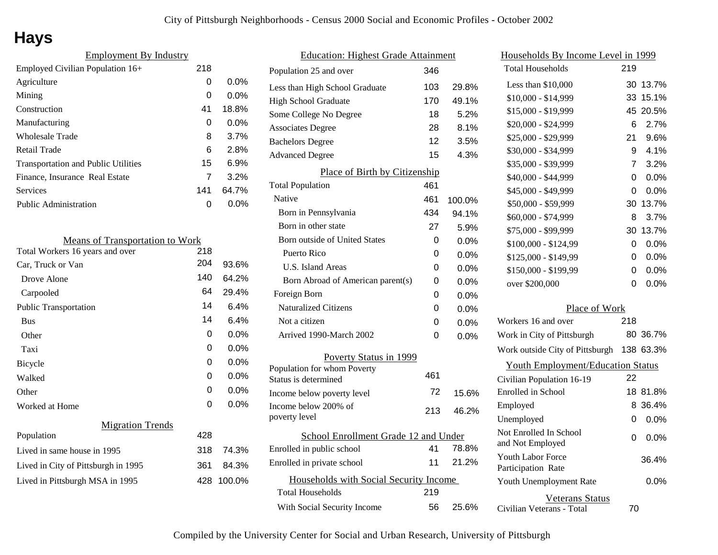# **Hays**

| <b>Employment By Industry</b>              |     |         |
|--------------------------------------------|-----|---------|
| Employed Civilian Population 16+           | 218 |         |
| Agriculture                                | 0   | $0.0\%$ |
| Mining                                     | 0   | $0.0\%$ |
| Construction                               | 41  | 18.8%   |
| Manufacturing                              | 0   | $0.0\%$ |
| <b>Wholesale Trade</b>                     | 8   | 3.7%    |
| Retail Trade                               | 6   | 2.8%    |
| <b>Transportation and Public Utilities</b> | 15  | 6.9%    |
| Finance, Insurance Real Estate             | 7   | 3.2%    |
| Services                                   | 141 | 64.7%   |
| <b>Public Administration</b>               | O   | $0.0\%$ |
|                                            |     |         |

| <b>Means of Transportation to Work</b> |     |         |
|----------------------------------------|-----|---------|
| Total Workers 16 years and over        | 218 |         |
| Car, Truck or Van                      | 204 | 93.6%   |
| Drove Alone                            | 140 | 64.2%   |
| Carpooled                              | 64  | 29.4%   |
| <b>Public Transportation</b>           | 14  | 6.4%    |
| <b>Bus</b>                             | 14  | 6.4%    |
| Other                                  | 0   | 0.0%    |
| Taxi                                   | 0   | $0.0\%$ |
| Bicycle                                | 0   | 0.0%    |
| Walked                                 | 0   | $0.0\%$ |
| Other                                  | 0   | 0.0%    |
| Worked at Home                         | 0   | $0.0\%$ |
| <b>Migration Trends</b>                |     |         |
| Population                             | 428 |         |
| Lived in same house in 1995            | 318 | 74.3%   |
| Lived in City of Pittsburgh in 1995    | 361 | 84.3%   |
| Lived in Pittsburgh MSA in 1995        | 428 | 100.0%  |

| <b>Education: Highest Grade Attainment</b> |                                        |     |         |
|--------------------------------------------|----------------------------------------|-----|---------|
|                                            | Population 25 and over                 | 346 |         |
|                                            | Less than High School Graduate         | 103 | 29.8%   |
|                                            | <b>High School Graduate</b>            | 170 | 49.1%   |
|                                            | Some College No Degree                 | 18  | 5.2%    |
|                                            | <b>Associates Degree</b>               | 28  | 8.1%    |
|                                            | <b>Bachelors Degree</b>                | 12  | 3.5%    |
|                                            | <b>Advanced Degree</b>                 | 15  | 4.3%    |
|                                            | Place of Birth by Citizenship          |     |         |
|                                            | <b>Total Population</b>                | 461 |         |
|                                            | Native                                 | 461 | 100.0%  |
|                                            | Born in Pennsylvania                   | 434 | 94.1%   |
|                                            | Born in other state                    | 27  | 5.9%    |
|                                            | <b>Born outside of United States</b>   | 0   | 0.0%    |
|                                            | Puerto Rico                            | 0   | $0.0\%$ |
|                                            | U.S. Island Areas                      | 0   | $0.0\%$ |
|                                            | Born Abroad of American parent(s)      | 0   | 0.0%    |
|                                            | Foreign Born                           | 0   | $0.0\%$ |
|                                            | <b>Naturalized Citizens</b>            | 0   | $0.0\%$ |
|                                            | Not a citizen                          | 0   | $0.0\%$ |
|                                            | Arrived 1990-March 2002                | 0   | 0.0%    |
|                                            | Poverty Status in 1999                 |     |         |
|                                            | Population for whom Poverty            |     |         |
|                                            | Status is determined                   | 461 |         |
|                                            | Income below poverty level             | 72  | 15.6%   |
|                                            | Income below 200% of<br>poverty level  | 213 | 46.2%   |
|                                            | School Enrollment Grade 12 and Under   |     |         |
|                                            | Enrolled in public school              | 41  | 78.8%   |
|                                            | Enrolled in private school             | 11  | 21.2%   |
|                                            | Households with Social Security Income |     |         |
|                                            | Total Households                       | 219 |         |
|                                            | With Social Security Income            | 56  | 25.6%   |
|                                            |                                        |     |         |

|               | Households By Income Level in 1999                  |     |           |
|---------------|-----------------------------------------------------|-----|-----------|
|               | <b>Total Households</b>                             | 219 |           |
| %             | Less than \$10,000                                  | 30  | 13.7%     |
| %             | \$10,000 - \$14,999                                 | 33  | 15.1%     |
| %             | \$15,000 - \$19,999                                 | 45  | 20.5%     |
| %             | \$20,000 - \$24,999                                 | 6   | 2.7%      |
| %             | \$25,000 - \$29,999                                 | 21  | $9.6\%$   |
| %             | \$30,000 - \$34,999                                 | 9   | 4.1%      |
|               | \$35,000 - \$39,999                                 | 7   | 3.2%      |
|               | \$40,000 - \$44,999                                 | 0   | 0.0%      |
|               | \$45,000 - \$49,999                                 | 0   | 0.0%      |
| %             | \$50,000 - \$59,999                                 | 30  | 13.7%     |
| %             | \$60,000 - \$74,999                                 | 8   | 3.7%      |
| %             | \$75,000 - \$99,999                                 | 30  | 13.7%     |
| %             | \$100,000 - \$124,99                                | 0   | 0.0%      |
| $\frac{1}{2}$ | \$125,000 - \$149,99                                | 0   | 0.0%      |
| %             | \$150,000 - \$199,99                                | 0   | 0.0%      |
| %             | over \$200,000                                      | 0   | 0.0%      |
| %             |                                                     |     |           |
| %             | Place of Work<br>Workers 16 and over                | 218 |           |
| %             | Work in City of Pittsburgh                          |     | 80 36.7%  |
| %             |                                                     |     | 138 63.3% |
|               | Work outside City of Pittsburgh                     |     |           |
|               | <b>Youth Employment/Education Status</b>            |     |           |
|               | Civilian Population 16-19                           | 22  |           |
| ℅             | Enrolled in School                                  | 18  | 81.8%     |
| ℅             | Employed                                            | 8   | 36.4%     |
|               | Unemployed                                          | 0   | 0.0%      |
| %             | Not Enrolled In School<br>and Not Employed          | 0   | 0.0%      |
| %             | Youth Labor Force<br>Participation Rate             |     | 36.4%     |
|               | Youth Unemployment Rate                             |     | $0.0\%$   |
| %             | <b>Veterans Status</b><br>Civilian Veterans - Total | 70  |           |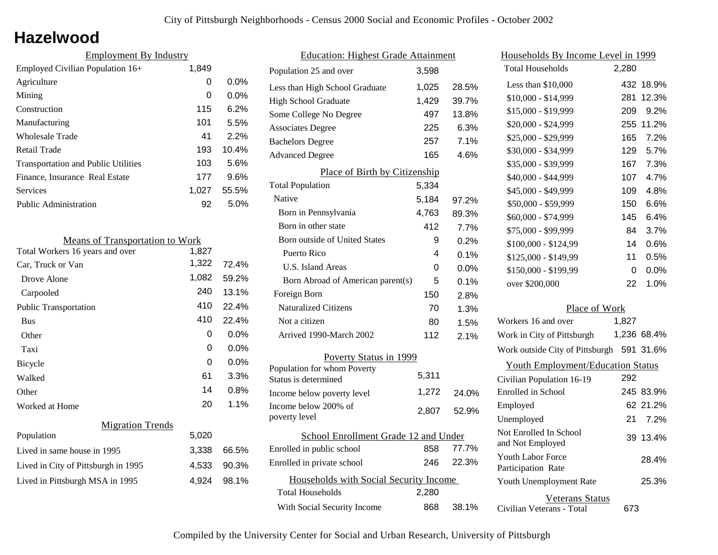### **Hazelwood**

| <b>Employment By Industry</b> |         |  |
|-------------------------------|---------|--|
| 1,849                         |         |  |
| 0                             | $0.0\%$ |  |
| 0                             | $0.0\%$ |  |
| 115                           | 6.2%    |  |
| 101                           | 5.5%    |  |
| 41                            | 2.2%    |  |
| 193                           | 10.4%   |  |
| 103                           | 5.6%    |  |
| 177                           | 9.6%    |  |
| 1.027                         | 55.5%   |  |
| 92                            | $5.0\%$ |  |
|                               |         |  |

| <b>Means of Transportation to Work</b> |       |         |
|----------------------------------------|-------|---------|
| Total Workers 16 years and over        | 1,827 |         |
| Car, Truck or Van                      | 1,322 | 72.4%   |
| Drove Alone                            | 1,082 | 59.2%   |
| Carpooled                              | 240   | 13.1%   |
| <b>Public Transportation</b>           | 410   | 22.4%   |
| <b>Bus</b>                             | 410   | 22.4%   |
| Other                                  | 0     | $0.0\%$ |
| Taxi                                   | 0     | 0.0%    |
| Bicycle                                | 0     | 0.0%    |
| Walked                                 | 61    | 3.3%    |
| Other                                  | 14    | 0.8%    |
| Worked at Home                         | 20    | 1.1%    |
| <b>Migration Trends</b>                |       |         |
| Population                             | 5,020 |         |
| Lived in same house in 1995            | 3,338 | 66.5%   |
| Lived in City of Pittsburgh in 1995    | 4,533 | 90.3%   |
| Lived in Pittsburgh MSA in 1995        | 4,924 | 98.1%   |
|                                        |       |         |

| <b>Education: Highest Grade Attainment</b>                        |       |         |  |
|-------------------------------------------------------------------|-------|---------|--|
| Population 25 and over                                            | 3,598 |         |  |
| Less than High School Graduate                                    | 1,025 | 28.5%   |  |
| <b>High School Graduate</b>                                       | 1,429 | 39.7%   |  |
| Some College No Degree                                            | 497   | 13.8%   |  |
| <b>Associates Degree</b>                                          | 225   | 6.3%    |  |
| <b>Bachelors Degree</b>                                           | 257   | 7.1%    |  |
| <b>Advanced Degree</b>                                            | 165   | 4.6%    |  |
| Place of Birth by Citizenship                                     |       |         |  |
| <b>Total Population</b>                                           | 5,334 |         |  |
| Native                                                            | 5,184 | 97.2%   |  |
| Born in Pennsylvania                                              | 4,763 | 89.3%   |  |
| Born in other state                                               | 412   | 7.7%    |  |
| Born outside of United States                                     | 9     | 0.2%    |  |
| Puerto Rico                                                       | 4     | 0.1%    |  |
| U.S. Island Areas                                                 | 0     | $0.0\%$ |  |
| Born Abroad of American parent(s)                                 | 5     | 0.1%    |  |
| Foreign Born                                                      | 150   | 2.8%    |  |
| <b>Naturalized Citizens</b>                                       | 70    | 1.3%    |  |
| Not a citizen                                                     | 80    | 1.5%    |  |
| Arrived 1990-March 2002                                           | 112   | 2.1%    |  |
| Poverty Status in 1999                                            |       |         |  |
| Population for whom Poverty                                       | 5,311 |         |  |
| Status is determined                                              |       |         |  |
| Income below poverty level                                        | 1,272 | 24.0%   |  |
| Income below 200% of<br>poverty level                             | 2,807 | 52.9%   |  |
| School Enrollment Grade 12 and Under                              |       |         |  |
| Enrolled in public school                                         | 858   | 77.7%   |  |
| Enrolled in private school                                        | 246   | 22.3%   |  |
| Households with Social Security Income<br><b>Total Households</b> | 2,280 |         |  |
| With Social Security Income                                       | 868   | 38.1%   |  |

|               | Households By Income Level in 1999           |       |             |
|---------------|----------------------------------------------|-------|-------------|
|               | <b>Total Households</b>                      | 2,280 |             |
| %             | Less than \$10,000                           | 432   | 18.9%       |
| %             | \$10,000 - \$14,999                          | 281   | 12.3%       |
| %             | \$15,000 - \$19,999                          | 209   | 9.2%        |
| %             | \$20,000 - \$24,999                          | 255   | 11.2%       |
| %             | \$25,000 - \$29,999                          | 165   | 7.2%        |
| %             | \$30,000 - \$34,999                          | 129   | 5.7%        |
|               | \$35,000 - \$39,999                          | 167   | 7.3%        |
|               | \$40,000 - \$44,999                          | 107   | 4.7%        |
|               | \$45,000 - \$49,999                          | 109   | 4.8%        |
| %             | \$50,000 - \$59,999                          | 150   | 6.6%        |
| %             | \$60,000 - \$74,999                          | 145   | 6.4%        |
| %             | \$75,000 - \$99,999                          | 84    | 3.7%        |
| %             | \$100,000 - \$124,99                         | 14    | 0.6%        |
| %             | \$125,000 - \$149,99                         | 11    | 0.5%        |
| %             | \$150,000 - \$199,99                         | 0     | 0.0%        |
| %             | over \$200,000                               | 22    | 1.0%        |
| %             |                                              |       |             |
| %             | Place of Work                                |       |             |
| %             | Workers 16 and over                          | 1,827 |             |
| $\frac{1}{2}$ | Work in City of Pittsburgh                   |       | 1,236 68.4% |
|               | Work outside City of Pittsburgh 591 31.6%    |       |             |
|               | <b>Youth Employment/Education Status</b>     |       |             |
|               | Civilian Population 16-19                    | 292   |             |
| ℅             | Enrolled in School                           |       | 245 83.9%   |
| ℅             | Employed                                     |       | 62 21.2%    |
|               | Unemployed                                   | 21    | 7.2%        |
| %             | Not Enrolled In School<br>and Not Employed   | 39    | 13.4%       |
| %             | Youth Labor Force<br>Participation Rate      |       | 28.4%       |
|               | Youth Unemployment Rate                      |       | 25.3%       |
| %             | Veterans Status<br>Civilian Veterans - Total | 673   |             |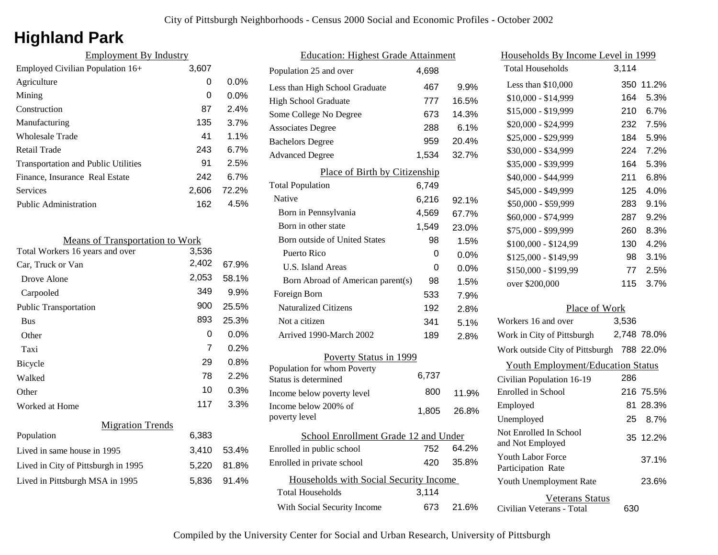# **Highland Park**

| <b>Employment By Industry</b>              |       |         |
|--------------------------------------------|-------|---------|
| Employed Civilian Population 16+           | 3,607 |         |
| Agriculture                                | 0     | $0.0\%$ |
| Mining                                     | 0     | $0.0\%$ |
| Construction                               | 87    | 2.4%    |
| Manufacturing                              | 135   | 3.7%    |
| Wholesale Trade                            | 41    | $1.1\%$ |
| Retail Trade                               | 243   | 6.7%    |
| <b>Transportation and Public Utilities</b> | 91    | 2.5%    |
| Finance, Insurance Real Estate             | 242   | 6.7%    |
| Services                                   | 2,606 | 72.2%   |
| <b>Public Administration</b>               | 162   | 4.5%    |
|                                            |       |         |

| 3,536 |                                        |
|-------|----------------------------------------|
| 2,402 | 67.9%                                  |
| 2,053 | 58.1%                                  |
| 349   | 9.9%                                   |
| 900   | 25.5%                                  |
| 893   | 25.3%                                  |
| 0     | $0.0\%$                                |
| 7     | 0.2%                                   |
| 29    | 0.8%                                   |
| 78    | 2.2%                                   |
| 10    | 0.3%                                   |
| 117   | 3.3%                                   |
|       |                                        |
| 6,383 |                                        |
| 3,410 | 53.4%                                  |
| 5,220 | 81.8%                                  |
| 5,836 | 91.4%                                  |
|       | <b>Means of Transportation to Work</b> |

| <b>Education: Highest Grade Attainment</b>          |       |         |  |
|-----------------------------------------------------|-------|---------|--|
| Population 25 and over                              | 4,698 |         |  |
| Less than High School Graduate                      | 467   | 9.9%    |  |
| <b>High School Graduate</b>                         | 777   | 16.5%   |  |
| Some College No Degree                              | 673   | 14.3%   |  |
| <b>Associates Degree</b>                            | 288   | 6.1%    |  |
| <b>Bachelors Degree</b>                             | 959   | 20.4%   |  |
| <b>Advanced Degree</b>                              | 1,534 | 32.7%   |  |
| Place of Birth by Citizenship                       |       |         |  |
| <b>Total Population</b>                             | 6,749 |         |  |
| Native                                              | 6,216 | 92.1%   |  |
| Born in Pennsylvania                                | 4,569 | 67.7%   |  |
| Born in other state                                 | 1,549 | 23.0%   |  |
| <b>Born outside of United States</b>                | 98    | 1.5%    |  |
| Puerto Rico                                         | 0     | $0.0\%$ |  |
| U.S. Island Areas                                   | 0     | $0.0\%$ |  |
| Born Abroad of American parent(s)                   | 98    | 1.5%    |  |
| Foreign Born                                        | 533   | 7.9%    |  |
| <b>Naturalized Citizens</b>                         | 192   | 2.8%    |  |
| Not a citizen                                       | 341   | 5.1%    |  |
| Arrived 1990-March 2002                             | 189   | 2.8%    |  |
| Poverty Status in 1999                              |       |         |  |
| Population for whom Poverty<br>Status is determined | 6,737 |         |  |
| Income below poverty level                          | 800   | 11.9%   |  |
| Income below 200% of                                |       |         |  |
| poverty level                                       | 1,805 | 26.8%   |  |
| School Enrollment Grade 12 and Under                |       |         |  |
| Enrolled in public school                           | 752   | 64.2%   |  |
| Enrolled in private school                          | 420   | 35.8%   |  |
| Households with Social Security Income              |       |         |  |
| Total Households                                    | 3,114 |         |  |
| With Social Security Income                         | 673   | 21.6%   |  |

| Households By Income Level in 1999             |       |             |
|------------------------------------------------|-------|-------------|
| <b>Total Households</b>                        | 3,114 |             |
| Less than \$10,000                             | 350   | 11.2%       |
| \$10,000 - \$14,999                            | 164   | 5.3%        |
| \$15,000 - \$19,999                            | 210   | 6.7%        |
| \$20,000 - \$24,999                            | 232   | 7.5%        |
| \$25,000 - \$29,999                            | 184   | 5.9%        |
| \$30,000 - \$34,999                            | 224   | 7.2%        |
| \$35,000 - \$39,999                            | 164   | 5.3%        |
| \$40,000 - \$44,999                            | 211   | 6.8%        |
| \$45,000 - \$49,999                            | 125   | 4.0%        |
| \$50,000 - \$59,999                            | 283   | 9.1%        |
| \$60,000 - \$74,999                            | 287   | 9.2%        |
| \$75,000 - \$99,999                            | 260   | 8.3%        |
| \$100,000 - \$124,99                           | 130   | 4.2%        |
| \$125,000 - \$149,99                           | 98    | 3.1%        |
| \$150,000 - \$199,99                           | 77    | 2.5%        |
| over \$200,000                                 | 115   | 3.7%        |
| Place of Work                                  |       |             |
| Workers 16 and over                            | 3,536 |             |
| Work in City of Pittsburgh                     |       | 2,748 78.0% |
| Work outside City of Pittsburgh 788 22.0%      |       |             |
| <b>Youth Employment/Education Status</b>       |       |             |
| Civilian Population 16-19                      | 286   |             |
| Enrolled in School                             |       | 216 75.5%   |
| Employed                                       | 81.   | 28.3%       |
| Unemployed                                     | 25    | 8.7%        |
| Not Enrolled In School<br>and Not Employed     |       | 35 12.2%    |
| <b>Youth Labor Force</b><br>Participation Rate |       | 37.1%       |
| Youth Unemployment Rate                        |       | 23.6%       |

Civilian Veterans - Total

Veterans Status

630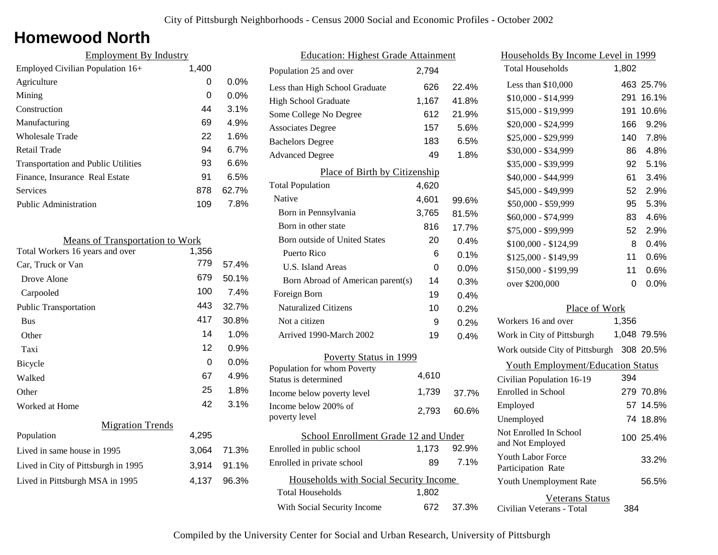### **Homewood North**

| <b>Employment By Industry</b>              |       |         |
|--------------------------------------------|-------|---------|
| Employed Civilian Population 16+           | 1,400 |         |
| Agriculture                                | 0     | $0.0\%$ |
| Mining                                     | 0     | $0.0\%$ |
| Construction                               | 44    | 3.1%    |
| Manufacturing                              | 69    | 4.9%    |
| <b>Wholesale Trade</b>                     | 22    | 1.6%    |
| Retail Trade                               | 94    | 6.7%    |
| <b>Transportation and Public Utilities</b> | 93    | 6.6%    |
| Finance, Insurance Real Estate             | 91    | 6.5%    |
| Services                                   | 878   | 62.7%   |
| <b>Public Administration</b>               | 109   | 7.8%    |

| <b>Means of Transportation to Work</b> |       |       |  |
|----------------------------------------|-------|-------|--|
| Total Workers 16 years and over        | 1,356 |       |  |
| Car, Truck or Van                      | 779   | 57.4% |  |
| Drove Alone                            | 679   | 50.1% |  |
| Carpooled                              | 100   | 7.4%  |  |
| <b>Public Transportation</b>           | 443   | 32.7% |  |
| <b>Bus</b>                             | 417   | 30.8% |  |
| Other                                  | 14    | 1.0%  |  |
| Taxi                                   | 12    | 0.9%  |  |
| Bicycle                                | 0     | 0.0%  |  |
| Walked                                 | 67    | 4.9%  |  |
| Other                                  | 25    | 1.8%  |  |
| Worked at Home                         | 42    | 3.1%  |  |
| <b>Migration Trends</b>                |       |       |  |
| Population                             | 4,295 |       |  |
| Lived in same house in 1995            | 3,064 | 71.3% |  |
| Lived in City of Pittsburgh in 1995    | 3,914 | 91.1% |  |
| Lived in Pittsburgh MSA in 1995        | 4.137 | 96.3% |  |

| <b>Education: Highest Grade Attainment</b> |                                                     |       |       |
|--------------------------------------------|-----------------------------------------------------|-------|-------|
|                                            | Population 25 and over                              | 2,794 |       |
|                                            | Less than High School Graduate                      | 626   | 22.4% |
|                                            | High School Graduate                                | 1,167 | 41.8% |
|                                            | Some College No Degree                              | 612   | 21.9% |
|                                            | <b>Associates Degree</b>                            | 157   | 5.6%  |
|                                            | <b>Bachelors Degree</b>                             | 183   | 6.5%  |
|                                            | <b>Advanced Degree</b>                              | 49    | 1.8%  |
|                                            | Place of Birth by Citizenship                       |       |       |
|                                            | <b>Total Population</b>                             | 4,620 |       |
|                                            | Native                                              | 4,601 | 99.6% |
|                                            | Born in Pennsylvania                                | 3,765 | 81.5% |
|                                            | Born in other state                                 | 816   | 17.7% |
|                                            | Born outside of United States                       | 20    | 0.4%  |
|                                            | Puerto Rico                                         | 6     | 0.1%  |
|                                            | U.S. Island Areas                                   | 0     | 0.0%  |
|                                            | Born Abroad of American parent(s)                   | 14    | 0.3%  |
|                                            | Foreign Born                                        | 19    | 0.4%  |
|                                            | <b>Naturalized Citizens</b>                         | 10    | 0.2%  |
|                                            | Not a citizen                                       | 9     | 0.2%  |
|                                            | Arrived 1990-March 2002                             | 19    | 0.4%  |
| <b>Poverty Status in 1999</b>              |                                                     |       |       |
|                                            | Population for whom Poverty<br>Status is determined | 4,610 |       |
|                                            | Income below poverty level                          | 1,739 | 37.7% |
|                                            | Income below 200% of<br>poverty level               | 2,793 | 60.6% |
| School Enrollment Grade 12 and Under       |                                                     |       |       |
|                                            | Enrolled in public school                           | 1,173 | 92.9% |
|                                            | Enrolled in private school                          | 89    | 7.1%  |
|                                            | Households with Social Security Income              |       |       |
|                                            | Total Households                                    | 1,802 |       |
|                                            | With Social Security Income                         | 672   | 37.3% |
|                                            |                                                     |       |       |

| Households By Income Level in 1999         |       |             |
|--------------------------------------------|-------|-------------|
| <b>Total Households</b>                    | 1,802 |             |
| Less than \$10,000                         |       | 463 25.7%   |
| \$10,000 - \$14,999                        | 291   | 16.1%       |
| \$15,000 - \$19,999                        | 191   | 10.6%       |
| \$20,000 - \$24,999                        | 166   | 9.2%        |
| \$25,000 - \$29,999                        | 140   | 7.8%        |
| \$30,000 - \$34,999                        | 86    | 4.8%        |
| \$35,000 - \$39,999                        | 92    | 5.1%        |
| \$40,000 - \$44,999                        | 61    | 3.4%        |
| \$45,000 - \$49,999                        | 52    | 2.9%        |
| \$50,000 - \$59,999                        | 95    | 5.3%        |
| \$60,000 - \$74,999                        | 83    | 4.6%        |
| \$75,000 - \$99,999                        | 52    | 2.9%        |
| \$100,000 - \$124,99                       | 8     | 0.4%        |
| \$125,000 - \$149,99                       | 11    | 0.6%        |
| \$150,000 - \$199,99                       | 11    | 0.6%        |
| over \$200,000                             | 0     | 0.0%        |
| Place of Work                              |       |             |
| Workers 16 and over                        | 1,356 |             |
| Work in City of Pittsburgh                 |       | 1,048 79.5% |
| Work outside City of Pittsburgh 308 20.5%  |       |             |
| <b>Youth Employment/Education Status</b>   |       |             |
| Civilian Population 16-19                  | 394   |             |
| Enrolled in School                         |       | 279 70.8%   |
| Employed                                   |       | 57 14.5%    |
| Unemployed                                 |       | 74 18.8%    |
| Not Enrolled In School<br>and Not Employed |       | 100 25.4%   |
| Youth Labor Force<br>Participation Rate    |       | 33.2%       |
| Youth Unemployment Rate                    |       | 56.5%       |
| <b>Veterans Status</b>                     |       |             |

Civilian Veterans - Total

384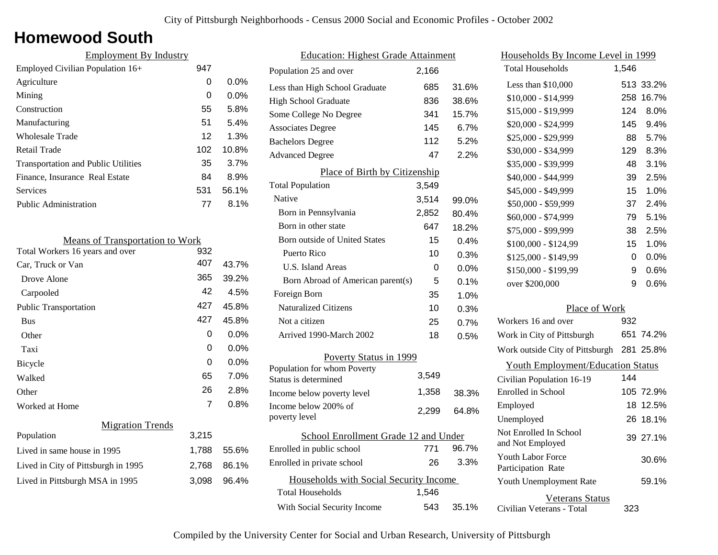### **Homewood South**

| <b>Employment By Industry</b>              |     |         |
|--------------------------------------------|-----|---------|
| Employed Civilian Population 16+           | 947 |         |
| Agriculture                                | 0   | $0.0\%$ |
| Mining                                     | 0   | $0.0\%$ |
| Construction                               | 55  | 5.8%    |
| Manufacturing                              | 51  | 5.4%    |
| Wholesale Trade                            | 12  | 1.3%    |
| Retail Trade                               | 102 | 10.8%   |
| <b>Transportation and Public Utilities</b> | 35  | 3.7%    |
| Finance, Insurance Real Estate             | 84  | 8.9%    |
| Services                                   | 531 | 56.1%   |
| <b>Public Administration</b>               | 77  | $8.1\%$ |
|                                            |     |         |

| <b>Means of Transportation to Work</b> |                |         |  |
|----------------------------------------|----------------|---------|--|
| Total Workers 16 years and over        | 932            |         |  |
| Car, Truck or Van                      | 407            | 43.7%   |  |
| Drove Alone                            | 365            | 39.2%   |  |
| Carpooled                              | 42             | 4.5%    |  |
| <b>Public Transportation</b>           | 427            | 45.8%   |  |
| <b>Bus</b>                             | 427            | 45.8%   |  |
| Other                                  | 0              | $0.0\%$ |  |
| Taxi                                   | 0              | $0.0\%$ |  |
| Bicycle                                | 0              | $0.0\%$ |  |
| Walked                                 | 65             | 7.0%    |  |
| Other                                  | 26             | 2.8%    |  |
| Worked at Home                         | $\overline{7}$ | $0.8\%$ |  |
| <b>Migration Trends</b>                |                |         |  |
| Population                             | 3,215          |         |  |
| Lived in same house in 1995            | 1,788          | 55.6%   |  |
| Lived in City of Pittsburgh in 1995    | 2,768          | 86.1%   |  |
| Lived in Pittsburgh MSA in 1995        | 3,098          | 96.4%   |  |
|                                        |                |         |  |

| <b>Education: Highest Grade Attainment</b> |                                        |       |       |
|--------------------------------------------|----------------------------------------|-------|-------|
|                                            | Population 25 and over                 | 2,166 |       |
|                                            | Less than High School Graduate         | 685   | 31.6% |
|                                            | High School Graduate                   | 836   | 38.6% |
|                                            | Some College No Degree                 | 341   | 15.7% |
|                                            | <b>Associates Degree</b>               | 145   | 6.7%  |
|                                            | <b>Bachelors Degree</b>                | 112   | 5.2%  |
|                                            | <b>Advanced Degree</b>                 | 47    | 2.2%  |
|                                            | Place of Birth by Citizenship          |       |       |
|                                            | <b>Total Population</b>                | 3,549 |       |
|                                            | Native                                 | 3,514 | 99.0% |
|                                            | Born in Pennsylvania                   | 2,852 | 80.4% |
|                                            | Born in other state                    | 647   | 18.2% |
|                                            | <b>Born outside of United States</b>   | 15    | 0.4%  |
|                                            | Puerto Rico                            | 10    | 0.3%  |
|                                            | <b>U.S. Island Areas</b>               | 0     | 0.0%  |
|                                            | Born Abroad of American parent(s)      | 5     | 0.1%  |
|                                            | Foreign Born                           | 35    | 1.0%  |
|                                            | <b>Naturalized Citizens</b>            | 10    | 0.3%  |
|                                            | Not a citizen                          | 25    | 0.7%  |
|                                            | Arrived 1990-March 2002                | 18    | 0.5%  |
| Poverty Status in 1999                     |                                        |       |       |
|                                            | Population for whom Poverty            | 3,549 |       |
|                                            | Status is determined                   |       |       |
|                                            | Income below poverty level             | 1,358 | 38.3% |
|                                            | Income below 200% of<br>poverty level  | 2,299 | 64.8% |
| School Enrollment Grade 12 and Under       |                                        |       |       |
|                                            | Enrolled in public school              | 771   | 96.7% |
|                                            | Enrolled in private school             | 26    | 3.3%  |
|                                            | Households with Social Security Income |       |       |
|                                            | <b>Total Households</b>                | 1,546 |       |
|                                            | With Social Security Income            | 543   | 35.1% |
|                                            |                                        |       |       |

| <u>Households By Income Level in 1999</u>  |       |           |
|--------------------------------------------|-------|-----------|
| <b>Total Households</b>                    | 1,546 |           |
| Less than $$10,000$                        | 513   | 33.2%     |
| \$10,000 - \$14,999                        | 258   | 16.7%     |
| \$15,000 - \$19,999                        | 124   | 8.0%      |
| \$20,000 - \$24,999                        | 145   | 9.4%      |
| \$25,000 - \$29,999                        | 88    | 5.7%      |
| \$30,000 - \$34,999                        | 129   | 8.3%      |
| \$35,000 - \$39,999                        | 48    | 3.1%      |
| \$40,000 - \$44,999                        | 39    | 2.5%      |
| \$45,000 - \$49,999                        | 15    | 1.0%      |
| \$50,000 - \$59,999                        | 37    | 2.4%      |
| \$60,000 - \$74,999                        | 79    | 5.1%      |
| \$75,000 - \$99,999                        | 38    | 2.5%      |
| \$100,000 - \$124,99                       | 15    | 1.0%      |
| \$125,000 - \$149,99                       | 0     | 0.0%      |
| \$150,000 - \$199,99                       | 9     | 0.6%      |
| over \$200,000                             | 9     | 0.6%      |
| Place of Work                              |       |           |
| Workers 16 and over                        | 932   |           |
| Work in City of Pittsburgh                 |       | 651 74.2% |
| Work outside City of Pittsburgh            |       | 281 25.8% |
| <b>Youth Employment/Education Status</b>   |       |           |
| Civilian Population 16-19                  | 144   |           |
| <b>Enrolled</b> in School                  |       | 105 72.9% |
| Employed                                   | 18    | 12.5%     |
| Unemployed                                 |       | 26 18.1%  |
| Not Enrolled In School<br>and Not Employed |       | 39 27.1%  |
| Youth Labor Force<br>Participation Rate    |       | 30.6%     |
| Youth Unemployment Rate                    |       | 59.1%     |
| Veterans Status                            |       |           |

Civilian Veterans - Total

323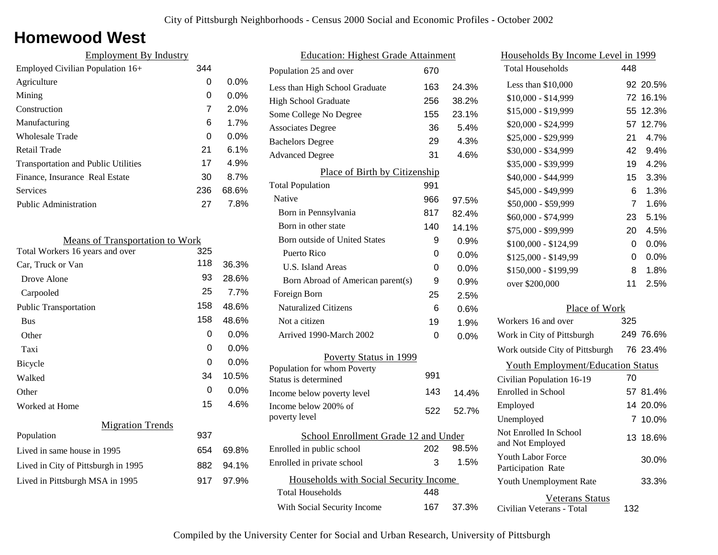### **Homewood West**

| <b>Employment By Industry</b>              |     |         |
|--------------------------------------------|-----|---------|
| Employed Civilian Population 16+           | 344 |         |
| Agriculture                                | 0   | $0.0\%$ |
| Mining                                     | 0   | $0.0\%$ |
| Construction                               | 7   | 2.0%    |
| Manufacturing                              | 6   | 1.7%    |
| Wholesale Trade                            | 0   | $0.0\%$ |
| Retail Trade                               | 21  | $6.1\%$ |
| <b>Transportation and Public Utilities</b> | 17  | 4.9%    |
| Finance, Insurance Real Estate             | 30  | 8.7%    |
| Services                                   | 236 | 68.6%   |
| <b>Public Administration</b>               | 27  | 7.8%    |

| <b>Means of Transportation to Work</b> |     |         |
|----------------------------------------|-----|---------|
| Total Workers 16 years and over        | 325 |         |
| Car, Truck or Van                      | 118 | 36.3%   |
| Drove Alone                            | 93  | 28.6%   |
| Carpooled                              | 25  | 7.7%    |
| Public Transportation                  | 158 | 48.6%   |
| <b>Bus</b>                             | 158 | 48.6%   |
| Other                                  | 0   | $0.0\%$ |
| Taxi                                   | 0   | $0.0\%$ |
| Bicycle                                | 0   | $0.0\%$ |
| Walked                                 | 34  | 10.5%   |
| Other                                  | 0   | $0.0\%$ |
| Worked at Home                         | 15  | 4.6%    |
| <b>Migration Trends</b>                |     |         |
| Population                             | 937 |         |
| Lived in same house in 1995            | 654 | 69.8%   |
| Lived in City of Pittsburgh in 1995    | 882 | 94.1%   |
| Lived in Pittsburgh MSA in 1995        | 917 | 97.9%   |
|                                        |     |         |

| <b>Education: Highest Grade Attainment</b> |     |         |
|--------------------------------------------|-----|---------|
| Population 25 and over                     | 670 |         |
| Less than High School Graduate             | 163 | 24.3%   |
| High School Graduate                       | 256 | 38.2%   |
| Some College No Degree                     | 155 | 23.1%   |
| <b>Associates Degree</b>                   | 36  | 5.4%    |
| <b>Bachelors Degree</b>                    | 29  | 4.3%    |
| <b>Advanced Degree</b>                     | 31  | 4.6%    |
| Place of Birth by Citizenship              |     |         |
| <b>Total Population</b>                    | 991 |         |
| Native                                     | 966 | 97.5%   |
| Born in Pennsylvania                       | 817 | 82.4%   |
| Born in other state                        | 140 | 14.1%   |
| Born outside of United States              | 9   | 0.9%    |
| Puerto Rico                                | 0   | 0.0%    |
| <b>U.S. Island Areas</b>                   | 0   | $0.0\%$ |
| Born Abroad of American parent(s)          | 9   | $0.9\%$ |
| Foreign Born                               | 25  | 2.5%    |
| <b>Naturalized Citizens</b>                | 6   | 0.6%    |
| Not a citizen                              | 19  | 1.9%    |
| Arrived 1990-March 2002                    | 0   | 0.0%    |
| Poverty Status in 1999                     |     |         |
| Population for whom Poverty                |     |         |
| Status is determined                       | 991 |         |
| Income below poverty level                 | 143 | 14.4%   |
| Income below 200% of<br>poverty level      | 522 | 52.7%   |
| School Enrollment Grade 12 and Under       |     |         |
| Enrolled in public school                  | 202 | 98.5%   |
| Enrolled in private school                 | 3   | 1.5%    |
| Households with Social Security Income     |     |         |
| <b>Total Households</b>                    | 448 |         |
| With Social Security Income                | 167 | 37.3%   |

| Households By Income Level in 1999                  |             |           |
|-----------------------------------------------------|-------------|-----------|
| <b>Total Households</b>                             | 448         |           |
| Less than \$10,000                                  |             | 92 20.5%  |
| \$10,000 - \$14,999                                 | 72          | 16.1%     |
| \$15,000 - \$19,999                                 | 55          | 12.3%     |
| \$20,000 - \$24,999                                 | 57          | 12.7%     |
| \$25,000 - \$29,999                                 | 21          | 4.7%      |
| \$30,000 - \$34,999                                 | 42          | 9.4%      |
| \$35,000 - \$39,999                                 | 19          | 4.2%      |
| \$40,000 - \$44,999                                 | 15          | 3.3%      |
| \$45,000 - \$49,999                                 | 6           | 1.3%      |
| \$50,000 - \$59,999                                 | 7           | 1.6%      |
| \$60,000 - \$74,999                                 | 23          | 5.1%      |
| \$75,000 - \$99,999                                 | 20          | 4.5%      |
| \$100,000 - \$124,99                                | 0           | 0.0%      |
| \$125,000 - \$149,99                                | 0           | 0.0%      |
| \$150,000 - \$199,99                                | 8           | 1.8%      |
| over \$200,000                                      | 11          | 2.5%      |
| Place of Work                                       |             |           |
| Workers 16 and over                                 | 325         |           |
| Work in City of Pittsburgh                          |             | 249 76.6% |
| Work outside City of Pittsburgh                     |             | 76 23.4%  |
| <b>Youth Employment/Education Status</b>            |             |           |
| Civilian Population 16-19                           | 70          |           |
| Enrolled in School                                  |             | 57 81.4%  |
| Employed                                            |             | 14 20.0%  |
| Unemployed                                          | $7^{\circ}$ | 10.0%     |
| Not Enrolled In School<br>and Not Employed          | 13          | 18.6%     |
| <b>Youth Labor Force</b><br>Participation Rate      |             | 30.0%     |
| Youth Unemployment Rate                             |             | 33.3%     |
| <b>Veterans Status</b><br>Civilian Veterans - Total | 132         |           |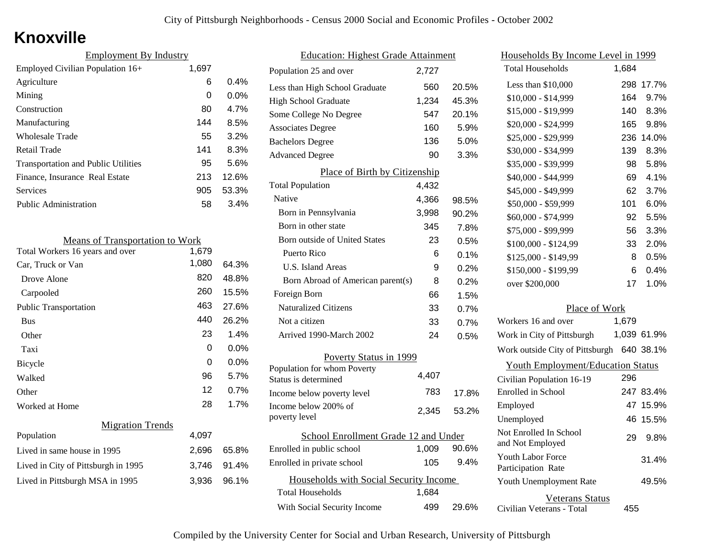# **Knoxville**

| <b>Employment By Industry</b>              |       |         |
|--------------------------------------------|-------|---------|
| Employed Civilian Population 16+           | 1,697 |         |
| Agriculture                                | 6     | 0.4%    |
| Mining                                     | 0     | $0.0\%$ |
| Construction                               | 80    | 4.7%    |
| Manufacturing                              | 144   | 8.5%    |
| Wholesale Trade                            | 55    | 3.2%    |
| Retail Trade                               | 141   | 8.3%    |
| <b>Transportation and Public Utilities</b> | 95    | 5.6%    |
| Finance, Insurance Real Estate             | 213   | 12.6%   |
| Services                                   | 905   | 53.3%   |
| <b>Public Administration</b>               | 58    | 3.4%    |

| <b>Means of Transportation to Work</b> |       |         |
|----------------------------------------|-------|---------|
| Total Workers 16 years and over        | 1,679 |         |
| Car, Truck or Van                      | 1,080 | 64.3%   |
| Drove Alone                            | 820   | 48.8%   |
| Carpooled                              | 260   | 15.5%   |
| <b>Public Transportation</b>           | 463   | 27.6%   |
| <b>Bus</b>                             | 440   | 26.2%   |
| Other                                  | 23    | 1.4%    |
| Taxi                                   | 0     | 0.0%    |
| Bicycle                                | 0     | $0.0\%$ |
| Walked                                 | 96    | 5.7%    |
| Other                                  | 12    | 0.7%    |
| Worked at Home                         | 28    | 1.7%    |
| <b>Migration Trends</b>                |       |         |
| Population                             | 4,097 |         |
| Lived in same house in 1995            | 2,696 | 65.8%   |
| Lived in City of Pittsburgh in 1995    | 3,746 | 91.4%   |
| Lived in Pittsburgh MSA in 1995        | 3,936 | 96.1%   |
|                                        |       |         |

| <b>Education: Highest Grade Attainment</b>          |       |       |
|-----------------------------------------------------|-------|-------|
| Population 25 and over                              | 2,727 |       |
| Less than High School Graduate                      | 560   | 20.5% |
| <b>High School Graduate</b>                         | 1,234 | 45.3% |
| Some College No Degree                              | 547   | 20.1% |
| <b>Associates Degree</b>                            | 160   | 5.9%  |
| <b>Bachelors Degree</b>                             | 136   | 5.0%  |
| <b>Advanced Degree</b>                              | 90    | 3.3%  |
| Place of Birth by Citizenship                       |       |       |
| <b>Total Population</b>                             | 4,432 |       |
| Native                                              | 4,366 | 98.5% |
| Born in Pennsylvania                                | 3,998 | 90.2% |
| Born in other state                                 | 345   | 7.8%  |
| Born outside of United States                       | 23    | 0.5%  |
| Puerto Rico                                         | 6     | 0.1%  |
| U.S. Island Areas                                   | 9     | 0.2%  |
| Born Abroad of American parent(s)                   | 8     | 0.2%  |
| Foreign Born                                        | 66    | 1.5%  |
| <b>Naturalized Citizens</b>                         | 33    | 0.7%  |
| Not a citizen                                       | 33    | 0.7%  |
| Arrived 1990-March 2002                             | 24    | 0.5%  |
| Poverty Status in 1999                              |       |       |
| Population for whom Poverty<br>Status is determined | 4,407 |       |
| Income below poverty level                          | 783   | 17.8% |
| Income below 200% of<br>poverty level               | 2,345 | 53.2% |
| School Enrollment Grade 12 and Under                |       |       |
| Enrolled in public school                           | 1,009 | 90.6% |
| Enrolled in private school                          | 105   | 9.4%  |
| Households with Social Security Income              |       |       |
| With Social Security Income                         | 499   | 29.6% |
| <b>Total Households</b>                             | 1,684 |       |

| <u>Households By Income Level in 1999</u>           |       |             |
|-----------------------------------------------------|-------|-------------|
| <b>Total Households</b>                             | 1,684 |             |
| Less than \$10,000                                  | 298   | 17.7%       |
| $$10,000 - $14,999$                                 | 164   | 9.7%        |
| \$15,000 - \$19,999                                 | 140   | 8.3%        |
| \$20,000 - \$24,999                                 | 165   | 9.8%        |
| \$25,000 - \$29,999                                 | 236   | 14.0%       |
| \$30,000 - \$34,999                                 | 139   | 8.3%        |
| \$35,000 - \$39,999                                 | 98    | 5.8%        |
| \$40,000 - \$44,999                                 | 69    | 4.1%        |
| \$45,000 - \$49,999                                 | 62    | 3.7%        |
| \$50,000 - \$59,999                                 | 101   | 6.0%        |
| \$60,000 - \$74,999                                 | 92    | 5.5%        |
| \$75,000 - \$99,999                                 | 56    | 3.3%        |
| \$100,000 - \$124,99                                | 33    | 2.0%        |
| \$125,000 - \$149,99                                | 8     | 0.5%        |
| \$150,000 - \$199,99                                | 6     | 0.4%        |
| over \$200,000                                      | 17    | 1.0%        |
| Place of Work                                       |       |             |
| Workers 16 and over                                 | 1,679 |             |
| Work in City of Pittsburgh                          |       | 1,039 61.9% |
| Work outside City of Pittsburgh                     |       | 640 38.1%   |
| <b>Youth Employment/Education Status</b>            |       |             |
| Civilian Population 16-19                           | 296   |             |
| Enrolled in School                                  | 247   | 83.4%       |
| Employed                                            | 47    | 15.9%       |
| Unemployed                                          | 46    | 15.5%       |
| Not Enrolled In School<br>and Not Employed          | 29    | 9.8%        |
| <b>Youth Labor Force</b><br>Participation Rate      |       | 31.4%       |
| Youth Unemployment Rate                             |       | 49.5%       |
| <b>Veterans Status</b><br>Civilian Veterans - Total | 455   |             |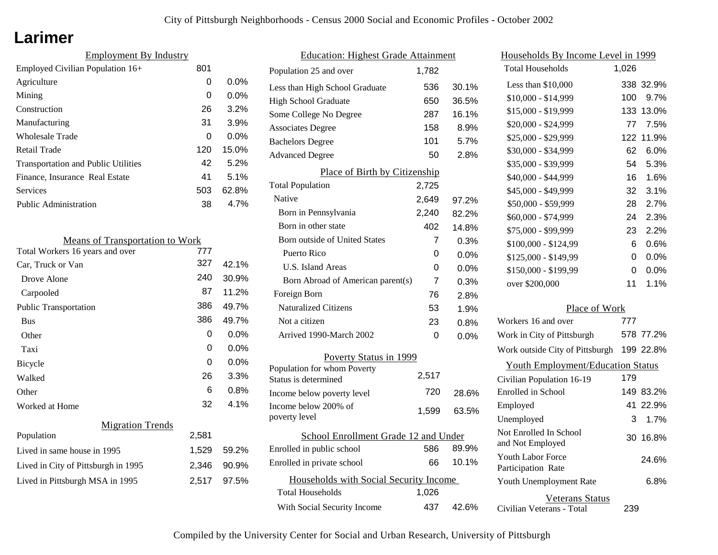### **Larimer**

| 801 |         |
|-----|---------|
| 0   | $0.0\%$ |
| 0   | $0.0\%$ |
| 26  | 3.2%    |
| 31  | 3.9%    |
| 0   | 0.0%    |
| 120 | 15.0%   |
| 42  | 5.2%    |
| 41  | 5.1%    |
| 503 | 62.8%   |
| 38  | 4.7%    |
|     |         |

| <b>Means of Transportation to Work</b> |       |         |
|----------------------------------------|-------|---------|
| Total Workers 16 years and over        | 777   |         |
| Car, Truck or Van                      | 327   | 42.1%   |
| Drove Alone                            | 240   | 30.9%   |
| Carpooled                              | 87    | 11.2%   |
| <b>Public Transportation</b>           | 386   | 49.7%   |
| <b>Bus</b>                             | 386   | 49.7%   |
| Other                                  | 0     | $0.0\%$ |
| Taxi                                   | 0     | $0.0\%$ |
| <b>Bicycle</b>                         | 0     | $0.0\%$ |
| Walked                                 | 26    | 3.3%    |
| Other                                  | 6     | 0.8%    |
| Worked at Home                         | 32    | 4.1%    |
| <b>Migration Trends</b>                |       |         |
| Population                             | 2,581 |         |
| Lived in same house in 1995            | 1,529 | 59.2%   |
| Lived in City of Pittsburgh in 1995    | 2,346 | 90.9%   |
| Lived in Pittsburgh MSA in 1995        | 2,517 | 97.5%   |

| <b>Education: Highest Grade Attainment</b> |       |       |
|--------------------------------------------|-------|-------|
| Population 25 and over                     | 1,782 |       |
| Less than High School Graduate             | 536   | 30.1% |
| <b>High School Graduate</b>                | 650   | 36.5% |
| Some College No Degree                     | 287   | 16.1% |
| <b>Associates Degree</b>                   | 158   | 8.9%  |
| <b>Bachelors Degree</b>                    | 101   | 5.7%  |
| <b>Advanced Degree</b>                     | 50    | 2.8%  |
| Place of Birth by Citizenship              |       |       |
| <b>Total Population</b>                    | 2,725 |       |
| Native                                     | 2,649 | 97.2% |
| Born in Pennsylvania                       | 2,240 | 82.2% |
| Born in other state                        | 402   | 14.8% |
| Born outside of United States              | 7     | 0.3%  |
| Puerto Rico                                | 0     | 0.0%  |
| U.S. Island Areas                          | 0     | 0.0%  |
| Born Abroad of American parent(s)          | 7     | 0.3%  |
| Foreign Born                               | 76    | 2.8%  |
| <b>Naturalized Citizens</b>                | 53    | 1.9%  |
| Not a citizen                              | 23    | 0.8%  |
| Arrived 1990-March 2002                    | 0     | 0.0%  |
| Poverty Status in 1999                     |       |       |
| Population for whom Poverty                | 2,517 |       |
| Status is determined                       |       |       |
| Income below poverty level                 | 720   | 28.6% |
| Income below 200% of<br>poverty level      | 1,599 | 63.5% |
| School Enrollment Grade 12 and Under       |       |       |
| Enrolled in public school                  | 586   | 89.9% |
| Enrolled in private school                 | 66    | 10.1% |
| Households with Social Security Income     |       |       |
| Total Households                           | 1,026 |       |
| With Social Security Income                | 437   | 42.6% |

| <u>Households By Income Level in 1999</u>           |       |           |
|-----------------------------------------------------|-------|-----------|
| <b>Total Households</b>                             | 1,026 |           |
| Less than $$10,000$                                 |       | 338 32.9% |
| $$10,000 - $14,999$                                 | 100   | 9.7%      |
| \$15,000 - \$19,999                                 | 133   | 13.0%     |
| \$20,000 - \$24,999                                 | 77    | 7.5%      |
| \$25,000 - \$29,999                                 |       | 122 11.9% |
| \$30,000 - \$34,999                                 | 62    | 6.0%      |
| \$35,000 - \$39,999                                 | 54    | 5.3%      |
| \$40,000 - \$44,999                                 | 16    | 1.6%      |
| \$45,000 - \$49,999                                 | 32    | 3.1%      |
| \$50,000 - \$59,999                                 | 28    | 2.7%      |
| \$60,000 - \$74,999                                 | 24    | 2.3%      |
| \$75,000 - \$99,999                                 | 23    | 2.2%      |
| \$100,000 - \$124,99                                | 6     | 0.6%      |
| \$125,000 - \$149,99                                | 0     | 0.0%      |
| \$150,000 - \$199,99                                | 0     | 0.0%      |
| over \$200,000                                      | 11    | 1.1%      |
| Place of Work                                       |       |           |
| Workers 16 and over                                 | 777   |           |
| Work in City of Pittsburgh                          |       | 578 77.2% |
| Work outside City of Pittsburgh                     |       | 199 22.8% |
| <b>Youth Employment/Education Status</b>            |       |           |
| Civilian Population 16-19                           | 179   |           |
| Enrolled in School                                  |       | 149 83.2% |
| Employed                                            | 41    | 22.9%     |
| Unemployed                                          | 3     | 1.7%      |
| Not Enrolled In School<br>and Not Employed          | 30    | 16.8%     |
| <b>Youth Labor Force</b><br>Participation Rate      |       | 24.6%     |
| Youth Unemployment Rate                             |       | 6.8%      |
| <b>Veterans Status</b><br>Civilian Veterans - Total | 239   |           |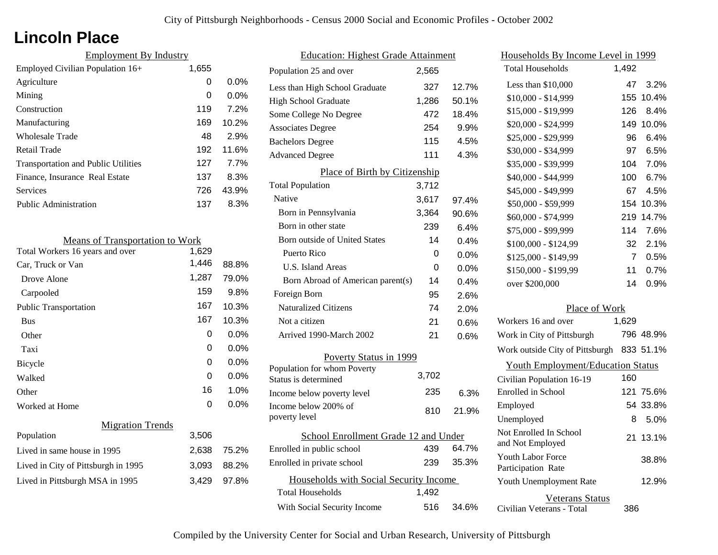# **Lincoln Place**

| <b>Employment By Industry</b>              |       |         |
|--------------------------------------------|-------|---------|
| Employed Civilian Population 16+           | 1,655 |         |
| Agriculture                                | 0     | $0.0\%$ |
| Mining                                     | 0     | $0.0\%$ |
| Construction                               | 119   | 7.2%    |
| Manufacturing                              | 169   | 10.2%   |
| Wholesale Trade                            | 48    | 2.9%    |
| Retail Trade                               | 192   | 11.6%   |
| <b>Transportation and Public Utilities</b> | 127   | 7.7%    |
| Finance, Insurance Real Estate             | 137   | 8.3%    |
| Services                                   | 726   | 43.9%   |
| Public Administration                      | 137   | 8.3%    |

| <b>Means of Transportation to Work</b> |       |         |
|----------------------------------------|-------|---------|
| Total Workers 16 years and over        | 1,629 |         |
| Car, Truck or Van                      | 1,446 | 88.8%   |
| Drove Alone                            | 1,287 | 79.0%   |
| Carpooled                              | 159   | $9.8\%$ |
| <b>Public Transportation</b>           | 167   | 10.3%   |
| <b>Bus</b>                             | 167   | 10.3%   |
| Other                                  | 0     | $0.0\%$ |
| Taxi                                   | 0     | $0.0\%$ |
| Bicycle                                | 0     | $0.0\%$ |
| Walked                                 | 0     | $0.0\%$ |
| Other                                  | 16    | 1.0%    |
| Worked at Home                         | 0     | $0.0\%$ |
| <b>Migration Trends</b>                |       |         |
| Population                             | 3,506 |         |
| Lived in same house in 1995            | 2,638 | 75.2%   |
| Lived in City of Pittsburgh in 1995    | 3,093 | 88.2%   |
| Lived in Pittsburgh MSA in 1995        | 3,429 | 97.8%   |
|                                        |       |         |

| <b>Education: Highest Grade Attainment</b>          |       |         |
|-----------------------------------------------------|-------|---------|
| Population 25 and over                              | 2,565 |         |
| Less than High School Graduate                      | 327   | 12.7%   |
| <b>High School Graduate</b>                         | 1,286 | 50.1%   |
| Some College No Degree                              | 472   | 18.4%   |
| <b>Associates Degree</b>                            | 254   | 9.9%    |
| <b>Bachelors Degree</b>                             | 115   | 4.5%    |
| <b>Advanced Degree</b>                              | 111   | 4.3%    |
| Place of Birth by Citizenship                       |       |         |
| <b>Total Population</b>                             | 3,712 |         |
| Native                                              | 3,617 | 97.4%   |
| Born in Pennsylvania                                | 3,364 | 90.6%   |
| Born in other state                                 | 239   | 6.4%    |
| <b>Born outside of United States</b>                | 14    | 0.4%    |
| Puerto Rico                                         | 0     | 0.0%    |
| <b>U.S. Island Areas</b>                            | 0     | $0.0\%$ |
| Born Abroad of American parent(s)                   | 14    | 0.4%    |
| Foreign Born                                        | 95    | 2.6%    |
| <b>Naturalized Citizens</b>                         | 74    | 2.0%    |
| Not a citizen                                       | 21    | 0.6%    |
| Arrived 1990-March 2002                             | 21    | 0.6%    |
| Poverty Status in 1999                              |       |         |
| Population for whom Poverty<br>Status is determined | 3,702 |         |
| Income below poverty level                          | 235   | 6.3%    |
| Income below 200% of<br>poverty level               | 810   | 21.9%   |
| School Enrollment Grade 12 and Under                |       |         |
| Enrolled in public school                           | 439   | 64.7%   |
| Enrolled in private school                          | 239   | 35.3%   |
| Households with Social Security Income              |       |         |
| Total Households                                    | 1,492 |         |
| With Social Security Income                         | 516   | 34.6%   |

| Households By Income Level in 1999                  |       |           |
|-----------------------------------------------------|-------|-----------|
| <b>Total Households</b>                             | 1,492 |           |
| Less than \$10,000                                  | 47    | 3.2%      |
| \$10,000 - \$14,999                                 | 155   | 10.4%     |
| \$15,000 - \$19,999                                 | 126   | 8.4%      |
| \$20,000 - \$24,999                                 | 149   | 10.0%     |
| \$25,000 - \$29,999                                 | 96    | 6.4%      |
| \$30,000 - \$34,999                                 | 97    | 6.5%      |
| \$35,000 - \$39,999                                 | 104   | 7.0%      |
| \$40,000 - \$44,999                                 | 100   | 6.7%      |
| \$45,000 - \$49,999                                 | 67    | 4.5%      |
| \$50,000 - \$59,999                                 | 154   | 10.3%     |
| \$60,000 - \$74,999                                 | 219   | 14.7%     |
| \$75,000 - \$99,999                                 | 114   | 7.6%      |
| \$100,000 - \$124,99                                | 32    | 2.1%      |
| \$125,000 - \$149,99                                | 7     | 0.5%      |
| \$150,000 - \$199,99                                | 11    | 0.7%      |
| over \$200,000                                      | 14    | 0.9%      |
| Place of Work                                       |       |           |
| Workers 16 and over                                 | 1,629 |           |
| Work in City of Pittsburgh                          |       | 796 48.9% |
| Work outside City of Pittsburgh                     |       | 833 51.1% |
| <b>Youth Employment/Education Status</b>            |       |           |
| Civilian Population 16-19                           | 160   |           |
| Enrolled in School                                  | 121   | 75.6%     |
| Employed                                            |       | 54 33.8%  |
| Unemployed                                          | 8     | 5.0%      |
| Not Enrolled In School<br>and Not Employed          | 21    | 13.1%     |
| Youth Labor Force<br>Participation Rate             |       | 38.8%     |
| Youth Unemployment Rate                             |       | 12.9%     |
| <b>Veterans Status</b><br>Civilian Veterans - Total | 386   |           |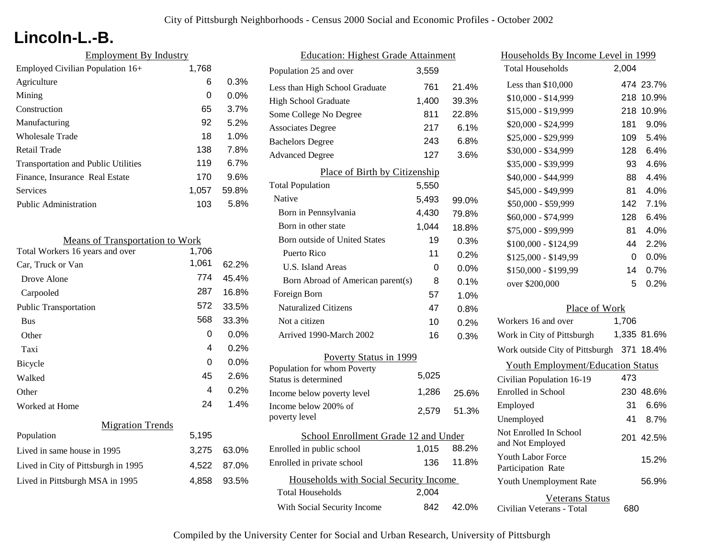# **Lincoln-L.-B.**

| <b>Employment By Industry</b>              |       |         |
|--------------------------------------------|-------|---------|
| Employed Civilian Population 16+           | 1,768 |         |
| Agriculture                                | 6     | 0.3%    |
| Mining                                     | 0     | $0.0\%$ |
| Construction                               | 65    | 3.7%    |
| Manufacturing                              | 92    | 5.2%    |
| Wholesale Trade                            | 18    | 1.0%    |
| Retail Trade                               | 138   | 7.8%    |
| <b>Transportation and Public Utilities</b> | 119   | 6.7%    |
| Finance, Insurance Real Estate             | 170   | 9.6%    |
| Services                                   | 1,057 | 59.8%   |
| <b>Public Administration</b>               | 103   | 5.8%    |

| <b>Means of Transportation to Work</b> |       |         |
|----------------------------------------|-------|---------|
| Total Workers 16 years and over        | 1,706 |         |
| Car, Truck or Van                      | 1,061 | 62.2%   |
| Drove Alone                            | 774   | 45.4%   |
| Carpooled                              | 287   | 16.8%   |
| <b>Public Transportation</b>           | 572   | 33.5%   |
| <b>Bus</b>                             | 568   | 33.3%   |
| Other                                  | 0     | $0.0\%$ |
| Taxi                                   | 4     | $0.2\%$ |
| Bicycle                                | 0     | $0.0\%$ |
| Walked                                 | 45    | 2.6%    |
| Other                                  | 4     | 0.2%    |
| Worked at Home                         | 24    | 1.4%    |
| <b>Migration Trends</b>                |       |         |
| Population                             | 5,195 |         |
| Lived in same house in 1995            | 3,275 | 63.0%   |
| Lived in City of Pittsburgh in 1995    | 4,522 | 87.0%   |
| Lived in Pittsburgh MSA in 1995        | 4,858 | 93.5%   |
|                                        |       |         |

| <b>Education: Highest Grade Attainment</b>          |       |         |
|-----------------------------------------------------|-------|---------|
| Population 25 and over                              | 3,559 |         |
| Less than High School Graduate                      | 761   | 21.4%   |
| <b>High School Graduate</b>                         | 1,400 | 39.3%   |
| Some College No Degree                              | 811   | 22.8%   |
| <b>Associates Degree</b>                            | 217   | 6.1%    |
| <b>Bachelors Degree</b>                             | 243   | 6.8%    |
| <b>Advanced Degree</b>                              | 127   | 3.6%    |
| Place of Birth by Citizenship                       |       |         |
| <b>Total Population</b>                             | 5,550 |         |
| <b>Native</b>                                       | 5,493 | 99.0%   |
| Born in Pennsylvania                                | 4,430 | 79.8%   |
| Born in other state                                 | 1,044 | 18.8%   |
| Born outside of United States                       | 19    | 0.3%    |
| Puerto Rico                                         | 11    | 0.2%    |
| <b>U.S. Island Areas</b>                            | 0     | $0.0\%$ |
| Born Abroad of American parent(s)                   | 8     | 0.1%    |
| Foreign Born                                        | 57    | 1.0%    |
| <b>Naturalized Citizens</b>                         | 47    | 0.8%    |
| Not a citizen                                       | 10    | 0.2%    |
| Arrived 1990-March 2002                             | 16    | 0.3%    |
| Poverty Status in 1999                              |       |         |
| Population for whom Poverty<br>Status is determined | 5,025 |         |
|                                                     | 1,286 |         |
| Income below poverty level<br>Income below 200% of  |       | 25.6%   |
| poverty level                                       | 2,579 | 51.3%   |
| School Enrollment Grade 12 and Under                |       |         |
| Enrolled in public school                           | 1,015 | 88.2%   |
| Enrolled in private school                          | 136   | 11.8%   |
| Households with Social Security Income              |       |         |
| <b>Total Households</b>                             | 2,004 |         |
| With Social Security Income                         | 842   | 42.0%   |

| <u>Households By Income Level in 1999</u>           |       |             |
|-----------------------------------------------------|-------|-------------|
| <b>Total Households</b>                             | 2,004 |             |
| Less than \$10,000                                  |       | 474 23.7%   |
| $$10,000 - $14,999$                                 | 218   | 10.9%       |
| \$15,000 - \$19,999                                 | 218   | 10.9%       |
| \$20,000 - \$24,999                                 | 181   | 9.0%        |
| \$25,000 - \$29,999                                 | 109   | 5.4%        |
| \$30,000 - \$34,999                                 | 128   | 6.4%        |
| \$35,000 - \$39,999                                 | 93    | 4.6%        |
| \$40,000 - \$44,999                                 | 88    | 4.4%        |
| \$45,000 - \$49,999                                 | 81    | 4.0%        |
| \$50,000 - \$59,999                                 | 142   | 7.1%        |
| \$60,000 - \$74,999                                 | 128   | 6.4%        |
| \$75,000 - \$99,999                                 | 81    | 4.0%        |
| \$100,000 - \$124,99                                | 44    | 2.2%        |
| \$125,000 - \$149,99                                | 0     | $0.0\%$     |
| \$150,000 - \$199,99                                | 14    | 0.7%        |
| over \$200,000                                      | 5     | 0.2%        |
| Place of Work                                       |       |             |
| Workers 16 and over                                 | 1,706 |             |
| Work in City of Pittsburgh                          |       | 1,335 81.6% |
| Work outside City of Pittsburgh                     | 371   | 18.4%       |
| <b>Youth Employment/Education Status</b>            |       |             |
| Civilian Population 16-19                           | 473   |             |
| Enrolled in School                                  |       | 230 48.6%   |
| Employed                                            | 31    | $6.6\%$     |
| Unemployed                                          | 41    | 8.7%        |
| Not Enrolled In School<br>and Not Employed          |       | 201 42.5%   |
| <b>Youth Labor Force</b><br>Participation Rate      |       | 15.2%       |
| Youth Unemployment Rate                             |       | 56.9%       |
| <b>Veterans Status</b><br>Civilian Veterans - Total | 680   |             |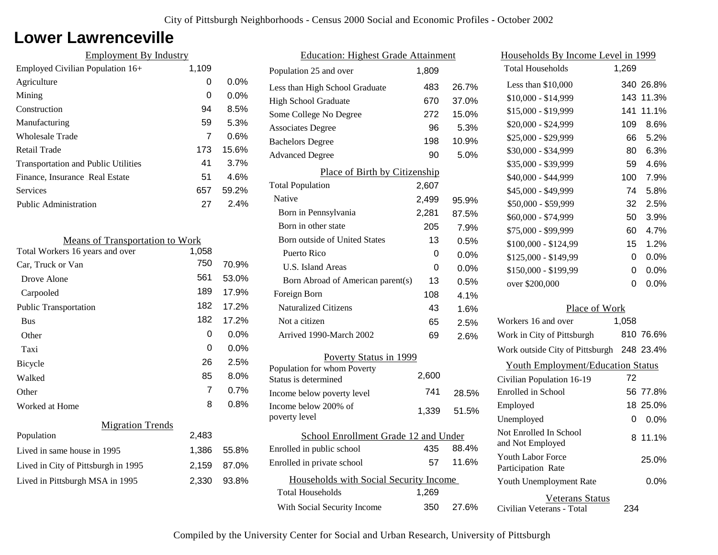### **Lower Lawrenceville**

| <b>Employment By Industry</b>              |       |         |
|--------------------------------------------|-------|---------|
| Employed Civilian Population 16+           | 1,109 |         |
| Agriculture                                | 0     | $0.0\%$ |
| Mining                                     | 0     | $0.0\%$ |
| Construction                               | 94    | 8.5%    |
| Manufacturing                              | 59    | 5.3%    |
| Wholesale Trade                            | 7     | 0.6%    |
| Retail Trade                               | 173   | 15.6%   |
| <b>Transportation and Public Utilities</b> | 41    | 3.7%    |
| Finance, Insurance Real Estate             | 51    | 4.6%    |
| Services                                   | 657   | 59.2%   |
| Public Administration                      | 27    | 2.4%    |

| 1,058          |                                        |
|----------------|----------------------------------------|
| 750            | 70.9%                                  |
| 561            | 53.0%                                  |
| 189            | 17.9%                                  |
| 182            | 17.2%                                  |
| 182            | 17.2%                                  |
| 0              | 0.0%                                   |
| 0              | $0.0\%$                                |
| 26             | 2.5%                                   |
| 85             | 8.0%                                   |
| $\overline{7}$ | 0.7%                                   |
| 8              | $0.8\%$                                |
|                |                                        |
| 2,483          |                                        |
| 1,386          | 55.8%                                  |
| 2,159          | 87.0%                                  |
| 2,330          | 93.8%                                  |
|                | <b>Means of Transportation to Work</b> |

| <b>Education: Highest Grade Attainment</b>          |       |       |
|-----------------------------------------------------|-------|-------|
| Population 25 and over                              | 1,809 |       |
| Less than High School Graduate                      | 483   | 26.7% |
| <b>High School Graduate</b>                         | 670   | 37.0% |
| Some College No Degree                              | 272   | 15.0% |
| <b>Associates Degree</b>                            | 96    | 5.3%  |
| <b>Bachelors Degree</b>                             | 198   | 10.9% |
| <b>Advanced Degree</b>                              | 90    | 5.0%  |
| Place of Birth by Citizenship                       |       |       |
| <b>Total Population</b>                             | 2,607 |       |
| Native                                              | 2,499 | 95.9% |
| Born in Pennsylvania                                | 2,281 | 87.5% |
| Born in other state                                 | 205   | 7.9%  |
| Born outside of United States                       | 13    | 0.5%  |
| Puerto Rico                                         | 0     | 0.0%  |
| U.S. Island Areas                                   | 0     | 0.0%  |
| Born Abroad of American parent(s)                   | 13    | 0.5%  |
| Foreign Born                                        | 108   | 4.1%  |
| <b>Naturalized Citizens</b>                         | 43    | 1.6%  |
| Not a citizen                                       | 65    | 2.5%  |
| Arrived 1990-March 2002                             | 69    | 2.6%  |
| Poverty Status in 1999                              |       |       |
| Population for whom Poverty<br>Status is determined | 2,600 |       |
| Income below poverty level                          | 741   | 28.5% |
| Income below 200% of<br>poverty level               | 1,339 | 51.5% |
| School Enrollment Grade 12 and Under                |       |       |
| Enrolled in public school                           | 435   | 88.4% |
| Enrolled in private school                          | 57    | 11.6% |
| Households with Social Security Income              |       |       |
| <b>Total Households</b>                             | 1,269 |       |
| With Social Security Income                         | 350   | 27.6% |

| <u>Households By Income Level in 1999</u>           |       |           |
|-----------------------------------------------------|-------|-----------|
| Total Households                                    | 1,269 |           |
| Less than $$10,000$                                 |       | 340 26.8% |
| $$10,000 - $14,999$                                 | 143   | 11.3%     |
| \$15,000 - \$19,999                                 | 141   | 11.1%     |
| \$20,000 - \$24,999                                 | 109   | 8.6%      |
| \$25,000 - \$29,999                                 | 66    | 5.2%      |
| \$30,000 - \$34,999                                 | 80    | 6.3%      |
| \$35,000 - \$39,999                                 | 59    | 4.6%      |
| \$40,000 - \$44,999                                 | 100   | 7.9%      |
| \$45,000 - \$49,999                                 | 74    | 5.8%      |
| \$50,000 - \$59,999                                 | 32    | 2.5%      |
| \$60,000 - \$74,999                                 | 50    | 3.9%      |
| \$75,000 - \$99,999                                 | 60    | 4.7%      |
| \$100,000 - \$124,99                                | 15    | 1.2%      |
| \$125,000 - \$149,99                                | 0     | $0.0\%$   |
| \$150,000 - \$199,99                                | 0     | $0.0\%$   |
| over \$200,000                                      | 0     | 0.0%      |
| Place of Work                                       |       |           |
| Workers 16 and over                                 | 1,058 |           |
| Work in City of Pittsburgh                          |       | 810 76.6% |
| Work outside City of Pittsburgh                     |       | 248 23.4% |
| <b>Youth Employment/Education Status</b>            |       |           |
| Civilian Population 16-19                           | 72    |           |
| Enrolled in School                                  | 56    | 77.8%     |
| Employed                                            | 18    | 25.0%     |
| Unemployed                                          | 0     | 0.0%      |
| Not Enrolled In School<br>and Not Employed          | 8     | 11.1%     |
| <b>Youth Labor Force</b><br>Participation Rate      |       | 25.0%     |
| Youth Unemployment Rate                             |       | $0.0\%$   |
| <b>Veterans Status</b><br>Civilian Veterans - Total | 234   |           |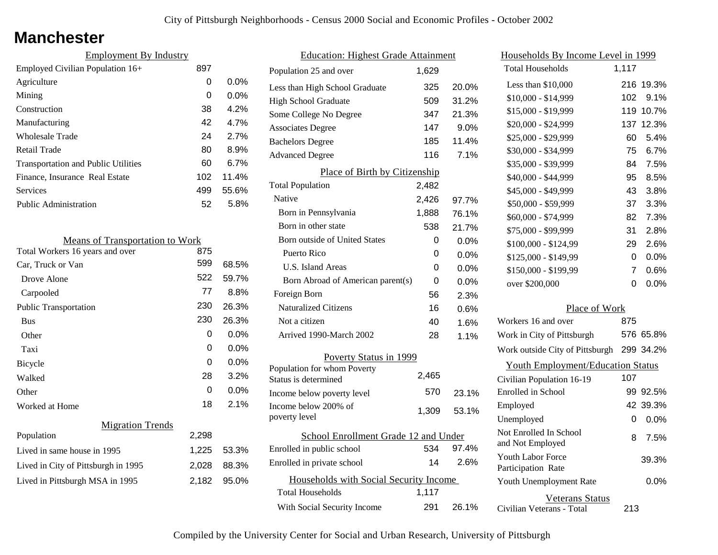### **Manchester**

| <b>Employment By Industry</b>              |     |         |
|--------------------------------------------|-----|---------|
| Employed Civilian Population 16+           | 897 |         |
| Agriculture                                | 0   | $0.0\%$ |
| Mining                                     | 0   | $0.0\%$ |
| Construction                               | 38  | 4.2%    |
| Manufacturing                              | 42  | 4.7%    |
| <b>Wholesale Trade</b>                     | 24  | 2.7%    |
| Retail Trade                               | 80  | 8.9%    |
| <b>Transportation and Public Utilities</b> | 60  | 6.7%    |
| Finance, Insurance Real Estate             | 102 | 11.4%   |
| Services                                   | 499 | 55.6%   |
| <b>Public Administration</b>               | 52  | 5.8%    |

| <b>Means of Transportation to Work</b> |       |       |
|----------------------------------------|-------|-------|
| Total Workers 16 years and over        | 875   |       |
| Car, Truck or Van                      | 599   | 68.5% |
| Drove Alone                            | 522   | 59.7% |
| Carpooled                              | 77    | 8.8%  |
| <b>Public Transportation</b>           | 230   | 26.3% |
| <b>Bus</b>                             | 230   | 26.3% |
| Other                                  | 0     | 0.0%  |
| Taxi                                   | 0     | 0.0%  |
| <b>Bicycle</b>                         | 0     | 0.0%  |
| Walked                                 | 28    | 3.2%  |
| Other                                  | 0     | 0.0%  |
| Worked at Home                         | 18    | 2.1%  |
| <b>Migration Trends</b>                |       |       |
| Population                             | 2,298 |       |
| Lived in same house in 1995            | 1,225 | 53.3% |
| Lived in City of Pittsburgh in 1995    | 2,028 | 88.3% |
| Lived in Pittsburgh MSA in 1995        | 2,182 | 95.0% |

| <b>Education: Highest Grade Attainment</b> |       |         |  |
|--------------------------------------------|-------|---------|--|
| Population 25 and over                     | 1,629 |         |  |
| Less than High School Graduate             | 325   | 20.0%   |  |
| High School Graduate                       | 509   | 31.2%   |  |
| Some College No Degree                     | 347   | 21.3%   |  |
| <b>Associates Degree</b>                   | 147   | 9.0%    |  |
| <b>Bachelors Degree</b>                    | 185   | 11.4%   |  |
| <b>Advanced Degree</b>                     | 116   | 7.1%    |  |
| Place of Birth by Citizenship              |       |         |  |
| <b>Total Population</b>                    | 2,482 |         |  |
| Native                                     | 2,426 | 97.7%   |  |
| Born in Pennsylvania                       | 1,888 | 76.1%   |  |
| Born in other state                        | 538   | 21.7%   |  |
| <b>Born outside of United States</b>       | 0     | $0.0\%$ |  |
| Puerto Rico                                | 0     | 0.0%    |  |
| <b>U.S. Island Areas</b>                   | 0     | $0.0\%$ |  |
| Born Abroad of American parent(s)          | 0     | $0.0\%$ |  |
| Foreign Born                               | 56    | 2.3%    |  |
| <b>Naturalized Citizens</b>                | 16    | 0.6%    |  |
| Not a citizen                              | 40    | 1.6%    |  |
| Arrived 1990-March 2002                    | 28    | 1.1%    |  |
| Poverty Status in 1999                     |       |         |  |
| Population for whom Poverty                | 2,465 |         |  |
| Status is determined                       | 570   |         |  |
| Income below poverty level                 |       | 23.1%   |  |
| Income below 200% of<br>poverty level      | 1,309 | 53.1%   |  |
| School Enrollment Grade 12 and Under       |       |         |  |
| Enrolled in public school                  | 534   | 97.4%   |  |
| Enrolled in private school                 | 14    | 2.6%    |  |
| Households with Social Security Income     |       |         |  |
| <b>Total Households</b>                    | 1,117 |         |  |
| With Social Security Income                | 291   | 26.1%   |  |

| Households By Income Level in 1999                  |       |           |
|-----------------------------------------------------|-------|-----------|
| <b>Total Households</b>                             | 1,117 |           |
| Less than \$10,000                                  | 216   | 19.3%     |
| \$10,000 - \$14,999                                 | 102   | 9.1%      |
| \$15,000 - \$19,999                                 | 119   | 10.7%     |
| \$20,000 - \$24,999                                 | 137   | 12.3%     |
| \$25,000 - \$29,999                                 | 60    | 5.4%      |
| \$30,000 - \$34,999                                 | 75    | 6.7%      |
| \$35,000 - \$39,999                                 | 84    | 7.5%      |
| \$40,000 - \$44,999                                 | 95    | 8.5%      |
| \$45,000 - \$49,999                                 | 43    | 3.8%      |
| \$50,000 - \$59,999                                 | 37    | 3.3%      |
| \$60,000 - \$74,999                                 | 82    | 7.3%      |
| \$75,000 - \$99,999                                 | 31    | 2.8%      |
| \$100,000 - \$124,99                                | 29    | 2.6%      |
| \$125,000 - \$149,99                                | 0     | 0.0%      |
| \$150,000 - \$199,99                                | 7     | 0.6%      |
| over \$200,000                                      | 0     | 0.0%      |
|                                                     |       |           |
| Place of Work<br>Workers 16 and over                | 875   |           |
| Work in City of Pittsburgh                          |       | 576 65.8% |
|                                                     |       |           |
| Work outside City of Pittsburgh                     |       | 299 34.2% |
| <b>Youth Employment/Education Status</b>            |       |           |
| Civilian Population 16-19                           | 107   |           |
| Enrolled in School                                  | 99    | 92.5%     |
| Employed                                            |       | 42 39.3%  |
| Unemployed                                          | 0     | 0.0%      |
| Not Enrolled In School<br>and Not Employed          | 8     | 7.5%      |
| Youth Labor Force<br>Participation Rate             |       | 39.3%     |
| Youth Unemployment Rate                             |       | $0.0\%$   |
| <b>Veterans Status</b><br>Civilian Veterans - Total | 213   |           |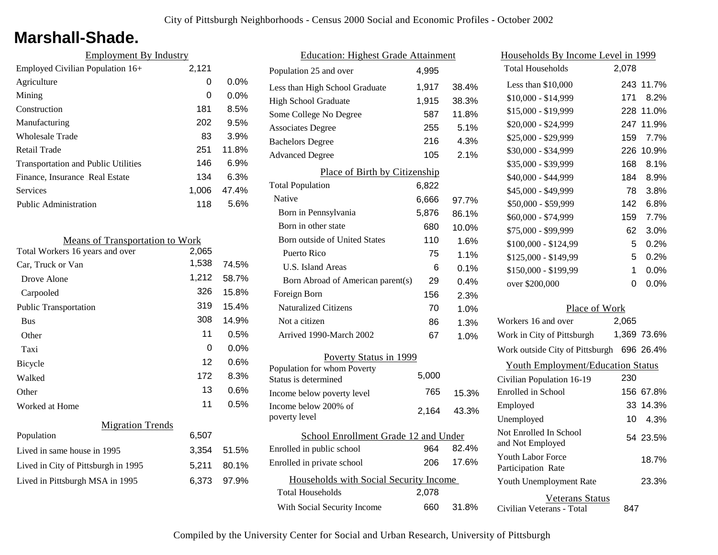### **Marshall-Shade.**

| <b>Employment By Industry</b>              |       |         |
|--------------------------------------------|-------|---------|
| Employed Civilian Population 16+           | 2,121 |         |
| Agriculture                                | 0     | $0.0\%$ |
| Mining                                     | 0     | $0.0\%$ |
| Construction                               | 181   | 8.5%    |
| Manufacturing                              | 202   | 9.5%    |
| Wholesale Trade                            | 83    | 3.9%    |
| Retail Trade                               | 251   | 11.8%   |
| <b>Transportation and Public Utilities</b> | 146   | 6.9%    |
| Finance, Insurance Real Estate             | 134   | 6.3%    |
| Services                                   | 1,006 | 47.4%   |
| <b>Public Administration</b>               | 118   | 5.6%    |

| <b>Means of Transportation to Work</b> |       |       |
|----------------------------------------|-------|-------|
| Total Workers 16 years and over        | 2,065 |       |
| Car, Truck or Van                      | 1,538 | 74.5% |
| Drove Alone                            | 1,212 | 58.7% |
| Carpooled                              | 326   | 15.8% |
| <b>Public Transportation</b>           | 319   | 15.4% |
| <b>Bus</b>                             | 308   | 14.9% |
| Other                                  | 11    | 0.5%  |
| Taxi                                   | 0     | 0.0%  |
| Bicycle                                | 12    | 0.6%  |
| Walked                                 | 172   | 8.3%  |
| Other                                  | 13    | 0.6%  |
| Worked at Home                         | 11    | 0.5%  |
| <b>Migration Trends</b>                |       |       |
| Population                             | 6,507 |       |
| Lived in same house in 1995            | 3,354 | 51.5% |
| Lived in City of Pittsburgh in 1995    | 5,211 | 80.1% |
| Lived in Pittsburgh MSA in 1995        | 6,373 | 97.9% |
|                                        |       |       |

| <b>Education: Highest Grade Attainment</b>          |       |         |
|-----------------------------------------------------|-------|---------|
| Population 25 and over                              | 4.995 |         |
| Less than High School Graduate                      | 1,917 | 38.4%   |
| <b>High School Graduate</b>                         | 1,915 | 38.3%   |
| Some College No Degree                              | 587   | 11.8%   |
| <b>Associates Degree</b>                            | 255   | 5.1%    |
| <b>Bachelors Degree</b>                             | 216   | 4.3%    |
| <b>Advanced Degree</b>                              | 105   | 2.1%    |
| Place of Birth by Citizenship                       |       |         |
| <b>Total Population</b>                             | 6,822 |         |
| Native                                              | 6,666 | 97.7%   |
| Born in Pennsylvania                                | 5,876 | 86.1%   |
| Born in other state                                 | 680   | 10.0%   |
| <b>Born outside of United States</b>                | 110   | 1.6%    |
| Puerto Rico                                         | 75    | 1.1%    |
| U.S. Island Areas                                   | 6     | 0.1%    |
| Born Abroad of American parent(s)                   | 29    | $0.4\%$ |
| Foreign Born                                        | 156   | 2.3%    |
| <b>Naturalized Citizens</b>                         | 70    | 1.0%    |
| Not a citizen                                       | 86    | 1.3%    |
| Arrived 1990-March 2002                             | 67    | 1.0%    |
| Poverty Status in 1999                              |       |         |
| Population for whom Poverty<br>Status is determined | 5,000 |         |
| Income below poverty level                          | 765   | 15.3%   |
| Income below 200% of<br>poverty level               | 2,164 | 43.3%   |
| School Enrollment Grade 12 and Under                |       |         |
| Enrolled in public school                           | 964   | 82.4%   |
| Enrolled in private school                          | 206   | 17.6%   |
| Households with Social Security Income              |       |         |
| <b>Total Households</b>                             | 2,078 |         |
| With Social Security Income                         | 660   | 31.8%   |

| Households By Income Level in 1999                  |       |             |
|-----------------------------------------------------|-------|-------------|
| <b>Total Households</b>                             | 2,078 |             |
| Less than \$10,000                                  | 243   | 11.7%       |
| $$10,000 - $14,999$                                 | 171   | 8.2%        |
| \$15,000 - \$19,999                                 | 228   | 11.0%       |
| \$20,000 - \$24,999                                 | 247   | 11.9%       |
| \$25,000 - \$29,999                                 | 159   | 7.7%        |
| \$30,000 - \$34,999                                 | 226   | 10.9%       |
| \$35,000 - \$39,999                                 | 168   | 8.1%        |
| \$40,000 - \$44,999                                 | 184   | 8.9%        |
| \$45,000 - \$49,999                                 | 78    | 3.8%        |
| \$50,000 - \$59,999                                 | 142   | 6.8%        |
| \$60,000 - \$74,999                                 | 159   | 7.7%        |
| \$75,000 - \$99,999                                 | 62    | 3.0%        |
| \$100,000 - \$124,99                                | 5     | 0.2%        |
| \$125,000 - \$149,99                                | 5     | 0.2%        |
| \$150,000 - \$199,99                                | 1     | 0.0%        |
| over \$200,000                                      | 0     | 0.0%        |
|                                                     |       |             |
| Place of Work<br>Workers 16 and over                | 2,065 |             |
| Work in City of Pittsburgh                          |       | 1,369 73.6% |
| Work outside City of Pittsburgh 696 26.4%           |       |             |
| <b>Youth Employment/Education Status</b>            |       |             |
| Civilian Population 16-19                           | 230   |             |
| Enrolled in School                                  | 156   | 67.8%       |
| Employed                                            | 33    | 14.3%       |
| Unemployed                                          | 10    | 4.3%        |
| Not Enrolled In School<br>and Not Employed          |       | 54 23.5%    |
| <b>Youth Labor Force</b><br>Participation Rate      |       | 18.7%       |
| Youth Unemployment Rate                             |       | 23.3%       |
| <b>Veterans Status</b><br>Civilian Veterans - Total | 847   |             |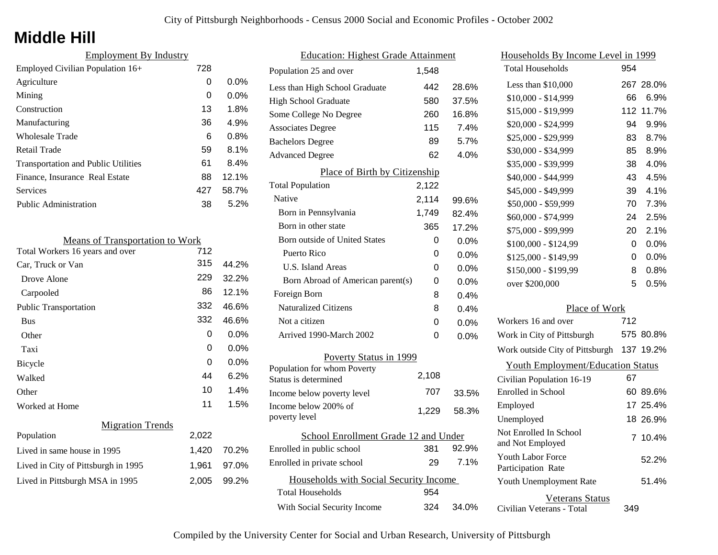# **Middle Hill**

| <b>Employment By Industry</b>              |     |         |
|--------------------------------------------|-----|---------|
| Employed Civilian Population 16+           | 728 |         |
| Agriculture                                | 0   | $0.0\%$ |
| Mining                                     | 0   | $0.0\%$ |
| Construction                               | 13  | 1.8%    |
| Manufacturing                              | 36  | 4.9%    |
| Wholesale Trade                            | 6   | 0.8%    |
| Retail Trade                               | 59  | 8.1%    |
| <b>Transportation and Public Utilities</b> | 61  | 8.4%    |
| Finance, Insurance Real Estate             | 88  | 12.1%   |
| Services                                   | 427 | 58.7%   |
| <b>Public Administration</b>               | 38  | 5.2%    |

| <b>Means of Transportation to Work</b> |       |         |
|----------------------------------------|-------|---------|
| Total Workers 16 years and over        | 712   |         |
| Car, Truck or Van                      | 315   | 44.2%   |
| Drove Alone                            | 229   | 32.2%   |
| Carpooled                              | 86    | 12.1%   |
| <b>Public Transportation</b>           | 332   | 46.6%   |
| <b>Bus</b>                             | 332   | 46.6%   |
| Other                                  | 0     | $0.0\%$ |
| Taxi                                   | 0     | $0.0\%$ |
| Bicycle                                | 0     | $0.0\%$ |
| Walked                                 | 44    | 6.2%    |
| Other                                  | 10    | 1.4%    |
| Worked at Home                         | 11    | 1.5%    |
| <b>Migration Trends</b>                |       |         |
| Population                             | 2,022 |         |
| Lived in same house in 1995            | 1,420 | 70.2%   |
| Lived in City of Pittsburgh in 1995    | 1,961 | 97.0%   |
| Lived in Pittsburgh MSA in 1995        | 2,005 | 99.2%   |
|                                        |       |         |

| <b>Education: Highest Grade Attainment</b>          |       |         |
|-----------------------------------------------------|-------|---------|
| Population 25 and over                              | 1,548 |         |
| Less than High School Graduate                      | 442   | 28.6%   |
| <b>High School Graduate</b>                         | 580   | 37.5%   |
| Some College No Degree                              | 260   | 16.8%   |
| <b>Associates Degree</b>                            | 115   | 7.4%    |
| <b>Bachelors Degree</b>                             | 89    | 5.7%    |
| <b>Advanced Degree</b>                              | 62    | 4.0%    |
| <b>Place of Birth by Citizenship</b>                |       |         |
| <b>Total Population</b>                             | 2,122 |         |
| Native                                              | 2,114 | 99.6%   |
| Born in Pennsylvania                                | 1,749 | 82.4%   |
| Born in other state                                 | 365   | 17.2%   |
| <b>Born outside of United States</b>                | 0     | $0.0\%$ |
| Puerto Rico                                         | 0     | 0.0%    |
| U.S. Island Areas                                   | 0     | 0.0%    |
| Born Abroad of American parent(s)                   | 0     | 0.0%    |
| Foreign Born                                        | 8     | 0.4%    |
| <b>Naturalized Citizens</b>                         | 8     | 0.4%    |
| Not a citizen                                       | 0     | 0.0%    |
| Arrived 1990-March 2002                             | 0     | 0.0%    |
| Poverty Status in 1999                              |       |         |
| Population for whom Poverty<br>Status is determined | 2,108 |         |
| Income below poverty level                          | 707   | 33.5%   |
| Income below 200% of<br>poverty level               | 1,229 | 58.3%   |
| School Enrollment Grade 12 and Under                |       |         |
| Enrolled in public school                           | 381   | 92.9%   |
| Enrolled in private school                          | 29    | 7.1%    |
| Households with Social Security Income              |       |         |
| <b>Total Households</b>                             | 954   |         |
| With Social Security Income                         | 324   | 34.0%   |

| Households By Income Level in 1999                  |              |           |
|-----------------------------------------------------|--------------|-----------|
| <b>Total Households</b>                             | 954          |           |
| Less than \$10,000                                  |              | 267 28.0% |
| $$10,000 - $14,999$                                 | 66           | 6.9%      |
| \$15,000 - \$19,999                                 | 112          | 11.7%     |
| \$20,000 - \$24,999                                 | 94           | 9.9%      |
| \$25,000 - \$29,999                                 | 83           | 8.7%      |
| \$30,000 - \$34,999                                 | 85           | 8.9%      |
| \$35,000 - \$39,999                                 | 38           | 4.0%      |
| \$40,000 - \$44,999                                 | 43           | 4.5%      |
| \$45,000 - \$49,999                                 | 39           | 4.1%      |
| \$50,000 - \$59,999                                 | 70           | 7.3%      |
| \$60,000 - \$74,999                                 | 24           | 2.5%      |
| \$75,000 - \$99,999                                 | 20           | 2.1%      |
| \$100,000 - \$124,99                                | 0            | 0.0%      |
| \$125,000 - \$149,99                                | 0            | 0.0%      |
| \$150,000 - \$199,99                                | 8            | 0.8%      |
| over \$200,000                                      | 5            | 0.5%      |
| Place of Work                                       |              |           |
| Workers 16 and over                                 | 712          |           |
| Work in City of Pittsburgh                          |              | 575 80.8% |
| Work outside City of Pittsburgh                     |              | 137 19.2% |
| <b>Youth Employment/Education Status</b>            |              |           |
| Civilian Population 16-19                           | 67           |           |
| Enrolled in School                                  | 60           | 89.6%     |
| Employed                                            | 17           | 25.4%     |
| Unemployed                                          |              | 18 26.9%  |
| Not Enrolled In School<br>and Not Employed          | $\mathbf{7}$ | 10.4%     |
| <b>Youth Labor Force</b><br>Participation Rate      |              | 52.2%     |
| Youth Unemployment Rate                             |              | 51.4%     |
| <b>Veterans Status</b><br>Civilian Veterans - Total | 349          |           |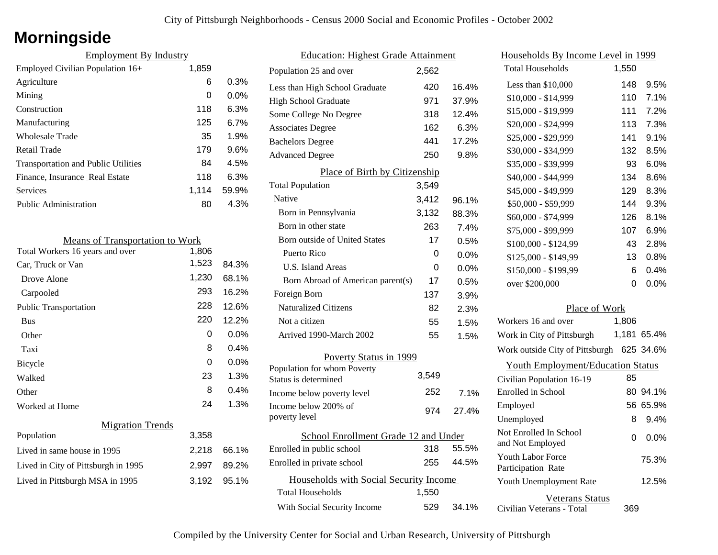# **Morningside**

| <b>Employment By Industry</b>              |       |         |
|--------------------------------------------|-------|---------|
| Employed Civilian Population 16+           | 1,859 |         |
| Agriculture                                | 6     | 0.3%    |
| Mining                                     | 0     | $0.0\%$ |
| Construction                               | 118   | 6.3%    |
| Manufacturing                              | 125   | 6.7%    |
| Wholesale Trade                            | 35    | 1.9%    |
| Retail Trade                               | 179   | 9.6%    |
| <b>Transportation and Public Utilities</b> | 84    | 4.5%    |
| Finance, Insurance Real Estate             | 118   | 6.3%    |
| <b>Services</b>                            | 1.114 | 59.9%   |
| <b>Public Administration</b>               | 80    | 4.3%    |

| <b>Means of Transportation to Work</b> |       |         |
|----------------------------------------|-------|---------|
| Total Workers 16 years and over        | 1,806 |         |
| Car, Truck or Van                      | 1,523 | 84.3%   |
| Drove Alone                            | 1,230 | 68.1%   |
| Carpooled                              | 293   | 16.2%   |
| <b>Public Transportation</b>           | 228   | 12.6%   |
| <b>Bus</b>                             | 220   | 12.2%   |
| Other                                  | 0     | $0.0\%$ |
| Taxi                                   | 8     | 0.4%    |
| Bicycle                                | 0     | $0.0\%$ |
| Walked                                 | 23    | 1.3%    |
| Other                                  | 8     | 0.4%    |
| Worked at Home                         | 24    | 1.3%    |
| <b>Migration Trends</b>                |       |         |
| Population                             | 3,358 |         |
| Lived in same house in 1995            | 2,218 | 66.1%   |
| Lived in City of Pittsburgh in 1995    | 2,997 | 89.2%   |
| Lived in Pittsburgh MSA in 1995        | 3,192 | 95.1%   |

| <b>Education: Highest Grade Attainment</b> |       |         |  |
|--------------------------------------------|-------|---------|--|
| Population 25 and over                     | 2,562 |         |  |
| Less than High School Graduate             | 420   | 16.4%   |  |
| <b>High School Graduate</b>                | 971   | 37.9%   |  |
| Some College No Degree                     | 318   | 12.4%   |  |
| <b>Associates Degree</b>                   | 162   | 6.3%    |  |
| <b>Bachelors Degree</b>                    | 441   | 17.2%   |  |
| <b>Advanced Degree</b>                     | 250   | 9.8%    |  |
| Place of Birth by Citizenship              |       |         |  |
| <b>Total Population</b>                    | 3,549 |         |  |
| Native                                     | 3,412 | 96.1%   |  |
| Born in Pennsylvania                       | 3,132 | 88.3%   |  |
| Born in other state                        | 263   | 7.4%    |  |
| Born outside of United States              | 17    | 0.5%    |  |
| Puerto Rico                                | 0     | 0.0%    |  |
| <b>U.S. Island Areas</b>                   | 0     | 0.0%    |  |
| Born Abroad of American parent(s)          | 17    | 0.5%    |  |
| Foreign Born                               | 137   | 3.9%    |  |
| <b>Naturalized Citizens</b>                | 82    | 2.3%    |  |
| Not a citizen                              | 55    | 1.5%    |  |
| Arrived 1990-March 2002                    | 55    | 1.5%    |  |
| Poverty Status in 1999                     |       |         |  |
| Population for whom Poverty                | 3,549 |         |  |
| Status is determined                       |       |         |  |
| Income below poverty level                 | 252   | $7.1\%$ |  |
| Income below 200% of<br>poverty level      | 974   | 27.4%   |  |
| School Enrollment Grade 12 and Under       |       |         |  |
| Enrolled in public school                  | 318   | 55.5%   |  |
| Enrolled in private school                 | 255   | 44.5%   |  |
| Households with Social Security Income     |       |         |  |
| <b>Total Households</b>                    | 1,550 |         |  |
| With Social Security Income                | 529   | 34.1%   |  |

| <u>Households By Income Level in 1999</u>  |       |             |
|--------------------------------------------|-------|-------------|
| <b>Total Households</b>                    | 1,550 |             |
| Less than $$10,000$                        | 148   | 9.5%        |
| \$10,000 - \$14,999                        | 110   | 7.1%        |
| \$15,000 - \$19,999                        | 111   | 7.2%        |
| \$20,000 - \$24,999                        | 113   | 7.3%        |
| \$25,000 - \$29,999                        | 141   | 9.1%        |
| \$30,000 - \$34,999                        | 132   | 8.5%        |
| \$35,000 - \$39,999                        | 93    | 6.0%        |
| \$40,000 - \$44,999                        | 134   | 8.6%        |
| \$45,000 - \$49,999                        | 129   | 8.3%        |
| \$50,000 - \$59,999                        | 144   | 9.3%        |
| \$60,000 - \$74,999                        | 126   | 8.1%        |
| \$75,000 - \$99,999                        | 107   | 6.9%        |
| \$100,000 - \$124,99                       | 43    | 2.8%        |
| \$125,000 - \$149,99                       | 13    | 0.8%        |
| \$150,000 - \$199,99                       | 6     | 0.4%        |
| over \$200,000                             | 0     | 0.0%        |
| Place of Work                              |       |             |
| Workers 16 and over                        | 1,806 |             |
| Work in City of Pittsburgh                 |       | 1,181 65.4% |
| Work outside City of Pittsburgh 625 34.6%  |       |             |
| <b>Youth Employment/Education Status</b>   |       |             |
| Civilian Population 16-19                  | 85    |             |
| Enrolled in School                         |       | 80 94.1%    |
| Employed                                   | 56    | 65.9%       |
| Unemployed                                 | 8     | 9.4%        |
| Not Enrolled In School<br>and Not Employed | 0     | $0.0\%$     |
| Youth Labor Force<br>Participation Rate    |       | 75.3%       |
| Youth Unemployment Rate                    |       | 12.5%       |
| <b>Veterans Status</b>                     |       |             |

Civilian Veterans - Total

369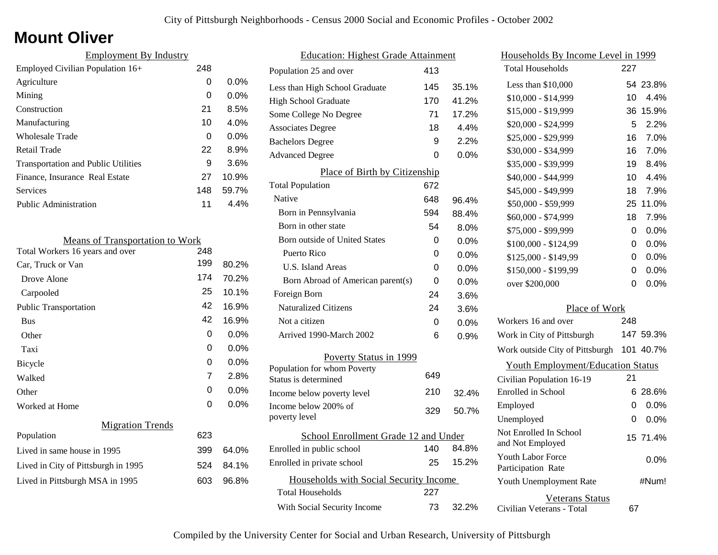# **Mount Oliver**

| <b>Employment By Industry</b>              |     |         |
|--------------------------------------------|-----|---------|
| Employed Civilian Population 16+           | 248 |         |
| Agriculture                                | 0   | 0.0%    |
| Mining                                     | 0   | $0.0\%$ |
| Construction                               | 21  | 8.5%    |
| Manufacturing                              | 10  | 4.0%    |
| <b>Wholesale Trade</b>                     | 0   | $0.0\%$ |
| Retail Trade                               | 22  | 8.9%    |
| <b>Transportation and Public Utilities</b> | 9   | 3.6%    |
| Finance, Insurance Real Estate             | 27  | 10.9%   |
| Services                                   | 148 | 59.7%   |
| <b>Public Administration</b>               | 11  | 4.4%    |

| <b>Means of Transportation to Work</b> |     |         |
|----------------------------------------|-----|---------|
| Total Workers 16 years and over        | 248 |         |
| Car, Truck or Van                      | 199 | 80.2%   |
| Drove Alone                            | 174 | 70.2%   |
| Carpooled                              | 25  | 10.1%   |
| <b>Public Transportation</b>           | 42  | 16.9%   |
| <b>Bus</b>                             | 42  | 16.9%   |
| Other                                  | 0   | $0.0\%$ |
| Taxi                                   | 0   | $0.0\%$ |
| <b>Bicycle</b>                         | 0   | $0.0\%$ |
| Walked                                 | 7   | 2.8%    |
| Other                                  | 0   | 0.0%    |
| Worked at Home                         | 0   | $0.0\%$ |
| <b>Migration Trends</b>                |     |         |
| Population                             | 623 |         |
| Lived in same house in 1995            | 399 | 64.0%   |
| Lived in City of Pittsburgh in 1995    | 524 | 84.1%   |
| Lived in Pittsburgh MSA in 1995        | 603 | 96.8%   |
|                                        |     |         |

| 145                                    | 35.1%                                |
|----------------------------------------|--------------------------------------|
| 170                                    | 41.2%                                |
| 71                                     | 17.2%                                |
| 18                                     | 4.4%                                 |
| 9                                      | 2.2%                                 |
| 0                                      | $0.0\%$                              |
|                                        |                                      |
| 672                                    |                                      |
| 648                                    | 96.4%                                |
| 594                                    | 88.4%                                |
| 54                                     | 8.0%                                 |
| 0                                      | 0.0%                                 |
| 0                                      | 0.0%                                 |
| 0                                      | 0.0%                                 |
| 0                                      | $0.0\%$                              |
| 24                                     | 3.6%                                 |
| 24                                     | 3.6%                                 |
| 0                                      | 0.0%                                 |
| 6                                      | 0.9%                                 |
|                                        |                                      |
| 649                                    |                                      |
| 210                                    | 32.4%                                |
| 329                                    | 50.7%                                |
| School Enrollment Grade 12 and Under   |                                      |
| 140                                    | 84.8%                                |
| 25                                     | 15.2%                                |
| Households with Social Security Income |                                      |
| 227                                    |                                      |
| 73                                     | 32.2%                                |
|                                        | 413<br>Place of Birth by Citizenship |

|               | Households By Income Level in 1999             |     |           |
|---------------|------------------------------------------------|-----|-----------|
|               | <b>Total Households</b>                        | 227 |           |
| %             | Less than \$10,000                             | 54  | 23.8%     |
| %             | \$10,000 - \$14,999                            | 10  | 4.4%      |
| %             | \$15,000 - \$19,999                            | 36  | 15.9%     |
| %             | \$20,000 - \$24,999                            | 5   | 2.2%      |
| %             | \$25,000 - \$29,999                            | 16  | 7.0%      |
| $\frac{1}{2}$ | \$30,000 - \$34,999                            | 16  | 7.0%      |
|               | \$35,000 - \$39,999                            | 19  | 8.4%      |
|               | \$40,000 - \$44,999                            | 10  | 4.4%      |
|               | \$45,000 - \$49,999                            | 18  | 7.9%      |
| %             | \$50,000 - \$59,999                            | 25  | 11.0%     |
| %             | \$60,000 - \$74,999                            | 18  | 7.9%      |
| %             | \$75,000 - \$99,999                            | 0   | 0.0%      |
| %             | \$100,000 - \$124,99                           | 0   | 0.0%      |
| %             | \$125,000 - \$149,99                           | 0   | 0.0%      |
| %             | \$150,000 - \$199,99                           | 0   | 0.0%      |
| %             | over \$200,000                                 | 0   | 0.0%      |
| %             |                                                |     |           |
| %             | Place of Work                                  |     |           |
| %             | Workers 16 and over                            | 248 |           |
| %             | Work in City of Pittsburgh                     |     | 147 59.3% |
|               | Work outside City of Pittsburgh                |     | 101 40.7% |
|               | <b>Youth Employment/Education Status</b>       |     |           |
|               | Civilian Population 16-19                      | 21  |           |
| ℅             | Enrolled in School                             | 6   | 28.6%     |
| ℅             | Employed                                       | 0   | 0.0%      |
|               | Unemployed                                     | 0   | 0.0%      |
| %             | Not Enrolled In School<br>and Not Employed     |     | 15 71.4%  |
| %             | <b>Youth Labor Force</b><br>Participation Rate |     | 0.0%      |
|               | Youth Unemployment Rate                        |     | #Num!     |
| %             | Veterans Status<br>Civilian Veterans - Total   | 67  |           |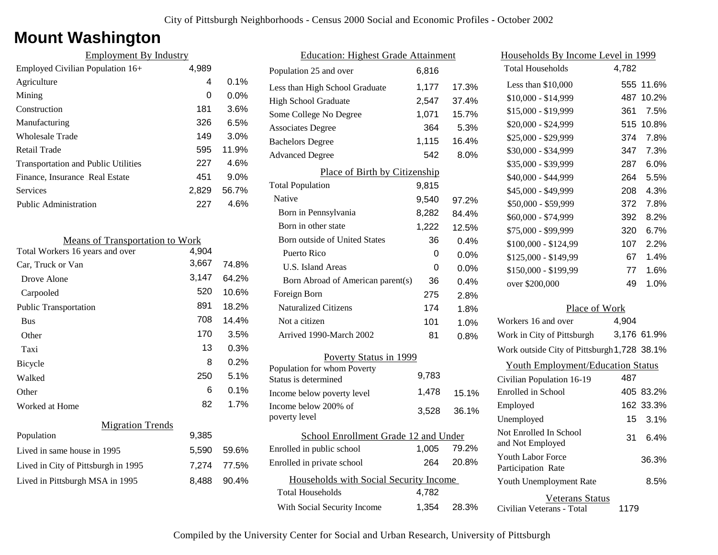## **Mount Washington**

| <b>Employment By Industry</b>              |       |         |
|--------------------------------------------|-------|---------|
| Employed Civilian Population 16+           | 4,989 |         |
| Agriculture                                | 4     | $0.1\%$ |
| Mining                                     | 0     | $0.0\%$ |
| Construction                               | 181   | 3.6%    |
| Manufacturing                              | 326   | 6.5%    |
| Wholesale Trade                            | 149   | 3.0%    |
| Retail Trade                               | 595   | 11.9%   |
| <b>Transportation and Public Utilities</b> | 227   | 4.6%    |
| Finance, Insurance Real Estate             | 451   | 9.0%    |
| Services                                   | 2,829 | 56.7%   |
| Public Administration                      | 227   | 4.6%    |

| <b>Means of Transportation to Work</b> |       |       |
|----------------------------------------|-------|-------|
| Total Workers 16 years and over        | 4,904 |       |
| Car, Truck or Van                      | 3,667 | 74.8% |
| Drove Alone                            | 3,147 | 64.2% |
| Carpooled                              | 520   | 10.6% |
| <b>Public Transportation</b>           | 891   | 18.2% |
| <b>Bus</b>                             | 708   | 14.4% |
| Other                                  | 170   | 3.5%  |
| Taxi                                   | 13    | 0.3%  |
| Bicycle                                | 8     | 0.2%  |
| Walked                                 | 250   | 5.1%  |
| Other                                  | 6     | 0.1%  |
| Worked at Home                         | 82    | 1.7%  |
| <b>Migration Trends</b>                |       |       |
| Population                             | 9,385 |       |
| Lived in same house in 1995            | 5,590 | 59.6% |
| Lived in City of Pittsburgh in 1995    | 7,274 | 77.5% |
| Lived in Pittsburgh MSA in 1995        | 8,488 | 90.4% |
|                                        |       |       |

| <b>Education: Highest Grade Attainment</b>          |       |       |
|-----------------------------------------------------|-------|-------|
| Population 25 and over                              | 6.816 |       |
| Less than High School Graduate                      | 1,177 | 17.3% |
| <b>High School Graduate</b>                         | 2,547 | 37.4% |
| Some College No Degree                              | 1,071 | 15.7% |
| <b>Associates Degree</b>                            | 364   | 5.3%  |
| <b>Bachelors Degree</b>                             | 1,115 | 16.4% |
| <b>Advanced Degree</b>                              | 542   | 8.0%  |
| Place of Birth by Citizenship                       |       |       |
| <b>Total Population</b>                             | 9,815 |       |
| Native                                              | 9,540 | 97.2% |
| Born in Pennsylvania                                | 8,282 | 84.4% |
| Born in other state                                 | 1,222 | 12.5% |
| <b>Born outside of United States</b>                | 36    | 0.4%  |
| Puerto Rico                                         | 0     | 0.0%  |
| U.S. Island Areas                                   | 0     | 0.0%  |
| Born Abroad of American parent(s)                   | 36    | 0.4%  |
| Foreign Born                                        | 275   | 2.8%  |
| <b>Naturalized Citizens</b>                         | 174   | 1.8%  |
| Not a citizen                                       | 101   | 1.0%  |
| Arrived 1990-March 2002                             | 81    | 0.8%  |
| Poverty Status in 1999                              |       |       |
| Population for whom Poverty<br>Status is determined | 9,783 |       |
| Income below poverty level                          | 1.478 | 15.1% |
| Income below 200% of<br>poverty level               | 3,528 | 36.1% |
| School Enrollment Grade 12 and Under                |       |       |
| Enrolled in public school                           | 1,005 | 79.2% |
| Enrolled in private school                          | 264   | 20.8% |
| Households with Social Security Income              |       |       |
| <b>Total Households</b>                             | 4,782 |       |
| With Social Security Income                         | 1,354 | 28.3% |

| Households By Income Level in 1999                  |       |             |
|-----------------------------------------------------|-------|-------------|
| <b>Total Households</b>                             | 4,782 |             |
| Less than $$10,000$                                 | 555   | 11.6%       |
| $$10,000 - $14,999$                                 | 487   | 10.2%       |
| \$15,000 - \$19,999                                 | 361   | 7.5%        |
| \$20,000 - \$24,999                                 | 515   | 10.8%       |
| \$25,000 - \$29,999                                 | 374   | 7.8%        |
| \$30,000 - \$34,999                                 | 347   | 7.3%        |
| \$35,000 - \$39,999                                 | 287   | 6.0%        |
| \$40,000 - \$44,999                                 | 264   | 5.5%        |
| \$45,000 - \$49,999                                 | 208   | 4.3%        |
| \$50,000 - \$59,999                                 | 372   | 7.8%        |
| \$60,000 - \$74,999                                 | 392   | 8.2%        |
| \$75,000 - \$99,999                                 | 320   | 6.7%        |
| \$100,000 - \$124,99                                | 107   | 2.2%        |
| \$125,000 - \$149,99                                | 67    | 1.4%        |
| \$150,000 - \$199,99                                | 77    | 1.6%        |
| over \$200,000                                      | 49    | 1.0%        |
| Place of Work                                       |       |             |
| Workers 16 and over                                 | 4,904 |             |
| Work in City of Pittsburgh                          |       | 3,176 61.9% |
| Work outside City of Pittsburgh 1,728 38.1%         |       |             |
| <b>Youth Employment/Education Status</b>            |       |             |
| Civilian Population 16-19                           | 487   |             |
| Enrolled in School                                  |       | 405 83.2%   |
| Employed                                            |       | 162 33.3%   |
| Unemployed                                          | 15    | 3.1%        |
| Not Enrolled In School<br>and Not Employed          | 31    | 6.4%        |
| <b>Youth Labor Force</b><br>Participation Rate      |       | 36.3%       |
| Youth Unemployment Rate                             |       | 8.5%        |
| <b>Veterans Status</b><br>Civilian Veterans - Total | 1179  |             |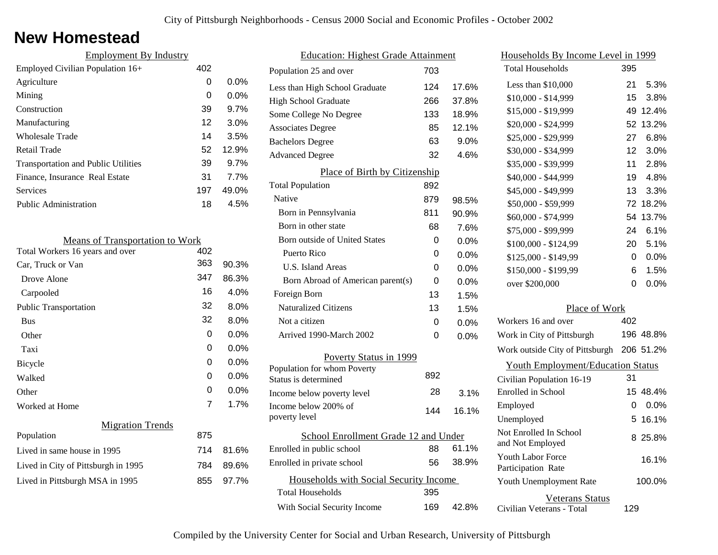### **New Homestead**

| <b>Employment By Industry</b>              |     |         |
|--------------------------------------------|-----|---------|
| Employed Civilian Population 16+           | 402 |         |
| Agriculture                                | 0   | $0.0\%$ |
| Mining                                     | 0   | $0.0\%$ |
| Construction                               | 39  | 9.7%    |
| Manufacturing                              | 12  | 3.0%    |
| <b>Wholesale Trade</b>                     | 14  | 3.5%    |
| Retail Trade                               | 52  | 12.9%   |
| <b>Transportation and Public Utilities</b> | 39  | 9.7%    |
| Finance, Insurance Real Estate             | 31  | 7.7%    |
| Services                                   | 197 | 49.0%   |
| Public Administration                      | 18  | 4.5%    |
|                                            |     |         |

| <b>Means of Transportation to Work</b> |     |         |
|----------------------------------------|-----|---------|
| Total Workers 16 years and over        | 402 |         |
| Car, Truck or Van                      | 363 | 90.3%   |
| Drove Alone                            | 347 | 86.3%   |
| Carpooled                              | 16  | 4.0%    |
| <b>Public Transportation</b>           | 32  | 8.0%    |
| <b>Bus</b>                             | 32  | 8.0%    |
| Other                                  | 0   | $0.0\%$ |
| Taxi                                   | 0   | $0.0\%$ |
| Bicycle                                | 0   | $0.0\%$ |
| Walked                                 | 0   | $0.0\%$ |
| Other                                  | 0   | 0.0%    |
| Worked at Home                         | 7   | 1.7%    |
| <b>Migration Trends</b>                |     |         |
| Population                             | 875 |         |
| Lived in same house in 1995            | 714 | 81.6%   |
| Lived in City of Pittsburgh in 1995    | 784 | 89.6%   |
| Lived in Pittsburgh MSA in 1995        | 855 | 97.7%   |
|                                        |     |         |

| <b>Education: Highest Grade Attainment</b>         |     |         |
|----------------------------------------------------|-----|---------|
| Population 25 and over                             | 703 |         |
| Less than High School Graduate                     | 124 | 17.6%   |
| High School Graduate                               | 266 | 37.8%   |
| Some College No Degree                             | 133 | 18.9%   |
| <b>Associates Degree</b>                           | 85  | 12.1%   |
| <b>Bachelors Degree</b>                            | 63  | 9.0%    |
| <b>Advanced Degree</b>                             | 32  | 4.6%    |
| Place of Birth by Citizenship                      |     |         |
| <b>Total Population</b>                            | 892 |         |
| Native                                             | 879 | 98.5%   |
| Born in Pennsylvania                               | 811 | 90.9%   |
| Born in other state                                | 68  | 7.6%    |
| <b>Born outside of United States</b>               | 0   | $0.0\%$ |
| Puerto Rico                                        | 0   | 0.0%    |
| <b>U.S. Island Areas</b>                           | 0   | 0.0%    |
| Born Abroad of American parent(s)                  | 0   | 0.0%    |
| Foreign Born                                       | 13  | 1.5%    |
| <b>Naturalized Citizens</b>                        | 13  | 1.5%    |
| Not a citizen                                      | 0   | $0.0\%$ |
| Arrived 1990-March 2002                            | 0   | $0.0\%$ |
| Poverty Status in 1999                             |     |         |
| Population for whom Poverty                        | 892 |         |
| Status is determined                               | 28  |         |
| Income below poverty level<br>Income below 200% of |     | 3.1%    |
| poverty level                                      | 144 | 16.1%   |
| School Enrollment Grade 12 and Under               |     |         |
| Enrolled in public school                          | 88  | 61.1%   |
| Enrolled in private school                         | 56  | 38.9%   |
| Households with Social Security Income             |     |         |
| <b>Total Households</b>                            | 395 |         |
| With Social Security Income                        | 169 | 42.8%   |
|                                                    |     |         |

| Households By Income Level in 1999                  |     |           |
|-----------------------------------------------------|-----|-----------|
| <b>Total Households</b>                             | 395 |           |
| Less than \$10,000                                  | 21  | 5.3%      |
| \$10,000 - \$14,999                                 | 15  | 3.8%      |
| \$15,000 - \$19,999                                 | 49  | 12.4%     |
| \$20,000 - \$24,999                                 | 52  | 13.2%     |
| \$25,000 - \$29,999                                 | 27  | 6.8%      |
| \$30,000 - \$34,999                                 | 12  | 3.0%      |
| \$35,000 - \$39,999                                 | 11  | 2.8%      |
| \$40,000 - \$44,999                                 | 19  | 4.8%      |
| \$45,000 - \$49,999                                 | 13  | 3.3%      |
| \$50,000 - \$59,999                                 | 72  | 18.2%     |
| \$60,000 - \$74,999                                 | 54  | 13.7%     |
| \$75,000 - \$99,999                                 | 24  | 6.1%      |
| \$100,000 - \$124,99                                | 20  | 5.1%      |
| \$125,000 - \$149,99                                | 0   | 0.0%      |
| \$150,000 - \$199,99                                | 6   | 1.5%      |
| over \$200,000                                      | 0   | 0.0%      |
| Place of Work                                       |     |           |
| Workers 16 and over                                 | 402 |           |
| Work in City of Pittsburgh                          |     | 196 48.8% |
| Work outside City of Pittsburgh                     |     | 206 51.2% |
| <b>Youth Employment/Education Status</b>            |     |           |
| Civilian Population 16-19                           | 31  |           |
| Enrolled in School                                  |     | 15 48.4%  |
| Employed                                            | 0   | 0.0%      |
| Unemployed                                          | 5   | 16.1%     |
| Not Enrolled In School<br>and Not Employed          | 8   | 25.8%     |
| <b>Youth Labor Force</b><br>Participation Rate      |     | 16.1%     |
| Youth Unemployment Rate                             |     | 100.0%    |
| <b>Veterans Status</b><br>Civilian Veterans - Total | 129 |           |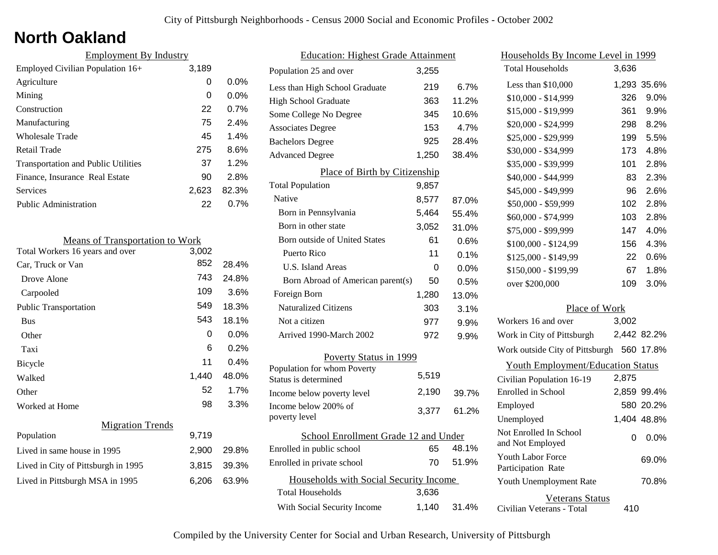## **North Oakland**

| <b>Employment By Industry</b>              |       |         |
|--------------------------------------------|-------|---------|
| Employed Civilian Population 16+           | 3,189 |         |
| Agriculture                                | 0     | $0.0\%$ |
| Mining                                     | 0     | $0.0\%$ |
| Construction                               | 22    | 0.7%    |
| Manufacturing                              | 75    | 2.4%    |
| Wholesale Trade                            | 45    | 1.4%    |
| Retail Trade                               | 275   | 8.6%    |
| <b>Transportation and Public Utilities</b> | 37    | 1.2%    |
| Finance, Insurance Real Estate             | 90    | 2.8%    |
| Services                                   | 2,623 | 82.3%   |
| Public Administration                      | 22    | $0.7\%$ |

| <b>Means of Transportation to Work</b> |       |       |
|----------------------------------------|-------|-------|
| Total Workers 16 years and over        | 3,002 |       |
| Car, Truck or Van                      | 852   | 28.4% |
| Drove Alone                            | 743   | 24.8% |
| Carpooled                              | 109   | 3.6%  |
| <b>Public Transportation</b>           | 549   | 18.3% |
| <b>Bus</b>                             | 543   | 18.1% |
| Other                                  | 0     | 0.0%  |
| Taxi                                   | 6     | 0.2%  |
| Bicycle                                | 11    | 0.4%  |
| Walked                                 | 1,440 | 48.0% |
| Other                                  | 52    | 1.7%  |
| Worked at Home                         | 98    | 3.3%  |
| <b>Migration Trends</b>                |       |       |
| Population                             | 9,719 |       |
| Lived in same house in 1995            | 2,900 | 29.8% |
| Lived in City of Pittsburgh in 1995    | 3,815 | 39.3% |
| Lived in Pittsburgh MSA in 1995        | 6,206 | 63.9% |

| <b>Education: Highest Grade Attainment</b> |       |         |
|--------------------------------------------|-------|---------|
| Population 25 and over                     | 3,255 |         |
| Less than High School Graduate             | 219   | 6.7%    |
| <b>High School Graduate</b>                | 363   | 11.2%   |
| Some College No Degree                     | 345   | 10.6%   |
| <b>Associates Degree</b>                   | 153   | 4.7%    |
| <b>Bachelors Degree</b>                    | 925   | 28.4%   |
| <b>Advanced Degree</b>                     | 1,250 | 38.4%   |
| Place of Birth by Citizenship              |       |         |
| <b>Total Population</b>                    | 9,857 |         |
| Native                                     | 8,577 | 87.0%   |
| Born in Pennsylvania                       | 5,464 | 55.4%   |
| Born in other state                        | 3,052 | 31.0%   |
| Born outside of United States              | 61    | 0.6%    |
| Puerto Rico                                | 11    | 0.1%    |
| U.S. Island Areas                          | 0     | $0.0\%$ |
| Born Abroad of American parent(s)          | 50    | 0.5%    |
| Foreign Born                               | 1,280 | 13.0%   |
| <b>Naturalized Citizens</b>                | 303   | 3.1%    |
| Not a citizen                              | 977   | 9.9%    |
| Arrived 1990-March 2002                    | 972   | 9.9%    |
| Poverty Status in 1999                     |       |         |
| Population for whom Poverty                | 5,519 |         |
| Status is determined                       |       |         |
| Income below poverty level                 | 2,190 | 39.7%   |
| Income below 200% of<br>poverty level      | 3,377 | 61.2%   |
| School Enrollment Grade 12 and Under       |       |         |
| Enrolled in public school                  | 65    | 48.1%   |
| Enrolled in private school                 | 70    | 51.9%   |
| Households with Social Security Income     |       |         |
| <b>Total Households</b>                    | 3,636 |         |
| With Social Security Income                | 1,140 | 31.4%   |

| <u>Households By Income Level in 1999</u>           |       |             |
|-----------------------------------------------------|-------|-------------|
| <b>Total Households</b>                             | 3,636 |             |
| Less than \$10,000                                  |       | 1,293 35.6% |
| $$10,000 - $14,999$                                 | 326   | 9.0%        |
| \$15,000 - \$19,999                                 | 361   | 9.9%        |
| \$20,000 - \$24,999                                 | 298   | 8.2%        |
| \$25,000 - \$29,999                                 | 199   | 5.5%        |
| \$30,000 - \$34,999                                 | 173   | 4.8%        |
| \$35,000 - \$39,999                                 | 101   | 2.8%        |
| \$40,000 - \$44,999                                 | 83    | 2.3%        |
| \$45,000 - \$49,999                                 | 96    | 2.6%        |
| \$50,000 - \$59,999                                 | 102   | 2.8%        |
| \$60,000 - \$74,999                                 | 103   | 2.8%        |
| \$75,000 - \$99,999                                 | 147   | 4.0%        |
| \$100,000 - \$124,99                                | 156   | 4.3%        |
| \$125,000 - \$149,99                                | 22    | 0.6%        |
| \$150,000 - \$199,99                                | 67    | 1.8%        |
| over \$200,000                                      | 109   | 3.0%        |
| Place of Work                                       |       |             |
| Workers 16 and over                                 | 3,002 |             |
| Work in City of Pittsburgh                          |       | 2,442 82.2% |
| Work outside City of Pittsburgh 560 17.8%           |       |             |
| <b>Youth Employment/Education Status</b>            |       |             |
| Civilian Population 16-19                           | 2,875 |             |
| Enrolled in School                                  |       | 2,859 99.4% |
| Employed                                            |       | 580 20.2%   |
| Unemployed                                          |       | 1,404 48.8% |
| Not Enrolled In School<br>and Not Employed          | 0     | 0.0%        |
| <b>Youth Labor Force</b><br>Participation Rate      |       | 69.0%       |
| Youth Unemployment Rate                             |       | 70.8%       |
| <b>Veterans Status</b><br>Civilian Veterans - Total | 410   |             |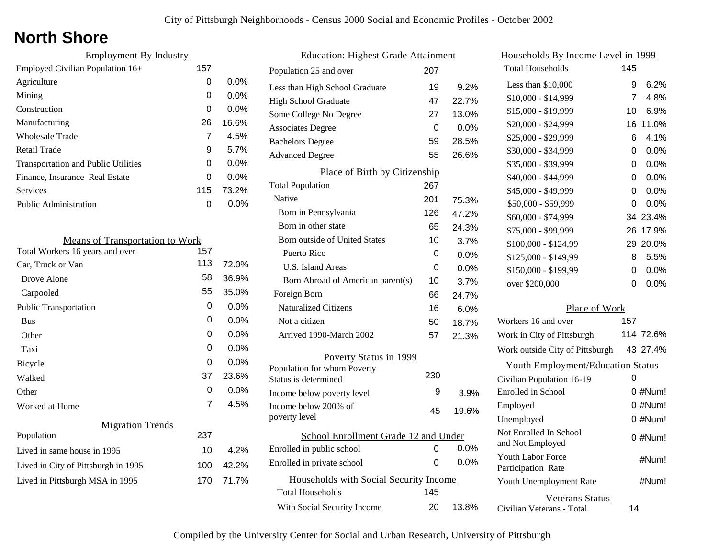# **North Shore**

| <b>Employment By Industry</b>              |     |         |
|--------------------------------------------|-----|---------|
| Employed Civilian Population 16+           | 157 |         |
| Agriculture                                | 0   | $0.0\%$ |
| Mining                                     | 0   | $0.0\%$ |
| Construction                               | 0   | $0.0\%$ |
| Manufacturing                              | 26  | 16.6%   |
| Wholesale Trade                            | 7   | 4.5%    |
| Retail Trade                               | 9   | 5.7%    |
| <b>Transportation and Public Utilities</b> | 0   | $0.0\%$ |
| Finance, Insurance Real Estate             | 0   | $0.0\%$ |
| Services                                   | 115 | 73.2%   |
| <b>Public Administration</b>               | O   | 0.0%    |

| <b>Means of Transportation to Work</b> |     |         |
|----------------------------------------|-----|---------|
| Total Workers 16 years and over        | 157 |         |
| Car, Truck or Van                      | 113 | 72.0%   |
| Drove Alone                            | 58  | 36.9%   |
| Carpooled                              | 55  | 35.0%   |
| Public Transportation                  | 0   | $0.0\%$ |
| <b>Bus</b>                             | 0   | $0.0\%$ |
| Other                                  | 0   | $0.0\%$ |
| Taxi                                   | 0   | $0.0\%$ |
| Bicycle                                | 0   | $0.0\%$ |
| Walked                                 | 37  | 23.6%   |
| Other                                  | 0   | $0.0\%$ |
| Worked at Home                         | 7   | 4.5%    |
| <b>Migration Trends</b>                |     |         |
| Population                             | 237 |         |
| Lived in same house in 1995            | 10  | 4.2%    |
| Lived in City of Pittsburgh in 1995    | 100 | 42.2%   |
| Lived in Pittsburgh MSA in 1995        | 170 | 71.7%   |
|                                        |     |         |

| <b>Education: Highest Grade Attainment</b> |     |         |
|--------------------------------------------|-----|---------|
| Population 25 and over                     | 207 |         |
| Less than High School Graduate             | 19  | 9.2%    |
| High School Graduate                       | 47  | 22.7%   |
| Some College No Degree                     | 27  | 13.0%   |
| <b>Associates Degree</b>                   | 0   | $0.0\%$ |
| <b>Bachelors Degree</b>                    | 59  | 28.5%   |
| <b>Advanced Degree</b>                     | 55  | 26.6%   |
| Place of Birth by Citizenship              |     |         |
| <b>Total Population</b>                    | 267 |         |
| Native                                     | 201 | 75.3%   |
| Born in Pennsylvania                       | 126 | 47.2%   |
| Born in other state                        | 65  | 24.3%   |
| <b>Born outside of United States</b>       | 10  | 3.7%    |
| Puerto Rico                                | 0   | $0.0\%$ |
| U.S. Island Areas                          | 0   | $0.0\%$ |
| Born Abroad of American parent(s)          | 10  | 3.7%    |
| Foreign Born                               | 66  | 24.7%   |
| <b>Naturalized Citizens</b>                | 16  | 6.0%    |
| Not a citizen                              | 50  | 18.7%   |
| Arrived 1990-March 2002                    | 57  | 21.3%   |
| Poverty Status in 1999                     |     |         |
| Population for whom Poverty                | 230 |         |
| Status is determined                       |     |         |
| Income below poverty level                 | 9   | 3.9%    |
| Income below 200% of<br>poverty level      | 45  | 19.6%   |
| School Enrollment Grade 12 and Under       |     |         |
| Enrolled in public school                  | 0   | 0.0%    |
| Enrolled in private school                 | 0   | 0.0%    |
| Households with Social Security Income     |     |         |
| <b>Total Households</b>                    | 145 |         |
| With Social Security Income                | 20  | 13.8%   |

| Households By Income Level in 1999                  |                |            |
|-----------------------------------------------------|----------------|------------|
| <b>Total Households</b>                             | 145            |            |
| Less than \$10,000                                  | 9              | 6.2%       |
| \$10,000 - \$14,999                                 | $\overline{7}$ | 4.8%       |
| \$15,000 - \$19,999                                 | 10             | 6.9%       |
| \$20,000 - \$24,999                                 | 16             | 11.0%      |
| \$25,000 - \$29,999                                 | 6              | 4.1%       |
| \$30,000 - \$34,999                                 | 0              | 0.0%       |
| \$35,000 - \$39,999                                 | 0              | 0.0%       |
| \$40,000 - \$44,999                                 | 0              | 0.0%       |
| \$45,000 - \$49,999                                 | 0              | $0.0\%$    |
| \$50,000 - \$59,999                                 | 0              | 0.0%       |
| \$60,000 - \$74,999                                 | 34             | 23.4%      |
| \$75,000 - \$99,999                                 | 26             | 17.9%      |
| $$100,000 - $124,99$                                | 29             | 20.0%      |
| \$125,000 - \$149,99                                | 8              | 5.5%       |
| \$150,000 - \$199,99                                | 0              | 0.0%       |
| over \$200,000                                      | 0              | 0.0%       |
| Place of Work                                       |                |            |
| Workers 16 and over                                 | 157            |            |
| Work in City of Pittsburgh                          |                | 114 72.6%  |
| Work outside City of Pittsburgh                     |                | 43 27.4%   |
| <b>Youth Employment/Education Status</b>            |                |            |
| Civilian Population 16-19                           | 0              |            |
| Enrolled in School                                  |                | 0 #Num!    |
| Employed                                            |                | 0 #Num!    |
| Unemployed                                          |                | $0 \#Num!$ |
| Not Enrolled In School<br>and Not Employed          |                | 0 #Num!    |
| <b>Youth Labor Force</b><br>Participation Rate      |                | #Num!      |
| Youth Unemployment Rate                             |                | #Num!      |
| <b>Veterans Status</b><br>Civilian Veterans - Total | 14             |            |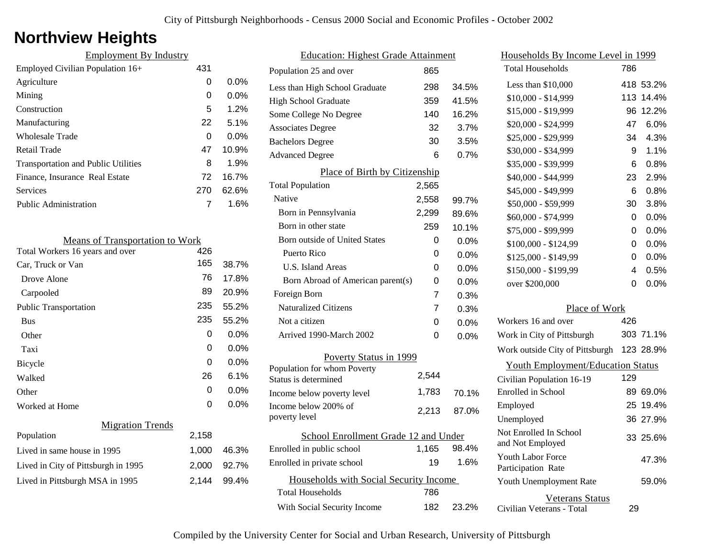# **Northview Heights**

| 431 |         |
|-----|---------|
| 0   | $0.0\%$ |
| 0   | $0.0\%$ |
| 5   | 1.2%    |
| 22  | 5.1%    |
| 0   | $0.0\%$ |
| 47  | 10.9%   |
| 8   | 1.9%    |
| 72  | 16.7%   |
| 270 | 62.6%   |
|     | 1.6%    |
|     |         |

| <b>Means of Transportation to Work</b> |       |         |
|----------------------------------------|-------|---------|
| Total Workers 16 years and over        | 426   |         |
| Car, Truck or Van                      | 165   | 38.7%   |
| Drove Alone                            | 76    | 17.8%   |
| Carpooled                              | 89    | 20.9%   |
| <b>Public Transportation</b>           | 235   | 55.2%   |
| <b>Bus</b>                             | 235   | 55.2%   |
| Other                                  | 0     | 0.0%    |
| Taxi                                   | 0     | 0.0%    |
| Bicycle                                | 0     | $0.0\%$ |
| Walked                                 | 26    | 6.1%    |
| Other                                  | 0     | 0.0%    |
| Worked at Home                         | 0     | 0.0%    |
| <b>Migration Trends</b>                |       |         |
| Population                             | 2,158 |         |
| Lived in same house in 1995            | 1,000 | 46.3%   |
| Lived in City of Pittsburgh in 1995    | 2,000 | 92.7%   |
| Lived in Pittsburgh MSA in 1995        | 2.144 | 99.4%   |
|                                        |       |         |

| <b>Education: Highest Grade Attainment</b> |                                        |       |         |
|--------------------------------------------|----------------------------------------|-------|---------|
|                                            | Population 25 and over                 | 865   |         |
|                                            | Less than High School Graduate         | 298   | 34.5%   |
|                                            | <b>High School Graduate</b>            | 359   | 41.5%   |
|                                            | Some College No Degree                 | 140   | 16.2%   |
|                                            | <b>Associates Degree</b>               | 32    | 3.7%    |
|                                            | <b>Bachelors Degree</b>                | 30    | 3.5%    |
|                                            | <b>Advanced Degree</b>                 | 6     | 0.7%    |
|                                            | Place of Birth by Citizenship          |       |         |
|                                            | <b>Total Population</b>                | 2,565 |         |
|                                            | Native                                 | 2,558 | 99.7%   |
|                                            | Born in Pennsylvania                   | 2,299 | 89.6%   |
|                                            | Born in other state                    | 259   | 10.1%   |
|                                            | Born outside of United States          | 0     | 0.0%    |
|                                            | Puerto Rico                            | 0     | 0.0%    |
|                                            | U.S. Island Areas                      | 0     | 0.0%    |
|                                            | Born Abroad of American parent(s)      | 0     | $0.0\%$ |
|                                            | Foreign Born                           | 7     | 0.3%    |
|                                            | <b>Naturalized Citizens</b>            | 7     | 0.3%    |
|                                            | Not a citizen                          | 0     | $0.0\%$ |
|                                            | Arrived 1990-March 2002                | 0     | 0.0%    |
|                                            | Poverty Status in 1999                 |       |         |
|                                            | Population for whom Poverty            |       |         |
|                                            | Status is determined                   | 2,544 |         |
|                                            | Income below poverty level             | 1,783 | 70.1%   |
|                                            | Income below 200% of<br>poverty level  | 2,213 | 87.0%   |
| School Enrollment Grade 12 and Under       |                                        |       |         |
|                                            | Enrolled in public school              | 1,165 | 98.4%   |
|                                            | Enrolled in private school             | 19    | 1.6%    |
|                                            | Households with Social Security Income |       |         |
|                                            | <b>Total Households</b>                | 786   |         |
|                                            | With Social Security Income            | 182   | 23.2%   |
|                                            |                                        |       |         |

| Households By Income Level in 1999                  |     |           |
|-----------------------------------------------------|-----|-----------|
| <b>Total Households</b>                             | 786 |           |
| Less than \$10,000                                  | 418 | 53.2%     |
| \$10,000 - \$14,999                                 | 113 | 14.4%     |
| \$15,000 - \$19,999                                 | 96  | 12.2%     |
| \$20,000 - \$24,999                                 | 47  | 6.0%      |
| \$25,000 - \$29,999                                 | 34  | 4.3%      |
| \$30,000 - \$34,999                                 | 9   | 1.1%      |
| \$35,000 - \$39,999                                 | 6   | 0.8%      |
| \$40,000 - \$44,999                                 | 23  | 2.9%      |
| \$45,000 - \$49,999                                 | 6   | 0.8%      |
| \$50,000 - \$59,999                                 | 30  | 3.8%      |
| \$60,000 - \$74,999                                 | 0   | 0.0%      |
| \$75,000 - \$99,999                                 | 0   | 0.0%      |
| \$100,000 - \$124,99                                | 0   | 0.0%      |
| \$125,000 - \$149,99                                | 0   | 0.0%      |
| \$150,000 - \$199,99                                | 4   | 0.5%      |
| over \$200,000                                      | 0   | 0.0%      |
| Place of Work                                       |     |           |
| Workers 16 and over                                 | 426 |           |
| Work in City of Pittsburgh                          |     | 303 71.1% |
| Work outside City of Pittsburgh                     |     | 123 28.9% |
| <b>Youth Employment/Education Status</b>            |     |           |
| Civilian Population 16-19                           | 129 |           |
| Enrolled in School                                  | 89. | 69.0%     |
| Employed                                            |     | 25 19.4%  |
| Unemployed                                          |     | 36 27.9%  |
| Not Enrolled In School<br>and Not Employed          |     | 33 25.6%  |
| Youth Labor Force<br>Participation Rate             |     | 47.3%     |
| Youth Unemployment Rate                             |     | 59.0%     |
| <b>Veterans Status</b><br>Civilian Veterans - Total | 29  |           |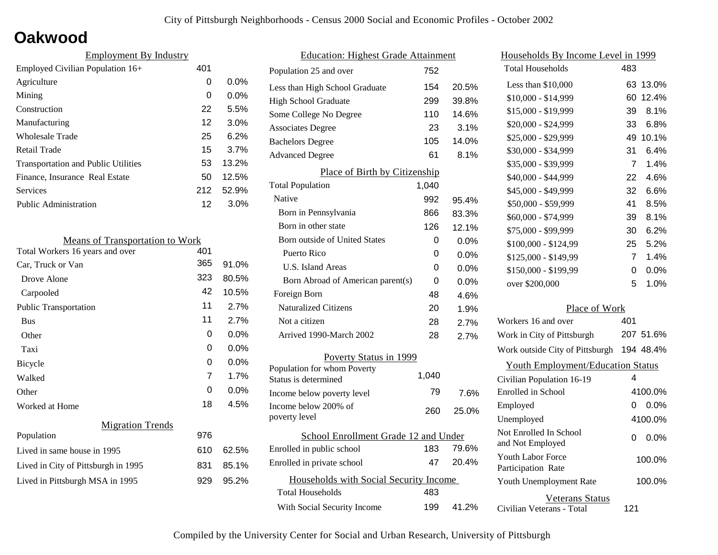### **Oakwood**

| 401 |         |
|-----|---------|
| 0   | $0.0\%$ |
| 0   | $0.0\%$ |
| 22  | 5.5%    |
| 12  | 3.0%    |
| 25  | 6.2%    |
| 15  | 3.7%    |
| 53  | 13.2%   |
| 50  | 12.5%   |
| 212 | 52.9%   |
| 12  | 3.0%    |
|     |         |

| <b>Means of Transportation to Work</b> |     |         |
|----------------------------------------|-----|---------|
| Total Workers 16 years and over        | 401 |         |
| Car, Truck or Van                      | 365 | 91.0%   |
| Drove Alone                            | 323 | 80.5%   |
| Carpooled                              | 42  | 10.5%   |
| Public Transportation                  | 11  | 2.7%    |
| <b>Bus</b>                             | 11  | 2.7%    |
| Other                                  | 0   | $0.0\%$ |
| Taxi                                   | 0   | $0.0\%$ |
| Bicycle                                | 0   | 0.0%    |
| Walked                                 | 7   | 1.7%    |
| Other                                  | 0   | $0.0\%$ |
| Worked at Home                         | 18  | 4.5%    |
| <b>Migration Trends</b>                |     |         |
| Population                             | 976 |         |
| Lived in same house in 1995            | 610 | 62.5%   |
| Lived in City of Pittsburgh in 1995    | 831 | 85.1%   |
| Lived in Pittsburgh MSA in 1995        | 929 | 95.2%   |
|                                        |     |         |

| <b>Education: Highest Grade Attainment</b> |       |         |
|--------------------------------------------|-------|---------|
| Population 25 and over                     | 752   |         |
| Less than High School Graduate             | 154   | 20.5%   |
| <b>High School Graduate</b>                | 299   | 39.8%   |
| Some College No Degree                     | 110   | 14.6%   |
| <b>Associates Degree</b>                   | 23    | 3.1%    |
| <b>Bachelors Degree</b>                    | 105   | 14.0%   |
| <b>Advanced Degree</b>                     | 61    | 8.1%    |
| Place of Birth by Citizenship              |       |         |
| <b>Total Population</b>                    | 1,040 |         |
| Native                                     | 992   | 95.4%   |
| Born in Pennsylvania                       | 866   | 83.3%   |
| Born in other state                        | 126   | 12.1%   |
| Born outside of United States              | 0     | 0.0%    |
| Puerto Rico                                | 0     | 0.0%    |
| U.S. Island Areas                          | 0     | $0.0\%$ |
| Born Abroad of American parent(s)          | 0     | $0.0\%$ |
| Foreign Born                               | 48    | 4.6%    |
| <b>Naturalized Citizens</b>                | 20    | 1.9%    |
| Not a citizen                              | 28    | 2.7%    |
| Arrived 1990-March 2002                    | 28    | 2.7%    |
| Poverty Status in 1999                     |       |         |
| Population for whom Poverty                | 1,040 |         |
| Status is determined                       |       |         |
| Income below poverty level                 | 79    | 7.6%    |
| Income below 200% of<br>poverty level      | 260   | 25.0%   |
| School Enrollment Grade 12 and Under       |       |         |
| Enrolled in public school                  | 183   | 79.6%   |
| Enrolled in private school                 | 47    | 20.4%   |
| Households with Social Security Income     |       |         |
| <b>Total Households</b>                    | 483   |         |
| With Social Security Income                | 199   | 41.2%   |

| Households By Income Level in 1999                  |     |           |
|-----------------------------------------------------|-----|-----------|
| <b>Total Households</b>                             | 483 |           |
| Less than \$10,000                                  | 63  | 13.0%     |
| $$10,000 - $14,999$                                 | 60  | 12.4%     |
| \$15,000 - \$19,999                                 | 39  | 8.1%      |
| \$20,000 - \$24,999                                 | 33  | 6.8%      |
| \$25,000 - \$29,999                                 | 49  | 10.1%     |
| \$30,000 - \$34,999                                 | 31  | 6.4%      |
| \$35,000 - \$39,999                                 | 7   | 1.4%      |
| \$40,000 - \$44,999                                 | 22  | 4.6%      |
| \$45,000 - \$49,999                                 | 32  | 6.6%      |
| \$50,000 - \$59,999                                 | 41  | 8.5%      |
| \$60,000 - \$74,999                                 | 39  | 8.1%      |
| \$75,000 - \$99,999                                 | 30  | 6.2%      |
| \$100,000 - \$124,99                                | 25  | 5.2%      |
| \$125,000 - \$149,99                                | 7   | 1.4%      |
| \$150,000 - \$199,99                                | 0   | 0.0%      |
| over \$200,000                                      | 5   | 1.0%      |
| Place of Work                                       |     |           |
| Workers 16 and over                                 | 401 |           |
| Work in City of Pittsburgh                          |     | 207 51.6% |
| Work outside City of Pittsburgh                     |     | 194 48.4% |
| <b>Youth Employment/Education Status</b>            |     |           |
| Civilian Population 16-19                           | 4   |           |
| Enrolled in School                                  |     | 4100.0%   |
| Employed                                            | 0   | $0.0\%$   |
| Unemployed                                          |     | 4100.0%   |
| Not Enrolled In School<br>and Not Employed          | 0   | 0.0%      |
| <b>Youth Labor Force</b><br>Participation Rate      |     | 100.0%    |
| Youth Unemployment Rate                             |     | 100.0%    |
| <b>Veterans Status</b><br>Civilian Veterans - Total | 121 |           |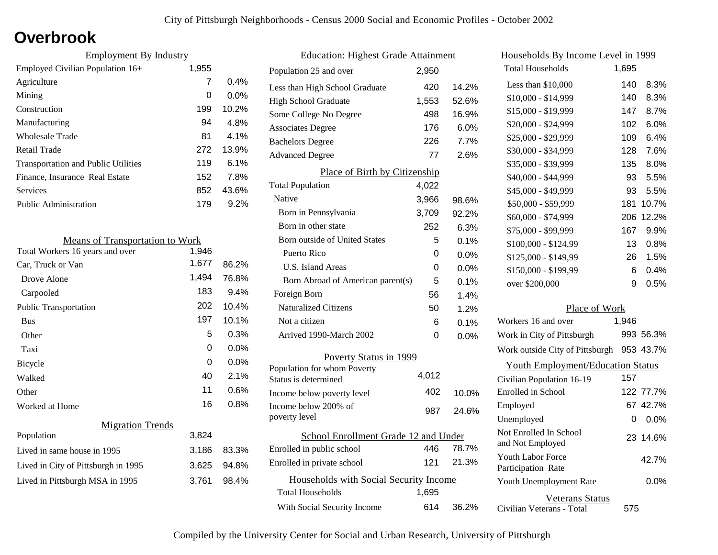## **Overbrook**

| <b>Employment By Industry</b>              |       |         |
|--------------------------------------------|-------|---------|
| Employed Civilian Population 16+           | 1,955 |         |
| Agriculture                                | 7     | $0.4\%$ |
| Mining                                     | 0     | $0.0\%$ |
| Construction                               | 199   | 10.2%   |
| Manufacturing                              | 94    | 4.8%    |
| Wholesale Trade                            | 81    | $4.1\%$ |
| Retail Trade                               | 272   | 13.9%   |
| <b>Transportation and Public Utilities</b> | 119   | $6.1\%$ |
| Finance, Insurance Real Estate             | 152   | 7.8%    |
| Services                                   | 852   | 43.6%   |
| Public Administration                      | 179   | $9.2\%$ |

| <b>Means of Transportation to Work</b> |       |         |
|----------------------------------------|-------|---------|
| Total Workers 16 years and over        | 1,946 |         |
| Car, Truck or Van                      | 1,677 | 86.2%   |
| Drove Alone                            | 1,494 | 76.8%   |
| Carpooled                              | 183   | 9.4%    |
| <b>Public Transportation</b>           | 202   | 10.4%   |
| <b>Bus</b>                             | 197   | 10.1%   |
| Other                                  | 5     | 0.3%    |
| Taxi                                   | 0     | 0.0%    |
| Bicycle                                | 0     | 0.0%    |
| Walked                                 | 40    | 2.1%    |
| Other                                  | 11    | 0.6%    |
| Worked at Home                         | 16    | $0.8\%$ |
| <b>Migration Trends</b>                |       |         |
| Population                             | 3,824 |         |
| Lived in same house in 1995            | 3,186 | 83.3%   |
| Lived in City of Pittsburgh in 1995    | 3,625 | 94.8%   |
| Lived in Pittsburgh MSA in 1995        | 3,761 | 98.4%   |

| <b>Education: Highest Grade Attainment</b>          |       |         |
|-----------------------------------------------------|-------|---------|
| Population 25 and over                              | 2,950 |         |
| Less than High School Graduate                      | 420   | 14.2%   |
| <b>High School Graduate</b>                         | 1,553 | 52.6%   |
| Some College No Degree                              | 498   | 16.9%   |
| <b>Associates Degree</b>                            | 176   | 6.0%    |
| <b>Bachelors Degree</b>                             | 226   | 7.7%    |
| <b>Advanced Degree</b>                              | 77    | 2.6%    |
| Place of Birth by Citizenship                       |       |         |
| <b>Total Population</b>                             | 4,022 |         |
| Native                                              | 3,966 | 98.6%   |
| Born in Pennsylvania                                | 3,709 | 92.2%   |
| Born in other state                                 | 252   | 6.3%    |
| Born outside of United States                       | 5     | 0.1%    |
| Puerto Rico                                         | 0     | 0.0%    |
| U.S. Island Areas                                   | 0     | $0.0\%$ |
| Born Abroad of American parent(s)                   | 5     | 0.1%    |
| Foreign Born                                        | 56    | 1.4%    |
| <b>Naturalized Citizens</b>                         | 50    | 1.2%    |
| Not a citizen                                       | 6     | 0.1%    |
| Arrived 1990-March 2002                             | 0     | 0.0%    |
| Poverty Status in 1999                              |       |         |
| Population for whom Poverty<br>Status is determined | 4,012 |         |
| Income below poverty level                          | 402   | 10.0%   |
| Income below 200\% of<br>poverty level              | 987   | 24.6%   |
| School Enrollment Grade 12 and Under                |       |         |
| Enrolled in public school                           | 446   | 78.7%   |
| Enrolled in private school                          | 121   | 21.3%   |
| Households with Social Security Income              |       |         |
| <b>Total Households</b>                             | 1,695 |         |
| With Social Security Income                         | 614   | 36.2%   |

| Households By Income Level in 1999         |       |           |
|--------------------------------------------|-------|-----------|
| <b>Total Households</b>                    | 1,695 |           |
| Less than \$10,000                         | 140   | 8.3%      |
| $$10,000 - $14,999$                        | 140   | 8.3%      |
| \$15,000 - \$19,999                        | 147   | 8.7%      |
| \$20,000 - \$24,999                        | 102   | 6.0%      |
| \$25,000 - \$29,999                        | 109   | 6.4%      |
| \$30,000 - \$34,999                        | 128   | 7.6%      |
| \$35,000 - \$39,999                        | 135   | 8.0%      |
| \$40,000 - \$44,999                        | 93    | 5.5%      |
| \$45,000 - \$49,999                        | 93    | 5.5%      |
| \$50,000 - \$59,999                        | 181   | 10.7%     |
| \$60,000 - \$74,999                        | 206   | 12.2%     |
| \$75,000 - \$99,999                        | 167   | 9.9%      |
| \$100,000 - \$124,99                       | 13    | 0.8%      |
| \$125,000 - \$149,99                       | 26    | 1.5%      |
| \$150,000 - \$199,99                       | 6     | 0.4%      |
| over \$200,000                             | 9     | 0.5%      |
| Place of Work                              |       |           |
| Workers 16 and over                        | 1,946 |           |
| Work in City of Pittsburgh                 |       | 993 56.3% |
| Work outside City of Pittsburgh            |       | 953 43.7% |
| <b>Youth Employment/Education Status</b>   |       |           |
| Civilian Population 16-19                  | 157   |           |
| <b>Enrolled</b> in School                  |       | 122 77.7% |
| Employed                                   |       | 67 42.7%  |
| Unemployed                                 | 0     | $0.0\%$   |
| Not Enrolled In School<br>and Not Employed |       | 23 14.6%  |
| Youth Labor Force<br>Participation Rate    |       | 42.7%     |
| Youth Unemployment Rate                    |       | $0.0\%$   |
| Veterans Status                            |       |           |

Civilian Veterans - Total

575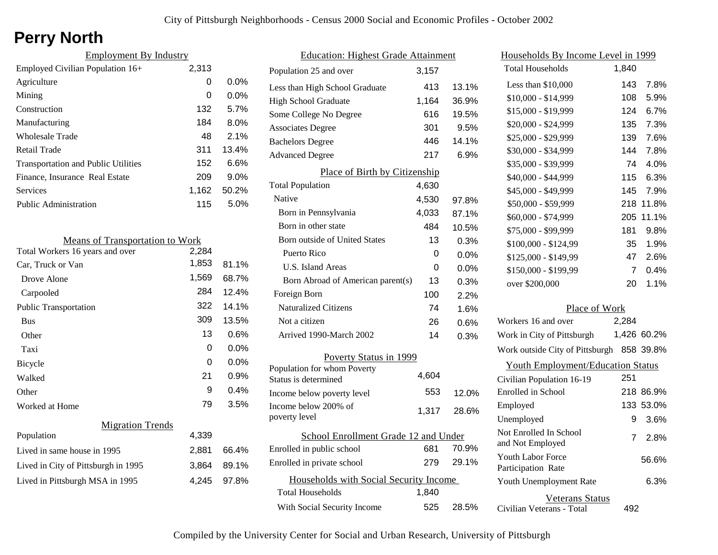# **Perry North**

| <b>Employment By Industry</b>              |       |         |
|--------------------------------------------|-------|---------|
| Employed Civilian Population 16+           | 2,313 |         |
| Agriculture                                | 0     | $0.0\%$ |
| Mining                                     | 0     | $0.0\%$ |
| Construction                               | 132   | 5.7%    |
| Manufacturing                              | 184   | $8.0\%$ |
| Wholesale Trade                            | 48    | 2.1%    |
| Retail Trade                               | 311   | 13.4%   |
| <b>Transportation and Public Utilities</b> | 152   | 6.6%    |
| Finance, Insurance Real Estate             | 209   | $9.0\%$ |
| Services                                   | 1.162 | 50.2%   |
| Public Administration                      | 115   | 5.0%    |

| <b>Means of Transportation to Work</b> |       |         |
|----------------------------------------|-------|---------|
| Total Workers 16 years and over        | 2,284 |         |
| Car, Truck or Van                      | 1,853 | 81.1%   |
| Drove Alone                            | 1,569 | 68.7%   |
| Carpooled                              | 284   | 12.4%   |
| <b>Public Transportation</b>           | 322   | 14.1%   |
| <b>Bus</b>                             | 309   | 13.5%   |
| Other                                  | 13    | $0.6\%$ |
| Taxi                                   | 0     | $0.0\%$ |
| Bicycle                                | 0     | $0.0\%$ |
| Walked                                 | 21    | $0.9\%$ |
| Other                                  | 9     | 0.4%    |
| Worked at Home                         | 79    | 3.5%    |
| <b>Migration Trends</b>                |       |         |
| Population                             | 4,339 |         |
| Lived in same house in 1995            | 2,881 | 66.4%   |
| Lived in City of Pittsburgh in 1995    | 3.864 | 89.1%   |
| Lived in Pittsburgh MSA in 1995        | 4,245 | 97.8%   |
|                                        |       |         |

| <b>Education: Highest Grade Attainment</b> |       |       |
|--------------------------------------------|-------|-------|
| Population 25 and over                     | 3,157 |       |
| Less than High School Graduate             | 413   | 13.1% |
| <b>High School Graduate</b>                | 1,164 | 36.9% |
| Some College No Degree                     | 616   | 19.5% |
| <b>Associates Degree</b>                   | 301   | 9.5%  |
| <b>Bachelors Degree</b>                    | 446   | 14.1% |
| <b>Advanced Degree</b>                     | 217   | 6.9%  |
| Place of Birth by Citizenship              |       |       |
| <b>Total Population</b>                    | 4,630 |       |
| Native                                     | 4,530 | 97.8% |
| Born in Pennsylvania                       | 4,033 | 87.1% |
| Born in other state                        | 484   | 10.5% |
| Born outside of United States              | 13    | 0.3%  |
| Puerto Rico                                | 0     | 0.0%  |
| U.S. Island Areas                          | 0     | 0.0%  |
| Born Abroad of American parent(s)          | 13    | 0.3%  |
| Foreign Born                               | 100   | 2.2%  |
| <b>Naturalized Citizens</b>                | 74    | 1.6%  |
| Not a citizen                              | 26    | 0.6%  |
| Arrived 1990-March 2002                    | 14    | 0.3%  |
| Poverty Status in 1999                     |       |       |
| Population for whom Poverty                | 4,604 |       |
| Status is determined                       |       |       |
| Income below poverty level                 | 553   | 12.0% |
| Income below 200% of<br>poverty level      | 1,317 | 28.6% |
|                                            |       |       |
| School Enrollment Grade 12 and Under       |       |       |
| Enrolled in public school                  | 681   | 70.9% |
| Enrolled in private school                 | 279   | 29.1% |
| Households with Social Security Income     |       |       |
| Total Households                           | 1,840 |       |
| With Social Security Income                | 525   | 28.5% |

| <u>Households By Income Level in 1999</u>           |       |             |  |
|-----------------------------------------------------|-------|-------------|--|
| <b>Total Households</b>                             | 1,840 |             |  |
| Less than \$10,000                                  | 143   | 7.8%        |  |
| $$10,000 - $14,999$                                 | 108   | 5.9%        |  |
| \$15,000 - \$19,999                                 | 124   | 6.7%        |  |
| \$20,000 - \$24,999                                 | 135   | 7.3%        |  |
| \$25,000 - \$29,999                                 | 139   | 7.6%        |  |
| \$30,000 - \$34,999                                 | 144   | 7.8%        |  |
| \$35,000 - \$39,999                                 | 74    | 4.0%        |  |
| \$40,000 - \$44,999                                 | 115   | 6.3%        |  |
| \$45,000 - \$49,999                                 | 145   | 7.9%        |  |
| \$50,000 - \$59,999                                 | 218   | 11.8%       |  |
| \$60,000 - \$74,999                                 | 205   | 11.1%       |  |
| \$75,000 - \$99,999                                 | 181   | 9.8%        |  |
| \$100,000 - \$124,99                                | 35    | 1.9%        |  |
| \$125,000 - \$149,99                                | 47    | 2.6%        |  |
| \$150,000 - \$199,99                                | 7     | 0.4%        |  |
| over \$200,000                                      | 20    | 1.1%        |  |
| Place of Work                                       |       |             |  |
| Workers 16 and over                                 | 2,284 |             |  |
| Work in City of Pittsburgh                          |       | 1,426 60.2% |  |
| Work outside City of Pittsburgh 858 39.8%           |       |             |  |
| <b>Youth Employment/Education Status</b>            |       |             |  |
| Civilian Population 16-19                           | 251   |             |  |
| Enrolled in School                                  | 218   | 86.9%       |  |
| Employed                                            | 133   | 53.0%       |  |
| Unemployed                                          | 9     | 3.6%        |  |
| Not Enrolled In School<br>and Not Employed          | 7     | 2.8%        |  |
| <b>Youth Labor Force</b><br>Participation Rate      |       | 56.6%       |  |
| Youth Unemployment Rate                             |       | 6.3%        |  |
| <b>Veterans Status</b><br>Civilian Veterans - Total | 492   |             |  |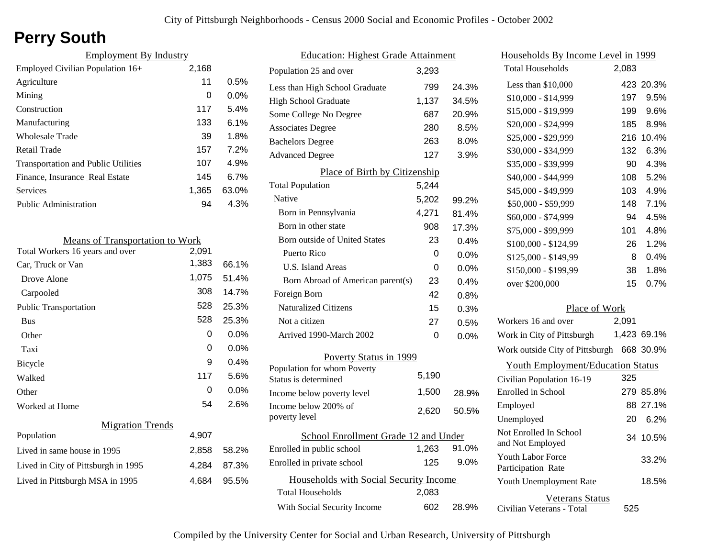# **Perry South**

| <b>Employment By Industry</b>              |       |         |
|--------------------------------------------|-------|---------|
| Employed Civilian Population 16+           | 2,168 |         |
| Agriculture                                | 11    | 0.5%    |
| Mining                                     | 0     | $0.0\%$ |
| Construction                               | 117   | 5.4%    |
| Manufacturing                              | 133   | $6.1\%$ |
| Wholesale Trade                            | 39    | 1.8%    |
| Retail Trade                               | 157   | 7.2%    |
| <b>Transportation and Public Utilities</b> | 107   | 4.9%    |
| Finance, Insurance Real Estate             | 145   | 6.7%    |
| Services                                   | 1,365 | 63.0%   |
| Public Administration                      | 94    | 4.3%    |

| 2,091 |                                        |
|-------|----------------------------------------|
| 1,383 | 66.1%                                  |
| 1,075 | 51.4%                                  |
| 308   | 14.7%                                  |
| 528   | 25.3%                                  |
| 528   | 25.3%                                  |
| 0     | 0.0%                                   |
| 0     | $0.0\%$                                |
| 9     | 0.4%                                   |
| 117   | 5.6%                                   |
| 0     | 0.0%                                   |
| 54    | 2.6%                                   |
|       |                                        |
| 4,907 |                                        |
| 2,858 | 58.2%                                  |
| 4,284 | 87.3%                                  |
| 4,684 | 95.5%                                  |
|       | <b>Means of Transportation to Work</b> |

| <b>Education: Highest Grade Attainment</b>          |       |         |
|-----------------------------------------------------|-------|---------|
| Population 25 and over                              | 3,293 |         |
| Less than High School Graduate                      | 799   | 24.3%   |
| <b>High School Graduate</b>                         | 1,137 | 34.5%   |
| Some College No Degree                              | 687   | 20.9%   |
| <b>Associates Degree</b>                            | 280   | 8.5%    |
| <b>Bachelors Degree</b>                             | 263   | 8.0%    |
| <b>Advanced Degree</b>                              | 127   | 3.9%    |
| Place of Birth by Citizenship                       |       |         |
| <b>Total Population</b>                             | 5,244 |         |
| Native                                              | 5,202 | 99.2%   |
| Born in Pennsylvania                                | 4,271 | 81.4%   |
| Born in other state                                 | 908   | 17.3%   |
| <b>Born outside of United States</b>                | 23    | 0.4%    |
| Puerto Rico                                         | 0     | 0.0%    |
| U.S. Island Areas                                   | U     | $0.0\%$ |
| Born Abroad of American parent(s)                   | 23    | $0.4\%$ |
| Foreign Born                                        | 42    | 0.8%    |
| <b>Naturalized Citizens</b>                         | 15    | 0.3%    |
| Not a citizen                                       | 27    | 0.5%    |
| Arrived 1990-March 2002                             | 0     | $0.0\%$ |
| Poverty Status in 1999                              |       |         |
| Population for whom Poverty<br>Status is determined | 5,190 |         |
| Income below poverty level                          | 1,500 | 28.9%   |
| Income below 200% of<br>poverty level               | 2,620 | 50.5%   |
| School Enrollment Grade 12 and Under                |       |         |
| Enrolled in public school                           | 1,263 | 91.0%   |
| Enrolled in private school                          | 125   | $9.0\%$ |
| Households with Social Security Income              |       |         |
| <b>Total Households</b>                             | 2,083 |         |
| With Social Security Income                         | 602   | 28.9%   |

| <u>Households By Income Level in 1999</u>           |       |             |
|-----------------------------------------------------|-------|-------------|
| <b>Total Households</b>                             | 2,083 |             |
| Less than \$10,000                                  |       | 423 20.3%   |
| $$10,000 - $14,999$                                 | 197   | 9.5%        |
| \$15,000 - \$19,999                                 | 199   | 9.6%        |
| \$20,000 - \$24,999                                 | 185   | 8.9%        |
| \$25,000 - \$29,999                                 | 216   | 10.4%       |
| \$30,000 - \$34,999                                 | 132   | 6.3%        |
| \$35,000 - \$39,999                                 | 90    | 4.3%        |
| \$40,000 - \$44,999                                 | 108   | 5.2%        |
| \$45,000 - \$49,999                                 | 103   | 4.9%        |
| \$50,000 - \$59,999                                 | 148   | 7.1%        |
| \$60,000 - \$74,999                                 | 94    | 4.5%        |
| \$75,000 - \$99,999                                 | 101   | 4.8%        |
| \$100,000 - \$124,99                                | 26    | 1.2%        |
| \$125,000 - \$149,99                                | 8     | 0.4%        |
| \$150,000 - \$199,99                                | 38    | 1.8%        |
| over \$200,000                                      | 15    | 0.7%        |
| Place of Work                                       |       |             |
| Workers 16 and over                                 | 2,091 |             |
| Work in City of Pittsburgh                          |       | 1,423 69.1% |
| Work outside City of Pittsburgh 668 30.9%           |       |             |
| <b>Youth Employment/Education Status</b>            |       |             |
| Civilian Population 16-19                           | 325   |             |
| Enrolled in School                                  |       | 279 85.8%   |
| Employed                                            |       | 88 27.1%    |
| Unemployed                                          | 20    | 6.2%        |
| Not Enrolled In School<br>and Not Employed          |       | 34 10.5%    |
| Youth Labor Force<br>Participation Rate             |       | 33.2%       |
| Youth Unemployment Rate                             |       | 18.5%       |
| <b>Veterans Status</b><br>Civilian Veterans - Total | 525   |             |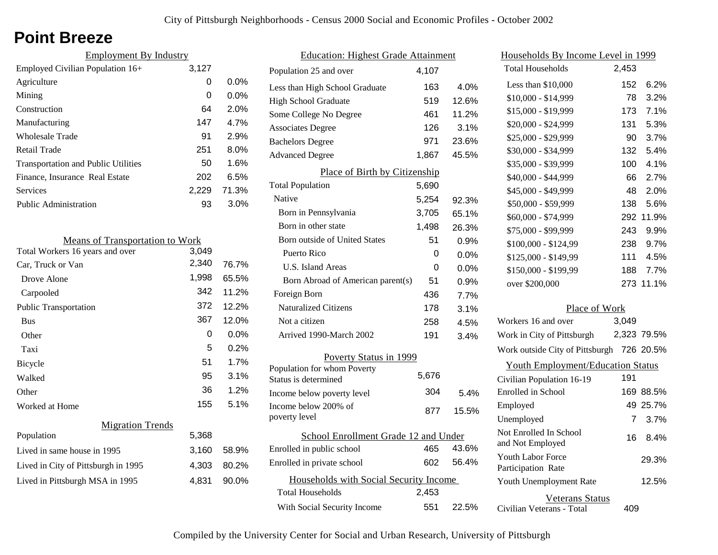# **Point Breeze**

| <b>Employment By Industry</b>              |       |         |
|--------------------------------------------|-------|---------|
| Employed Civilian Population 16+           | 3,127 |         |
| Agriculture                                | 0     | $0.0\%$ |
| Mining                                     | 0     | $0.0\%$ |
| Construction                               | 64    | 2.0%    |
| Manufacturing                              | 147   | 4.7%    |
| Wholesale Trade                            | 91    | 2.9%    |
| Retail Trade                               | 251   | $8.0\%$ |
| <b>Transportation and Public Utilities</b> | 50    | 1.6%    |
| Finance, Insurance Real Estate             | 202   | 6.5%    |
| Services                                   | 2.229 | 71.3%   |
| Public Administration                      | 93    | $3.0\%$ |
|                                            |       |         |

| <b>Means of Transportation to Work</b> |       |         |
|----------------------------------------|-------|---------|
| Total Workers 16 years and over        | 3,049 |         |
| Car, Truck or Van                      | 2,340 | 76.7%   |
| Drove Alone                            | 1,998 | 65.5%   |
| Carpooled                              | 342   | 11.2%   |
| <b>Public Transportation</b>           | 372   | 12.2%   |
| <b>Bus</b>                             | 367   | 12.0%   |
| Other                                  | 0     | $0.0\%$ |
| Taxi                                   | 5     | $0.2\%$ |
| Bicycle                                | 51    | 1.7%    |
| Walked                                 | 95    | 3.1%    |
| Other                                  | 36    | 1.2%    |
| Worked at Home                         | 155   | 5.1%    |
| <b>Migration Trends</b>                |       |         |
| Population                             | 5,368 |         |
| Lived in same house in 1995            | 3,160 | 58.9%   |
| Lived in City of Pittsburgh in 1995    | 4,303 | 80.2%   |
| Lived in Pittsburgh MSA in 1995        | 4,831 | 90.0%   |
|                                        |       |         |

| <b>Education: Highest Grade Attainment</b>          |       |         |
|-----------------------------------------------------|-------|---------|
| Population 25 and over                              | 4.107 |         |
| Less than High School Graduate                      | 163   | 4.0%    |
| <b>High School Graduate</b>                         | 519   | 12.6%   |
| Some College No Degree                              | 461   | 11.2%   |
| <b>Associates Degree</b>                            | 126   | 3.1%    |
| <b>Bachelors Degree</b>                             | 971   | 23.6%   |
| <b>Advanced Degree</b>                              | 1,867 | 45.5%   |
| Place of Birth by Citizenship                       |       |         |
| <b>Total Population</b>                             | 5,690 |         |
| Native                                              | 5,254 | 92.3%   |
| Born in Pennsylvania                                | 3,705 | 65.1%   |
| Born in other state                                 | 1,498 | 26.3%   |
| <b>Born outside of United States</b>                | 51    | 0.9%    |
| Puerto Rico                                         | 0     | $0.0\%$ |
| U.S. Island Areas                                   | 0     | 0.0%    |
| Born Abroad of American parent(s)                   | 51    | 0.9%    |
| Foreign Born                                        | 436   | 7.7%    |
| <b>Naturalized Citizens</b>                         | 178   | 3.1%    |
| Not a citizen                                       | 258   | 4.5%    |
| Arrived 1990-March 2002                             | 191   | 3.4%    |
| Poverty Status in 1999                              |       |         |
| Population for whom Poverty<br>Status is determined | 5,676 |         |
| Income below poverty level                          | 304   | 5.4%    |
| Income below 200% of<br>poverty level               | 877   | 15.5%   |
| School Enrollment Grade 12 and Under                |       |         |
| Enrolled in public school                           | 465   | 43.6%   |
| Enrolled in private school                          | 602   | 56.4%   |
| Households with Social Security Income              |       |         |
| <b>Total Households</b>                             | 2,453 |         |
| With Social Security Income                         | 551   | 22.5%   |

| <u>Households By Income Level in 1999</u>  |       |             |
|--------------------------------------------|-------|-------------|
| <b>Total Households</b>                    | 2,453 |             |
| Less than \$10,000                         | 152   | 6.2%        |
| $$10,000 - $14,999$                        | 78    | 3.2%        |
| \$15,000 - \$19,999                        | 173   | 7.1%        |
| \$20,000 - \$24,999                        | 131   | 5.3%        |
| \$25,000 - \$29,999                        | 90    | 3.7%        |
| \$30,000 - \$34,999                        | 132   | 5.4%        |
| \$35,000 - \$39,999                        | 100   | 4.1%        |
| \$40,000 - \$44,999                        | 66    | 2.7%        |
| \$45,000 - \$49,999                        | 48    | 2.0%        |
| \$50,000 - \$59,999                        | 138   | 5.6%        |
| \$60,000 - \$74,999                        | 292   | 11.9%       |
| \$75,000 - \$99,999                        | 243   | 9.9%        |
| \$100,000 - \$124,99                       | 238   | 9.7%        |
| \$125,000 - \$149,99                       | 111   | 4.5%        |
| \$150,000 - \$199,99                       | 188   | 7.7%        |
| over \$200,000                             |       | 273 11.1%   |
| Place of Work                              |       |             |
| Workers 16 and over                        | 3,049 |             |
| Work in City of Pittsburgh                 |       | 2,323 79.5% |
| Work outside City of Pittsburgh 726 20.5%  |       |             |
| <b>Youth Employment/Education Status</b>   |       |             |
| Civilian Population 16-19                  | 191   |             |
| Enrolled in School                         |       | 169 88.5%   |
| Employed                                   |       | 49 25.7%    |
| Unemployed                                 | 7     | 3.7%        |
| Not Enrolled In School<br>and Not Employed | 16    | 8.4%        |
| Youth Labor Force<br>Participation Rate    |       | 29.3%       |
| Youth Unemployment Rate                    |       | 12.5%       |
| Veterans Status                            |       |             |

Civilian Veterans - Total

409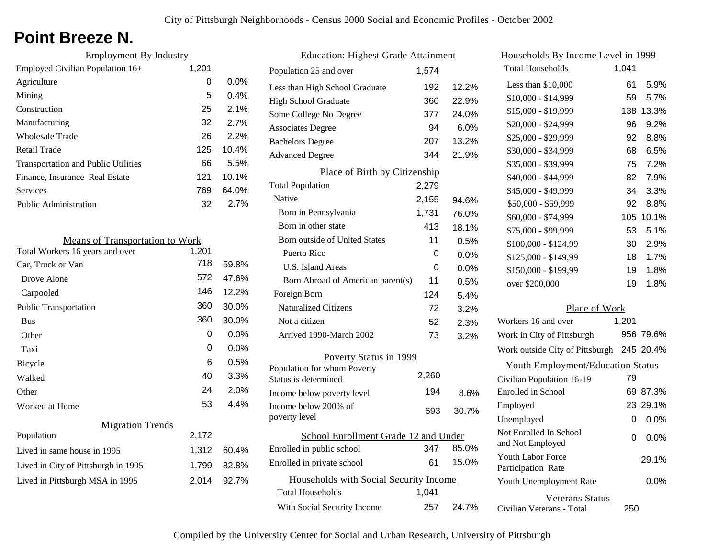# **Point Breeze N.**

| <b>Employment By Industry</b>              |       |         |
|--------------------------------------------|-------|---------|
| Employed Civilian Population $16+$         | 1,201 |         |
| Agriculture                                | 0     | $0.0\%$ |
| Mining                                     | 5     | $0.4\%$ |
| Construction                               | 25    | 2.1%    |
| Manufacturing                              | 32    | 2.7%    |
| Wholesale Trade                            | 26    | 2.2%    |
| Retail Trade                               | 125   | 10.4%   |
| <b>Transportation and Public Utilities</b> | 66    | 5.5%    |
| Finance, Insurance Real Estate             | 121   | 10.1%   |
| Services                                   | 769   | 64.0%   |
| <b>Public Administration</b>               | 32    | 2.7%    |

| <b>Means of Transportation to Work</b> |       |         |
|----------------------------------------|-------|---------|
| Total Workers 16 years and over        | 1,201 |         |
| Car, Truck or Van                      | 718   | 59.8%   |
| Drove Alone                            | 572   | 47.6%   |
| Carpooled                              | 146   | 12.2%   |
| <b>Public Transportation</b>           | 360   | 30.0%   |
| <b>Bus</b>                             | 360   | 30.0%   |
| Other                                  | 0     | $0.0\%$ |
| Taxi                                   | 0     | $0.0\%$ |
| <b>Bicycle</b>                         | 6     | 0.5%    |
| Walked                                 | 40    | 3.3%    |
| Other                                  | 24    | 2.0%    |
| Worked at Home                         | 53    | 4.4%    |
| <b>Migration Trends</b>                |       |         |
| Population                             | 2,172 |         |
| Lived in same house in 1995            | 1,312 | 60.4%   |
| Lived in City of Pittsburgh in 1995    | 1,799 | 82.8%   |
| Lived in Pittsburgh MSA in 1995        | 2.014 | 92.7%   |

| <b>Education: Highest Grade Attainment</b> |       |       |
|--------------------------------------------|-------|-------|
| Population 25 and over                     | 1,574 |       |
| Less than High School Graduate             | 192   | 12.2% |
| <b>High School Graduate</b>                | 360   | 22.9% |
| Some College No Degree                     | 377   | 24.0% |
| <b>Associates Degree</b>                   | 94    | 6.0%  |
| <b>Bachelors Degree</b>                    | 207   | 13.2% |
| <b>Advanced Degree</b>                     | 344   | 21.9% |
| Place of Birth by Citizenship              |       |       |
| <b>Total Population</b>                    | 2,279 |       |
| Native                                     | 2,155 | 94.6% |
| Born in Pennsylvania                       | 1,731 | 76.0% |
| Born in other state                        | 413   | 18.1% |
| <b>Born outside of United States</b>       | 11    | 0.5%  |
| Puerto Rico                                | 0     | 0.0%  |
| U.S. Island Areas                          | 0     | 0.0%  |
| Born Abroad of American parent(s)          | 11    | 0.5%  |
| Foreign Born                               | 124   | 5.4%  |
| <b>Naturalized Citizens</b>                | 72    | 3.2%  |
| Not a citizen                              | 52    | 2.3%  |
| Arrived 1990-March 2002                    | 73    | 3.2%  |
| Poverty Status in 1999                     |       |       |
| Population for whom Poverty                | 2,260 |       |
| Status is determined                       |       |       |
| Income below poverty level                 | 194   | 8.6%  |
| Income below 200% of                       | 693   | 30.7% |
| poverty level                              |       |       |
| School Enrollment Grade 12 and Under       |       |       |
| Enrolled in public school                  | 347   | 85.0% |
| Enrolled in private school                 | 61    | 15.0% |
| Households with Social Security Income     |       |       |
| <b>Total Households</b>                    | 1,041 |       |
| With Social Security Income                | 257   | 24.7% |

| Households By Income Level in 1999        |       |           |
|-------------------------------------------|-------|-----------|
| <b>Total Households</b>                   | 1,041 |           |
| Less than \$10,000                        | 61    | 5.9%      |
| $$10,000 - $14,999$                       | 59    | 5.7%      |
| \$15,000 - \$19,999                       | 138   | 13.3%     |
| \$20,000 - \$24,999                       | 96    | 9.2%      |
| \$25,000 - \$29,999                       | 92    | 8.8%      |
| \$30,000 - \$34,999                       | 68    | 6.5%      |
| \$35,000 - \$39,999                       | 75    | 7.2%      |
| \$40,000 - \$44,999                       | 82    | 7.9%      |
| \$45,000 - \$49,999                       | 34    | 3.3%      |
| \$50,000 - \$59,999                       | 92    | 8.8%      |
| \$60,000 - \$74,999                       |       | 105 10.1% |
| \$75,000 - \$99,999                       | 53    | 5.1%      |
| \$100,000 - \$124,99                      | 30    | 2.9%      |
| \$125,000 - \$149,99                      | 18    | 1.7%      |
| \$150,000 - \$199,99                      | 19    | 1.8%      |
| over \$200,000                            | 19    | 1.8%      |
| Place of Work                             |       |           |
| Workers 16 and over                       | 1,201 |           |
| Work in City of Pittsburgh                |       | 956 79.6% |
| Work outside City of Pittsburgh 245 20.4% |       |           |
| <b>Youth Employment/Education Status</b>  |       |           |
| Civilian Population 16-19                 | 79    |           |
| Enrolled in School                        |       | 69 87.3%  |
| Employed                                  |       | 23 29.1%  |

Civilian Veterans - Total

Youth Unemployment Rate

Youth Labor Force Participation Rate

Not Enrolled In School

Unemployed

Veterans Status

Not Enrolled in School 0 0.0%<br>and Not Employed 0 0.0%

250

0 0.0%

0.0%

29.1%

| Compiled by the University Center for Social and Urban Research, University of Pittsburgh |  |
|-------------------------------------------------------------------------------------------|--|
|-------------------------------------------------------------------------------------------|--|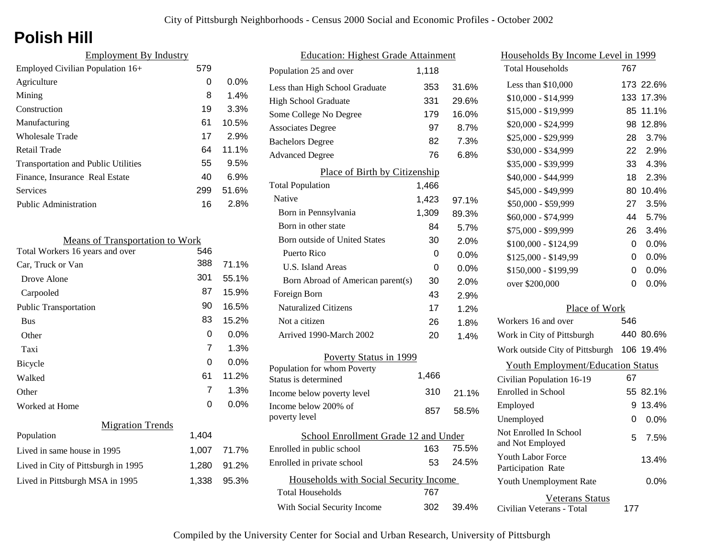# **Polish Hill**

| 579 |         |
|-----|---------|
| 0   | $0.0\%$ |
| 8   | 1.4%    |
| 19  | 3.3%    |
| 61  | 10.5%   |
| 17  | 2.9%    |
| 64  | 11.1%   |
| 55  | 9.5%    |
| 40  | 6.9%    |
| 299 | 51.6%   |
| 16  | 2.8%    |
|     |         |

| <b>Means of Transportation to Work</b> |                |         |
|----------------------------------------|----------------|---------|
| Total Workers 16 years and over        | 546            |         |
| Car, Truck or Van                      | 388            | 71.1%   |
| Drove Alone                            | 301            | 55.1%   |
| Carpooled                              | 87             | 15.9%   |
| <b>Public Transportation</b>           | 90             | 16.5%   |
| <b>Bus</b>                             | 83             | 15.2%   |
| Other                                  | 0              | 0.0%    |
| Taxi                                   | $\overline{7}$ | 1.3%    |
| Bicycle                                | 0              | 0.0%    |
| Walked                                 | 61             | 11.2%   |
| Other                                  | 7              | 1.3%    |
| Worked at Home                         | 0              | $0.0\%$ |
| <b>Migration Trends</b>                |                |         |
| Population                             | 1,404          |         |
| Lived in same house in 1995            | 1,007          | 71.7%   |
| Lived in City of Pittsburgh in 1995    | 1,280          | 91.2%   |
| Lived in Pittsburgh MSA in 1995        | 1,338          | 95.3%   |

| <b>Education: Highest Grade Attainment</b>          |       |         |
|-----------------------------------------------------|-------|---------|
| Population 25 and over                              | 1,118 |         |
| Less than High School Graduate                      | 353   | 31.6%   |
| <b>High School Graduate</b>                         | 331   | 29.6%   |
| Some College No Degree                              | 179   | 16.0%   |
| <b>Associates Degree</b>                            | 97    | 8.7%    |
| <b>Bachelors Degree</b>                             | 82    | 7.3%    |
| <b>Advanced Degree</b>                              | 76    | 6.8%    |
| Place of Birth by Citizenship                       |       |         |
| <b>Total Population</b>                             | 1,466 |         |
| Native                                              | 1,423 | 97.1%   |
| Born in Pennsylvania                                | 1,309 | 89.3%   |
| Born in other state                                 | 84    | 5.7%    |
| <b>Born outside of United States</b>                | 30    | 2.0%    |
| Puerto Rico                                         | 0     | $0.0\%$ |
| U.S. Island Areas                                   | 0     | 0.0%    |
| Born Abroad of American parent(s)                   | 30    | 2.0%    |
| Foreign Born                                        | 43    | 2.9%    |
| <b>Naturalized Citizens</b>                         | 17    | 1.2%    |
| Not a citizen                                       | 26    | 1.8%    |
| Arrived 1990-March 2002                             | 20    | 1.4%    |
| Poverty Status in 1999                              |       |         |
| Population for whom Poverty<br>Status is determined | 1,466 |         |
| Income below poverty level                          | 310   | 21.1%   |
| Income below 200% of<br>poverty level               | 857   | 58.5%   |
| School Enrollment Grade 12 and Under                |       |         |
| Enrolled in public school                           | 163   | 75.5%   |
| Enrolled in private school                          | 53    | 24.5%   |
| Households with Social Security Income              |       |         |
| <b>Total Households</b>                             | 767   |         |
| With Social Security Income                         | 302   | 39.4%   |

| Households By Income Level in 1999                  |     |           |
|-----------------------------------------------------|-----|-----------|
| <b>Total Households</b>                             | 767 |           |
| Less than $$10,000$                                 |     | 173 22.6% |
| $$10,000 - $14,999$                                 | 133 | 17.3%     |
| \$15,000 - \$19,999                                 | 85  | 11.1%     |
| \$20,000 - \$24,999                                 | 98  | 12.8%     |
| \$25,000 - \$29,999                                 | 28  | 3.7%      |
| \$30,000 - \$34,999                                 | 22  | 2.9%      |
| \$35,000 - \$39,999                                 | 33  | 4.3%      |
| \$40,000 - \$44,999                                 | 18  | 2.3%      |
| \$45,000 - \$49,999                                 | 80  | 10.4%     |
| \$50,000 - \$59,999                                 | 27  | 3.5%      |
| \$60,000 - \$74,999                                 | 44  | 5.7%      |
| \$75,000 - \$99,999                                 | 26  | 3.4%      |
| \$100,000 - \$124,99                                | 0   | 0.0%      |
| \$125,000 - \$149,99                                | 0   | $0.0\%$   |
| \$150,000 - \$199,99                                | 0   | 0.0%      |
| over \$200,000                                      | 0   | 0.0%      |
| Place of Work                                       |     |           |
| Workers 16 and over                                 | 546 |           |
| Work in City of Pittsburgh                          |     | 440 80.6% |
| Work outside City of Pittsburgh                     | 106 | 19.4%     |
| <b>Youth Employment/Education Status</b>            |     |           |
| Civilian Population 16-19                           | 67  |           |
| Enrolled in School                                  | 55  | 82.1%     |
| Employed                                            | 9   | 13.4%     |
| Unemployed                                          | 0   | 0.0%      |
| Not Enrolled In School<br>and Not Employed          | 5   | 7.5%      |
| <b>Youth Labor Force</b><br>Participation Rate      |     | 13.4%     |
| Youth Unemployment Rate                             |     | 0.0%      |
| <b>Veterans Status</b><br>Civilian Veterans - Total | 177 |           |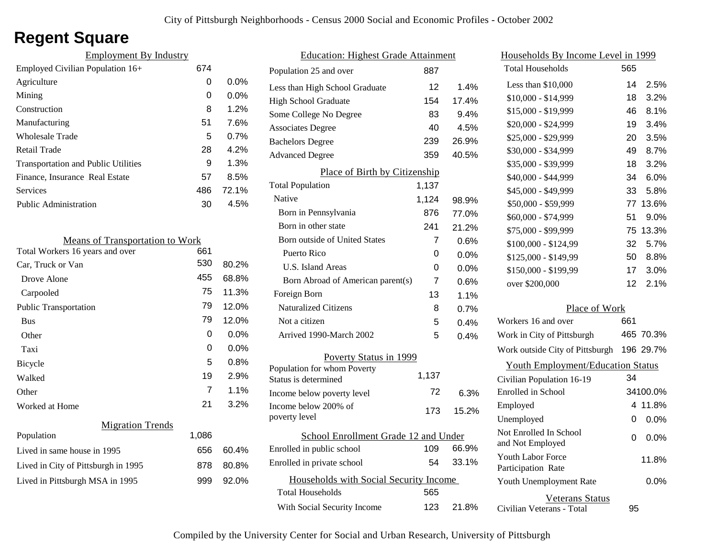# **Regent Square**

| 674 |         |
|-----|---------|
| 0   | $0.0\%$ |
| 0   | $0.0\%$ |
| 8   | 1.2%    |
| 51  | 7.6%    |
| 5   | 0.7%    |
| 28  | 4.2%    |
| 9   | 1.3%    |
| 57  | 8.5%    |
| 486 | 72.1%   |
| 30  | 4.5%    |
|     |         |

| <b>Means of Transportation to Work</b> |       |         |
|----------------------------------------|-------|---------|
| Total Workers 16 years and over        | 661   |         |
| Car, Truck or Van                      | 530   | 80.2%   |
| Drove Alone                            | 455   | 68.8%   |
| Carpooled                              | 75    | 11.3%   |
| <b>Public Transportation</b>           | 79    | 12.0%   |
| <b>Bus</b>                             | 79    | 12.0%   |
| Other                                  | 0     | $0.0\%$ |
| Taxi                                   | 0     | $0.0\%$ |
| Bicycle                                | 5     | $0.8\%$ |
| Walked                                 | 19    | 2.9%    |
| Other                                  | 7     | 1.1%    |
| Worked at Home                         | 21    | 3.2%    |
| <b>Migration Trends</b>                |       |         |
| Population                             | 1,086 |         |
| Lived in same house in 1995            | 656   | 60.4%   |
| Lived in City of Pittsburgh in 1995    | 878   | 80.8%   |
| Lived in Pittsburgh MSA in 1995        | 999   | 92.0%   |
|                                        |       |         |

| <b>Education: Highest Grade Attainment</b> |       |       |
|--------------------------------------------|-------|-------|
| Population 25 and over                     | 887   |       |
| Less than High School Graduate             | 12    | 1.4%  |
| High School Graduate                       | 154   | 17.4% |
| Some College No Degree                     | 83    | 9.4%  |
| <b>Associates Degree</b>                   | 40    | 4.5%  |
| <b>Bachelors Degree</b>                    | 239   | 26.9% |
| <b>Advanced Degree</b>                     | 359   | 40.5% |
| Place of Birth by Citizenship              |       |       |
| <b>Total Population</b>                    | 1,137 |       |
| Native                                     | 1,124 | 98.9% |
| Born in Pennsylvania                       | 876   | 77.0% |
| Born in other state                        | 241   | 21.2% |
| Born outside of United States              | 7     | 0.6%  |
| Puerto Rico                                | 0     | 0.0%  |
| U.S. Island Areas                          | 0     | 0.0%  |
| Born Abroad of American parent(s)          | 7     | 0.6%  |
| Foreign Born                               | 13    | 1.1%  |
| <b>Naturalized Citizens</b>                | 8     | 0.7%  |
| Not a citizen                              | 5     | 0.4%  |
| Arrived 1990-March 2002                    | 5     | 0.4%  |
| Poverty Status in 1999                     |       |       |
| Population for whom Poverty                | 1,137 |       |
| Status is determined                       |       |       |
| Income below poverty level                 | 72    | 6.3%  |
| Income below 200% of<br>poverty level      | 173   | 15.2% |
| School Enrollment Grade 12 and Under       |       |       |
| Enrolled in public school                  | 109   | 66.9% |
| Enrolled in private school                 | 54    | 33.1% |
| Households with Social Security Income     |       |       |
| <b>Total Households</b>                    | 565   |       |
| With Social Security Income                | 123   | 21.8% |

| Households By Income Level in 1999                  |     |           |
|-----------------------------------------------------|-----|-----------|
| <b>Total Households</b>                             | 565 |           |
| Less than \$10,000                                  | 14  | 2.5%      |
| \$10,000 - \$14,999                                 | 18  | 3.2%      |
| \$15,000 - \$19,999                                 | 46  | 8.1%      |
| \$20,000 - \$24,999                                 | 19  | 3.4%      |
| \$25,000 - \$29,999                                 | 20  | 3.5%      |
| \$30,000 - \$34,999                                 | 49  | 8.7%      |
| \$35,000 - \$39,999                                 | 18  | 3.2%      |
| \$40,000 - \$44,999                                 | 34  | 6.0%      |
| \$45,000 - \$49,999                                 | 33  | 5.8%      |
| \$50,000 - \$59,999                                 | 77  | 13.6%     |
| \$60,000 - \$74,999                                 | 51  | $9.0\%$   |
| \$75,000 - \$99,999                                 | 75  | 13.3%     |
| \$100,000 - \$124,99                                | 32  | 5.7%      |
| \$125,000 - \$149,99                                | 50  | 8.8%      |
| \$150,000 - \$199,99                                | 17  | 3.0%      |
| over \$200,000                                      | 12  | 2.1%      |
| Place of Work                                       |     |           |
| Workers 16 and over                                 | 661 |           |
| Work in City of Pittsburgh                          |     | 465 70.3% |
| Work outside City of Pittsburgh                     |     | 196 29.7% |
| <b>Youth Employment/Education Status</b>            |     |           |
| Civilian Population 16-19                           | 34  |           |
| Enrolled in School                                  |     | 34100.0%  |
| Employed                                            | 4   | 11.8%     |
| Unemployed                                          | 0   | 0.0%      |
| Not Enrolled In School<br>and Not Employed          | 0   | $0.0\%$   |
| <b>Youth Labor Force</b><br>Participation Rate      |     | 11.8%     |
| Youth Unemployment Rate                             |     | 0.0%      |
| <b>Veterans Status</b><br>Civilian Veterans - Total | 95  |           |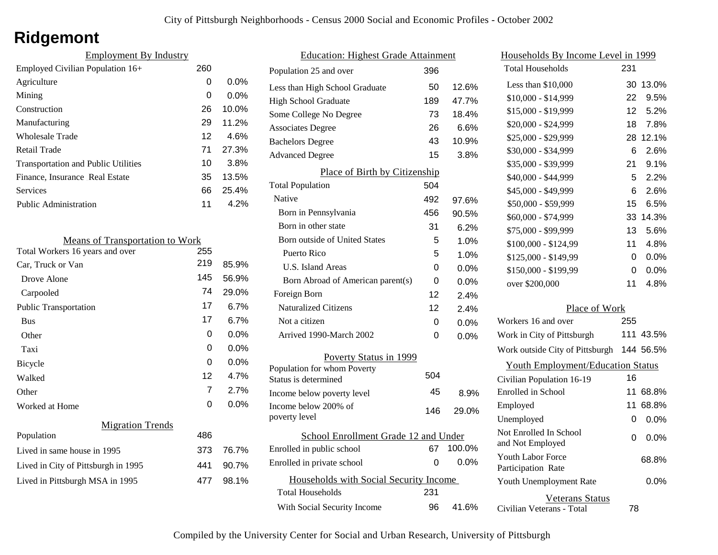# **Ridgemont**

| <b>Employment By Industry</b>              |     |         |
|--------------------------------------------|-----|---------|
| Employed Civilian Population 16+           | 260 |         |
| Agriculture                                | 0   | $0.0\%$ |
| Mining                                     | 0   | $0.0\%$ |
| Construction                               | 26  | 10.0%   |
| Manufacturing                              | 29  | 11.2%   |
| Wholesale Trade                            | 12  | 4.6%    |
| Retail Trade                               | 71  | 27.3%   |
| <b>Transportation and Public Utilities</b> | 10  | 3.8%    |
| Finance, Insurance Real Estate             | 35  | 13.5%   |
| Services                                   | 66  | 25.4%   |
| Public Administration                      | 11  | 4.2%    |

| <b>Means of Transportation to Work</b> |     |         |
|----------------------------------------|-----|---------|
| Total Workers 16 years and over        | 255 |         |
| Car, Truck or Van                      | 219 | 85.9%   |
| Drove Alone                            | 145 | 56.9%   |
| Carpooled                              | 74  | 29.0%   |
| <b>Public Transportation</b>           | 17  | 6.7%    |
| <b>Bus</b>                             | 17  | 6.7%    |
| Other                                  | 0   | 0.0%    |
| Taxi                                   | 0   | $0.0\%$ |
| Bicycle                                | 0   | $0.0\%$ |
| Walked                                 | 12  | 4.7%    |
| Other                                  | 7   | 2.7%    |
| Worked at Home                         | 0   | $0.0\%$ |
| <b>Migration Trends</b>                |     |         |
| Population                             | 486 |         |
| Lived in same house in 1995            | 373 | 76.7%   |
| Lived in City of Pittsburgh in 1995    | 441 | 90.7%   |
| Lived in Pittsburgh MSA in 1995        | 477 | 98.1%   |
|                                        |     |         |

| <b>Education: Highest Grade Attainment</b> |                                                                                                                       |  |  |
|--------------------------------------------|-----------------------------------------------------------------------------------------------------------------------|--|--|
| 396                                        |                                                                                                                       |  |  |
| 50                                         | 12.6%                                                                                                                 |  |  |
| 189                                        | 47.7%                                                                                                                 |  |  |
| 73                                         | 18.4%                                                                                                                 |  |  |
| 26                                         | 6.6%                                                                                                                  |  |  |
| 43                                         | 10.9%                                                                                                                 |  |  |
| 15                                         | 3.8%                                                                                                                  |  |  |
|                                            |                                                                                                                       |  |  |
| 504                                        |                                                                                                                       |  |  |
| 492                                        | 97.6%                                                                                                                 |  |  |
| 456                                        | 90.5%                                                                                                                 |  |  |
| 31                                         | 6.2%                                                                                                                  |  |  |
| 5                                          | 1.0%                                                                                                                  |  |  |
| 5                                          | 1.0%                                                                                                                  |  |  |
| 0                                          | 0.0%                                                                                                                  |  |  |
| 0                                          | 0.0%                                                                                                                  |  |  |
| 12                                         | 2.4%                                                                                                                  |  |  |
| 12                                         | 2.4%                                                                                                                  |  |  |
| 0                                          | $0.0\%$                                                                                                               |  |  |
| 0                                          | 0.0%                                                                                                                  |  |  |
|                                            |                                                                                                                       |  |  |
|                                            |                                                                                                                       |  |  |
|                                            | 8.9%                                                                                                                  |  |  |
|                                            |                                                                                                                       |  |  |
|                                            | 29.0%                                                                                                                 |  |  |
| School Enrollment Grade 12 and Under       |                                                                                                                       |  |  |
| 67                                         | 100.0%                                                                                                                |  |  |
| 0                                          | $0.0\%$                                                                                                               |  |  |
|                                            |                                                                                                                       |  |  |
| 231                                        |                                                                                                                       |  |  |
| 96                                         | 41.6%                                                                                                                 |  |  |
|                                            | Place of Birth by Citizenship<br>Poverty Status in 1999<br>504<br>45<br>146<br>Households with Social Security Income |  |  |

| Households By Income Level in 1999                  |     |           |
|-----------------------------------------------------|-----|-----------|
| <b>Total Households</b>                             | 231 |           |
| Less than \$10,000                                  | 30  | 13.0%     |
| \$10,000 - \$14,999                                 | 22  | 9.5%      |
| \$15,000 - \$19,999                                 | 12  | 5.2%      |
| \$20,000 - \$24,999                                 | 18  | 7.8%      |
| \$25,000 - \$29,999                                 | 28  | 12.1%     |
| \$30,000 - \$34,999                                 | 6   | 2.6%      |
| \$35,000 - \$39,999                                 | 21  | 9.1%      |
| \$40,000 - \$44,999                                 | 5   | 2.2%      |
| \$45,000 - \$49,999                                 | 6   | 2.6%      |
| \$50,000 - \$59,999                                 | 15  | 6.5%      |
| \$60,000 - \$74,999                                 | 33  | 14.3%     |
| \$75,000 - \$99,999                                 | 13  | 5.6%      |
| \$100,000 - \$124,99                                | 11  | 4.8%      |
| \$125,000 - \$149,99                                | 0   | 0.0%      |
| \$150,000 - \$199,99                                | 0   | $0.0\%$   |
| over \$200,000                                      | 11  | 4.8%      |
| Place of Work                                       |     |           |
| Workers 16 and over                                 | 255 |           |
| Work in City of Pittsburgh                          |     | 111 43.5% |
| Work outside City of Pittsburgh                     |     | 144 56.5% |
| <b>Youth Employment/Education Status</b>            |     |           |
| Civilian Population 16-19                           | 16  |           |
| Enrolled in School                                  | 11  | 68.8%     |
| Employed                                            | 11  | 68.8%     |
| Unemployed                                          | 0   | 0.0%      |
| Not Enrolled In School<br>and Not Employed          | 0   | $0.0\%$   |
| Youth Labor Force<br>Participation Rate             |     | 68.8%     |
| Youth Unemployment Rate                             |     | $0.0\%$   |
| <b>Veterans Status</b><br>Civilian Veterans - Total | 78  |           |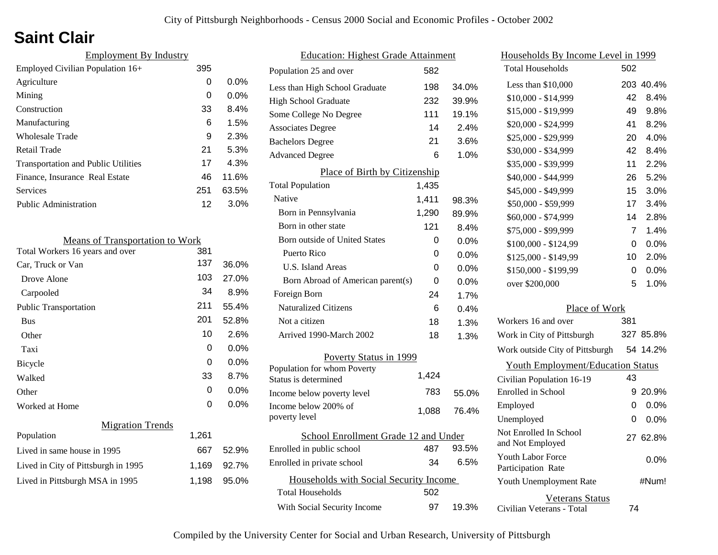# **Saint Clair**

| <b>Employment By Industry</b>              |     |         |
|--------------------------------------------|-----|---------|
| Employed Civilian Population 16+           | 395 |         |
| Agriculture                                | 0   | $0.0\%$ |
| Mining                                     | 0   | $0.0\%$ |
| Construction                               | 33  | 8.4%    |
| Manufacturing                              | 6   | 1.5%    |
| Wholesale Trade                            | 9   | 2.3%    |
| Retail Trade                               | 21  | 5.3%    |
| <b>Transportation and Public Utilities</b> | 17  | 4.3%    |
| Finance, Insurance Real Estate             | 46  | 11.6%   |
| Services                                   | 251 | 63.5%   |
| Public Administration                      | 12  | 3.0%    |
|                                            |     |         |

| <b>Means of Transportation to Work</b> |       |         |
|----------------------------------------|-------|---------|
| Total Workers 16 years and over        | 381   |         |
| Car, Truck or Van                      | 137   | 36.0%   |
| Drove Alone                            | 103   | 27.0%   |
| Carpooled                              | 34    | 8.9%    |
| <b>Public Transportation</b>           | 211   | 55.4%   |
| <b>Bus</b>                             | 201   | 52.8%   |
| Other                                  | 10    | 2.6%    |
| Taxi                                   | 0     | $0.0\%$ |
| Bicycle                                | 0     | $0.0\%$ |
| Walked                                 | 33    | 8.7%    |
| Other                                  | 0     | 0.0%    |
| Worked at Home                         | 0     | 0.0%    |
| <b>Migration Trends</b>                |       |         |
| Population                             | 1,261 |         |
| Lived in same house in 1995            | 667   | 52.9%   |
| Lived in City of Pittsburgh in 1995    | 1,169 | 92.7%   |
| Lived in Pittsburgh MSA in 1995        | 1,198 | 95.0%   |
|                                        |       |         |

| <b>Education: Highest Grade Attainment</b> |       |         |  |
|--------------------------------------------|-------|---------|--|
| Population 25 and over                     | 582   |         |  |
| Less than High School Graduate             | 198   | 34.0%   |  |
| High School Graduate                       | 232   | 39.9%   |  |
| Some College No Degree                     | 111   | 19.1%   |  |
| <b>Associates Degree</b>                   | 14    | 2.4%    |  |
| <b>Bachelors Degree</b>                    | 21    | 3.6%    |  |
| <b>Advanced Degree</b>                     | 6     | 1.0%    |  |
| Place of Birth by Citizenship              |       |         |  |
| <b>Total Population</b>                    | 1,435 |         |  |
| Native                                     | 1,411 | 98.3%   |  |
| Born in Pennsylvania                       | 1,290 | 89.9%   |  |
| Born in other state                        | 121   | 8.4%    |  |
| Born outside of United States              | 0     | 0.0%    |  |
| Puerto Rico                                | 0     | 0.0%    |  |
| U.S. Island Areas                          | 0     | 0.0%    |  |
| Born Abroad of American parent(s)          | 0     | $0.0\%$ |  |
| Foreign Born                               | 24    | 1.7%    |  |
| <b>Naturalized Citizens</b>                | 6     | 0.4%    |  |
| Not a citizen                              | 18    | 1.3%    |  |
| Arrived 1990-March 2002                    | 18    | 1.3%    |  |
| Poverty Status in 1999                     |       |         |  |
| Population for whom Poverty                | 1,424 |         |  |
| Status is determined                       |       |         |  |
| Income below poverty level                 | 783   | 55.0%   |  |
| Income below 200% of<br>poverty level      | 1,088 | 76.4%   |  |
| School Enrollment Grade 12 and Under       |       |         |  |
| Enrolled in public school                  | 487   | 93.5%   |  |
| Enrolled in private school                 | 34    | 6.5%    |  |
| Households with Social Security Income     |       |         |  |
| Total Households                           | 502   |         |  |
| With Social Security Income                | 97    | 19.3%   |  |

| Households By Income Level in 1999             |     |           |
|------------------------------------------------|-----|-----------|
| <b>Total Households</b>                        | 502 |           |
| Less than \$10,000                             |     | 203 40.4% |
| \$10,000 - \$14,999                            | 42  | 8.4%      |
| \$15,000 - \$19,999                            | 49  | 9.8%      |
| \$20,000 - \$24,999                            | 41  | 8.2%      |
| \$25,000 - \$29,999                            | 20  | 4.0%      |
| \$30,000 - \$34,999                            | 42  | 8.4%      |
| \$35,000 - \$39,999                            | 11  | 2.2%      |
| \$40,000 - \$44,999                            | 26  | 5.2%      |
| \$45,000 - \$49,999                            | 15  | 3.0%      |
| \$50,000 - \$59,999                            | 17  | 3.4%      |
| \$60,000 - \$74,999                            | 14  | 2.8%      |
| \$75,000 - \$99,999                            | 7   | 1.4%      |
| $$100,000 - $124,99$                           | 0   | 0.0%      |
| \$125,000 - \$149,99                           | 10  | 2.0%      |
| \$150,000 - \$199,99                           | 0   | 0.0%      |
| over \$200,000                                 | 5   | 1.0%      |
| Place of Work                                  |     |           |
| Workers 16 and over                            | 381 |           |
| Work in City of Pittsburgh                     |     | 327 85.8% |
| Work outside City of Pittsburgh                |     | 54 14.2%  |
| <b>Youth Employment/Education Status</b>       |     |           |
| Civilian Population 16-19                      | 43  |           |
| <b>Enrolled</b> in School                      |     | 9 20.9%   |
| Employed                                       | 0   | 0.0%      |
| Unemployed                                     | 0   | 0.0%      |
| Not Enrolled In School                         |     | 27 62.8%  |
| and Not Employed                               |     |           |
| <b>Youth Labor Force</b><br>Participation Rate |     | $0.0\%$   |
| Youth Unemployment Rate                        |     | #Num!     |
| Veterans Status<br>Civilian Veterans - Total   | 74  |           |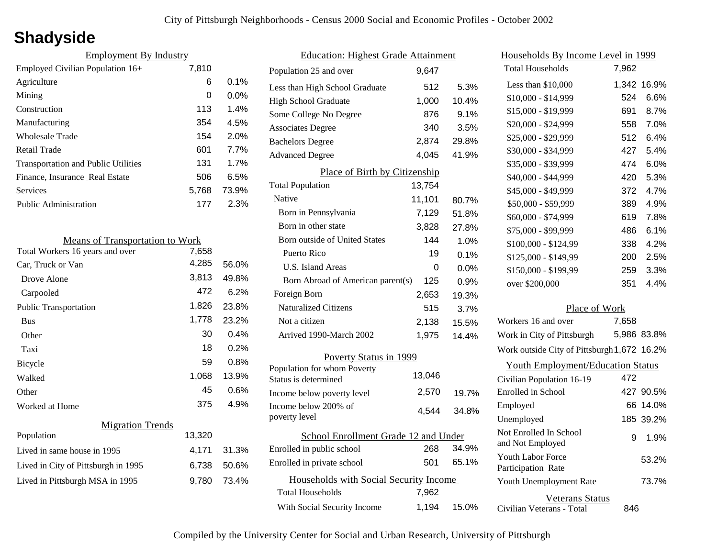# **Shadyside**

| <b>Employment By Industry</b>              |       |         |
|--------------------------------------------|-------|---------|
| Employed Civilian Population 16+           | 7,810 |         |
| Agriculture                                | 6     | $0.1\%$ |
| Mining                                     | 0     | $0.0\%$ |
| Construction                               | 113   | 1.4%    |
| Manufacturing                              | 354   | 4.5%    |
| Wholesale Trade                            | 154   | 2.0%    |
| Retail Trade                               | 601   | 7.7%    |
| <b>Transportation and Public Utilities</b> | 131   | 1.7%    |
| Finance, Insurance Real Estate             | 506   | 6.5%    |
| Services                                   | 5,768 | 73.9%   |
| Public Administration                      | 177   | 2.3%    |

| <b>Means of Transportation to Work</b> |        |       |
|----------------------------------------|--------|-------|
| Total Workers 16 years and over        | 7,658  |       |
| Car, Truck or Van                      | 4,285  | 56.0% |
| Drove Alone                            | 3,813  | 49.8% |
| Carpooled                              | 472    | 6.2%  |
| <b>Public Transportation</b>           | 1,826  | 23.8% |
| <b>Bus</b>                             | 1,778  | 23.2% |
| Other                                  | 30     | 0.4%  |
| Taxi                                   | 18     | 0.2%  |
| Bicycle                                | 59     | 0.8%  |
| Walked                                 | 1,068  | 13.9% |
| Other                                  | 45     | 0.6%  |
| Worked at Home                         | 375    | 4.9%  |
| <b>Migration Trends</b>                |        |       |
| Population                             | 13,320 |       |
| Lived in same house in 1995            | 4,171  | 31.3% |
| Lived in City of Pittsburgh in 1995    | 6,738  | 50.6% |
| Lived in Pittsburgh MSA in 1995        | 9,780  | 73.4% |

| <b>Education: Highest Grade Attainment</b> |                                                                   |        |         |
|--------------------------------------------|-------------------------------------------------------------------|--------|---------|
|                                            | Population 25 and over                                            | 9,647  |         |
|                                            | Less than High School Graduate                                    | 512    | 5.3%    |
|                                            | <b>High School Graduate</b>                                       | 1,000  | 10.4%   |
|                                            | Some College No Degree                                            | 876    | 9.1%    |
|                                            | <b>Associates Degree</b>                                          | 340    | 3.5%    |
|                                            | <b>Bachelors Degree</b>                                           | 2,874  | 29.8%   |
|                                            | <b>Advanced Degree</b>                                            | 4,045  | 41.9%   |
|                                            | Place of Birth by Citizenship                                     |        |         |
|                                            | <b>Total Population</b>                                           | 13,754 |         |
|                                            | Native                                                            | 11,101 | 80.7%   |
|                                            | Born in Pennsylvania                                              | 7,129  | 51.8%   |
|                                            | Born in other state                                               | 3,828  | 27.8%   |
|                                            | <b>Born outside of United States</b>                              | 144    | 1.0%    |
|                                            | Puerto Rico                                                       | 19     | 0.1%    |
|                                            | <b>U.S. Island Areas</b>                                          | 0      | $0.0\%$ |
|                                            | Born Abroad of American parent(s)                                 | 125    | 0.9%    |
|                                            | Foreign Born                                                      | 2,653  | 19.3%   |
|                                            | <b>Naturalized Citizens</b>                                       | 515    | 3.7%    |
|                                            | Not a citizen                                                     | 2,138  | 15.5%   |
|                                            | Arrived 1990-March 2002                                           | 1,975  | 14.4%   |
| <b>Poverty Status in 1999</b>              |                                                                   |        |         |
|                                            | Population for whom Poverty<br>Status is determined               | 13,046 |         |
|                                            | Income below poverty level                                        | 2,570  | 19.7%   |
|                                            | Income below 200% of<br>poverty level                             | 4,544  | 34.8%   |
| School Enrollment Grade 12 and Under       |                                                                   |        |         |
|                                            | Enrolled in public school                                         | 268    | 34.9%   |
|                                            | Enrolled in private school                                        | 501    | 65.1%   |
|                                            | Households with Social Security Income<br><b>Total Households</b> | 7,962  |         |
|                                            | With Social Security Income                                       | 1,194  | 15.0%   |
|                                            |                                                                   |        |         |

| Households By Income Level in 1999                  |       |             |
|-----------------------------------------------------|-------|-------------|
| <b>Total Households</b>                             | 7,962 |             |
| Less than $$10,000$                                 | 1,342 | 16.9%       |
| \$10,000 - \$14,999                                 | 524   | $6.6\%$     |
| \$15,000 - \$19,999                                 | 691   | 8.7%        |
| \$20,000 - \$24,999                                 | 558   | 7.0%        |
| \$25,000 - \$29,999                                 | 512   | 6.4%        |
| \$30,000 - \$34,999                                 | 427   | 5.4%        |
| \$35,000 - \$39,999                                 | 474   | 6.0%        |
| \$40,000 - \$44,999                                 | 420   | 5.3%        |
| \$45,000 - \$49,999                                 | 372   | 4.7%        |
| \$50,000 - \$59,999                                 | 389   | 4.9%        |
| \$60,000 - \$74,999                                 | 619   | 7.8%        |
| \$75,000 - \$99,999                                 | 486   | 6.1%        |
| \$100,000 - \$124,99                                | 338   | 4.2%        |
| \$125,000 - \$149,99                                | 200   | 2.5%        |
| \$150,000 - \$199,99                                | 259   | 3.3%        |
| over \$200,000                                      | 351   | 4.4%        |
| Place of Work                                       |       |             |
| Workers 16 and over                                 | 7,658 |             |
| Work in City of Pittsburgh                          |       | 5,986 83.8% |
| Work outside City of Pittsburgh 1,672 16.2%         |       |             |
| <b>Youth Employment/Education Status</b>            |       |             |
| Civilian Population 16-19                           | 472   |             |
| Enrolled in School                                  | 427   | 90.5%       |
| Employed                                            | 66.   | 14.0%       |
| Unemployed                                          |       | 185 39.2%   |
| Not Enrolled In School<br>and Not Employed          | 9     | 1.9%        |
| <b>Youth Labor Force</b><br>Participation Rate      |       | 53.2%       |
| Youth Unemployment Rate                             |       | 73.7%       |
| <b>Veterans Status</b><br>Civilian Veterans - Total | 846   |             |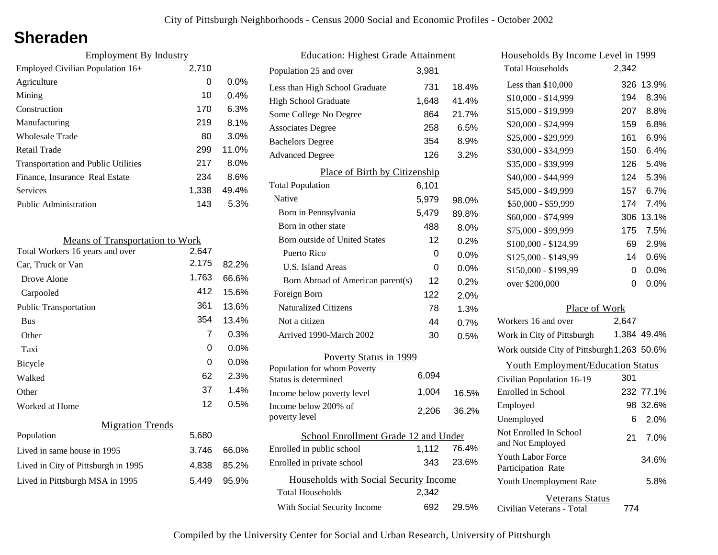### **Sheraden**

| <b>Employment By Industry</b>              |       |         |
|--------------------------------------------|-------|---------|
| Employed Civilian Population 16+           | 2,710 |         |
| Agriculture                                | 0     | $0.0\%$ |
| Mining                                     | 10    | $0.4\%$ |
| Construction                               | 170   | 6.3%    |
| Manufacturing                              | 219   | 8.1%    |
| <b>Wholesale Trade</b>                     | 80    | $3.0\%$ |
| <b>Retail Trade</b>                        | 299   | 11.0%   |
| <b>Transportation and Public Utilities</b> | 217   | $8.0\%$ |
| Finance, Insurance Real Estate             | 234   | 8.6%    |
| Services                                   | 1,338 | 49.4%   |
| Public Administration                      | 143   | 5.3%    |

| <b>Means of Transportation to Work</b> |       |         |
|----------------------------------------|-------|---------|
| Total Workers 16 years and over        | 2,647 |         |
| Car, Truck or Van                      | 2,175 | 82.2%   |
| Drove Alone                            | 1,763 | 66.6%   |
| Carpooled                              | 412   | 15.6%   |
| <b>Public Transportation</b>           | 361   | 13.6%   |
| Bus                                    | 354   | 13.4%   |
| Other                                  | 7     | 0.3%    |
| Taxi                                   | 0     | 0.0%    |
| Bicycle                                | 0     | $0.0\%$ |
| Walked                                 | 62    | 2.3%    |
| Other                                  | 37    | 1.4%    |
| Worked at Home                         | 12    | $0.5\%$ |
| <b>Migration Trends</b>                |       |         |
| Population                             | 5,680 |         |
| Lived in same house in 1995            | 3,746 | 66.0%   |
| Lived in City of Pittsburgh in 1995    | 4,838 | 85.2%   |
| Lived in Pittsburgh MSA in 1995        | 5,449 | 95.9%   |
|                                        |       |         |

| <b>Education: Highest Grade Attainment</b> |       |         |  |
|--------------------------------------------|-------|---------|--|
| Population 25 and over                     | 3,981 |         |  |
| Less than High School Graduate             | 731   | 18.4%   |  |
| <b>High School Graduate</b>                | 1,648 | 41.4%   |  |
| Some College No Degree                     | 864   | 21.7%   |  |
| <b>Associates Degree</b>                   | 258   | 6.5%    |  |
| <b>Bachelors Degree</b>                    | 354   | 8.9%    |  |
| <b>Advanced Degree</b>                     | 126   | 3.2%    |  |
| Place of Birth by Citizenship              |       |         |  |
| <b>Total Population</b>                    | 6,101 |         |  |
| Native                                     | 5,979 | 98.0%   |  |
| Born in Pennsylvania                       | 5,479 | 89.8%   |  |
| Born in other state                        | 488   | 8.0%    |  |
| Born outside of United States              | 12    | 0.2%    |  |
| Puerto Rico                                | 0     | 0.0%    |  |
| U.S. Island Areas                          | 0     | $0.0\%$ |  |
| Born Abroad of American parent(s)          | 12    | $0.2\%$ |  |
| Foreign Born                               | 122   | 2.0%    |  |
| <b>Naturalized Citizens</b>                | 78    | 1.3%    |  |
| Not a citizen                              | 44    | 0.7%    |  |
| Arrived 1990-March 2002                    | 30    | 0.5%    |  |
| Poverty Status in 1999                     |       |         |  |
| Population for whom Poverty                | 6,094 |         |  |
| Status is determined                       |       |         |  |
| Income below poverty level                 | 1,004 | 16.5%   |  |
| Income below 200% of<br>poverty level      | 2,206 | 36.2%   |  |
| School Enrollment Grade 12 and Under       |       |         |  |
| Enrolled in public school                  | 1,112 | 76.4%   |  |
| Enrolled in private school                 | 343   | 23.6%   |  |
| Households with Social Security Income     |       |         |  |
| <b>Total Households</b>                    | 2,342 |         |  |
| With Social Security Income                | 692   | 29.5%   |  |

| Households By Income Level in 1999             |       |             |
|------------------------------------------------|-------|-------------|
| <b>Total Households</b>                        | 2,342 |             |
| Less than \$10,000                             | 326   | 13.9%       |
| \$10,000 - \$14,999                            | 194   | 8.3%        |
| \$15,000 - \$19,999                            | 207   | 8.8%        |
| \$20,000 - \$24,999                            | 159   | 6.8%        |
| \$25,000 - \$29,999                            | 161   | 6.9%        |
| \$30,000 - \$34,999                            | 150   | 6.4%        |
| \$35,000 - \$39,999                            | 126   | 5.4%        |
| \$40,000 - \$44,999                            | 124   | 5.3%        |
| \$45,000 - \$49,999                            | 157   | 6.7%        |
| \$50,000 - \$59,999                            | 174   | 7.4%        |
| \$60,000 - \$74,999                            | 306   | 13.1%       |
| \$75,000 - \$99,999                            | 175   | 7.5%        |
| \$100,000 - \$124,99                           | 69    | 2.9%        |
| \$125,000 - \$149,99                           | 14    | 0.6%        |
| \$150,000 - \$199,99                           | 0     | 0.0%        |
| over \$200,000                                 | 0     | 0.0%        |
| Place of Work                                  |       |             |
| Workers 16 and over                            | 2,647 |             |
| Work in City of Pittsburgh                     |       | 1,384 49.4% |
| Work outside City of Pittsburgh 1,263 50.6%    |       |             |
| <b>Youth Employment/Education Status</b>       |       |             |
| Civilian Population 16-19                      | 301   |             |
| Enrolled in School                             |       | 232 77.1%   |
| Employed                                       | 98    | 32.6%       |
| Unemployed                                     | 6     | 2.0%        |
| Not Enrolled In School<br>and Not Employed     | 21    | $7.0\%$     |
| <b>Youth Labor Force</b><br>Participation Rate |       | 34.6%       |
| Youth Unemployment Rate                        |       | 5.8%        |
| Veterans Status                                |       |             |

Civilian Veterans - Total

774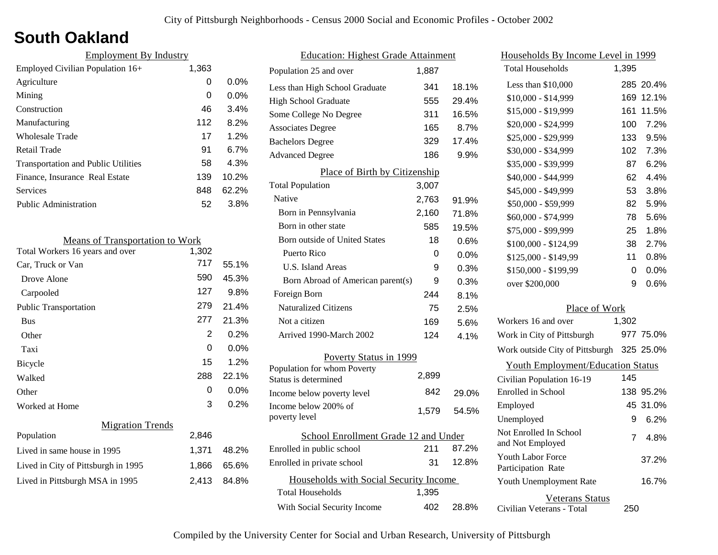## **South Oakland**

| <b>Employment By Industry</b>              |       |         |
|--------------------------------------------|-------|---------|
| Employed Civilian Population 16+           | 1,363 |         |
| Agriculture                                | 0     | $0.0\%$ |
| Mining                                     | 0     | $0.0\%$ |
| Construction                               | 46    | 3.4%    |
| Manufacturing                              | 112   | 8.2%    |
| Wholesale Trade                            | 17    | 1.2%    |
| <b>Retail Trade</b>                        | 91    | 6.7%    |
| <b>Transportation and Public Utilities</b> | 58    | 4.3%    |
| Finance, Insurance Real Estate             | 139   | 10.2%   |
| Services                                   | 848   | 62.2%   |
| Public Administration                      | 52    | 3.8%    |
|                                            |       |         |

| <b>Means of Transportation to Work</b> |       |         |
|----------------------------------------|-------|---------|
| Total Workers 16 years and over        | 1,302 |         |
| Car, Truck or Van                      | 717   | 55.1%   |
| Drove Alone                            | 590   | 45.3%   |
| Carpooled                              | 127   | $9.8\%$ |
| <b>Public Transportation</b>           | 279   | 21.4%   |
| <b>Bus</b>                             | 277   | 21.3%   |
| Other                                  | 2     | 0.2%    |
| Taxi                                   | 0     | $0.0\%$ |
| <b>Bicycle</b>                         | 15    | 1.2%    |
| Walked                                 | 288   | 22.1%   |
| Other                                  | 0     | $0.0\%$ |
| Worked at Home                         | 3     | 0.2%    |
| <b>Migration Trends</b>                |       |         |
| Population                             | 2,846 |         |
| Lived in same house in 1995            | 1,371 | 48.2%   |
| Lived in City of Pittsburgh in 1995    | 1,866 | 65.6%   |
| Lived in Pittsburgh MSA in 1995        | 2,413 | 84.8%   |
|                                        |       |         |

| <b>Education: Highest Grade Attainment</b>          |       |       |
|-----------------------------------------------------|-------|-------|
| Population 25 and over                              | 1,887 |       |
| Less than High School Graduate                      | 341   | 18.1% |
| <b>High School Graduate</b>                         | 555   | 29.4% |
| Some College No Degree                              | 311   | 16.5% |
| <b>Associates Degree</b>                            | 165   | 8.7%  |
| <b>Bachelors Degree</b>                             | 329   | 17.4% |
| <b>Advanced Degree</b>                              | 186   | 9.9%  |
| Place of Birth by Citizenship                       |       |       |
| <b>Total Population</b>                             | 3,007 |       |
| Native                                              | 2,763 | 91.9% |
| Born in Pennsylvania                                | 2,160 | 71.8% |
| Born in other state                                 | 585   | 19.5% |
| <b>Born outside of United States</b>                | 18    | 0.6%  |
| Puerto Rico                                         | 0     | 0.0%  |
| U.S. Island Areas                                   | 9     | 0.3%  |
| Born Abroad of American parent(s)                   | 9     | 0.3%  |
| Foreign Born                                        | 244   | 8.1%  |
| <b>Naturalized Citizens</b>                         | 75    | 2.5%  |
| Not a citizen                                       | 169   | 5.6%  |
| Arrived 1990-March 2002                             | 124   | 4.1%  |
| Poverty Status in 1999                              |       |       |
| Population for whom Poverty<br>Status is determined | 2,899 |       |
| Income below poverty level                          | 842   | 29.0% |
| Income below 200% of<br>poverty level               | 1,579 | 54.5% |
|                                                     |       |       |
| School Enrollment Grade 12 and Under                |       |       |
| Enrolled in public school                           | 211   | 87.2% |
| Enrolled in private school                          | 31    | 12.8% |
| Households with Social Security Income              |       |       |
| <b>Total Households</b>                             | 1,395 |       |
| With Social Security Income                         | 402   | 28.8% |

| Households By Income Level in 1999        |       |           |
|-------------------------------------------|-------|-----------|
| <b>Total Households</b>                   | 1,395 |           |
| Less than $$10,000$                       |       | 285 20.4% |
| \$10,000 - \$14,999                       |       | 169 12.1% |
| \$15,000 - \$19,999                       | 161   | 11.5%     |
| \$20,000 - \$24,999                       | 100   | 7.2%      |
| \$25,000 - \$29,999                       | 133   | 9.5%      |
| \$30,000 - \$34,999                       |       | 102 7.3%  |
| \$35,000 - \$39,999                       | 87    | 6.2%      |
| \$40,000 - \$44,999                       | 62    | 4.4%      |
| \$45,000 - \$49,999                       | 53    | 3.8%      |
| \$50,000 - \$59,999                       | 82    | 5.9%      |
| \$60,000 - \$74,999                       | 78    | 5.6%      |
| \$75,000 - \$99,999                       | 25    | 1.8%      |
| \$100,000 - \$124,99                      | 38    | 2.7%      |
| \$125,000 - \$149,99                      | 11    | 0.8%      |
| \$150,000 - \$199,99                      | 0     | 0.0%      |
| over \$200,000                            | 9     | 0.6%      |
| Place of Work                             |       |           |
| Workers 16 and over                       | 1,302 |           |
| Work in City of Pittsburgh                |       | 977 75.0% |
| Work outside City of Pittsburgh 325 25.0% |       |           |

| Work outside City of Pittsburgh 325 25.0%           |     |           |
|-----------------------------------------------------|-----|-----------|
| <b>Youth Employment/Education Status</b>            |     |           |
| Civilian Population 16-19                           | 145 |           |
| Enrolled in School                                  |     | 138 95.2% |
| Employed                                            |     | 45 31.0%  |
| Unemployed                                          | 9   | 6.2%      |
| Not Enrolled In School<br>and Not Employed          | 7   | 4.8%      |
| <b>Youth Labor Force</b><br>Participation Rate      |     | 37.2%     |
| <b>Youth Unemployment Rate</b>                      |     | 16.7%     |
| <b>Veterans Status</b><br>Civilian Veterans - Total | 250 |           |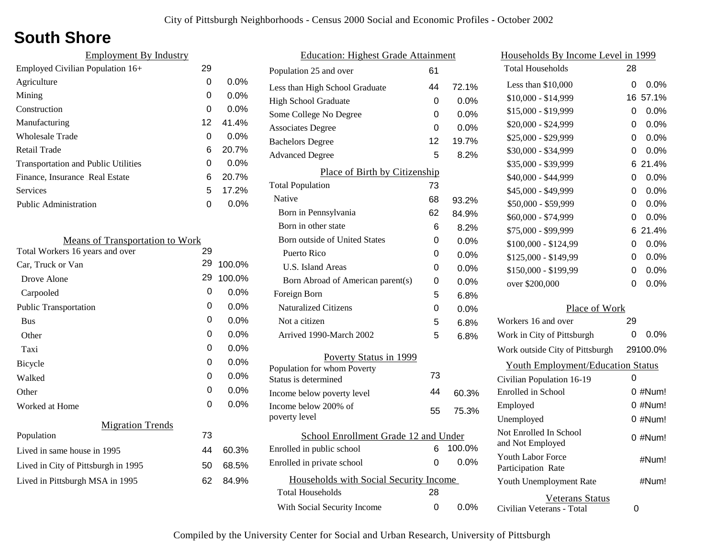# **South Shore**

| <b>Employment By Industry</b>              |    |         |
|--------------------------------------------|----|---------|
| Employed Civilian Population 16+           | 29 |         |
| Agriculture                                | 0  | $0.0\%$ |
| Mining                                     | 0  | $0.0\%$ |
| Construction                               | 0  | $0.0\%$ |
| Manufacturing                              | 12 | 41.4%   |
| Wholesale Trade                            | 0  | $0.0\%$ |
| <b>Retail Trade</b>                        | 6  | 20.7%   |
| <b>Transportation and Public Utilities</b> | 0  | 0.0%    |
| Finance, Insurance Real Estate             | 6  | 20.7%   |
| Services                                   | 5  | 17.2%   |
| Public Administration                      | 0  | $0.0\%$ |
|                                            |    |         |

| <b>Means of Transportation to Work</b> |    |         |
|----------------------------------------|----|---------|
| Total Workers 16 years and over        | 29 |         |
| Car, Truck or Van                      | 29 | 100.0%  |
| Drove Alone                            | 29 | 100.0%  |
| Carpooled                              | 0  | 0.0%    |
| <b>Public Transportation</b>           | 0  | 0.0%    |
| <b>Bus</b>                             | 0  | $0.0\%$ |
| Other                                  | 0  | $0.0\%$ |
| Taxi                                   | 0  | $0.0\%$ |
| Bicycle                                | 0  | 0.0%    |
| Walked                                 | 0  | $0.0\%$ |
| Other                                  | 0  | 0.0%    |
| Worked at Home                         | 0  | $0.0\%$ |
| <b>Migration Trends</b>                |    |         |
| Population                             | 73 |         |
| Lived in same house in 1995            | 44 | 60.3%   |
| Lived in City of Pittsburgh in 1995    | 50 | 68.5%   |
| Lived in Pittsburgh MSA in 1995        | 62 | 84.9%   |
|                                        |    |         |

| <b>Education: Highest Grade Attainment</b> |          |         |  |  |
|--------------------------------------------|----------|---------|--|--|
| Population 25 and over                     | 61       |         |  |  |
| Less than High School Graduate             | 44       | 72.1%   |  |  |
| High School Graduate                       | 0        | $0.0\%$ |  |  |
| Some College No Degree                     | 0        | 0.0%    |  |  |
| <b>Associates Degree</b>                   | $\Omega$ | 0.0%    |  |  |
| <b>Bachelors Degree</b>                    | 12       | 19.7%   |  |  |
| <b>Advanced Degree</b>                     | 5        | 8.2%    |  |  |
| Place of Birth by Citizenship              |          |         |  |  |
| <b>Total Population</b>                    | 73       |         |  |  |
| Native                                     | 68       | 93.2%   |  |  |
| Born in Pennsylvania                       | 62       | 84.9%   |  |  |
| Born in other state                        | 6        | 8.2%    |  |  |
| <b>Born outside of United States</b>       | 0        | 0.0%    |  |  |
| Puerto Rico                                | 0        | $0.0\%$ |  |  |
| <b>U.S. Island Areas</b>                   | 0        | $0.0\%$ |  |  |
| Born Abroad of American parent(s)          | 0        | $0.0\%$ |  |  |
| Foreign Born                               | 5        | $6.8\%$ |  |  |
| <b>Naturalized Citizens</b>                | 0        | 0.0%    |  |  |
| Not a citizen                              | 5        | 6.8%    |  |  |
| Arrived 1990-March 2002                    | 5        | 6.8%    |  |  |
| Poverty Status in 1999                     |          |         |  |  |
| Population for whom Poverty                | 73       |         |  |  |
| Status is determined                       |          |         |  |  |
| Income below poverty level                 | 44       | 60.3%   |  |  |
| Income below 200% of<br>poverty level      | 55       | 75.3%   |  |  |
| School Enrollment Grade 12 and Under       |          |         |  |  |
| Enrolled in public school                  | 6        | 100.0%  |  |  |
| Enrolled in private school                 | 0        | 0.0%    |  |  |
| Households with Social Security Income     |          |         |  |  |
| Total Households                           | 28       |         |  |  |
| With Social Security Income                | 0        | $0.0\%$ |  |  |
|                                            |          |         |  |  |

| Households By Income Level in 1999           |            |           |  |
|----------------------------------------------|------------|-----------|--|
| <b>Total Households</b>                      | 28         |           |  |
| Less than \$10,000                           | 0          | 0.0%      |  |
| $$10,000 - $14,999$                          | 16         | 57.1%     |  |
| \$15,000 - \$19,999                          | 0          | $0.0\%$   |  |
| \$20,000 - \$24,999                          | 0          | 0.0%      |  |
| \$25,000 - \$29,999                          | 0          | 0.0%      |  |
| \$30,000 - \$34,999                          | 0          | 0.0%      |  |
| \$35,000 - \$39,999                          | 6          | 21.4%     |  |
| \$40,000 - \$44,999                          | 0          | 0.0%      |  |
| \$45,000 - \$49,999                          | 0          | 0.0%      |  |
| \$50,000 - \$59,999                          | 0          | 0.0%      |  |
| \$60,000 - \$74,999                          | 0          | 0.0%      |  |
| \$75,000 - \$99,999                          | 6          | 21.4%     |  |
| \$100,000 - \$124,99                         | 0          | 0.0%      |  |
| \$125,000 - \$149,99                         | 0          | 0.0%      |  |
| \$150,000 - \$199,99                         | 0          | 0.0%      |  |
| over \$200,000                               | 0          | 0.0%      |  |
| Place of Work                                |            |           |  |
| Workers 16 and over                          | 29         |           |  |
| Work in City of Pittsburgh                   | 0          | $0.0\%$   |  |
| Work outside City of Pittsburgh              | 29100.0%   |           |  |
| <b>Youth Employment/Education Status</b>     |            |           |  |
| Civilian Population 16-19                    | 0          |           |  |
| Enrolled in School                           | $0 \#Num!$ |           |  |
| Employed                                     | $0$ #Num!  |           |  |
| Unemployed                                   | 0 #Num!    |           |  |
| Not Enrolled In School<br>and Not Employed   |            | $0$ #Num! |  |
| Youth Labor Force<br>Participation Rate      |            | #Num!     |  |
| Youth Unemployment Rate                      |            | #Num!     |  |
| Veterans Status<br>Civilian Veterans - Total | 0          |           |  |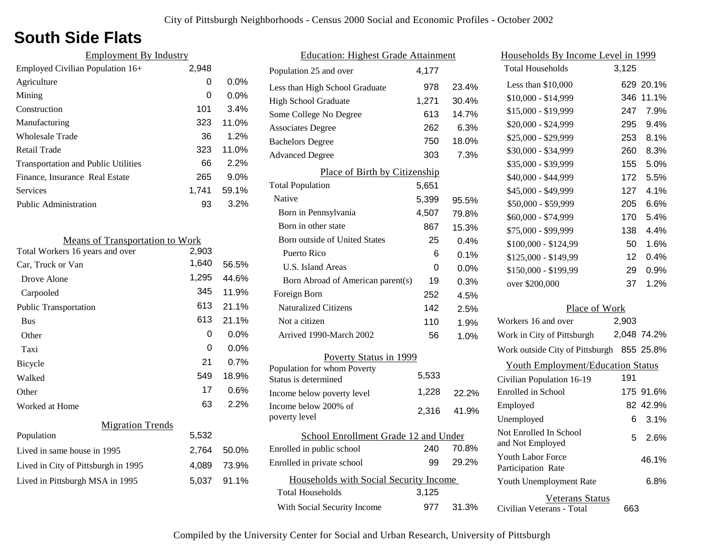### **South Side Flats**

| <b>Employment By Industry</b>              |       |         |
|--------------------------------------------|-------|---------|
| Employed Civilian Population 16+           | 2,948 |         |
| Agriculture                                | 0     | $0.0\%$ |
| Mining                                     | 0     | $0.0\%$ |
| Construction                               | 101   | 3.4%    |
| Manufacturing                              | 323   | 11.0%   |
| Wholesale Trade                            | 36    | 1.2%    |
| Retail Trade                               | 323   | 11.0%   |
| <b>Transportation and Public Utilities</b> | 66    | 2.2%    |
| Finance, Insurance Real Estate             | 265   | 9.0%    |
| <b>Services</b>                            | 1.741 | 59.1%   |
| <b>Public Administration</b>               | 93    | 3.2%    |
|                                            |       |         |

| <b>Means of Transportation to Work</b> |       |         |
|----------------------------------------|-------|---------|
| Total Workers 16 years and over        | 2,903 |         |
| Car, Truck or Van                      | 1,640 | 56.5%   |
| Drove Alone                            | 1,295 | 44.6%   |
| Carpooled                              | 345   | 11.9%   |
| <b>Public Transportation</b>           | 613   | 21.1%   |
| <b>Bus</b>                             | 613   | 21.1%   |
| Other                                  | 0     | $0.0\%$ |
| Taxi                                   | 0     | $0.0\%$ |
| <b>Bicycle</b>                         | 21    | 0.7%    |
| Walked                                 | 549   | 18.9%   |
| Other                                  | 17    | $0.6\%$ |
| Worked at Home                         | 63    | 2.2%    |
| <b>Migration Trends</b>                |       |         |
| Population                             | 5,532 |         |
| Lived in same house in 1995            | 2,764 | 50.0%   |
| Lived in City of Pittsburgh in 1995    | 4,089 | 73.9%   |
| Lived in Pittsburgh MSA in 1995        | 5,037 | 91.1%   |
|                                        |       |         |

| <b>Education: Highest Grade Attainment</b>          |       |       |
|-----------------------------------------------------|-------|-------|
| Population 25 and over                              | 4,177 |       |
| Less than High School Graduate                      | 978   | 23.4% |
| <b>High School Graduate</b>                         | 1,271 | 30.4% |
| Some College No Degree                              | 613   | 14.7% |
| <b>Associates Degree</b>                            | 262   | 6.3%  |
| <b>Bachelors Degree</b>                             | 750   | 18.0% |
| <b>Advanced Degree</b>                              | 303   | 7.3%  |
| Place of Birth by Citizenship                       |       |       |
| <b>Total Population</b>                             | 5,651 |       |
| Native                                              | 5,399 | 95.5% |
| Born in Pennsylvania                                | 4,507 | 79.8% |
| Born in other state                                 | 867   | 15.3% |
| Born outside of United States                       | 25    | 0.4%  |
| Puerto Rico                                         | 6     | 0.1%  |
| <b>U.S. Island Areas</b>                            | U     | 0.0%  |
| Born Abroad of American parent(s)                   | 19    | 0.3%  |
| Foreign Born                                        | 252   | 4.5%  |
| <b>Naturalized Citizens</b>                         | 142   | 2.5%  |
| Not a citizen                                       | 110   | 1.9%  |
| Arrived 1990-March 2002                             | 56    | 1.0%  |
| Poverty Status in 1999                              |       |       |
| Population for whom Poverty<br>Status is determined | 5,533 |       |
| Income below poverty level                          | 1,228 | 22.2% |
| Income below 200% of<br>poverty level               | 2,316 | 41.9% |
| School Enrollment Grade 12 and Under                |       |       |
| Enrolled in public school                           | 240   | 70.8% |
| Enrolled in private school                          | 99    | 29.2% |
| Households with Social Security Income              |       |       |
| <b>Total Households</b>                             | 3,125 |       |
| With Social Security Income                         | 977   | 31.3% |

| <u>Households By Income Level in 1999</u>           |       |             |
|-----------------------------------------------------|-------|-------------|
| <b>Total Households</b>                             | 3,125 |             |
| Less than \$10,000                                  |       | 629 20.1%   |
| $$10,000 - $14,999$                                 | 346   | 11.1%       |
| \$15,000 - \$19,999                                 | 247   | 7.9%        |
| \$20,000 - \$24,999                                 | 295   | 9.4%        |
| \$25,000 - \$29,999                                 | 253   | 8.1%        |
| \$30,000 - \$34,999                                 | 260   | 8.3%        |
| \$35,000 - \$39,999                                 | 155   | 5.0%        |
| \$40,000 - \$44,999                                 | 172   | 5.5%        |
| \$45,000 - \$49,999                                 | 127   | 4.1%        |
| \$50,000 - \$59,999                                 | 205   | 6.6%        |
| \$60,000 - \$74,999                                 | 170   | 5.4%        |
| \$75,000 - \$99,999                                 | 138   | 4.4%        |
| \$100,000 - \$124,99                                | 50    | 1.6%        |
| \$125,000 - \$149,99                                | 12    | 0.4%        |
| \$150,000 - \$199,99                                | 29.   | 0.9%        |
| over \$200,000                                      | 37    | 1.2%        |
| Place of Work                                       |       |             |
| Workers 16 and over                                 | 2,903 |             |
| Work in City of Pittsburgh                          |       | 2,048 74.2% |
| Work outside City of Pittsburgh 855 25.8%           |       |             |
| <b>Youth Employment/Education Status</b>            |       |             |
| Civilian Population 16-19                           | 191   |             |
| Enrolled in School                                  |       | 175 91.6%   |
| Employed                                            |       | 82 42.9%    |
| Unemployed                                          | 6     | 3.1%        |
| Not Enrolled In School<br>and Not Employed          | 5     | 2.6%        |
| <b>Youth Labor Force</b><br>Participation Rate      |       | 46.1%       |
| Youth Unemployment Rate                             |       | 6.8%        |
| <b>Veterans Status</b><br>Civilian Veterans - Total | 663   |             |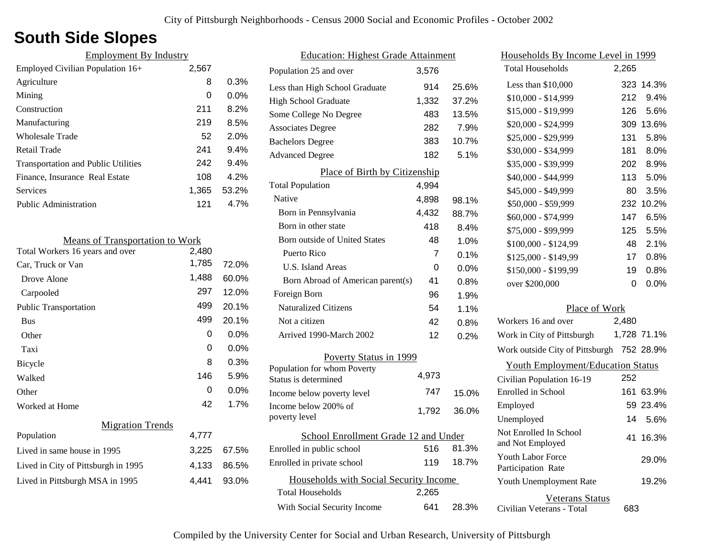### **South Side Slopes**

| <b>Employment By Industry</b>              |       |         |
|--------------------------------------------|-------|---------|
| Employed Civilian Population 16+           | 2,567 |         |
| Agriculture                                | 8     | 0.3%    |
| Mining                                     | 0     | $0.0\%$ |
| Construction                               | 211   | 8.2%    |
| Manufacturing                              | 219   | 8.5%    |
| Wholesale Trade                            | 52    | 2.0%    |
| Retail Trade                               | 241   | 9.4%    |
| <b>Transportation and Public Utilities</b> | 242   | 9.4%    |
| Finance, Insurance Real Estate             | 108   | 4.2%    |
| Services                                   | 1.365 | 53.2%   |
| <b>Public Administration</b>               | 121   | 4.7%    |
|                                            |       |         |

| <b>Means of Transportation to Work</b> |       |         |
|----------------------------------------|-------|---------|
| Total Workers 16 years and over        | 2,480 |         |
| Car, Truck or Van                      | 1,785 | 72.0%   |
| Drove Alone                            | 1,488 | 60.0%   |
| Carpooled                              | 297   | 12.0%   |
| <b>Public Transportation</b>           | 499   | 20.1%   |
| <b>Bus</b>                             | 499   | 20.1%   |
| Other                                  | 0     | $0.0\%$ |
| Taxi                                   | 0     | $0.0\%$ |
| Bicycle                                | 8     | 0.3%    |
| Walked                                 | 146   | 5.9%    |
| Other                                  | 0     | $0.0\%$ |
| Worked at Home                         | 42    | 1.7%    |
| <b>Migration Trends</b>                |       |         |
| Population                             | 4,777 |         |
| Lived in same house in 1995            | 3,225 | 67.5%   |
| Lived in City of Pittsburgh in 1995    | 4,133 | 86.5%   |
| Lived in Pittsburgh MSA in 1995        | 4.441 | 93.0%   |
|                                        |       |         |

| <b>Education: Highest Grade Attainment</b>          |       |       |
|-----------------------------------------------------|-------|-------|
| Population 25 and over                              | 3,576 |       |
| Less than High School Graduate                      | 914   | 25.6% |
| <b>High School Graduate</b>                         | 1,332 | 37.2% |
| Some College No Degree                              | 483   | 13.5% |
| <b>Associates Degree</b>                            | 282   | 7.9%  |
| <b>Bachelors Degree</b>                             | 383   | 10.7% |
| <b>Advanced Degree</b>                              | 182   | 5.1%  |
| Place of Birth by Citizenship                       |       |       |
| <b>Total Population</b>                             | 4,994 |       |
| Native                                              | 4,898 | 98.1% |
| Born in Pennsylvania                                | 4,432 | 88.7% |
| Born in other state                                 | 418   | 8.4%  |
| Born outside of United States                       | 48    | 1.0%  |
| Puerto Rico                                         | 7     | 0.1%  |
| U.S. Island Areas                                   | 0     | 0.0%  |
| Born Abroad of American parent(s)                   | 41    | 0.8%  |
| Foreign Born                                        | 96    | 1.9%  |
| <b>Naturalized Citizens</b>                         | 54    | 1.1%  |
| Not a citizen                                       | 42    | 0.8%  |
| Arrived 1990-March 2002                             | 12    | 0.2%  |
| Poverty Status in 1999                              |       |       |
| Population for whom Poverty<br>Status is determined | 4,973 |       |
| Income below poverty level                          | 747   | 15.0% |
| Income below 200% of<br>poverty level               | 1,792 | 36.0% |
| School Enrollment Grade 12 and Under                |       |       |
| Enrolled in public school                           | 516   | 81.3% |
| Enrolled in private school                          | 119   | 18.7% |
| Households with Social Security Income              |       |       |
| <b>Total Households</b>                             | 2,265 |       |
| With Social Security Income                         | 641   | 28.3% |

| <u>Households By Income Level in 1999</u>           |       |             |
|-----------------------------------------------------|-------|-------------|
| <b>Total Households</b>                             | 2,265 |             |
| Less than $$10,000$                                 | 323   | 14.3%       |
| $$10,000 - $14,999$                                 | 212   | 9.4%        |
| \$15,000 - \$19,999                                 | 126   | 5.6%        |
| \$20,000 - \$24,999                                 | 309   | 13.6%       |
| \$25,000 - \$29,999                                 | 131   | 5.8%        |
| \$30,000 - \$34,999                                 | 181   | 8.0%        |
| \$35,000 - \$39,999                                 | 202   | 8.9%        |
| \$40,000 - \$44,999                                 | 113   | 5.0%        |
| \$45,000 - \$49,999                                 | 80    | 3.5%        |
| \$50,000 - \$59,999                                 | 232   | 10.2%       |
| \$60,000 - \$74,999                                 | 147   | 6.5%        |
| \$75,000 - \$99,999                                 | 125   | 5.5%        |
| \$100,000 - \$124,99                                | 48    | 2.1%        |
| \$125,000 - \$149,99                                | 17    | 0.8%        |
| \$150,000 - \$199,99                                | 19    | 0.8%        |
| over \$200,000                                      | 0     | 0.0%        |
| Place of Work                                       |       |             |
| Workers 16 and over                                 | 2,480 |             |
| Work in City of Pittsburgh                          |       | 1,728 71.1% |
| Work outside City of Pittsburgh 752 28.9%           |       |             |
| <b>Youth Employment/Education Status</b>            |       |             |
| Civilian Population 16-19                           | 252   |             |
| Enrolled in School                                  | 161   | 63.9%       |
| Employed                                            |       | 59 23.4%    |
| Unemployed                                          | 14    | 5.6%        |
| Not Enrolled In School<br>and Not Employed          | 41    | 16.3%       |
| <b>Youth Labor Force</b><br>Participation Rate      |       | 29.0%       |
| Youth Unemployment Rate                             |       | 19.2%       |
| <b>Veterans Status</b><br>Civilian Veterans - Total | 683   |             |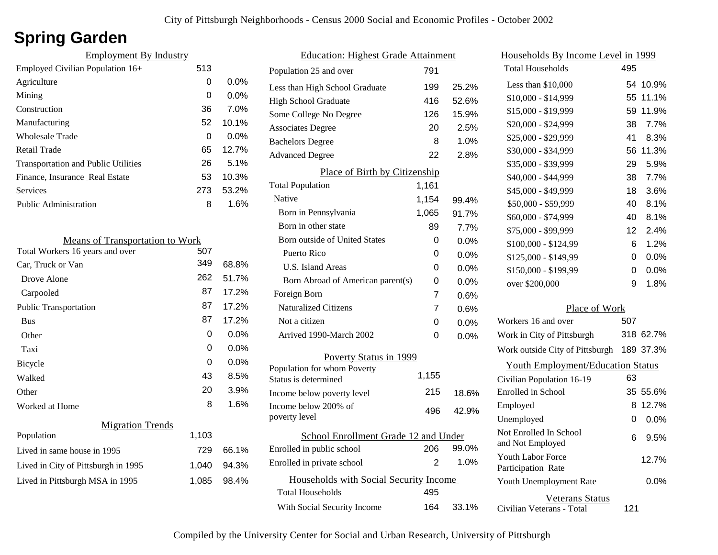## **Spring Garden**

| <b>Employment By Industry</b>              |     |         |
|--------------------------------------------|-----|---------|
| Employed Civilian Population 16+           | 513 |         |
| Agriculture                                | 0   | $0.0\%$ |
| Mining                                     | 0   | $0.0\%$ |
| Construction                               | 36  | 7.0%    |
| Manufacturing                              | 52  | 10.1%   |
| Wholesale Trade                            | 0   | $0.0\%$ |
| Retail Trade                               | 65  | 12.7%   |
| <b>Transportation and Public Utilities</b> | 26  | $5.1\%$ |
| Finance, Insurance Real Estate             | 53  | 10.3%   |
| <b>Services</b>                            | 273 | 53.2%   |
| <b>Public Administration</b>               | 8   | 1.6%    |

| <b>Means of Transportation to Work</b> |       |         |
|----------------------------------------|-------|---------|
| Total Workers 16 years and over        | 507   |         |
| Car, Truck or Van                      | 349   | 68.8%   |
| Drove Alone                            | 262   | 51.7%   |
| Carpooled                              | 87    | 17.2%   |
| <b>Public Transportation</b>           | 87    | 17.2%   |
| <b>Bus</b>                             | 87    | 17.2%   |
| Other                                  | 0     | $0.0\%$ |
| Taxi                                   | 0     | 0.0%    |
| <b>Bicycle</b>                         | 0     | 0.0%    |
| Walked                                 | 43    | 8.5%    |
| Other                                  | 20    | 3.9%    |
| Worked at Home                         | 8     | 1.6%    |
| <b>Migration Trends</b>                |       |         |
| Population                             | 1,103 |         |
| Lived in same house in 1995            | 729   | 66.1%   |
| Lived in City of Pittsburgh in 1995    | 1,040 | 94.3%   |
| Lived in Pittsburgh MSA in 1995        | 1,085 | 98.4%   |
|                                        |       |         |

| <b>Education: Highest Grade Attainment</b> |       |         |
|--------------------------------------------|-------|---------|
| Population 25 and over                     | 791   |         |
| Less than High School Graduate             | 199   | 25.2%   |
| <b>High School Graduate</b>                | 416   | 52.6%   |
| Some College No Degree                     | 126   | 15.9%   |
| <b>Associates Degree</b>                   | 20    | 2.5%    |
| <b>Bachelors Degree</b>                    | 8     | 1.0%    |
| <b>Advanced Degree</b>                     | 22    | 2.8%    |
| Place of Birth by Citizenship              |       |         |
| <b>Total Population</b>                    | 1,161 |         |
| Native                                     | 1,154 | 99.4%   |
| Born in Pennsylvania                       | 1,065 | 91.7%   |
| Born in other state                        | 89    | 7.7%    |
| <b>Born outside of United States</b>       | 0     | $0.0\%$ |
| Puerto Rico                                | 0     | $0.0\%$ |
| U.S. Island Areas                          | 0     | 0.0%    |
| Born Abroad of American parent(s)          | 0     | 0.0%    |
| Foreign Born                               | 7     | 0.6%    |
| <b>Naturalized Citizens</b>                | 7     | 0.6%    |
| Not a citizen                              | 0     | $0.0\%$ |
| Arrived 1990-March 2002                    | 0     | 0.0%    |
| Poverty Status in 1999                     |       |         |
| Population for whom Poverty                | 1,155 |         |
| Status is determined                       |       |         |
| Income below poverty level                 | 215   | 18.6%   |
| Income below 200% of<br>poverty level      | 496   | 42.9%   |
| School Enrollment Grade 12 and Under       |       |         |
| Enrolled in public school                  | 206   | 99.0%   |
| Enrolled in private school                 | 2     | 1.0%    |
| Households with Social Security Income     |       |         |
| <b>Total Households</b>                    | 495   |         |
| With Social Security Income                | 164   | 33.1%   |

| <u>Households By Income Level in 1999</u>           |     |           |
|-----------------------------------------------------|-----|-----------|
| <b>Total Households</b>                             | 495 |           |
| Less than \$10,000                                  | 54  | 10.9%     |
| $$10,000 - $14,999$                                 | 55  | 11.1%     |
| \$15,000 - \$19,999                                 | 59  | 11.9%     |
| \$20,000 - \$24,999                                 | 38  | 7.7%      |
| \$25,000 - \$29,999                                 | 41  | 8.3%      |
| \$30,000 - \$34,999                                 | 56  | 11.3%     |
| \$35,000 - \$39,999                                 | 29  | 5.9%      |
| \$40,000 - \$44,999                                 | 38  | 7.7%      |
| \$45,000 - \$49,999                                 | 18  | 3.6%      |
| \$50,000 - \$59,999                                 | 40  | 8.1%      |
| \$60,000 - \$74,999                                 | 40  | 8.1%      |
| \$75,000 - \$99,999                                 | 12  | 2.4%      |
| \$100,000 - \$124,99                                | 6   | 1.2%      |
| \$125,000 - \$149,99                                | 0   | $0.0\%$   |
| \$150,000 - \$199,99                                | 0   | 0.0%      |
| over \$200,000                                      | 9   | 1.8%      |
| Place of Work                                       |     |           |
| Workers 16 and over                                 | 507 |           |
| Work in City of Pittsburgh                          |     | 318 62.7% |
| Work outside City of Pittsburgh                     |     | 189 37.3% |
| <b>Youth Employment/Education Status</b>            |     |           |
| Civilian Population 16-19                           | 63  |           |
| Enrolled in School                                  | 35  | 55.6%     |
| Employed                                            | 8   | 12.7%     |
| Unemployed                                          | 0   | 0.0%      |
| Not Enrolled In School<br>and Not Employed          | 6   | 9.5%      |
| <b>Youth Labor Force</b><br>Participation Rate      |     | 12.7%     |
| Youth Unemployment Rate                             |     | 0.0%      |
| <b>Veterans Status</b><br>Civilian Veterans - Total | 121 |           |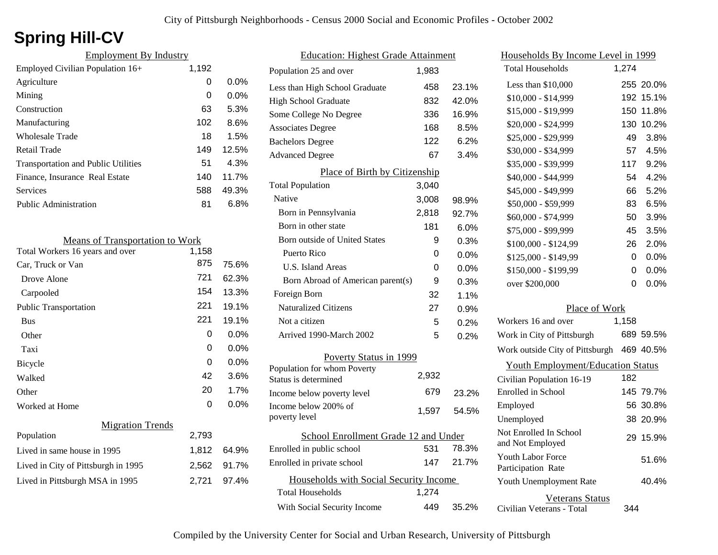# **Spring Hill-CV**

| <b>Employment By Industry</b>              |       |         |
|--------------------------------------------|-------|---------|
| Employed Civilian Population 16+           | 1,192 |         |
| Agriculture                                | 0     | $0.0\%$ |
| Mining                                     | 0     | $0.0\%$ |
| Construction                               | 63    | 5.3%    |
| Manufacturing                              | 102   | 8.6%    |
| Wholesale Trade                            | 18    | 1.5%    |
| Retail Trade                               | 149   | 12.5%   |
| <b>Transportation and Public Utilities</b> | 51    | 4.3%    |
| Finance, Insurance Real Estate             | 140   | 11.7%   |
| <b>Services</b>                            | 588   | 49.3%   |
| <b>Public Administration</b>               | 81    | 6.8%    |

| <b>Means of Transportation to Work</b> |       |         |
|----------------------------------------|-------|---------|
| Total Workers 16 years and over        | 1,158 |         |
| Car, Truck or Van                      | 875   | 75.6%   |
| Drove Alone                            | 721   | 62.3%   |
| Carpooled                              | 154   | 13.3%   |
| <b>Public Transportation</b>           | 221   | 19.1%   |
| <b>Bus</b>                             | 221   | 19.1%   |
| Other                                  | 0     | 0.0%    |
| Taxi                                   | 0     | $0.0\%$ |
| Bicycle                                | 0     | 0.0%    |
| Walked                                 | 42    | 3.6%    |
| Other                                  | 20    | 1.7%    |
| Worked at Home                         | 0     | $0.0\%$ |
| <b>Migration Trends</b>                |       |         |
| Population                             | 2,793 |         |
| Lived in same house in 1995            | 1,812 | 64.9%   |
| Lived in City of Pittsburgh in 1995    | 2,562 | 91.7%   |
| Lived in Pittsburgh MSA in 1995        | 2,721 | 97.4%   |

| <b>Education: Highest Grade Attainment</b> |       |         |
|--------------------------------------------|-------|---------|
| Population 25 and over                     | 1,983 |         |
| Less than High School Graduate             | 458   | 23.1%   |
| <b>High School Graduate</b>                | 832   | 42.0%   |
| Some College No Degree                     | 336   | 16.9%   |
| <b>Associates Degree</b>                   | 168   | 8.5%    |
| <b>Bachelors Degree</b>                    | 122   | 6.2%    |
| <b>Advanced Degree</b>                     | 67    | 3.4%    |
| Place of Birth by Citizenship              |       |         |
| <b>Total Population</b>                    | 3,040 |         |
| Native                                     | 3,008 | 98.9%   |
| Born in Pennsylvania                       | 2,818 | 92.7%   |
| Born in other state                        | 181   | 6.0%    |
| Born outside of United States              | 9     | 0.3%    |
| Puerto Rico                                | 0     | 0.0%    |
| U.S. Island Areas                          | 0     | $0.0\%$ |
| Born Abroad of American parent(s)          | 9     | 0.3%    |
| Foreign Born                               | 32    | 1.1%    |
| Naturalized Citizens                       | 27    | 0.9%    |
| Not a citizen                              | 5     | 0.2%    |
| Arrived 1990-March 2002                    | 5     | 0.2%    |
| <b>Poverty Status in 1999</b>              |       |         |
| Population for whom Poverty                | 2,932 |         |
| Status is determined                       |       |         |
| Income below poverty level                 | 679   | 23.2%   |
| Income below 200% of<br>poverty level      | 1,597 | 54.5%   |
| School Enrollment Grade 12 and Under       |       |         |
| Enrolled in public school                  | 531   | 78.3%   |
| Enrolled in private school                 | 147   | 21.7%   |
| Households with Social Security Income     |       |         |
| <b>Total Households</b>                    | 1,274 |         |
| With Social Security Income                | 449   | 35.2%   |

| Households By Income Level in 1999                  |       |           |
|-----------------------------------------------------|-------|-----------|
| <b>Total Households</b>                             | 1,274 |           |
| Less than \$10,000                                  |       | 255 20.0% |
| $$10,000 - $14,999$                                 |       | 192 15.1% |
| \$15,000 - \$19,999                                 | 150   | 11.8%     |
| \$20,000 - \$24,999                                 |       | 130 10.2% |
| \$25,000 - \$29,999                                 | 49    | 3.8%      |
| \$30,000 - \$34,999                                 | 57    | 4.5%      |
| \$35,000 - \$39,999                                 | 117   | 9.2%      |
| \$40,000 - \$44,999                                 | 54    | 4.2%      |
| \$45,000 - \$49,999                                 | 66    | 5.2%      |
| \$50,000 - \$59,999                                 | 83    | 6.5%      |
| \$60,000 - \$74,999                                 | 50    | 3.9%      |
| \$75,000 - \$99,999                                 | 45    | 3.5%      |
| \$100,000 - \$124,99                                | 26    | 2.0%      |
| \$125,000 - \$149,99                                | 0     | 0.0%      |
| \$150,000 - \$199,99                                | 0     | 0.0%      |
| over \$200,000                                      | 0     | 0.0%      |
| Place of Work                                       |       |           |
| Workers 16 and over                                 | 1,158 |           |
| Work in City of Pittsburgh                          |       | 689 59.5% |
| Work outside City of Pittsburgh                     |       | 469 40.5% |
| <b>Youth Employment/Education Status</b>            |       |           |
| Civilian Population 16-19                           | 182   |           |
| Enrolled in School                                  |       | 145 79.7% |
| Employed                                            |       | 56 30.8%  |
| Unemployed                                          |       | 38 20.9%  |
| Not Enrolled In School<br>and Not Employed          |       | 29 15.9%  |
| <b>Youth Labor Force</b><br>Participation Rate      |       | 51.6%     |
| Youth Unemployment Rate                             |       | 40.4%     |
| <b>Veterans Status</b><br>Civilian Veterans - Total | 344   |           |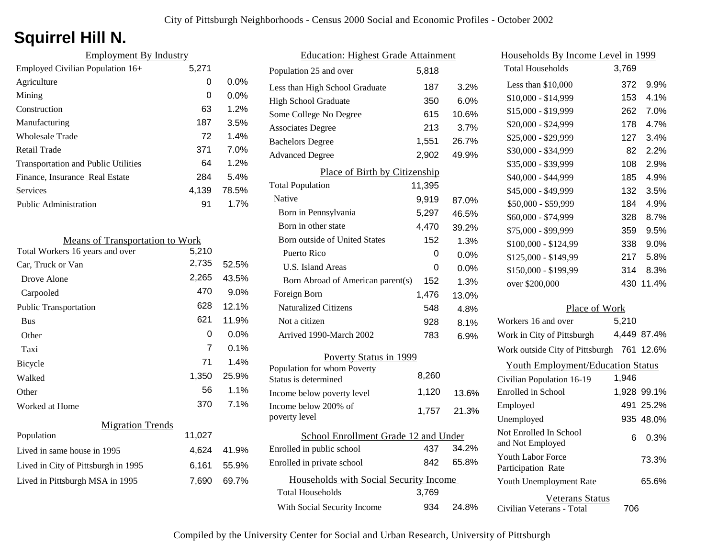# **Squirrel Hill N.**

| <b>Employment By Industry</b>              |       |         |
|--------------------------------------------|-------|---------|
| Employed Civilian Population 16+           | 5,271 |         |
| Agriculture                                | 0     | $0.0\%$ |
| Mining                                     | 0     | $0.0\%$ |
| Construction                               | 63    | 1.2%    |
| Manufacturing                              | 187   | 3.5%    |
| Wholesale Trade                            | 72    | 1.4%    |
| Retail Trade                               | 371   | 7.0%    |
| <b>Transportation and Public Utilities</b> | 64    | 1.2%    |
| Finance, Insurance Real Estate             | 284   | 5.4%    |
| <b>Services</b>                            | 4.139 | 78.5%   |
| <b>Public Administration</b>               | 91    | 1.7%    |

| <b>Means of Transportation to Work</b> |        |       |
|----------------------------------------|--------|-------|
| Total Workers 16 years and over        | 5,210  |       |
| Car, Truck or Van                      | 2,735  | 52.5% |
| Drove Alone                            | 2,265  | 43.5% |
| Carpooled                              | 470    | 9.0%  |
| <b>Public Transportation</b>           | 628    | 12.1% |
| <b>Bus</b>                             | 621    | 11.9% |
| Other                                  | 0      | 0.0%  |
| Taxi                                   | 7      | 0.1%  |
| Bicycle                                | 71     | 1.4%  |
| Walked                                 | 1,350  | 25.9% |
| Other                                  | 56     | 1.1%  |
| Worked at Home                         | 370    | 7.1%  |
| <b>Migration Trends</b>                |        |       |
| Population                             | 11,027 |       |
| Lived in same house in 1995            | 4,624  | 41.9% |
| Lived in City of Pittsburgh in 1995    | 6,161  | 55.9% |
| Lived in Pittsburgh MSA in 1995        | 7,690  | 69.7% |
|                                        |        |       |

| <b>Education: Highest Grade Attainment</b> |        |       |
|--------------------------------------------|--------|-------|
| Population 25 and over                     | 5,818  |       |
| Less than High School Graduate             | 187    | 3.2%  |
| <b>High School Graduate</b>                | 350    | 6.0%  |
| Some College No Degree                     | 615    | 10.6% |
| <b>Associates Degree</b>                   | 213    | 3.7%  |
| <b>Bachelors Degree</b>                    | 1,551  | 26.7% |
| <b>Advanced Degree</b>                     | 2,902  | 49.9% |
| Place of Birth by Citizenship              |        |       |
| <b>Total Population</b>                    | 11,395 |       |
| Native                                     | 9,919  | 87.0% |
| Born in Pennsylvania                       | 5,297  | 46.5% |
| Born in other state                        | 4,470  | 39.2% |
| <b>Born outside of United States</b>       | 152    | 1.3%  |
| Puerto Rico                                | 0      | 0.0%  |
| <b>U.S. Island Areas</b>                   | 0      | 0.0%  |
| Born Abroad of American parent(s)          | 152    | 1.3%  |
| Foreign Born                               | 1,476  | 13.0% |
| <b>Naturalized Citizens</b>                | 548    | 4.8%  |
| Not a citizen                              | 928    | 8.1%  |
| Arrived 1990-March 2002                    | 783    | 6.9%  |
| Poverty Status in 1999                     |        |       |
| Population for whom Poverty                | 8.260  |       |
| Status is determined                       |        |       |
| Income below poverty level                 | 1,120  | 13.6% |
| Income below 200% of<br>poverty level      | 1,757  | 21.3% |
| School Enrollment Grade 12 and Under       |        |       |
| Enrolled in public school                  | 437    | 34.2% |
| Enrolled in private school                 | 842    | 65.8% |
| Households with Social Security Income     |        |       |
| <b>Total Households</b>                    | 3,769  |       |
| With Social Security Income                | 934    | 24.8% |

| Households By Income Level in 1999         |       |             |
|--------------------------------------------|-------|-------------|
| <b>Total Households</b>                    | 3,769 |             |
| Less than \$10,000                         | 372   | 9.9%        |
| \$10,000 - \$14,999                        | 153   | 4.1%        |
| \$15,000 - \$19,999                        | 262   | 7.0%        |
| \$20,000 - \$24,999                        | 178   | 4.7%        |
| \$25,000 - \$29,999                        | 127   | 3.4%        |
| \$30,000 - \$34,999                        | 82    | 2.2%        |
| \$35,000 - \$39,999                        | 108   | 2.9%        |
| \$40,000 - \$44,999                        | 185   | 4.9%        |
| \$45,000 - \$49,999                        | 132   | 3.5%        |
| \$50,000 - \$59,999                        | 184   | 4.9%        |
| \$60,000 - \$74,999                        | 328   | 8.7%        |
| \$75,000 - \$99,999                        | 359   | 9.5%        |
| \$100,000 - \$124,99                       | 338   | 9.0%        |
| \$125,000 - \$149,99                       | 217   | 5.8%        |
| \$150,000 - \$199,99                       | 314   | 8.3%        |
| over \$200,000                             | 430   | 11.4%       |
| Place of Work                              |       |             |
| Workers 16 and over                        | 5,210 |             |
| Work in City of Pittsburgh                 |       | 4,449 87.4% |
| Work outside City of Pittsburgh 761 12.6%  |       |             |
| <b>Youth Employment/Education Status</b>   |       |             |
| Civilian Population 16-19                  | 1,946 |             |
| <b>Enrolled</b> in School                  |       | 1,928 99.1% |
| Employed                                   | 491   | 25.2%       |
| Unemployed                                 |       | 935 48.0%   |
| Not Enrolled In School<br>and Not Employed | 6     | 0.3%        |
| Youth Labor Force<br>Participation Rate    |       | 73.3%       |
| Youth Unemployment Rate                    |       | 65.6%       |

Civilian Veterans - Total Veterans Status 706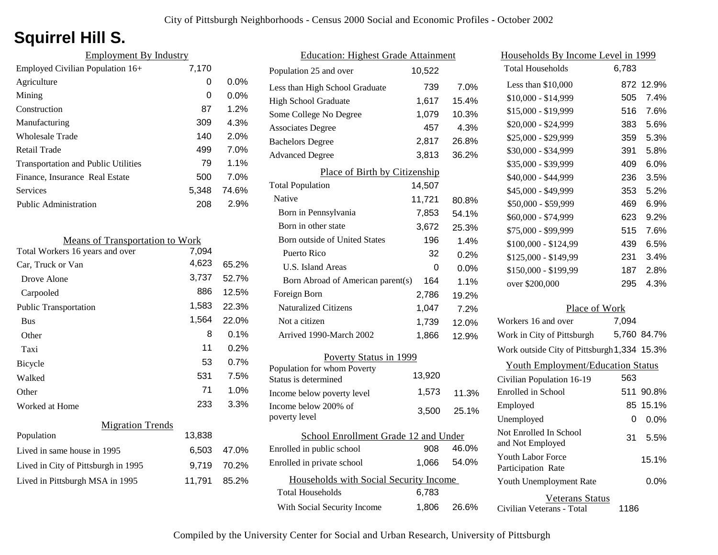# **Squirrel Hill S.**

| <b>Employment By Industry</b>              |       |         |
|--------------------------------------------|-------|---------|
| Employed Civilian Population 16+           | 7,170 |         |
| Agriculture                                | 0     | $0.0\%$ |
| Mining                                     | 0     | $0.0\%$ |
| Construction                               | 87    | 1.2%    |
| Manufacturing                              | 309   | 4.3%    |
| Wholesale Trade                            | 140   | 2.0%    |
| Retail Trade                               | 499   | $7.0\%$ |
| <b>Transportation and Public Utilities</b> | 79    | $1.1\%$ |
| Finance, Insurance Real Estate             | 500   | $7.0\%$ |
| Services                                   | 5,348 | 74.6%   |
| <b>Public Administration</b>               | 208   | 2.9%    |

| <b>Means of Transportation to Work</b> |        |       |
|----------------------------------------|--------|-------|
| Total Workers 16 years and over        | 7,094  |       |
| Car, Truck or Van                      | 4,623  | 65.2% |
| Drove Alone                            | 3,737  | 52.7% |
| Carpooled                              | 886    | 12.5% |
| <b>Public Transportation</b>           | 1,583  | 22.3% |
| <b>Bus</b>                             | 1,564  | 22.0% |
| Other                                  | 8      | 0.1%  |
| Taxi                                   | 11     | 0.2%  |
| Bicycle                                | 53     | 0.7%  |
| Walked                                 | 531    | 7.5%  |
| Other                                  | 71     | 1.0%  |
| Worked at Home                         | 233    | 3.3%  |
| <b>Migration Trends</b>                |        |       |
| Population                             | 13,838 |       |
| Lived in same house in 1995            | 6,503  | 47.0% |
| Lived in City of Pittsburgh in 1995    | 9,719  | 70.2% |
| Lived in Pittsburgh MSA in 1995        | 11,791 | 85.2% |
|                                        |        |       |

| <b>Education: Highest Grade Attainment</b>          |        |         |
|-----------------------------------------------------|--------|---------|
| Population 25 and over                              | 10,522 |         |
| Less than High School Graduate                      | 739    | 7.0%    |
| <b>High School Graduate</b>                         | 1,617  | 15.4%   |
| Some College No Degree                              | 1,079  | 10.3%   |
| <b>Associates Degree</b>                            | 457    | 4.3%    |
| <b>Bachelors Degree</b>                             | 2,817  | 26.8%   |
| <b>Advanced Degree</b>                              | 3,813  | 36.2%   |
| Place of Birth by Citizenship                       |        |         |
| <b>Total Population</b>                             | 14,507 |         |
| Native                                              | 11,721 | 80.8%   |
| Born in Pennsylvania                                | 7,853  | 54.1%   |
| Born in other state                                 | 3,672  | 25.3%   |
| Born outside of United States                       | 196    | 1.4%    |
| Puerto Rico                                         | 32     | 0.2%    |
| U.S. Island Areas                                   | 0      | $0.0\%$ |
| Born Abroad of American parent(s)                   | 164    | 1.1%    |
| Foreign Born                                        | 2,786  | 19.2%   |
| <b>Naturalized Citizens</b>                         | 1,047  | 7.2%    |
| Not a citizen                                       | 1,739  | 12.0%   |
| Arrived 1990-March 2002                             | 1,866  | 12.9%   |
| <b>Poverty Status in 1999</b>                       |        |         |
| Population for whom Poverty<br>Status is determined | 13,920 |         |
| Income below poverty level                          | 1,573  | 11.3%   |
| Income below 200% of<br>poverty level               | 3,500  | 25.1%   |
| School Enrollment Grade 12 and Under                |        |         |
| Enrolled in public school                           | 908    | 46.0%   |
| Enrolled in private school                          | 1,066  | 54.0%   |
| Households with Social Security Income              |        |         |
| <b>Total Households</b>                             | 6,783  |         |
| With Social Security Income                         | 1,806  | 26.6%   |

| <u>Households By Income Level in 1999</u>           |       |             |
|-----------------------------------------------------|-------|-------------|
| <b>Total Households</b>                             | 6,783 |             |
| Less than $$10,000$                                 | 872.  | 12.9%       |
| $$10,000 - $14,999$                                 | 505   | $7.4\%$     |
| \$15,000 - \$19,999                                 | 516   | 7.6%        |
| \$20,000 - \$24,999                                 | 383   | 5.6%        |
| \$25,000 - \$29,999                                 | 359   | 5.3%        |
| \$30,000 - \$34,999                                 | 391   | 5.8%        |
| \$35,000 - \$39,999                                 | 409   | 6.0%        |
| \$40,000 - \$44,999                                 | 236   | 3.5%        |
| \$45,000 - \$49,999                                 | 353   | 5.2%        |
| \$50,000 - \$59,999                                 | 469   | 6.9%        |
| \$60,000 - \$74,999                                 | 623   | 9.2%        |
| \$75,000 - \$99,999                                 | 515   | 7.6%        |
| \$100,000 - \$124,99                                | 439   | 6.5%        |
| \$125,000 - \$149,99                                | 231   | 3.4%        |
| \$150,000 - \$199,99                                | 187   | 2.8%        |
| over \$200,000                                      | 295   | 4.3%        |
| Place of Work                                       |       |             |
| Workers 16 and over                                 | 7,094 |             |
| Work in City of Pittsburgh                          |       | 5,760 84.7% |
| Work outside City of Pittsburgh 1,334 15.3%         |       |             |
| <b>Youth Employment/Education Status</b>            |       |             |
| Civilian Population 16-19                           | 563   |             |
| Enrolled in School                                  | 511   | 90.8%       |
| Employed                                            | 85    | 15.1%       |
| Unemployed                                          | 0     | $0.0\%$     |
| Not Enrolled In School<br>and Not Employed          | 31    | 5.5%        |
| <b>Youth Labor Force</b><br>Participation Rate      |       | 15.1%       |
| Youth Unemployment Rate                             |       | $0.0\%$     |
| <b>Veterans Status</b><br>Civilian Veterans - Total | 1186  |             |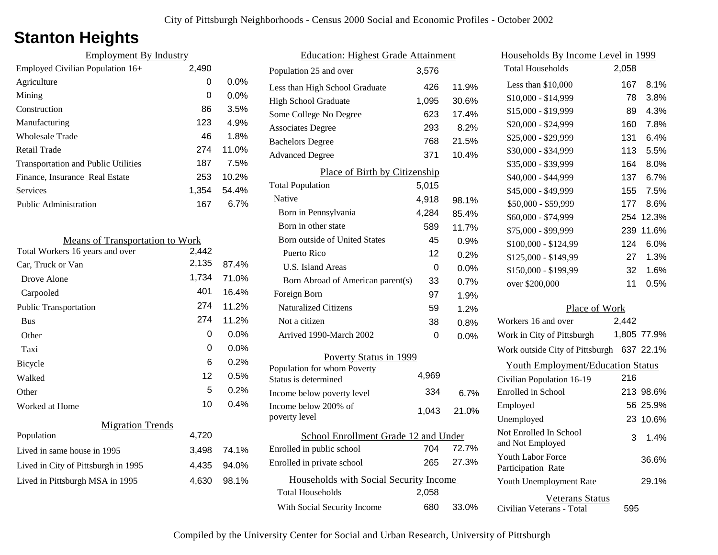## **Stanton Heights**

| <b>Employment By Industry</b>              |       |         |
|--------------------------------------------|-------|---------|
| Employed Civilian Population $16+$         | 2,490 |         |
| Agriculture                                | 0     | $0.0\%$ |
| Mining                                     | 0     | $0.0\%$ |
| Construction                               | 86    | 3.5%    |
| Manufacturing                              | 123   | 4.9%    |
| Wholesale Trade                            | 46    | 1.8%    |
| Retail Trade                               | 274   | 11.0%   |
| <b>Transportation and Public Utilities</b> | 187   | 7.5%    |
| Finance, Insurance Real Estate             | 253   | 10.2%   |
| <b>Services</b>                            | 1,354 | 54.4%   |
| <b>Public Administration</b>               | 167   | $6.7\%$ |

| <b>Means of Transportation to Work</b> |       |         |
|----------------------------------------|-------|---------|
| Total Workers 16 years and over        | 2,442 |         |
| Car, Truck or Van                      | 2,135 | 87.4%   |
| Drove Alone                            | 1,734 | 71.0%   |
| Carpooled                              | 401   | 16.4%   |
| <b>Public Transportation</b>           | 274   | 11.2%   |
| <b>Bus</b>                             | 274   | 11.2%   |
| Other                                  | 0     | $0.0\%$ |
| Taxi                                   | 0     | $0.0\%$ |
| <b>Bicycle</b>                         | 6     | 0.2%    |
| Walked                                 | 12    | 0.5%    |
| Other                                  | 5     | $0.2\%$ |
| Worked at Home                         | 10    | 0.4%    |
| <b>Migration Trends</b>                |       |         |
| Population                             | 4,720 |         |
| Lived in same house in 1995            | 3,498 | 74.1%   |
| Lived in City of Pittsburgh in 1995    | 4,435 | 94.0%   |
| Lived in Pittsburgh MSA in 1995        | 4,630 | 98.1%   |

| <b>Education: Highest Grade Attainment</b>                        |       |         |  |
|-------------------------------------------------------------------|-------|---------|--|
| Population 25 and over                                            | 3,576 |         |  |
| Less than High School Graduate                                    | 426   | 11.9%   |  |
| <b>High School Graduate</b>                                       | 1,095 | 30.6%   |  |
| Some College No Degree                                            | 623   | 17.4%   |  |
| <b>Associates Degree</b>                                          | 293   | 8.2%    |  |
| <b>Bachelors Degree</b>                                           | 768   | 21.5%   |  |
| <b>Advanced Degree</b>                                            | 371   | 10.4%   |  |
| Place of Birth by Citizenship                                     |       |         |  |
| <b>Total Population</b>                                           | 5,015 |         |  |
| Native                                                            | 4,918 | 98.1%   |  |
| Born in Pennsylvania                                              | 4,284 | 85.4%   |  |
| Born in other state                                               | 589   | 11.7%   |  |
| <b>Born outside of United States</b>                              | 45    | 0.9%    |  |
| Puerto Rico                                                       | 12    | 0.2%    |  |
| U.S. Island Areas                                                 | 0     | 0.0%    |  |
| Born Abroad of American parent(s)                                 | 33    | 0.7%    |  |
| Foreign Born                                                      | 97    | 1.9%    |  |
| <b>Naturalized Citizens</b>                                       | 59    | 1.2%    |  |
| Not a citizen                                                     | 38    | 0.8%    |  |
| Arrived 1990-March 2002                                           | 0     | $0.0\%$ |  |
| Poverty Status in 1999                                            |       |         |  |
| Population for whom Poverty                                       | 4,969 |         |  |
| Status is determined                                              | 334   |         |  |
| Income below poverty level<br>Income below 200% of                |       | 6.7%    |  |
| poverty level                                                     | 1,043 | 21.0%   |  |
| School Enrollment Grade 12 and Under                              |       |         |  |
| Enrolled in public school                                         | 704   | 72.7%   |  |
| Enrolled in private school                                        | 265   | 27.3%   |  |
|                                                                   |       |         |  |
| Households with Social Security Income<br><b>Total Households</b> | 2,058 |         |  |
|                                                                   |       |         |  |
| With Social Security Income                                       | 680   | 33.0%   |  |

| <u>Households By Income Level in 1999</u>           |       |             |
|-----------------------------------------------------|-------|-------------|
| <b>Total Households</b>                             | 2,058 |             |
| Less than \$10,000                                  | 167   | 8.1%        |
| $$10,000 - $14,999$                                 | 78    | 3.8%        |
| \$15,000 - \$19,999                                 | 89    | 4.3%        |
| \$20,000 - \$24,999                                 | 160   | 7.8%        |
| \$25,000 - \$29,999                                 | 131   | 6.4%        |
| \$30,000 - \$34,999                                 | 113   | 5.5%        |
| \$35,000 - \$39,999                                 | 164   | 8.0%        |
| \$40,000 - \$44,999                                 | 137   | 6.7%        |
| \$45,000 - \$49,999                                 | 155   | 7.5%        |
| \$50,000 - \$59,999                                 | 177   | 8.6%        |
| \$60,000 - \$74,999                                 | 254   | 12.3%       |
| \$75,000 - \$99,999                                 | 239   | 11.6%       |
| \$100,000 - \$124,99                                | 124   | 6.0%        |
| \$125,000 - \$149,99                                | 27    | 1.3%        |
| \$150,000 - \$199,99                                | 32    | 1.6%        |
| over \$200,000                                      | 11    | 0.5%        |
| Place of Work                                       |       |             |
| Workers 16 and over                                 | 2,442 |             |
| Work in City of Pittsburgh                          |       | 1,805 77.9% |
| Work outside City of Pittsburgh                     |       | 637 22.1%   |
| <b>Youth Employment/Education Status</b>            |       |             |
| Civilian Population 16-19                           | 216   |             |
| Enrolled in School                                  | 213   | 98.6%       |
| Employed                                            |       | 56 25.9%    |
| Unemployed                                          |       | 23 10.6%    |
| Not Enrolled In School<br>and Not Employed          | 3     | 1.4%        |
| <b>Youth Labor Force</b><br>Participation Rate      |       | 36.6%       |
| Youth Unemployment Rate                             |       | 29.1%       |
| <b>Veterans Status</b><br>Civilian Veterans - Total | 595   |             |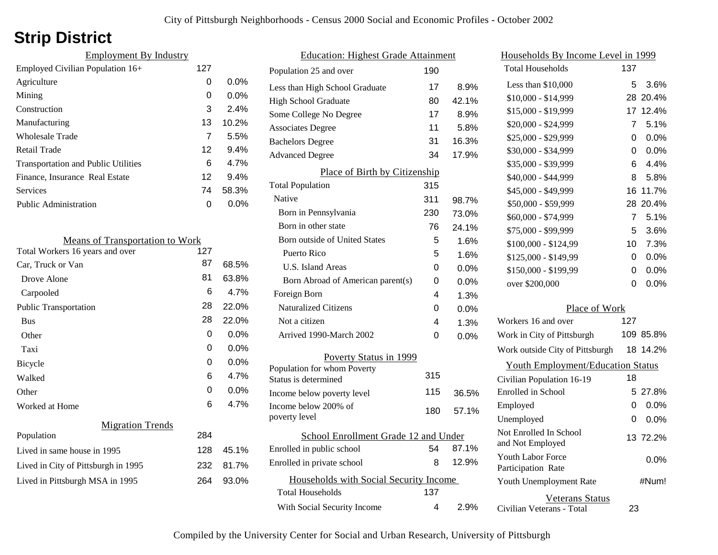# **Strip District**

| <b>Employment By Industry</b>              |     |         |
|--------------------------------------------|-----|---------|
| Employed Civilian Population 16+           | 127 |         |
| Agriculture                                | 0   | $0.0\%$ |
| Mining                                     | 0   | $0.0\%$ |
| Construction                               | 3   | 2.4%    |
| Manufacturing                              | 13  | 10.2%   |
| <b>Wholesale Trade</b>                     | 7   | 5.5%    |
| Retail Trade                               | 12  | 9.4%    |
| <b>Transportation and Public Utilities</b> | 6   | 4.7%    |
| Finance, Insurance Real Estate             | 12  | 9.4%    |
| <b>Services</b>                            | 74  | 58.3%   |
| <b>Public Administration</b>               | O   | $0.0\%$ |

| <b>Means of Transportation to Work</b> |     |         |
|----------------------------------------|-----|---------|
| Total Workers 16 years and over        | 127 |         |
| Car, Truck or Van                      | 87  | 68.5%   |
| Drove Alone                            | 81  | 63.8%   |
| Carpooled                              | 6   | 4.7%    |
| <b>Public Transportation</b>           | 28  | 22.0%   |
| <b>Bus</b>                             | 28  | 22.0%   |
| Other                                  | 0   | $0.0\%$ |
| Taxi                                   | 0   | $0.0\%$ |
| <b>Bicycle</b>                         | 0   | 0.0%    |
| Walked                                 | 6   | 4.7%    |
| Other                                  | 0   | $0.0\%$ |
| Worked at Home                         | 6   | 4.7%    |
| <b>Migration Trends</b>                |     |         |
| Population                             | 284 |         |
| Lived in same house in 1995            | 128 | 45.1%   |
| Lived in City of Pittsburgh in 1995    | 232 | 81.7%   |
| Lived in Pittsburgh MSA in 1995        | 264 | 93.0%   |
|                                        |     |         |

| <b>Education: Highest Grade Attainment</b> |     |       |
|--------------------------------------------|-----|-------|
| Population 25 and over                     | 190 |       |
| Less than High School Graduate             | 17  | 8.9%  |
| High School Graduate                       | 80  | 42.1% |
| Some College No Degree                     | 17  | 8.9%  |
| <b>Associates Degree</b>                   | 11  | 5.8%  |
| <b>Bachelors Degree</b>                    | 31  | 16.3% |
| <b>Advanced Degree</b>                     | 34  | 17.9% |
| Place of Birth by Citizenship              |     |       |
| <b>Total Population</b>                    | 315 |       |
| Native                                     | 311 | 98.7% |
| Born in Pennsylvania                       | 230 | 73.0% |
| Born in other state                        | 76  | 24.1% |
| <b>Born outside of United States</b>       | 5   | 1.6%  |
| Puerto Rico                                | 5   | 1.6%  |
| U.S. Island Areas                          | 0   | 0.0%  |
| Born Abroad of American parent(s)          | 0   | 0.0%  |
| Foreign Born                               | 4   | 1.3%  |
| <b>Naturalized Citizens</b>                | 0   | 0.0%  |
| Not a citizen                              | 4   | 1.3%  |
| Arrived 1990-March 2002                    | 0   | 0.0%  |
| Poverty Status in 1999                     |     |       |
| Population for whom Poverty                | 315 |       |
| Status is determined                       |     |       |
| Income below poverty level                 | 115 | 36.5% |
| Income below 200% of<br>poverty level      | 180 | 57.1% |
| School Enrollment Grade 12 and Under       |     |       |
| Enrolled in public school                  | 54  | 87.1% |
| Enrolled in private school                 | 8   | 12.9% |
| Households with Social Security Income     |     |       |
| Total Households                           | 137 |       |
| With Social Security Income                | 4   | 2.9%  |
|                                            |     |       |

|   | Households By Income Level in 1999                  |     |           |
|---|-----------------------------------------------------|-----|-----------|
|   | <b>Total Households</b>                             | 137 |           |
| % | Less than \$10,000                                  | 5   | 3.6%      |
| % | \$10,000 - \$14,999                                 | 28  | 20.4%     |
| % | \$15,000 - \$19,999                                 | 17  | 12.4%     |
| % | \$20,000 - \$24,999                                 | 7   | 5.1%      |
| % | \$25,000 - \$29,999                                 | 0   | 0.0%      |
| % | \$30,000 - \$34,999                                 | 0   | 0.0%      |
|   | \$35,000 - \$39,999                                 | 6   | 4.4%      |
|   | \$40,000 - \$44,999                                 | 8   | 5.8%      |
|   | \$45,000 - \$49,999                                 | 16  | 11.7%     |
| % | \$50,000 - \$59,999                                 | 28  | 20.4%     |
| % | \$60,000 - \$74,999                                 | 7   | 5.1%      |
| % | \$75,000 - \$99,999                                 | 5   | 3.6%      |
| % | \$100,000 - \$124,99                                | 10  | 7.3%      |
| % | \$125,000 - \$149,99                                | 0   | 0.0%      |
| % | \$150,000 - \$199,99                                | 0   | 0.0%      |
| % | over \$200,000                                      | 0   | 0.0%      |
| % |                                                     |     |           |
| % | Place of Work                                       |     |           |
| % | Workers 16 and over                                 | 127 |           |
| % | Work in City of Pittsburgh                          |     | 109 85.8% |
|   | Work outside City of Pittsburgh                     | 18  | 14.2%     |
|   | <b>Youth Employment/Education Status</b>            |     |           |
|   | Civilian Population 16-19                           | 18  |           |
| ℅ | Enrolled in School                                  | 5   | 27.8%     |
| ℅ | Employed                                            | 0   | 0.0%      |
|   | Unemployed                                          | 0   | 0.0%      |
| % | Not Enrolled In School<br>and Not Employed          |     | 13 72.2%  |
| % | <b>Youth Labor Force</b><br>Participation Rate      |     | $0.0\%$   |
|   | Youth Unemployment Rate                             |     | #Num!     |
| % | <b>Veterans Status</b><br>Civilian Veterans - Total | 23  |           |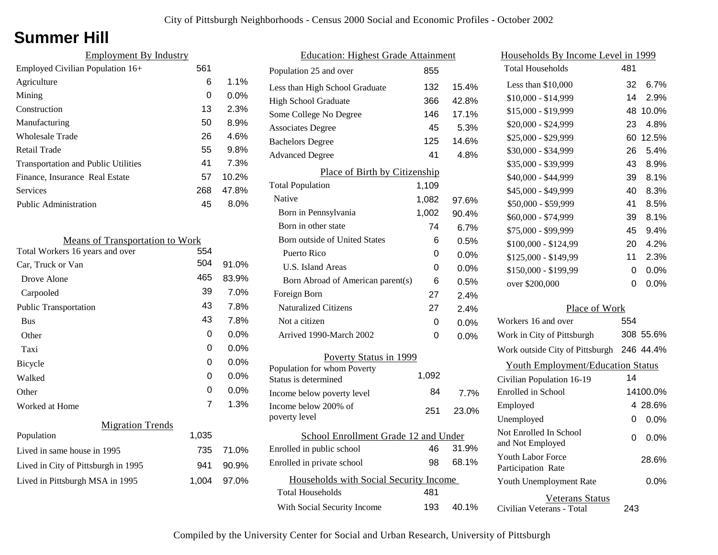### **Summer Hill**

| <b>Employment By Industry</b>              |     |         |
|--------------------------------------------|-----|---------|
| Employed Civilian Population 16+           | 561 |         |
| Agriculture                                | 6   | $1.1\%$ |
| Mining                                     | 0   | $0.0\%$ |
| Construction                               | 13  | 2.3%    |
| Manufacturing                              | 50  | 8.9%    |
| Wholesale Trade                            | 26  | 4.6%    |
| Retail Trade                               | 55  | 9.8%    |
| <b>Transportation and Public Utilities</b> | 41  | 7.3%    |
| Finance, Insurance Real Estate             | 57  | 10.2%   |
| <b>Services</b>                            | 268 | 47.8%   |
| <b>Public Administration</b>               | 45  | $8.0\%$ |

| <b>Means of Transportation to Work</b> |       |         |
|----------------------------------------|-------|---------|
| Total Workers 16 years and over        | 554   |         |
| Car, Truck or Van                      | 504   | 91.0%   |
| Drove Alone                            | 465   | 83.9%   |
| Carpooled                              | 39    | 7.0%    |
| <b>Public Transportation</b>           | 43    | 7.8%    |
| <b>Bus</b>                             | 43    | 7.8%    |
| Other                                  | 0     | 0.0%    |
| Taxi                                   | 0     | 0.0%    |
| Bicycle                                | 0     | 0.0%    |
| Walked                                 | 0     | $0.0\%$ |
| Other                                  | 0     | 0.0%    |
| Worked at Home                         | 7     | 1.3%    |
| <b>Migration Trends</b>                |       |         |
| Population                             | 1,035 |         |
| Lived in same house in 1995            | 735   | 71.0%   |
| Lived in City of Pittsburgh in 1995    | 941   | 90.9%   |
| Lived in Pittsburgh MSA in 1995        | 1,004 | 97.0%   |

| <b>Education: Highest Grade Attainment</b>          |       |         |
|-----------------------------------------------------|-------|---------|
| Population 25 and over                              | 855   |         |
| Less than High School Graduate                      | 132   | 15.4%   |
| <b>High School Graduate</b>                         | 366   | 42.8%   |
| Some College No Degree                              | 146   | 17.1%   |
| <b>Associates Degree</b>                            | 45    | 5.3%    |
| <b>Bachelors Degree</b>                             | 125   | 14.6%   |
| <b>Advanced Degree</b>                              | 41    | 4.8%    |
| Place of Birth by Citizenship                       |       |         |
| <b>Total Population</b>                             | 1,109 |         |
| Native                                              | 1,082 | 97.6%   |
| Born in Pennsylvania                                | 1,002 | 90.4%   |
| Born in other state                                 | 74    | 6.7%    |
| <b>Born outside of United States</b>                | 6     | 0.5%    |
| Puerto Rico                                         | 0     | 0.0%    |
| U.S. Island Areas                                   | 0     | 0.0%    |
| Born Abroad of American parent(s)                   | 6     | 0.5%    |
| Foreign Born                                        | 27    | 2.4%    |
| <b>Naturalized Citizens</b>                         | 27    | 2.4%    |
| Not a citizen                                       | 0     | 0.0%    |
| Arrived 1990-March 2002                             | 0     | $0.0\%$ |
| Poverty Status in 1999                              |       |         |
| Population for whom Poverty<br>Status is determined | 1,092 |         |
| Income below poverty level                          | 84    | 7.7%    |
| Income below 200% of<br>poverty level               | 251   | 23.0%   |
| School Enrollment Grade 12 and Under                |       |         |
| Enrolled in public school                           | 46    | 31.9%   |
| Enrolled in private school                          | 98    | 68.1%   |
| Households with Social Security Income              |       |         |
| Total Households                                    | 481   |         |
| With Social Security Income                         | 193   | 40.1%   |

| <u>Households By Income Level in 1999</u>           |     |           |
|-----------------------------------------------------|-----|-----------|
| <b>Total Households</b>                             | 481 |           |
| Less than \$10,000                                  | 32  | 6.7%      |
| $$10,000 - $14,999$                                 | 14  | 2.9%      |
| \$15,000 - \$19,999                                 | 48  | 10.0%     |
| \$20,000 - \$24,999                                 | 23  | 4.8%      |
| \$25,000 - \$29,999                                 | 60  | 12.5%     |
| \$30,000 - \$34,999                                 | 26  | 5.4%      |
| \$35,000 - \$39,999                                 | 43  | 8.9%      |
| \$40,000 - \$44,999                                 | 39  | 8.1%      |
| \$45,000 - \$49,999                                 | 40  | 8.3%      |
| \$50,000 - \$59,999                                 | 41  | 8.5%      |
| \$60,000 - \$74,999                                 | 39  | 8.1%      |
| \$75,000 - \$99,999                                 | 45  | 9.4%      |
| \$100,000 - \$124,99                                | 20  | 4.2%      |
| \$125,000 - \$149,99                                | 11  | 2.3%      |
| \$150,000 - \$199,99                                | 0   | 0.0%      |
| over \$200,000                                      | 0   | $0.0\%$   |
| Place of Work                                       |     |           |
| Workers 16 and over                                 | 554 |           |
| Work in City of Pittsburgh                          |     | 308 55.6% |
| Work outside City of Pittsburgh                     |     | 246 44.4% |
| <b>Youth Employment/Education Status</b>            |     |           |
| Civilian Population 16-19                           | 14  |           |
| Enrolled in School                                  |     | 14100.0%  |
| Employed                                            |     | 4 28.6%   |
| Unemployed                                          | 0   | 0.0%      |
| Not Enrolled In School<br>and Not Employed          | 0   | 0.0%      |
| <b>Youth Labor Force</b><br>Participation Rate      |     | 28.6%     |
| Youth Unemployment Rate                             |     | 0.0%      |
| <b>Veterans Status</b><br>Civilian Veterans - Total | 243 |           |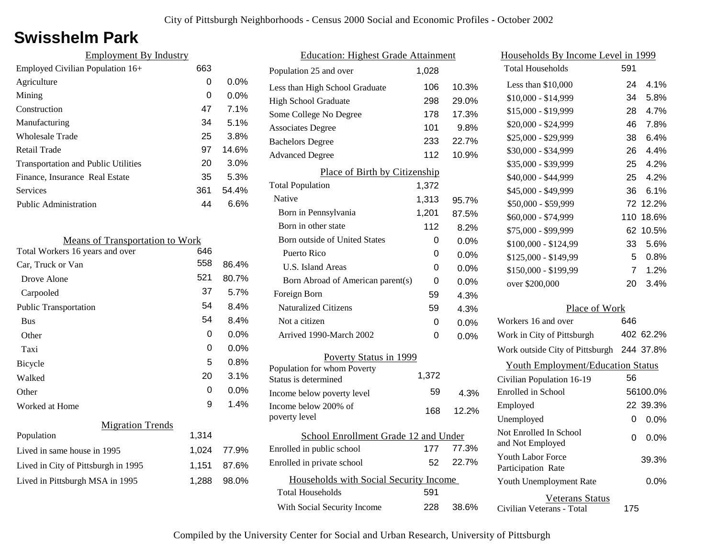## **Swisshelm Park**

| <b>Employment By Industry</b>              |     |         |
|--------------------------------------------|-----|---------|
| Employed Civilian Population 16+           | 663 |         |
| Agriculture                                | 0   | 0.0%    |
| Mining                                     | 0   | 0.0%    |
| Construction                               | 47  | 7.1%    |
| Manufacturing                              | 34  | 5.1%    |
| <b>Wholesale Trade</b>                     | 25  | 3.8%    |
| Retail Trade                               | 97  | 14.6%   |
| <b>Transportation and Public Utilities</b> | 20  | 3.0%    |
| Finance, Insurance Real Estate             | 35  | 5.3%    |
| Services                                   | 361 | 54.4%   |
| <b>Public Administration</b>               | 44  | $6.6\%$ |
|                                            |     |         |
| <b>Means of Transportation to Work</b>     |     |         |
| Total Workers 16 years and over            | 61G |         |

| Total Workers 16 years and over     | 646   |         |
|-------------------------------------|-------|---------|
| Car, Truck or Van                   | 558   | 86.4%   |
| Drove Alone                         | 521   | 80.7%   |
| Carpooled                           | 37    | 5.7%    |
| <b>Public Transportation</b>        | 54    | 8.4%    |
| <b>Bus</b>                          | 54    | 8.4%    |
| Other                               | 0     | $0.0\%$ |
| Taxi                                | 0     | $0.0\%$ |
| Bicycle                             | 5     | $0.8\%$ |
| Walked                              | 20    | 3.1%    |
| Other                               | 0     | $0.0\%$ |
| Worked at Home                      | 9     | 1.4%    |
| <b>Migration Trends</b>             |       |         |
| Population                          | 1,314 |         |
| Lived in same house in 1995         | 1,024 | 77.9%   |
| Lived in City of Pittsburgh in 1995 | 1,151 | 87.6%   |
| Lived in Pittsburgh MSA in 1995     | 1,288 | 98.0%   |
|                                     |       |         |

| <b>Education: Highest Grade Attainment</b> |       |         |
|--------------------------------------------|-------|---------|
| Population 25 and over                     | 1,028 |         |
| Less than High School Graduate             | 106   | 10.3%   |
| <b>High School Graduate</b>                | 298   | 29.0%   |
| Some College No Degree                     | 178   | 17.3%   |
| <b>Associates Degree</b>                   | 101   | 9.8%    |
| <b>Bachelors Degree</b>                    | 233   | 22.7%   |
| <b>Advanced Degree</b>                     | 112   | 10.9%   |
| Place of Birth by Citizenship              |       |         |
| <b>Total Population</b>                    | 1,372 |         |
| Native                                     | 1,313 | 95.7%   |
| Born in Pennsylvania                       | 1,201 | 87.5%   |
| Born in other state                        | 112   | 8.2%    |
| <b>Born outside of United States</b>       | 0     | $0.0\%$ |
| Puerto Rico                                | 0     | $0.0\%$ |
| U.S. Island Areas                          | 0     | 0.0%    |
| Born Abroad of American parent(s)          | 0     | 0.0%    |
| Foreign Born                               | 59    | 4.3%    |
| <b>Naturalized Citizens</b>                | 59    | 4.3%    |
| Not a citizen                              | 0     | $0.0\%$ |
| Arrived 1990-March 2002                    | 0     | 0.0%    |
| Poverty Status in 1999                     |       |         |
| Population for whom Poverty                | 1,372 |         |
| Status is determined                       |       |         |
| Income below poverty level                 | 59    | 4.3%    |
| Income below 200% of<br>poverty level      | 168   | 12.2%   |
|                                            |       |         |
| School Enrollment Grade 12 and Under       |       |         |
| Enrolled in public school                  | 177   | 77.3%   |
| Enrolled in private school                 | 52    | 22.7%   |
| Households with Social Security Income     |       |         |
| <b>Total Households</b>                    | 591   |         |
| With Social Security Income                | 228   | 38.6%   |

| Households By Income Level in 1999                  |                 |           |
|-----------------------------------------------------|-----------------|-----------|
| <b>Total Households</b>                             | 591             |           |
| Less than \$10,000                                  | 24              | 4.1%      |
| \$10,000 - \$14,999                                 | 34              | 5.8%      |
| \$15,000 - \$19,999                                 | 28              | 4.7%      |
| \$20,000 - \$24,999                                 | 46              | 7.8%      |
| \$25,000 - \$29,999                                 | 38              | 6.4%      |
| \$30,000 - \$34,999                                 | 26              | 4.4%      |
| \$35,000 - \$39,999                                 | 25 <sub>2</sub> | 4.2%      |
| \$40,000 - \$44,999                                 | 25              | 4.2%      |
| \$45,000 - \$49,999                                 | 36              | 6.1%      |
| \$50,000 - \$59,999                                 | 72              | 12.2%     |
| \$60,000 - \$74,999                                 | 110             | 18.6%     |
| \$75,000 - \$99,999                                 | 62              | 10.5%     |
| \$100,000 - \$124,99                                | 33              | 5.6%      |
| \$125,000 - \$149,99                                | 5               | $0.8\%$   |
| \$150,000 - \$199,99                                | 7               | 1.2%      |
| over \$200,000                                      | 20              | 3.4%      |
| Place of Work                                       |                 |           |
| Workers 16 and over                                 | 646             |           |
| Work in City of Pittsburgh                          |                 | 402 62.2% |
| Work outside City of Pittsburgh                     |                 | 244 37.8% |
| <b>Youth Employment/Education Status</b>            |                 |           |
| Civilian Population 16-19                           | 56              |           |
| Enrolled in School                                  |                 | 56100.0%  |
| Employed                                            |                 | 22 39.3%  |
| Unemployed                                          | 0               | 0.0%      |
| Not Enrolled In School<br>and Not Employed          | 0               | $0.0\%$   |
| <b>Youth Labor Force</b><br>Participation Rate      |                 | 39.3%     |
| Youth Unemployment Rate                             |                 | $0.0\%$   |
| <b>Veterans Status</b><br>Civilian Veterans - Total | 175             |           |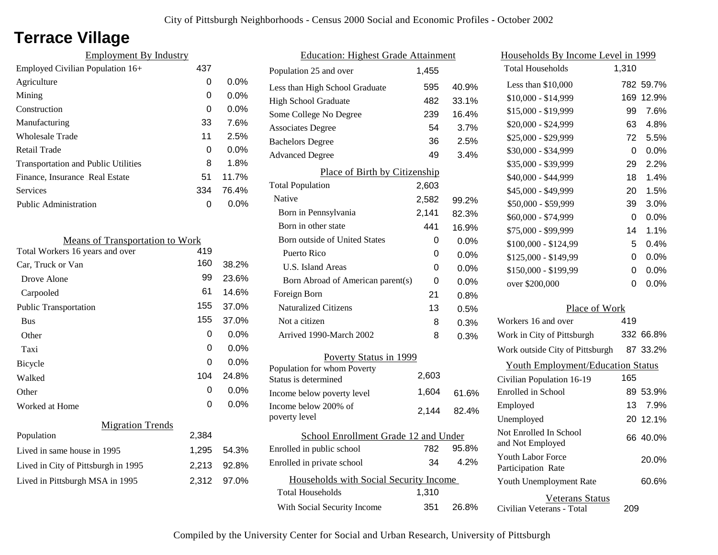## **Terrace Village**

| <b>Employment By Industry</b>              |     |         |
|--------------------------------------------|-----|---------|
| Employed Civilian Population 16+           | 437 |         |
| Agriculture                                | 0   | $0.0\%$ |
| Mining                                     | 0   | $0.0\%$ |
| Construction                               | 0   | $0.0\%$ |
| Manufacturing                              | 33  | 7.6%    |
| <b>Wholesale Trade</b>                     | 11  | 2.5%    |
| Retail Trade                               | 0   | $0.0\%$ |
| <b>Transportation and Public Utilities</b> | 8   | 1.8%    |
| Finance, Insurance Real Estate             | 51  | 11.7%   |
| <b>Services</b>                            | 334 | 76.4%   |
| <b>Public Administration</b>               | O   | $0.0\%$ |
|                                            |     |         |

| <b>Means of Transportation to Work</b> |       |         |
|----------------------------------------|-------|---------|
| Total Workers 16 years and over        | 419   |         |
| Car, Truck or Van                      | 160   | 38.2%   |
| Drove Alone                            | 99    | 23.6%   |
| Carpooled                              | 61    | 14.6%   |
| <b>Public Transportation</b>           | 155   | 37.0%   |
| <b>Bus</b>                             | 155   | 37.0%   |
| Other                                  | 0     | $0.0\%$ |
| Taxi                                   | 0     | $0.0\%$ |
| Bicycle                                | 0     | $0.0\%$ |
| Walked                                 | 104   | 24.8%   |
| Other                                  | 0     | 0.0%    |
| Worked at Home                         | 0     | $0.0\%$ |
| <b>Migration Trends</b>                |       |         |
| Population                             | 2,384 |         |
| Lived in same house in 1995            | 1,295 | 54.3%   |
| Lived in City of Pittsburgh in 1995    | 2,213 | 92.8%   |
| Lived in Pittsburgh MSA in 1995        | 2,312 | 97.0%   |
|                                        |       |         |

| <b>Education: Highest Grade Attainment</b> |                                        |       |         |
|--------------------------------------------|----------------------------------------|-------|---------|
|                                            | Population 25 and over                 | 1,455 |         |
|                                            | Less than High School Graduate         | 595   | 40.9%   |
|                                            | <b>High School Graduate</b>            | 482   | 33.1%   |
|                                            | Some College No Degree                 | 239   | 16.4%   |
|                                            | <b>Associates Degree</b>               | 54    | 3.7%    |
|                                            | <b>Bachelors Degree</b>                | 36    | 2.5%    |
|                                            | <b>Advanced Degree</b>                 | 49    | 3.4%    |
|                                            | Place of Birth by Citizenship          |       |         |
|                                            | <b>Total Population</b>                | 2,603 |         |
|                                            | Native                                 | 2,582 | 99.2%   |
|                                            | Born in Pennsylvania                   | 2,141 | 82.3%   |
|                                            | Born in other state                    | 441   | 16.9%   |
|                                            | <b>Born outside of United States</b>   | 0     | $0.0\%$ |
|                                            | Puerto Rico                            | 0     | $0.0\%$ |
|                                            | <b>U.S. Island Areas</b>               | 0     | $0.0\%$ |
|                                            | Born Abroad of American parent(s)      | 0     | 0.0%    |
|                                            | Foreign Born                           | 21    | 0.8%    |
|                                            | <b>Naturalized Citizens</b>            | 13    | 0.5%    |
|                                            | Not a citizen                          | 8     | 0.3%    |
|                                            | Arrived 1990-March 2002                | 8     | 0.3%    |
|                                            | Poverty Status in 1999                 |       |         |
|                                            | Population for whom Poverty            |       |         |
|                                            | Status is determined                   | 2,603 |         |
|                                            | Income below poverty level             | 1,604 | 61.6%   |
|                                            | Income below 200% of<br>poverty level  | 2,144 | 82.4%   |
|                                            | School Enrollment Grade 12 and Under   |       |         |
|                                            | Enrolled in public school              | 782   | 95.8%   |
|                                            | Enrolled in private school             | 34    | 4.2%    |
|                                            | Households with Social Security Income |       |         |
|                                            | <b>Total Households</b>                | 1,310 |         |
|                                            | With Social Security Income            | 351   | 26.8%   |
|                                            |                                        |       |         |

| Households By Income Level in 1999         |       |           |
|--------------------------------------------|-------|-----------|
| <b>Total Households</b>                    | 1,310 |           |
| Less than \$10,000                         | 782   | 59.7%     |
| \$10,000 - \$14,999                        | 169   | 12.9%     |
| \$15,000 - \$19,999                        | 99    | 7.6%      |
| \$20,000 - \$24,999                        | 63    | 4.8%      |
| \$25,000 - \$29,999                        | 72    | 5.5%      |
| \$30,000 - \$34,999                        | 0     | 0.0%      |
| \$35,000 - \$39,999                        | 29    | 2.2%      |
| \$40,000 - \$44,999                        | 18    | 1.4%      |
| \$45,000 - \$49,999                        | 20    | 1.5%      |
| \$50,000 - \$59,999                        | 39    | 3.0%      |
| \$60,000 - \$74,999                        | 0     | 0.0%      |
| \$75,000 - \$99,999                        | 14    | 1.1%      |
| \$100,000 - \$124,99                       | 5     | 0.4%      |
| \$125,000 - \$149,99                       | 0     | 0.0%      |
| \$150,000 - \$199,99                       | 0     | 0.0%      |
| over \$200,000                             | 0     | 0.0%      |
| Place of Work                              |       |           |
| Workers 16 and over                        | 419   |           |
| Work in City of Pittsburgh                 |       | 332 66.8% |
| Work outside City of Pittsburgh            |       | 87 33.2%  |
| <b>Youth Employment/Education Status</b>   |       |           |
| Civilian Population 16-19                  | 165   |           |
| Enrolled in School                         |       | 89 53.9%  |
| Employed                                   | 13.   | 7.9%      |
| Unemployed                                 |       | 20 12.1%  |
| Not Enrolled In School<br>and Not Employed |       | 66 40.0%  |
| Youth Labor Force<br>Participation Rate    |       | 20.0%     |
| Youth Unemployment Rate                    |       | 60.6%     |
| Veterans Status                            |       |           |

Civilian Veterans - Total

209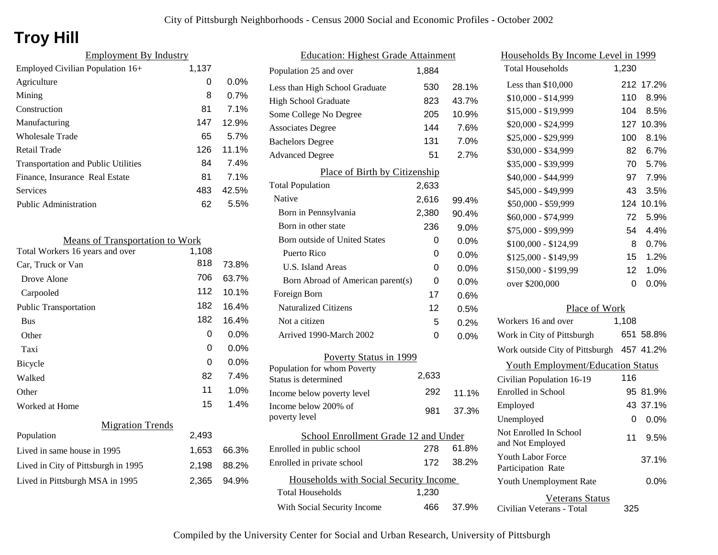# **Troy Hill**

| <b>Employment By Industry</b>              |       |         |
|--------------------------------------------|-------|---------|
| Employed Civilian Population 16+           | 1,137 |         |
| Agriculture                                | 0     | $0.0\%$ |
| Mining                                     | 8     | 0.7%    |
| Construction                               | 81    | 7.1%    |
| Manufacturing                              | 147   | 12.9%   |
| <b>Wholesale Trade</b>                     | 65    | 5.7%    |
| Retail Trade                               | 126   | 11.1%   |
| <b>Transportation and Public Utilities</b> | 84    | 7.4%    |
| Finance, Insurance Real Estate             | 81    | 7.1%    |
| Services                                   | 483   | 42.5%   |
| Public Administration                      | 62    | 5.5%    |

| <b>Means of Transportation to Work</b> |       |         |
|----------------------------------------|-------|---------|
| Total Workers 16 years and over        | 1,108 |         |
| Car, Truck or Van                      | 818   | 73.8%   |
| Drove Alone                            | 706   | 63.7%   |
| Carpooled                              | 112   | 10.1%   |
| <b>Public Transportation</b>           | 182   | 16.4%   |
| <b>Bus</b>                             | 182   | 16.4%   |
| Other                                  | 0     | $0.0\%$ |
| Taxi                                   | 0     | $0.0\%$ |
| <b>Bicycle</b>                         | 0     | $0.0\%$ |
| Walked                                 | 82    | 7.4%    |
| Other                                  | 11    | 1.0%    |
| Worked at Home                         | 15    | 1.4%    |
| <b>Migration Trends</b>                |       |         |
| Population                             | 2,493 |         |
| Lived in same house in 1995            | 1,653 | 66.3%   |
| Lived in City of Pittsburgh in 1995    | 2,198 | 88.2%   |
| Lived in Pittsburgh MSA in 1995        | 2,365 | 94.9%   |
|                                        |       |         |

| <b>Education: Highest Grade Attainment</b> |       |         |
|--------------------------------------------|-------|---------|
| Population 25 and over                     | 1,884 |         |
| Less than High School Graduate             | 530   | 28.1%   |
| <b>High School Graduate</b>                | 823   | 43.7%   |
| Some College No Degree                     | 205   | 10.9%   |
| <b>Associates Degree</b>                   | 144   | 7.6%    |
| <b>Bachelors Degree</b>                    | 131   | 7.0%    |
| <b>Advanced Degree</b>                     | 51    | 2.7%    |
| Place of Birth by Citizenship              |       |         |
| <b>Total Population</b>                    | 2,633 |         |
| Native                                     | 2,616 | 99.4%   |
| Born in Pennsylvania                       | 2,380 | 90.4%   |
| Born in other state                        | 236   | 9.0%    |
| Born outside of United States              | 0     | 0.0%    |
| Puerto Rico                                | 0     | 0.0%    |
| U.S. Island Areas                          | 0     | $0.0\%$ |
| Born Abroad of American parent(s)          | 0     | 0.0%    |
| Foreign Born                               | 17    | 0.6%    |
| <b>Naturalized Citizens</b>                | 12    | 0.5%    |
| Not a citizen                              | 5     | 0.2%    |
| Arrived 1990-March 2002                    | 0     | $0.0\%$ |
| Poverty Status in 1999                     |       |         |
| Population for whom Poverty                | 2,633 |         |
| Status is determined                       |       |         |
| Income below poverty level                 | 292   | 11.1%   |
| Income below 200% of<br>poverty level      | 981   | 37.3%   |
| School Enrollment Grade 12 and Under       |       |         |
| Enrolled in public school                  | 278   | 61.8%   |
| Enrolled in private school                 | 172   | 38.2%   |
| Households with Social Security Income     |       |         |
| <b>Total Households</b>                    | 1,230 |         |
| With Social Security Income                | 466   | 37.9%   |

| Households By Income Level in 1999             |                 |           |
|------------------------------------------------|-----------------|-----------|
| <b>Total Households</b>                        | 1,230           |           |
| Less than \$10,000                             | 212             | 17.2%     |
| \$10,000 - \$14,999                            | 110             | 8.9%      |
| \$15,000 - \$19,999                            | 104             | 8.5%      |
| \$20,000 - \$24,999                            | 127             | 10.3%     |
| \$25,000 - \$29,999                            | 100             | 8.1%      |
| \$30,000 - \$34,999                            | 82              | 6.7%      |
| \$35,000 - \$39,999                            | 70              | 5.7%      |
| \$40,000 - \$44,999                            | 97              | 7.9%      |
| \$45,000 - \$49,999                            | 43              | 3.5%      |
| \$50,000 - \$59,999                            | 124             | 10.1%     |
| \$60,000 - \$74,999                            | 72              | 5.9%      |
| \$75,000 - \$99,999                            | 54              | 4.4%      |
| \$100,000 - \$124,99                           | 8               | 0.7%      |
| \$125,000 - \$149,99                           | 15              | 1.2%      |
| \$150,000 - \$199,99                           | 12 <sub>2</sub> | 1.0%      |
| over \$200,000                                 | $\Omega$        | 0.0%      |
| Place of Work                                  |                 |           |
| Workers 16 and over                            | 1,108           |           |
| Work in City of Pittsburgh                     |                 | 651 58.8% |
| Work outside City of Pittsburgh 457 41.2%      |                 |           |
| <b>Youth Employment/Education Status</b>       |                 |           |
| Civilian Population 16-19                      | 116             |           |
| <b>Enrolled</b> in School                      |                 | 95 81.9%  |
| Employed                                       |                 | 43 37.1%  |
| Unemployed                                     | 0               | 0.0%      |
| Not Enrolled In School<br>and Not Employed     | 11              | 9.5%      |
| <b>Youth Labor Force</b><br>Participation Rate |                 | 37.1%     |
| Youth Unemployment Rate                        |                 | 0.0%      |
| <b>Veterans Status</b>                         |                 |           |

Civilian Veterans - Total

325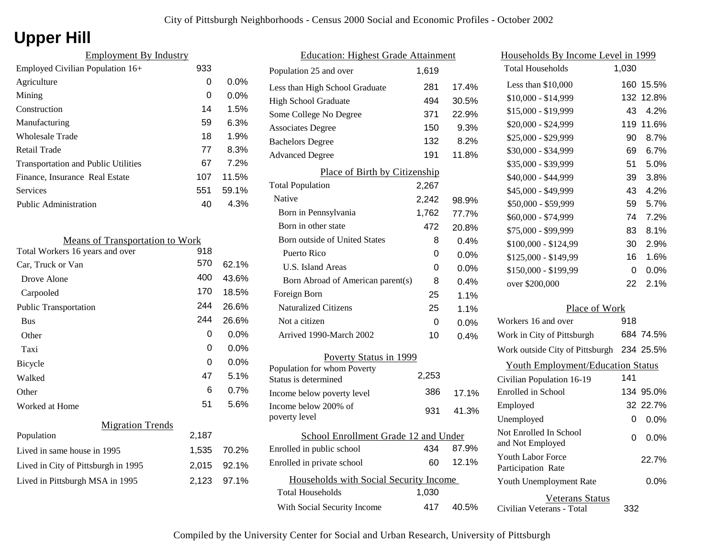# **Upper Hill**

| <b>Employment By Industry</b>              |     |         |
|--------------------------------------------|-----|---------|
| Employed Civilian Population 16+           | 933 |         |
| Agriculture                                | 0   | $0.0\%$ |
| Mining                                     | 0   | $0.0\%$ |
| Construction                               | 14  | 1.5%    |
| Manufacturing                              | 59  | 6.3%    |
| Wholesale Trade                            | 18  | 1.9%    |
| Retail Trade                               | 77  | 8.3%    |
| <b>Transportation and Public Utilities</b> | 67  | 7.2%    |
| Finance, Insurance Real Estate             | 107 | 11.5%   |
| Services                                   | 551 | 59.1%   |
| <b>Public Administration</b>               | 40  | 4.3%    |

| <b>Means of Transportation to Work</b> |       |         |
|----------------------------------------|-------|---------|
| Total Workers 16 years and over        | 918   |         |
| Car, Truck or Van                      | 570   | 62.1%   |
| Drove Alone                            | 400   | 43.6%   |
| Carpooled                              | 170   | 18.5%   |
| <b>Public Transportation</b>           | 244   | 26.6%   |
| <b>Bus</b>                             | 244   | 26.6%   |
| Other                                  | 0     | $0.0\%$ |
| Taxi                                   | 0     | $0.0\%$ |
| Bicycle                                | 0     | 0.0%    |
| Walked                                 | 47    | 5.1%    |
| Other                                  | 6     | 0.7%    |
| Worked at Home                         | 51    | 5.6%    |
| <b>Migration Trends</b>                |       |         |
| Population                             | 2,187 |         |
| Lived in same house in 1995            | 1,535 | 70.2%   |
| Lived in City of Pittsburgh in 1995    | 2,015 | 92.1%   |
| Lived in Pittsburgh MSA in 1995        | 2,123 | 97.1%   |

| <b>Education: Highest Grade Attainment</b> |       |       |
|--------------------------------------------|-------|-------|
| Population 25 and over                     | 1,619 |       |
| Less than High School Graduate             | 281   | 17.4% |
| <b>High School Graduate</b>                | 494   | 30.5% |
| Some College No Degree                     | 371   | 22.9% |
| <b>Associates Degree</b>                   | 150   | 9.3%  |
| <b>Bachelors Degree</b>                    | 132   | 8.2%  |
| <b>Advanced Degree</b>                     | 191   | 11.8% |
| Place of Birth by Citizenship              |       |       |
| <b>Total Population</b>                    | 2,267 |       |
| Native                                     | 2,242 | 98.9% |
| Born in Pennsylvania                       | 1,762 | 77.7% |
| Born in other state                        | 472   | 20.8% |
| <b>Born outside of United States</b>       | 8     | 0.4%  |
| Puerto Rico                                | 0     | 0.0%  |
| U.S. Island Areas                          | 0     | 0.0%  |
| Born Abroad of American parent(s)          | 8     | 0.4%  |
| Foreign Born                               | 25    | 1.1%  |
| <b>Naturalized Citizens</b>                | 25    | 1.1%  |
| Not a citizen                              | 0     | 0.0%  |
| Arrived 1990-March 2002                    | 10    | 0.4%  |
| Poverty Status in 1999                     |       |       |
| Population for whom Poverty                | 2,253 |       |
| Status is determined                       |       |       |
| Income below poverty level                 | 386   | 17.1% |
| Income below 200% of<br>poverty level      | 931   | 41.3% |
| School Enrollment Grade 12 and Under       |       |       |
| Enrolled in public school                  | 434   | 87.9% |
| Enrolled in private school                 | 60    | 12.1% |
| Households with Social Security Income     |       |       |
| <b>Total Households</b>                    | 1,030 |       |
| With Social Security Income                | 417   | 40.5% |

| Households By Income Level in 1999                  |       |           |
|-----------------------------------------------------|-------|-----------|
| <b>Total Households</b>                             | 1,030 |           |
| Less than \$10,000                                  | 160   | 15.5%     |
| \$10,000 - \$14,999                                 | 132   | 12.8%     |
| \$15,000 - \$19,999                                 | 43    | 4.2%      |
| \$20,000 - \$24,999                                 | 119   | 11.6%     |
| \$25,000 - \$29,999                                 | 90    | 8.7%      |
| \$30,000 - \$34,999                                 | 69    | 6.7%      |
| \$35,000 - \$39,999                                 | 51    | 5.0%      |
| \$40,000 - \$44,999                                 | 39    | 3.8%      |
| \$45,000 - \$49,999                                 | 43    | 4.2%      |
| \$50,000 - \$59,999                                 | 59    | 5.7%      |
| \$60,000 - \$74,999                                 | 74    | 7.2%      |
| \$75,000 - \$99,999                                 | 83    | 8.1%      |
| \$100,000 - \$124,99                                | 30    | 2.9%      |
| \$125,000 - \$149,99                                | 16    | 1.6%      |
| \$150,000 - \$199,99                                | 0     | 0.0%      |
| over \$200,000                                      | 22    | 2.1%      |
| Place of Work                                       |       |           |
| Workers 16 and over                                 | 918   |           |
| Work in City of Pittsburgh                          |       | 684 74.5% |
| Work outside City of Pittsburgh                     |       | 234 25.5% |
| <b>Youth Employment/Education Status</b>            |       |           |
| Civilian Population 16-19                           | 141   |           |
| <b>Enrolled</b> in School                           |       | 134 95.0% |
| Employed                                            |       | 32 22.7%  |
| Unemployed                                          | 0     | 0.0%      |
| Not Enrolled In School<br>and Not Employed          | 0     | $0.0\%$   |
| Youth Labor Force<br>Participation Rate             |       | 22.7%     |
| Youth Unemployment Rate                             |       | $0.0\%$   |
| <b>Veterans Status</b><br>Civilian Veterans - Total | 332   |           |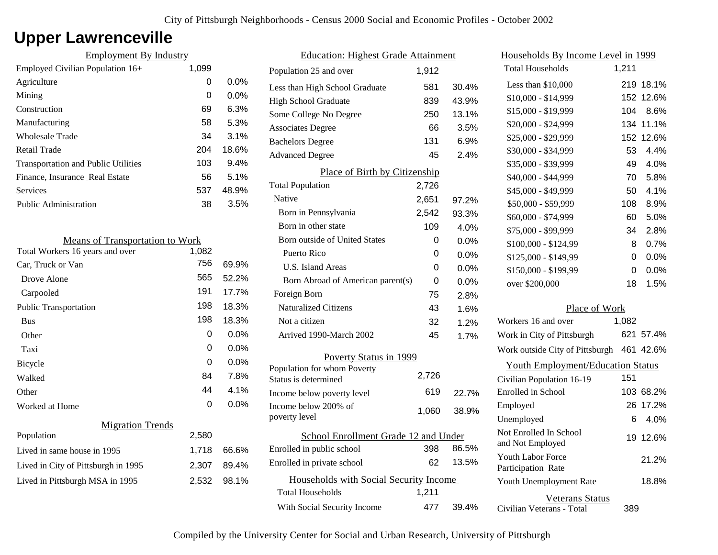## **Upper Lawrenceville**

| <b>Employment By Industry</b>              |       |         |
|--------------------------------------------|-------|---------|
| Employed Civilian Population 16+           | 1,099 |         |
| Agriculture                                | 0     | $0.0\%$ |
| Mining                                     | 0     | $0.0\%$ |
| Construction                               | 69    | 6.3%    |
| Manufacturing                              | 58    | 5.3%    |
| <b>Wholesale Trade</b>                     | 34    | 3.1%    |
| Retail Trade                               | 204   | 18.6%   |
| <b>Transportation and Public Utilities</b> | 103   | $9.4\%$ |
| Finance, Insurance Real Estate             | 56    | 5.1%    |
| Services                                   | 537   | 48.9%   |
| <b>Public Administration</b>               | 38    | 3.5%    |

| <b>Means of Transportation to Work</b> |       |         |
|----------------------------------------|-------|---------|
| Total Workers 16 years and over        | 1,082 |         |
| Car, Truck or Van                      | 756   | 69.9%   |
| Drove Alone                            | 565   | 52.2%   |
| Carpooled                              | 191   | 17.7%   |
| <b>Public Transportation</b>           | 198   | 18.3%   |
| <b>Bus</b>                             | 198   | 18.3%   |
| Other                                  | 0     | 0.0%    |
| Taxi                                   | 0     | $0.0\%$ |
| Bicycle                                | 0     | 0.0%    |
| Walked                                 | 84    | 7.8%    |
| Other                                  | 44    | 4.1%    |
| Worked at Home                         | 0     | $0.0\%$ |
| <b>Migration Trends</b>                |       |         |
| Population                             | 2,580 |         |
| Lived in same house in 1995            | 1,718 | 66.6%   |
| Lived in City of Pittsburgh in 1995    | 2,307 | 89.4%   |
| Lived in Pittsburgh MSA in 1995        | 2,532 | 98.1%   |

| <b>Education: Highest Grade Attainment</b> |       |         |
|--------------------------------------------|-------|---------|
| Population 25 and over                     | 1,912 |         |
| Less than High School Graduate             | 581   | 30.4%   |
| <b>High School Graduate</b>                | 839   | 43.9%   |
| Some College No Degree                     | 250   | 13.1%   |
| <b>Associates Degree</b>                   | 66    | 3.5%    |
| <b>Bachelors Degree</b>                    | 131   | 6.9%    |
| <b>Advanced Degree</b>                     | 45    | 2.4%    |
| Place of Birth by Citizenship              |       |         |
| <b>Total Population</b>                    | 2,726 |         |
| Native                                     | 2,651 | 97.2%   |
| Born in Pennsylvania                       | 2,542 | 93.3%   |
| Born in other state                        | 109   | 4.0%    |
| <b>Born outside of United States</b>       | 0     | $0.0\%$ |
| Puerto Rico                                | 0     | 0.0%    |
| U.S. Island Areas                          | 0     | 0.0%    |
| Born Abroad of American parent(s)          | 0     | 0.0%    |
| Foreign Born                               | 75    | 2.8%    |
| <b>Naturalized Citizens</b>                | 43    | 1.6%    |
| Not a citizen                              | 32    | 1.2%    |
| Arrived 1990-March 2002                    | 45    | 1.7%    |
| Poverty Status in 1999                     |       |         |
| Population for whom Poverty                | 2,726 |         |
| Status is determined                       |       |         |
| Income below poverty level                 | 619   | 22.7%   |
| Income below 200% of<br>poverty level      | 1,060 | 38.9%   |
|                                            |       |         |
| School Enrollment Grade 12 and Under       | 398   | 86.5%   |
| Enrolled in public school                  |       | 13.5%   |
| Enrolled in private school                 | 62    |         |
| Households with Social Security Income     |       |         |
| <b>Total Households</b>                    | 1,211 |         |
| With Social Security Income                | 477   | 39.4%   |

| Households By Income Level in 1999                  |       |           |
|-----------------------------------------------------|-------|-----------|
| <b>Total Households</b>                             | 1,211 |           |
| Less than $$10,000$                                 | 219.  | 18.1%     |
| $$10,000 - $14,999$                                 | 152   | 12.6%     |
| \$15,000 - \$19,999                                 | 104   | 8.6%      |
| \$20,000 - \$24,999                                 | 134   | 11.1%     |
| \$25,000 - \$29,999                                 | 152   | 12.6%     |
| \$30,000 - \$34,999                                 | 53    | 4.4%      |
| \$35,000 - \$39,999                                 | 49    | 4.0%      |
| \$40,000 - \$44,999                                 | 70    | 5.8%      |
| \$45,000 - \$49,999                                 | 50    | 4.1%      |
| \$50,000 - \$59,999                                 | 108   | 8.9%      |
| \$60,000 - \$74,999                                 | 60    | 5.0%      |
| \$75,000 - \$99,999                                 | 34    | 2.8%      |
| \$100,000 - \$124,99                                | 8     | 0.7%      |
| \$125,000 - \$149,99                                | 0     | $0.0\%$   |
| \$150,000 - \$199,99                                | 0     | 0.0%      |
| over \$200,000                                      | 18    | 1.5%      |
| Place of Work                                       |       |           |
| Workers 16 and over                                 | 1,082 |           |
| Work in City of Pittsburgh                          | 621   | 57.4%     |
| Work outside City of Pittsburgh                     |       | 461 42.6% |
| <b>Youth Employment/Education Status</b>            |       |           |
| Civilian Population 16-19                           | 151   |           |
| Enrolled in School                                  | 103   | 68.2%     |
| Employed                                            | 26    | 17.2%     |
| Unemployed                                          | 6     | 4.0%      |
| Not Enrolled In School<br>and Not Employed          | 19    | 12.6%     |
| <b>Youth Labor Force</b><br>Participation Rate      |       | 21.2%     |
| Youth Unemployment Rate                             |       | 18.8%     |
| <b>Veterans Status</b><br>Civilian Veterans - Total | 389   |           |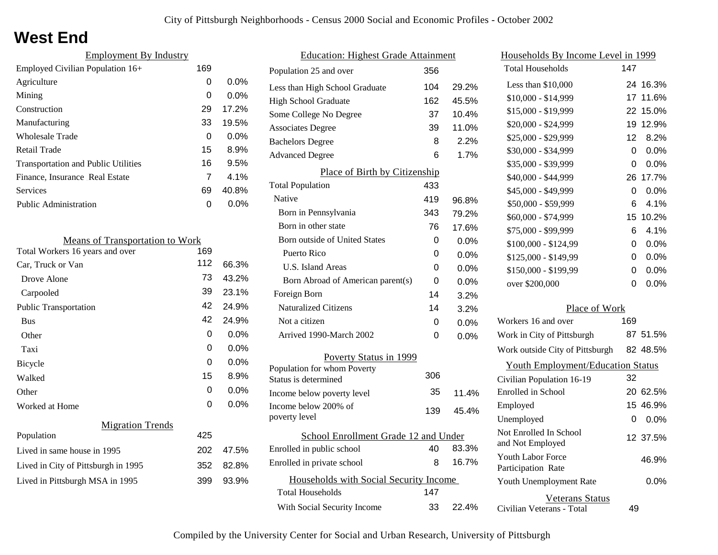### **West End**

| <b>Employment By Industry</b>              |     |         |
|--------------------------------------------|-----|---------|
| Employed Civilian Population 16+           | 169 |         |
| Agriculture                                | 0   | $0.0\%$ |
| Mining                                     | 0   | $0.0\%$ |
| Construction                               | 29  | 17.2%   |
| Manufacturing                              | 33  | 19.5%   |
| Wholesale Trade                            | 0   | $0.0\%$ |
| <b>Retail Trade</b>                        | 15  | 8.9%    |
| <b>Transportation and Public Utilities</b> | 16  | 9.5%    |
| Finance, Insurance Real Estate             | 7   | 4.1%    |
| Services                                   | 69  | 40.8%   |
| Public Administration                      | ი   | $0.0\%$ |
|                                            |     |         |

| <b>Means of Transportation to Work</b> |     |       |
|----------------------------------------|-----|-------|
| Total Workers 16 years and over        | 169 |       |
| Car, Truck or Van                      | 112 | 66.3% |
| Drove Alone                            | 73  | 43.2% |
| Carpooled                              | 39  | 23.1% |
| <b>Public Transportation</b>           | 42  | 24.9% |
| <b>Bus</b>                             | 42  | 24.9% |
| Other                                  | 0   | 0.0%  |
| Taxi                                   | 0   | 0.0%  |
| Bicycle                                | 0   | 0.0%  |
| Walked                                 | 15  | 8.9%  |
| Other                                  | 0   | 0.0%  |
| Worked at Home                         | 0   | 0.0%  |
| <b>Migration Trends</b>                |     |       |
| Population                             | 425 |       |
| Lived in same house in 1995            | 202 | 47.5% |
| Lived in City of Pittsburgh in 1995    | 352 | 82.8% |
| Lived in Pittsburgh MSA in 1995        | 399 | 93.9% |
|                                        |     |       |

| <b>Education: Highest Grade Attainment</b>                        |     |         |
|-------------------------------------------------------------------|-----|---------|
| Population 25 and over                                            | 356 |         |
| Less than High School Graduate                                    | 104 | 29.2%   |
| <b>High School Graduate</b>                                       | 162 | 45.5%   |
| Some College No Degree                                            | 37  | 10.4%   |
| <b>Associates Degree</b>                                          | 39  | 11.0%   |
| <b>Bachelors Degree</b>                                           | 8   | 2.2%    |
| <b>Advanced Degree</b>                                            | 6   | 1.7%    |
| <b>Place of Birth by Citizenship</b>                              |     |         |
| <b>Total Population</b>                                           | 433 |         |
| Native                                                            | 419 | 96.8%   |
| Born in Pennsylvania                                              | 343 | 79.2%   |
| Born in other state                                               | 76  | 17.6%   |
| <b>Born outside of United States</b>                              | 0   | $0.0\%$ |
| Puerto Rico                                                       | 0   | 0.0%    |
| U.S. Island Areas                                                 | 0   | 0.0%    |
| Born Abroad of American parent(s)                                 | 0   | 0.0%    |
| Foreign Born                                                      | 14  | 3.2%    |
| <b>Naturalized Citizens</b>                                       | 14  | 3.2%    |
| Not a citizen                                                     | 0   | $0.0\%$ |
| Arrived 1990-March 2002                                           | 0   | 0.0%    |
| Poverty Status in 1999                                            |     |         |
| Population for whom Poverty                                       | 306 |         |
| Status is determined                                              |     |         |
| Income below poverty level                                        | 35  | 11.4%   |
| Income below 200% of<br>poverty level                             | 139 | 45.4%   |
|                                                                   |     |         |
| School Enrollment Grade 12 and Under<br>Enrolled in public school | 40  | 83.3%   |
| Enrolled in private school                                        | 8   | 16.7%   |
|                                                                   |     |         |
| Households with Social Security Income                            |     |         |
| <b>Total Households</b>                                           | 147 |         |
| With Social Security Income                                       | 33  | 22.4%   |

| Households By Income Level in 1999                  |     |          |
|-----------------------------------------------------|-----|----------|
| <b>Total Households</b>                             | 147 |          |
| Less than \$10,000                                  | 24  | 16.3%    |
| \$10,000 - \$14,999                                 | 17  | 11.6%    |
| \$15,000 - \$19,999                                 | 22. | 15.0%    |
| \$20,000 - \$24,999                                 | 19  | 12.9%    |
| \$25,000 - \$29,999                                 | 12  | 8.2%     |
| \$30,000 - \$34,999                                 | 0   | 0.0%     |
| \$35,000 - \$39,999                                 | 0   | 0.0%     |
| \$40,000 - \$44,999                                 | 26  | 17.7%    |
| \$45,000 - \$49,999                                 | 0   | 0.0%     |
| \$50,000 - \$59,999                                 | 6   | 4.1%     |
| \$60,000 - \$74,999                                 | 15  | 10.2%    |
| \$75,000 - \$99,999                                 | 6   | 4.1%     |
| \$100,000 - \$124,99                                | 0   | 0.0%     |
| \$125,000 - \$149,99                                | 0   | 0.0%     |
| \$150,000 - \$199,99                                | 0   | 0.0%     |
| over \$200,000                                      | 0   | 0.0%     |
| Place of Work                                       |     |          |
| Workers 16 and over                                 | 169 |          |
| Work in City of Pittsburgh                          |     | 87 51.5% |
| Work outside City of Pittsburgh                     |     | 82 48.5% |
| <b>Youth Employment/Education Status</b>            |     |          |
| Civilian Population 16-19                           | 32  |          |
| Enrolled in School                                  |     | 20 62.5% |
| Employed                                            | 15  | 46.9%    |
| Unemployed                                          | 0   | 0.0%     |
| Not Enrolled In School<br>and Not Employed          |     | 12 37.5% |
| <b>Youth Labor Force</b><br>Participation Rate      |     | 46.9%    |
| Youth Unemployment Rate                             |     | 0.0%     |
| <b>Veterans Status</b><br>Civilian Veterans - Total | 49  |          |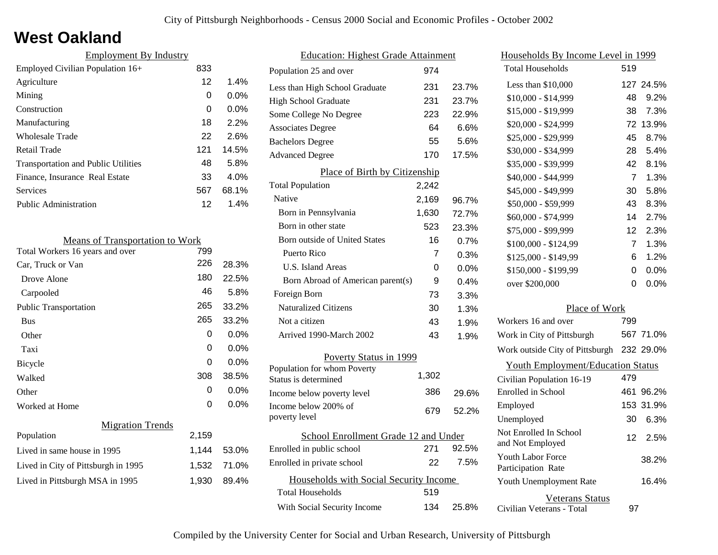### **West Oakland**

| <b>Employment By Industry</b>              |     |         |
|--------------------------------------------|-----|---------|
| Employed Civilian Population 16+           | 833 |         |
| Agriculture                                | 12  | 1.4%    |
| Mining                                     | 0   | $0.0\%$ |
| Construction                               | 0   | $0.0\%$ |
| Manufacturing                              | 18  | 2.2%    |
| Wholesale Trade                            | 22  | 2.6%    |
| Retail Trade                               | 121 | 14.5%   |
| <b>Transportation and Public Utilities</b> | 48  | 5.8%    |
| Finance, Insurance Real Estate             | 33  | 4.0%    |
| Services                                   | 567 | 68.1%   |
| Public Administration                      | 12  | 1.4%    |

| <b>Means of Transportation to Work</b> |       |         |
|----------------------------------------|-------|---------|
| Total Workers 16 years and over        | 799   |         |
| Car, Truck or Van                      | 226   | 28.3%   |
| Drove Alone                            | 180   | 22.5%   |
| Carpooled                              | 46    | 5.8%    |
| <b>Public Transportation</b>           | 265   | 33.2%   |
| <b>Bus</b>                             | 265   | 33.2%   |
| Other                                  | 0     | $0.0\%$ |
| Taxi                                   | 0     | $0.0\%$ |
| Bicycle                                | 0     | $0.0\%$ |
| Walked                                 | 308   | 38.5%   |
| Other                                  | 0     | $0.0\%$ |
| Worked at Home                         | 0     | $0.0\%$ |
| <b>Migration Trends</b>                |       |         |
| Population                             | 2,159 |         |
| Lived in same house in 1995            | 1,144 | 53.0%   |
| Lived in City of Pittsburgh in 1995    | 1,532 | 71.0%   |
| Lived in Pittsburgh MSA in 1995        | 1,930 | 89.4%   |
|                                        |       |         |

| <b>Education: Highest Grade Attainment</b>          |       |         |
|-----------------------------------------------------|-------|---------|
| Population 25 and over                              | 974   |         |
| Less than High School Graduate                      | 231   | 23.7%   |
| High School Graduate                                | 231   | 23.7%   |
| Some College No Degree                              | 223   | 22.9%   |
| <b>Associates Degree</b>                            | 64    | 6.6%    |
| <b>Bachelors Degree</b>                             | 55    | 5.6%    |
| <b>Advanced Degree</b>                              | 170   | 17.5%   |
| Place of Birth by Citizenship                       |       |         |
| <b>Total Population</b>                             | 2,242 |         |
| Native                                              | 2,169 | 96.7%   |
| Born in Pennsylvania                                | 1,630 | 72.7%   |
| Born in other state                                 | 523   | 23.3%   |
| <b>Born outside of United States</b>                | 16    | 0.7%    |
| Puerto Rico                                         | 7     | 0.3%    |
| U.S. Island Areas                                   | 0     | $0.0\%$ |
| Born Abroad of American parent(s)                   | 9     | 0.4%    |
| Foreign Born                                        | 73    | 3.3%    |
| <b>Naturalized Citizens</b>                         | 30    | 1.3%    |
| Not a citizen                                       | 43    | 1.9%    |
| Arrived 1990-March 2002                             | 43    | 1.9%    |
| Poverty Status in 1999                              |       |         |
| Population for whom Poverty<br>Status is determined | 1,302 |         |
| Income below poverty level                          | 386   | 29.6%   |
| Income below 200% of<br>poverty level               | 679   | 52.2%   |
| School Enrollment Grade 12 and Under                |       |         |
| Enrolled in public school                           | 271   | 92.5%   |
| Enrolled in private school                          | 22    | 7.5%    |
| Households with Social Security Income              |       |         |
| <b>Total Households</b>                             | 519   |         |
| With Social Security Income                         | 134   | 25.8%   |

| <u>Households By Income Level in 1999</u>           |                 |           |
|-----------------------------------------------------|-----------------|-----------|
| <b>Total Households</b>                             | 519             |           |
| Less than $$10,000$                                 |                 | 127 24.5% |
| $$10,000 - $14,999$                                 | 48              | 9.2%      |
| \$15,000 - \$19,999                                 | 38              | 7.3%      |
| \$20,000 - \$24,999                                 | 72              | 13.9%     |
| \$25,000 - \$29,999                                 | 45              | 8.7%      |
| \$30,000 - \$34,999                                 | 28              | 5.4%      |
| \$35,000 - \$39,999                                 | 42              | 8.1%      |
| \$40,000 - \$44,999                                 | 7               | 1.3%      |
| \$45,000 - \$49,999                                 | 30              | 5.8%      |
| \$50,000 - \$59,999                                 | 43              | 8.3%      |
| \$60,000 - \$74,999                                 | 14              | 2.7%      |
| \$75,000 - \$99,999                                 | 12              | 2.3%      |
| \$100,000 - \$124,99                                | 7               | 1.3%      |
| \$125,000 - \$149,99                                | 6               | 1.2%      |
| \$150,000 - \$199,99                                | 0               | 0.0%      |
| over \$200,000                                      | 0               | 0.0%      |
| Place of Work                                       |                 |           |
| Workers 16 and over                                 | 799             |           |
| Work in City of Pittsburgh                          |                 | 567 71.0% |
| Work outside City of Pittsburgh                     |                 | 232 29.0% |
| <b>Youth Employment/Education Status</b>            |                 |           |
| Civilian Population 16-19                           | 479             |           |
| Enrolled in School                                  | 461             | 96.2%     |
| Employed                                            | 153             | 31.9%     |
| Unemployed                                          | 30              | 6.3%      |
| Not Enrolled In School<br>and Not Employed          | 12 <sup>1</sup> | 2.5%      |
| <b>Youth Labor Force</b><br>Participation Rate      |                 | 38.2%     |
| Youth Unemployment Rate                             |                 | 16.4%     |
| <b>Veterans Status</b><br>Civilian Veterans - Total | 97              |           |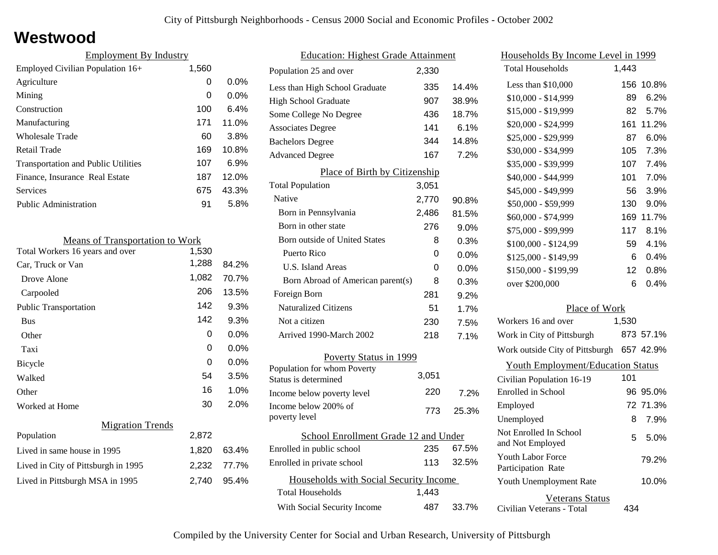#### **Westwood**

| 1,560 |                               |
|-------|-------------------------------|
| 0     | $0.0\%$                       |
| 0     | $0.0\%$                       |
| 100   | 6.4%                          |
| 171   | 11.0%                         |
| 60    | 3.8%                          |
| 169   | 10.8%                         |
| 107   | 6.9%                          |
| 187   | 12.0%                         |
| 675   | 43.3%                         |
| 91    | 5.8%                          |
|       | <b>Employment By Industry</b> |

| <b>Means of Transportation to Work</b> |       |         |
|----------------------------------------|-------|---------|
| Total Workers 16 years and over        | 1,530 |         |
| Car, Truck or Van                      | 1,288 | 84.2%   |
| Drove Alone                            | 1,082 | 70.7%   |
| Carpooled                              | 206   | 13.5%   |
| <b>Public Transportation</b>           | 142   | 9.3%    |
| <b>Bus</b>                             | 142   | 9.3%    |
| Other                                  | 0     | $0.0\%$ |
| Taxi                                   | 0     | $0.0\%$ |
| <b>Bicycle</b>                         | 0     | $0.0\%$ |
| Walked                                 | 54    | 3.5%    |
| Other                                  | 16    | 1.0%    |
| Worked at Home                         | 30    | 2.0%    |
| <b>Migration Trends</b>                |       |         |
| Population                             | 2,872 |         |
| Lived in same house in 1995            | 1,820 | 63.4%   |
| Lived in City of Pittsburgh in 1995    | 2,232 | 77.7%   |
| Lived in Pittsburgh MSA in 1995        | 2,740 | 95.4%   |

| <b>Education: Highest Grade Attainment</b>          |       |         |
|-----------------------------------------------------|-------|---------|
| Population 25 and over                              | 2,330 |         |
| Less than High School Graduate                      | 335   | 14.4%   |
| <b>High School Graduate</b>                         | 907   | 38.9%   |
| Some College No Degree                              | 436   | 18.7%   |
| <b>Associates Degree</b>                            | 141   | 6.1%    |
| <b>Bachelors Degree</b>                             | 344   | 14.8%   |
| <b>Advanced Degree</b>                              | 167   | 7.2%    |
| Place of Birth by Citizenship                       |       |         |
| <b>Total Population</b>                             | 3,051 |         |
| Native                                              | 2,770 | 90.8%   |
| Born in Pennsylvania                                | 2,486 | 81.5%   |
| Born in other state                                 | 276   | 9.0%    |
| Born outside of United States                       | 8     | 0.3%    |
| Puerto Rico                                         | 0     | $0.0\%$ |
| U.S. Island Areas                                   | 0     | $0.0\%$ |
| Born Abroad of American parent(s)                   | 8     | 0.3%    |
| Foreign Born                                        | 281   | 9.2%    |
| <b>Naturalized Citizens</b>                         | 51    | 1.7%    |
| Not a citizen                                       | 230   | 7.5%    |
| Arrived 1990-March 2002                             | 218   | 7.1%    |
| Poverty Status in 1999                              |       |         |
| Population for whom Poverty<br>Status is determined | 3,051 |         |
| Income below poverty level                          | 220   | 7.2%    |
| Income below 200% of                                |       |         |
| poverty level                                       | 773   | 25.3%   |
| School Enrollment Grade 12 and Under                |       |         |
| Enrolled in public school                           | 235   | 67.5%   |
| Enrolled in private school                          | 113   | 32.5%   |
| Households with Social Security Income              |       |         |
| <b>Total Households</b>                             | 1,443 |         |
| With Social Security Income                         | 487   | 33.7%   |

| <u>Households By Income Level in 1999</u>           |       |           |
|-----------------------------------------------------|-------|-----------|
| <b>Total Households</b>                             | 1,443 |           |
| Less than $$10,000$                                 | 156   | 10.8%     |
| $$10,000 - $14,999$                                 | 89    | 6.2%      |
| \$15,000 - \$19,999                                 | 82    | 5.7%      |
| \$20,000 - \$24,999                                 | 161   | 11.2%     |
| \$25,000 - \$29,999                                 | 87    | 6.0%      |
| \$30,000 - \$34,999                                 | 105   | 7.3%      |
| \$35,000 - \$39,999                                 | 107   | 7.4%      |
| \$40,000 - \$44,999                                 | 101   | 7.0%      |
| \$45,000 - \$49,999                                 | 56    | 3.9%      |
| \$50,000 - \$59,999                                 | 130   | 9.0%      |
| \$60,000 - \$74,999                                 | 169   | 11.7%     |
| \$75,000 - \$99,999                                 | 117   | 8.1%      |
| \$100,000 - \$124,99                                | 59    | 4.1%      |
| \$125,000 - \$149,99                                | 6     | 0.4%      |
| \$150,000 - \$199,99                                | 12    | $0.8\%$   |
| over \$200,000                                      | 6     | 0.4%      |
| Place of Work                                       |       |           |
| Workers 16 and over                                 | 1,530 |           |
| Work in City of Pittsburgh                          |       | 873 57.1% |
| Work outside City of Pittsburgh                     |       | 657 42.9% |
| <b>Youth Employment/Education Status</b>            |       |           |
| Civilian Population 16-19                           | 101   |           |
| Enrolled in School                                  | 96    | 95.0%     |
| Employed                                            |       | 72 71.3%  |
| Unemployed                                          | 8     | 7.9%      |
| Not Enrolled In School<br>and Not Employed          | 5     | 5.0%      |
| <b>Youth Labor Force</b><br>Participation Rate      |       | 79.2%     |
| Youth Unemployment Rate                             |       | 10.0%     |
| <b>Veterans Status</b><br>Civilian Veterans - Total | 434   |           |